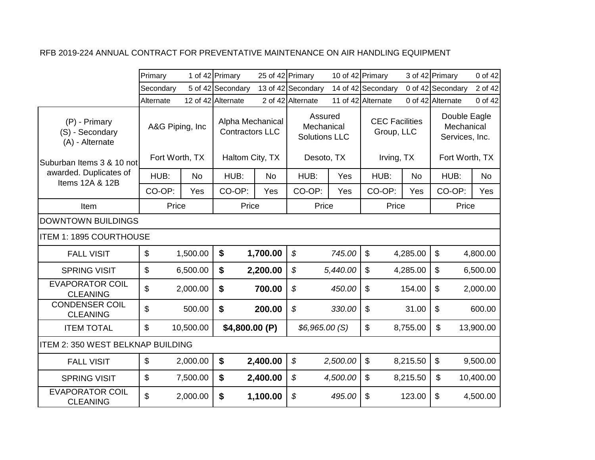|                                                     | Primary                   |           | 1 of 42 Primary                            | 25 of 42 Primary |                                               | 10 of 42 Primary |                                     |           | 3 of 42 Primary                              | 0 of 42   |
|-----------------------------------------------------|---------------------------|-----------|--------------------------------------------|------------------|-----------------------------------------------|------------------|-------------------------------------|-----------|----------------------------------------------|-----------|
|                                                     | Secondary                 |           | 5 of 42 Secondary                          |                  | 13 of 42 Secondary                            |                  | 14 of 42 Secondary                  |           | 0 of 42 Secondary                            | 2 of 42   |
|                                                     | Alternate                 |           | 12 of 42 Alternate                         |                  | 2 of 42 Alternate                             |                  | 11 of 42 Alternate                  |           | 0 of 42 Alternate                            | 0 of 42   |
| (P) - Primary<br>(S) - Secondary<br>(A) - Alternate | A&G Piping, Inc           |           | Alpha Mechanical<br><b>Contractors LLC</b> |                  | Assured<br>Mechanical<br><b>Solutions LLC</b> |                  | <b>CEC Facilities</b><br>Group, LLC |           | Double Eagle<br>Mechanical<br>Services, Inc. |           |
| Suburban Items 3 & 10 not                           | Fort Worth, TX            |           | Haltom City, TX                            |                  | Desoto, TX                                    |                  | Irving, TX                          |           | Fort Worth, TX                               |           |
| awarded. Duplicates of<br>Items 12A & 12B           | HUB:                      | <b>No</b> | HUB:                                       | <b>No</b>        | HUB:                                          | Yes              | HUB:                                | <b>No</b> | HUB:                                         | No        |
|                                                     | CO-OP:                    | Yes       | CO-OP:                                     | Yes              | CO-OP:                                        | Yes              | CO-OP:                              | Yes       | CO-OP:                                       | Yes       |
| Item                                                | Price                     |           | Price                                      |                  | Price                                         |                  | Price                               |           | Price                                        |           |
| DOWNTOWN BUILDINGS                                  |                           |           |                                            |                  |                                               |                  |                                     |           |                                              |           |
| <b>ITEM 1: 1895 COURTHOUSE</b>                      |                           |           |                                            |                  |                                               |                  |                                     |           |                                              |           |
| <b>FALL VISIT</b>                                   | $\boldsymbol{\mathsf{S}}$ | 1,500.00  | $\boldsymbol{\$}$                          | 1,700.00         | $\boldsymbol{\mathcal{S}}$                    | 745.00           | $\mathfrak{S}$                      | 4,285.00  | $\boldsymbol{\mathsf{S}}$                    | 4,800.00  |
| <b>SPRING VISIT</b>                                 | \$                        | 6,500.00  | \$                                         | 2,200.00         | \$                                            | 5,440.00         | \$                                  | 4,285.00  | \$                                           | 6,500.00  |
| <b>EVAPORATOR COIL</b><br><b>CLEANING</b>           | \$                        | 2,000.00  | \$                                         | 700.00           | \$                                            | 450.00           | $\mathfrak{S}$                      | 154.00    | \$                                           | 2,000.00  |
| <b>CONDENSER COIL</b><br><b>CLEANING</b>            | \$                        | 500.00    | \$                                         | 200.00           | $\boldsymbol{\mathcal{S}}$                    | 330.00           | \$                                  | 31.00     | \$                                           | 600.00    |
| <b>ITEM TOTAL</b>                                   | $\$\$                     | 10,500.00 | \$4,800.00 (P)                             |                  | \$6,965.00(S)                                 |                  | \$                                  | 8,755.00  | \$                                           | 13,900.00 |
| ITEM 2: 350 WEST BELKNAP BUILDING                   |                           |           |                                            |                  |                                               |                  |                                     |           |                                              |           |
| <b>FALL VISIT</b>                                   | $\mathfrak{S}$            | 2,000.00  | \$                                         | 2,400.00         | \$                                            | 2,500.00         | $\mathbb{S}$                        | 8,215.50  | $\boldsymbol{\mathsf{S}}$                    | 9,500.00  |
| <b>SPRING VISIT</b>                                 | $\$\$                     | 7,500.00  | \$                                         | 2,400.00         | \$                                            | 4,500.00         | \$                                  | 8,215.50  | \$                                           | 10,400.00 |
| <b>EVAPORATOR COIL</b><br><b>CLEANING</b>           | $\mathfrak{L}$            | 2,000.00  | $\boldsymbol{\$}$                          | 1,100.00         | \$                                            | 495.00           | $\mathfrak{S}$                      | 123.00    | \$                                           | 4,500.00  |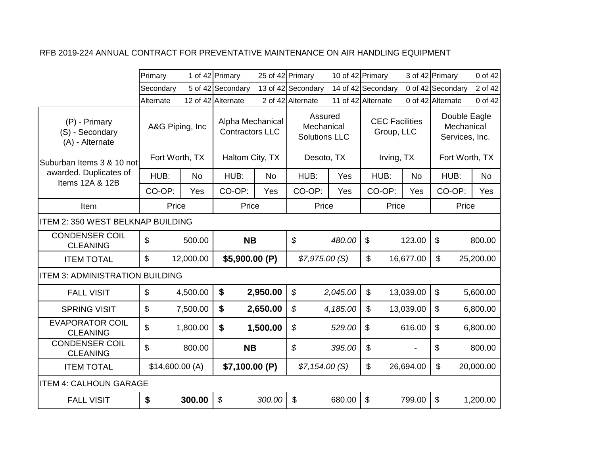|                                                     | Primary                   |           | 1 of 42 Primary                            | 25 of 42 Primary |                                               | 10 of 42 Primary |                                     |           | 3 of 42 Primary                              | 0 of 42   |
|-----------------------------------------------------|---------------------------|-----------|--------------------------------------------|------------------|-----------------------------------------------|------------------|-------------------------------------|-----------|----------------------------------------------|-----------|
|                                                     | Secondary                 |           | 5 of 42 Secondary                          |                  | 13 of 42 Secondary                            |                  | 14 of 42 Secondary                  |           | 0 of 42 Secondary                            | 2 of 42   |
|                                                     | Alternate                 |           | 12 of 42 Alternate                         |                  | 2 of 42 Alternate                             |                  | 11 of 42 Alternate                  |           | 0 of 42 Alternate                            | 0 of 42   |
| (P) - Primary<br>(S) - Secondary<br>(A) - Alternate | A&G Piping, Inc           |           | Alpha Mechanical<br><b>Contractors LLC</b> |                  | Assured<br>Mechanical<br><b>Solutions LLC</b> |                  | <b>CEC Facilities</b><br>Group, LLC |           | Double Eagle<br>Mechanical<br>Services, Inc. |           |
| Suburban Items 3 & 10 not                           | Fort Worth, TX            |           | Haltom City, TX                            |                  | Desoto, TX                                    |                  | Irving, TX                          |           | Fort Worth, TX                               |           |
| awarded. Duplicates of<br>Items 12A & 12B           | HUB:                      | <b>No</b> | HUB:                                       | <b>No</b>        | HUB:                                          | Yes              | HUB:                                | <b>No</b> | HUB:                                         | <b>No</b> |
|                                                     | CO-OP:                    | Yes       | CO-OP:                                     | Yes              | CO-OP:                                        | Yes              | CO-OP:                              | Yes       | CO-OP:                                       | Yes       |
| Item                                                | Price                     |           | Price                                      |                  | Price                                         |                  | Price                               |           | Price                                        |           |
| ITEM 2: 350 WEST BELKNAP BUILDING                   |                           |           |                                            |                  |                                               |                  |                                     |           |                                              |           |
| <b>CONDENSER COIL</b><br><b>CLEANING</b>            | \$                        | 500.00    | <b>NB</b>                                  |                  | \$                                            | 480.00           | $\boldsymbol{\mathsf{S}}$           | 123.00    | $\mathfrak{S}$                               | 800.00    |
| <b>ITEM TOTAL</b>                                   | $\boldsymbol{\mathsf{S}}$ | 12,000.00 | \$5,900.00 (P)                             |                  | \$7,975.00(S)                                 |                  | \$                                  | 16,677.00 | \$                                           | 25,200.00 |
| <b>ITEM 3: ADMINISTRATION BUILDING</b>              |                           |           |                                            |                  |                                               |                  |                                     |           |                                              |           |
| <b>FALL VISIT</b>                                   | $\mathfrak{L}$            | 4,500.00  | \$                                         | 2,950.00         | \$                                            | 2,045.00         | \$                                  | 13,039.00 | $\boldsymbol{\mathsf{s}}$                    | 5,600.00  |
| <b>SPRING VISIT</b>                                 | $\boldsymbol{\mathsf{S}}$ | 7,500.00  | \$                                         | 2,650.00         | \$                                            | 4,185.00         | \$                                  | 13,039.00 | $\boldsymbol{\mathsf{S}}$                    | 6,800.00  |
| <b>EVAPORATOR COIL</b><br><b>CLEANING</b>           | $\mathfrak{L}$            | 1,800.00  | \$                                         | 1,500.00         | \$                                            | 529.00           | $\boldsymbol{\mathsf{S}}$           | 616.00    | $\boldsymbol{\mathsf{S}}$                    | 6,800.00  |
| <b>CONDENSER COIL</b><br><b>CLEANING</b>            | $\mathfrak{S}$            | 800.00    | <b>NB</b>                                  |                  | \$                                            | 395.00           | \$                                  |           | \$                                           | 800.00    |
| <b>ITEM TOTAL</b>                                   | \$14,600.00(A)            |           | \$7,100.00 (P)                             |                  | \$7,154.00(S)                                 |                  | \$                                  | 26,694.00 | \$                                           | 20,000.00 |
| <b>ITEM 4: CALHOUN GARAGE</b>                       |                           |           |                                            |                  |                                               |                  |                                     |           |                                              |           |
| <b>FALL VISIT</b>                                   | \$                        | 300.00    | $\mathcal{S}$                              | 300.00           | \$                                            | 680.00           | $\mathfrak{S}$                      | 799.00    | $\mathfrak{S}$                               | 1,200.00  |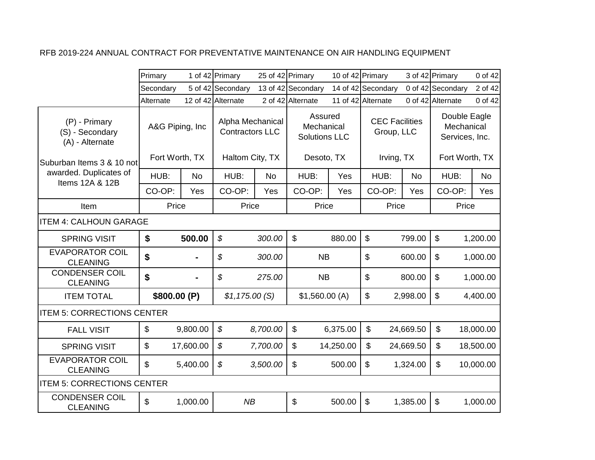|                                                     | Primary         |           | 1 of 42 Primary                            |           | 25 of 42 Primary                              |           | 10 of 42 Primary                    |           | 3 of 42 Primary                              | 0 of 42   |
|-----------------------------------------------------|-----------------|-----------|--------------------------------------------|-----------|-----------------------------------------------|-----------|-------------------------------------|-----------|----------------------------------------------|-----------|
|                                                     | Secondary       |           | 5 of 42 Secondary                          |           | 13 of 42 Secondary                            |           | 14 of 42 Secondary                  |           | 0 of 42 Secondary                            | 2 of 42   |
|                                                     | Alternate       |           | 12 of 42 Alternate                         |           | 2 of 42 Alternate                             |           | 11 of 42 Alternate                  |           | 0 of 42 Alternate                            | 0 of 42   |
| (P) - Primary<br>(S) - Secondary<br>(A) - Alternate | A&G Piping, Inc |           | Alpha Mechanical<br><b>Contractors LLC</b> |           | Assured<br>Mechanical<br><b>Solutions LLC</b> |           | <b>CEC Facilities</b><br>Group, LLC |           | Double Eagle<br>Mechanical<br>Services, Inc. |           |
| lSuburban Items 3 & 10 notl                         | Fort Worth, TX  |           | Haltom City, TX                            |           | Desoto, TX                                    |           | Irving, TX                          |           | Fort Worth, TX                               |           |
| awarded. Duplicates of<br>Items 12A & 12B           | HUB:            | <b>No</b> | HUB:                                       | <b>No</b> | HUB:                                          | Yes       | HUB:                                | <b>No</b> | HUB:                                         | <b>No</b> |
|                                                     | CO-OP:          | Yes       | CO-OP:                                     | Yes       | CO-OP:                                        | Yes       | CO-OP:                              | Yes       | CO-OP:                                       | Yes       |
| Item                                                | Price           |           | Price                                      |           | Price                                         |           | Price                               |           | Price                                        |           |
| <b>ITEM 4: CALHOUN GARAGE</b>                       |                 |           |                                            |           |                                               |           |                                     |           |                                              |           |
| <b>SPRING VISIT</b>                                 | \$              | 500.00    | $\boldsymbol{\mathcal{S}}$                 | 300.00    | $\boldsymbol{\mathsf{S}}$                     | 880.00    | $\boldsymbol{\mathsf{S}}$           | 799.00    | \$                                           | 1,200.00  |
| <b>EVAPORATOR COIL</b><br><b>CLEANING</b>           | \$              |           | \$                                         | 300.00    | <b>NB</b>                                     |           | \$                                  | 600.00    | \$                                           | 1,000.00  |
| <b>CONDENSER COIL</b><br><b>CLEANING</b>            | \$              |           | \$                                         | 275.00    | <b>NB</b>                                     |           | \$                                  | 800.00    | \$                                           | 1,000.00  |
| <b>ITEM TOTAL</b>                                   | \$800.00 (P)    |           | \$1,175.00(S)                              |           | \$1,560.00(A)                                 |           | \$                                  | 2,998.00  | \$                                           | 4,400.00  |
| <b>ITEM 5: CORRECTIONS CENTER</b>                   |                 |           |                                            |           |                                               |           |                                     |           |                                              |           |
| <b>FALL VISIT</b>                                   | $\mathbf{\$}$   | 9,800.00  | $\mathcal{S}$                              | 8,700.00  | $\boldsymbol{\mathsf{S}}$                     | 6,375.00  | $\mathbb{S}$                        | 24,669.50 | $\mathbb S$                                  | 18,000.00 |
| <b>SPRING VISIT</b>                                 | $\mathfrak{S}$  | 17,600.00 | $\boldsymbol{\mathcal{S}}$                 | 7,700.00  | \$                                            | 14,250.00 | \$                                  | 24,669.50 | \$                                           | 18,500.00 |
| <b>EVAPORATOR COIL</b><br><b>CLEANING</b>           | $\mathfrak{L}$  | 5,400.00  | \$                                         | 3,500.00  | \$                                            | 500.00    | $\mathfrak{S}$                      | 1,324.00  | \$                                           | 10,000.00 |
| <b>ITEM 5: CORRECTIONS CENTER</b>                   |                 |           |                                            |           |                                               |           |                                     |           |                                              |           |
| <b>CONDENSER COIL</b><br><b>CLEANING</b>            | \$              | 1,000.00  | NB                                         |           | \$                                            | 500.00    | $\boldsymbol{\mathsf{S}}$           | 1,385.00  | \$                                           | 1,000.00  |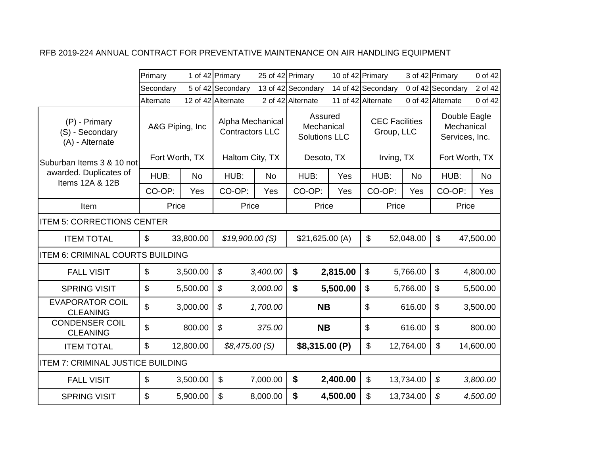|                                                     | Primary                           |           | 1 of 42 Primary                                               | 25 of 42 Primary |                                                             | 10 of 42 Primary |                                                   |           | 3 of 42 Primary                                                | 0 of 42   |
|-----------------------------------------------------|-----------------------------------|-----------|---------------------------------------------------------------|------------------|-------------------------------------------------------------|------------------|---------------------------------------------------|-----------|----------------------------------------------------------------|-----------|
|                                                     | Secondary                         |           | 5 of 42 Secondary                                             |                  | 13 of 42 Secondary                                          |                  | 14 of 42 Secondary                                |           | 0 of 42 Secondary                                              | 2 of 42   |
|                                                     | Alternate                         |           | 12 of 42 Alternate                                            |                  | 2 of 42 Alternate                                           |                  | 11 of 42 Alternate                                |           | 0 of 42 Alternate                                              | 0 of 42   |
| (P) - Primary<br>(S) - Secondary<br>(A) - Alternate | A&G Piping, Inc<br>Fort Worth, TX |           | Alpha Mechanical<br><b>Contractors LLC</b><br>Haltom City, TX |                  | Assured<br>Mechanical<br><b>Solutions LLC</b><br>Desoto, TX |                  | <b>CEC Facilities</b><br>Group, LLC<br>Irving, TX |           | Double Eagle<br>Mechanical<br>Services, Inc.<br>Fort Worth, TX |           |
| Suburban Items 3 & 10 not                           |                                   |           |                                                               |                  |                                                             |                  |                                                   |           |                                                                |           |
| awarded. Duplicates of<br>Items 12A & 12B           | HUB:                              | No        | HUB:                                                          | <b>No</b>        | HUB:                                                        | Yes              | HUB:                                              | <b>No</b> | HUB:                                                           | No        |
|                                                     | CO-OP:                            | Yes       | CO-OP:                                                        | Yes              | CO-OP:                                                      | Yes              | CO-OP:                                            | Yes       | CO-OP:                                                         | Yes       |
| Item                                                | Price                             |           | Price                                                         |                  | Price                                                       |                  | Price                                             |           | Price                                                          |           |
| <b>ITEM 5: CORRECTIONS CENTER</b>                   |                                   |           |                                                               |                  |                                                             |                  |                                                   |           |                                                                |           |
| <b>ITEM TOTAL</b>                                   | $\mathfrak{S}$                    | 33,800.00 | \$19,900.00(S)                                                |                  | \$21,625.00(A)                                              |                  | $\boldsymbol{\mathsf{S}}$                         | 52,048.00 | \$                                                             | 47,500.00 |
| <b>ITEM 6: CRIMINAL COURTS BUILDING</b>             |                                   |           |                                                               |                  |                                                             |                  |                                                   |           |                                                                |           |
| <b>FALL VISIT</b>                                   | $\boldsymbol{\mathsf{\$}}$        | 3,500.00  | \$                                                            | 3,400.00         | \$                                                          | 2,815.00         | $\boldsymbol{\mathsf{S}}$                         | 5,766.00  | $\boldsymbol{\mathsf{S}}$                                      | 4,800.00  |
| <b>SPRING VISIT</b>                                 | $\boldsymbol{\mathsf{S}}$         | 5,500.00  | $\boldsymbol{\mathcal{S}}$                                    | 3,000.00         | \$                                                          | 5,500.00         | \$                                                | 5,766.00  | \$                                                             | 5,500.00  |
| <b>EVAPORATOR COIL</b><br><b>CLEANING</b>           | $\mathfrak{L}$                    | 3,000.00  | $\boldsymbol{\mathcal{S}}$                                    | 1,700.00         | <b>NB</b>                                                   |                  | $\mathfrak{S}$                                    | 616.00    | \$                                                             | 3,500.00  |
| <b>CONDENSER COIL</b><br><b>CLEANING</b>            | \$                                | 800.00    | $\boldsymbol{\mathcal{S}}$                                    | 375.00           | <b>NB</b>                                                   |                  | \$                                                | 616.00    | \$                                                             | 800.00    |
| <b>ITEM TOTAL</b>                                   | \$                                | 12,800.00 | \$8,475.00(S)                                                 |                  | \$8,315.00 (P)                                              |                  | $\boldsymbol{\mathsf{S}}$                         | 12,764.00 | \$                                                             | 14,600.00 |
| <b>ITEM 7: CRIMINAL JUSTICE BUILDING</b>            |                                   |           |                                                               |                  |                                                             |                  |                                                   |           |                                                                |           |
| <b>FALL VISIT</b>                                   | $\boldsymbol{\mathsf{S}}$         | 3,500.00  | $\boldsymbol{\mathsf{S}}$                                     | 7,000.00         | \$                                                          | 2,400.00         | \$                                                | 13,734.00 | \$                                                             | 3,800.00  |
| <b>SPRING VISIT</b>                                 | \$                                | 5,900.00  | \$                                                            | 8,000.00         | \$                                                          | 4,500.00         | \$                                                | 13,734.00 | \$                                                             | 4,500.00  |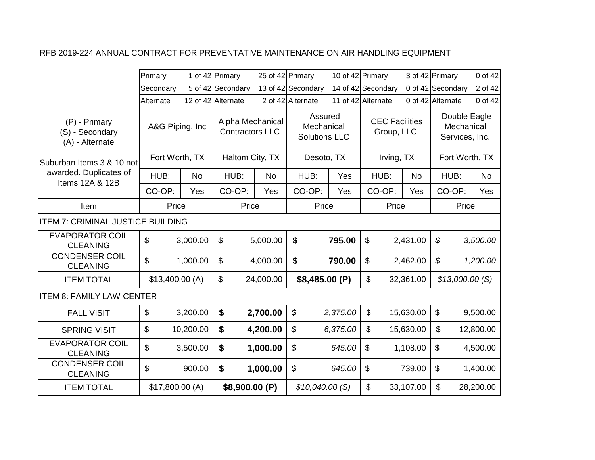|                                                     | Primary          |           | 1 of 42 Primary                            | 25 of 42 Primary |                                               | 10 of 42 Primary |                                     |           | 3 of 42 Primary                              | 0 of 42   |
|-----------------------------------------------------|------------------|-----------|--------------------------------------------|------------------|-----------------------------------------------|------------------|-------------------------------------|-----------|----------------------------------------------|-----------|
|                                                     | Secondary        |           | 5 of 42 Secondary                          |                  | 13 of 42 Secondary                            |                  | 14 of 42 Secondary                  |           | 0 of 42 Secondary                            | 2 of 42   |
|                                                     | Alternate        |           | 12 of 42 Alternate                         |                  | 2 of 42 Alternate                             |                  | 11 of 42 Alternate                  |           | 0 of 42 Alternate                            | 0 of 42   |
| (P) - Primary<br>(S) - Secondary<br>(A) - Alternate | A&G Piping, Inc. |           | Alpha Mechanical<br><b>Contractors LLC</b> |                  | Assured<br>Mechanical<br><b>Solutions LLC</b> |                  | <b>CEC Facilities</b><br>Group, LLC |           | Double Eagle<br>Mechanical<br>Services, Inc. |           |
| Suburban Items 3 & 10 not                           | Fort Worth, TX   |           | Haltom City, TX                            |                  | Desoto, TX                                    |                  | Irving, TX                          |           | Fort Worth, TX                               |           |
| awarded. Duplicates of<br>Items 12A & 12B           | HUB:             | <b>No</b> | HUB:                                       | <b>No</b>        | HUB:                                          | Yes              | HUB:                                | No        | HUB:                                         | <b>No</b> |
|                                                     | CO-OP:           | Yes       | CO-OP:                                     | Yes              | CO-OP:                                        | Yes              | CO-OP:                              | Yes       | CO-OP:                                       | Yes       |
| Item                                                | Price            |           | Price                                      |                  | Price                                         |                  | Price                               |           | Price                                        |           |
| <b>ITEM 7: CRIMINAL JUSTICE BUILDING</b>            |                  |           |                                            |                  |                                               |                  |                                     |           |                                              |           |
| <b>EVAPORATOR COIL</b><br><b>CLEANING</b>           | \$               | 3,000.00  | \$                                         | 5,000.00         | \$                                            | 795.00           | $\mathbb{S}$                        | 2,431.00  | \$                                           | 3,500.00  |
| <b>CONDENSER COIL</b><br><b>CLEANING</b>            | \$               | 1,000.00  | \$                                         | 4,000.00         | \$                                            | 790.00           | $\boldsymbol{\mathsf{S}}$           | 2,462.00  | \$                                           | 1,200.00  |
| <b>ITEM TOTAL</b>                                   | \$13,400.00(A)   |           | $\mathfrak{S}$                             | 24,000.00        | \$8,485.00 (P)                                |                  | \$                                  | 32,361.00 | \$13,000.00(S)                               |           |
| <b>ITEM 8: FAMILY LAW CENTER</b>                    |                  |           |                                            |                  |                                               |                  |                                     |           |                                              |           |
| <b>FALL VISIT</b>                                   | $\$\$            | 3,200.00  | \$                                         | 2,700.00         | \$                                            | 2,375.00         | $\boldsymbol{\mathsf{S}}$           | 15,630.00 | $\boldsymbol{\mathsf{S}}$                    | 9,500.00  |
| <b>SPRING VISIT</b>                                 | $\mathfrak{S}$   | 10,200.00 | \$                                         | 4,200.00         | \$                                            | 6,375.00         | $\mathbb{S}$                        | 15,630.00 | \$                                           | 12,800.00 |
| <b>EVAPORATOR COIL</b><br><b>CLEANING</b>           | \$               | 3,500.00  | \$                                         | 1,000.00         | \$                                            | 645.00           | \$                                  | 1,108.00  | $\boldsymbol{\mathsf{\$}}$                   | 4,500.00  |
| <b>CONDENSER COIL</b><br><b>CLEANING</b>            | \$               | 900.00    | \$                                         | 1,000.00         | \$                                            | 645.00           | \$                                  | 739.00    | $\mathfrak{L}$                               | 1,400.00  |
| <b>ITEM TOTAL</b>                                   | \$17,800.00(A)   |           | \$8,900.00 (P)                             |                  | \$10,040.00(S)                                |                  | \$                                  | 33,107.00 | \$                                           | 28,200.00 |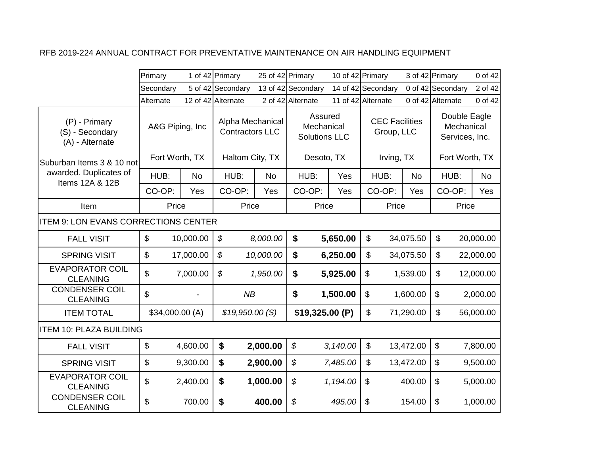|                                                     | Primary                   |           | 1 of 42 Primary                            | 25 of 42 Primary |                                               |          | 10 of 42 Primary                    |           | 3 of 42 Primary           | 0 of 42                                      |
|-----------------------------------------------------|---------------------------|-----------|--------------------------------------------|------------------|-----------------------------------------------|----------|-------------------------------------|-----------|---------------------------|----------------------------------------------|
|                                                     | Secondary                 |           | 5 of 42 Secondary                          |                  | 13 of 42 Secondary                            |          | 14 of 42 Secondary                  |           | 0 of 42 Secondary         | 2 of 42                                      |
|                                                     | Alternate                 |           | 12 of 42 Alternate                         |                  | 2 of 42 Alternate                             |          | 11 of 42 Alternate                  |           | 0 of 42 Alternate         | 0 of 42                                      |
| (P) - Primary<br>(S) - Secondary<br>(A) - Alternate | A&G Piping, Inc           |           | Alpha Mechanical<br><b>Contractors LLC</b> |                  | Assured<br>Mechanical<br><b>Solutions LLC</b> |          | <b>CEC Facilities</b><br>Group, LLC |           |                           | Double Eagle<br>Mechanical<br>Services, Inc. |
| Suburban Items 3 & 10 not                           | Fort Worth, TX            |           | Haltom City, TX                            |                  | Desoto, TX                                    |          | Irving, TX                          |           |                           | Fort Worth, TX                               |
| awarded. Duplicates of<br>Items 12A & 12B           | HUB:                      | <b>No</b> | HUB:                                       | <b>No</b>        | HUB:                                          | Yes      | HUB:                                | <b>No</b> | HUB:                      | <b>No</b>                                    |
|                                                     | CO-OP:                    | Yes       | CO-OP:                                     | Yes              | CO-OP:                                        | Yes      | CO-OP:                              | Yes       | CO-OP:                    | Yes                                          |
| Item                                                | Price                     |           | Price                                      |                  | Price                                         |          | Price                               |           |                           | Price                                        |
| <b>ITEM 9: LON EVANS CORRECTIONS CENTER</b>         |                           |           |                                            |                  |                                               |          |                                     |           |                           |                                              |
| <b>FALL VISIT</b>                                   | $\boldsymbol{\mathsf{S}}$ | 10,000.00 | \$                                         | 8,000.00         | \$                                            | 5,650.00 | \$                                  | 34,075.50 | \$                        | 20,000.00                                    |
| <b>SPRING VISIT</b>                                 | \$                        | 17,000.00 | \$                                         | 10,000.00        | $\boldsymbol{\mathsf{s}}$                     | 6,250.00 | \$                                  | 34,075.50 | \$                        | 22,000.00                                    |
| <b>EVAPORATOR COIL</b><br><b>CLEANING</b>           | \$                        | 7,000.00  | \$                                         | 1,950.00         | \$                                            | 5,925.00 | \$                                  | 1,539.00  | \$                        | 12,000.00                                    |
| <b>CONDENSER COIL</b><br><b>CLEANING</b>            | $\boldsymbol{\mathsf{S}}$ |           | NB                                         |                  | \$                                            | 1,500.00 | $\boldsymbol{\mathsf{S}}$           | 1,600.00  | $\boldsymbol{\mathsf{S}}$ | 2,000.00                                     |
| <b>ITEM TOTAL</b>                                   | \$34,000.00 (A)           |           | \$19,950.00(S)                             |                  | \$19,325.00 (P)                               |          | \$                                  | 71,290.00 | \$                        | 56,000.00                                    |
| <b>ITEM 10: PLAZA BUILDING</b>                      |                           |           |                                            |                  |                                               |          |                                     |           |                           |                                              |
| <b>FALL VISIT</b>                                   | $\mathfrak{L}$            | 4,600.00  | \$                                         | 2,000.00         | \$                                            | 3,140.00 | \$                                  | 13,472.00 | $\mathfrak{S}$            | 7,800.00                                     |
| <b>SPRING VISIT</b>                                 | $\mathfrak{S}$            | 9,300.00  | \$                                         | 2,900.00         | \$                                            | 7,485.00 | \$                                  | 13,472.00 | $\mathfrak{S}$            | 9,500.00                                     |
| <b>EVAPORATOR COIL</b><br><b>CLEANING</b>           | \$                        | 2,400.00  | \$                                         | 1,000.00         | \$                                            | 1,194.00 | $\boldsymbol{\mathsf{S}}$           | 400.00    | $\boldsymbol{\mathsf{S}}$ | 5,000.00                                     |
| <b>CONDENSER COIL</b><br><b>CLEANING</b>            | \$                        | 700.00    | \$                                         | 400.00           | \$                                            | 495.00   | $\mathfrak{S}$                      | 154.00    | \$                        | 1,000.00                                     |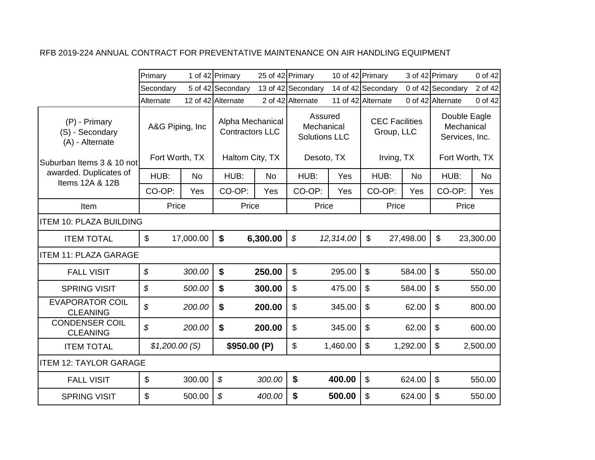|                                                     | Primary                   |           | 1 of 42 Primary                            | 25 of 42 Primary |                                               | 10 of 42 Primary |                                     |           | 3 of 42 Primary                              | 0 of 42   |
|-----------------------------------------------------|---------------------------|-----------|--------------------------------------------|------------------|-----------------------------------------------|------------------|-------------------------------------|-----------|----------------------------------------------|-----------|
|                                                     | Secondary                 |           | 5 of 42 Secondary                          |                  | 13 of 42 Secondary                            |                  | 14 of 42 Secondary                  |           | 0 of 42 Secondary                            | 2 of 42   |
|                                                     | Alternate                 |           | 12 of 42 Alternate                         |                  | 2 of 42 Alternate                             |                  | 11 of 42 Alternate                  |           | 0 of 42 Alternate                            | 0 of 42   |
| (P) - Primary<br>(S) - Secondary<br>(A) - Alternate | A&G Piping, Inc.          |           | Alpha Mechanical<br><b>Contractors LLC</b> |                  | Assured<br>Mechanical<br><b>Solutions LLC</b> |                  | <b>CEC</b> Facilities<br>Group, LLC |           | Double Eagle<br>Mechanical<br>Services, Inc. |           |
| Suburban Items 3 & 10 not                           | Fort Worth, TX            |           | Haltom City, TX                            |                  | Desoto, TX                                    |                  | Irving, TX                          |           | Fort Worth, TX                               |           |
| awarded. Duplicates of<br>Items 12A & 12B           | HUB:                      | <b>No</b> | HUB:                                       | <b>No</b>        | HUB:                                          | Yes              | HUB:                                | <b>No</b> | HUB:                                         | <b>No</b> |
|                                                     | CO-OP:                    | Yes       | CO-OP:                                     | Yes              | CO-OP:                                        | Yes              | CO-OP:                              | Yes       | CO-OP:                                       | Yes       |
| Item                                                | Price                     |           | Price                                      |                  | Price                                         |                  | Price                               |           | Price                                        |           |
| <b>ITEM 10: PLAZA BUILDING</b>                      |                           |           |                                            |                  |                                               |                  |                                     |           |                                              |           |
| <b>ITEM TOTAL</b>                                   | $\mathfrak{S}$            | 17,000.00 | \$                                         | 6,300.00         | $\boldsymbol{\mathcal{S}}$                    | 12,314.00        | $\mathfrak{S}$                      | 27,498.00 | $\mathfrak{L}$                               | 23,300.00 |
| <b>IITEM 11: PLAZA GARAGE</b>                       |                           |           |                                            |                  |                                               |                  |                                     |           |                                              |           |
| <b>FALL VISIT</b>                                   | $\mathcal{S}$             | 300.00    | $\boldsymbol{\mathsf{s}}$                  | 250.00           | \$                                            | 295.00           | $\mathfrak{S}$                      | 584.00    | $\mathfrak{S}$                               | 550.00    |
| <b>SPRING VISIT</b>                                 | \$                        | 500.00    | $\boldsymbol{\mathsf{s}}$                  | 300.00           | \$                                            | 475.00           | \$                                  | 584.00    | $\mathfrak{S}$                               | 550.00    |
| <b>EVAPORATOR COIL</b><br><b>CLEANING</b>           | \$                        | 200.00    | $\boldsymbol{\mathsf{s}}$                  | 200.00           | \$                                            | 345.00           | \$                                  | 62.00     | $\mathfrak{S}$                               | 800.00    |
| <b>CONDENSER COIL</b><br><b>CLEANING</b>            | $\mathcal{S}$             | 200.00    | \$                                         | 200.00           | \$                                            | 345.00           | $\boldsymbol{\mathsf{S}}$           | 62.00     | \$                                           | 600.00    |
| <b>ITEM TOTAL</b>                                   | \$1,200.00(S)             |           | \$950.00 (P)                               |                  | \$                                            | 1,460.00         | $\boldsymbol{\mathsf{S}}$           | 1,292.00  | $\boldsymbol{\mathsf{S}}$                    | 2,500.00  |
| <b>ITEM 12: TAYLOR GARAGE</b>                       |                           |           |                                            |                  |                                               |                  |                                     |           |                                              |           |
| <b>FALL VISIT</b>                                   | $\boldsymbol{\mathsf{S}}$ | 300.00    | \$                                         | 300.00           | $\boldsymbol{\$}$                             | 400.00           | $\boldsymbol{\mathsf{S}}$           | 624.00    | $\boldsymbol{\mathsf{S}}$                    | 550.00    |
| <b>SPRING VISIT</b>                                 | \$                        | 500.00    | \$                                         | 400.00           | \$                                            | 500.00           | \$                                  | 624.00    | \$                                           | 550.00    |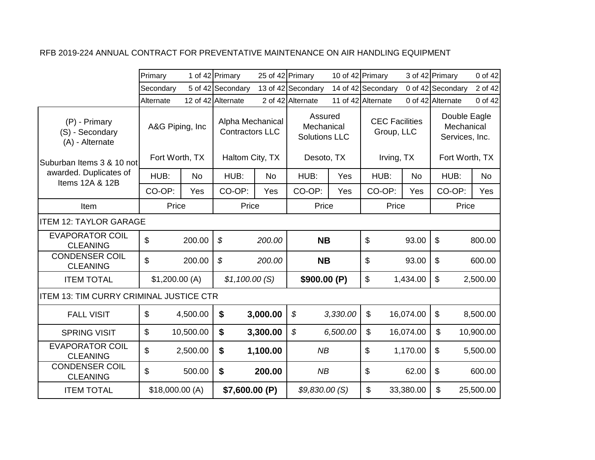|                                                     | Primary                            |           | 1 of 42 Primary                                               |           | 25 of 42 Primary                                            | 10 of 42 Primary |                                                   |           | 3 of 42 Primary                                                | 0 of 42   |
|-----------------------------------------------------|------------------------------------|-----------|---------------------------------------------------------------|-----------|-------------------------------------------------------------|------------------|---------------------------------------------------|-----------|----------------------------------------------------------------|-----------|
|                                                     | Secondary                          |           | 5 of 42 Secondary                                             |           | 13 of 42 Secondary                                          |                  | 14 of 42 Secondary                                |           | 0 of 42 Secondary                                              | 2 of 42   |
|                                                     | Alternate                          |           | 12 of 42 Alternate                                            |           | 2 of 42 Alternate                                           |                  | 11 of 42 Alternate                                |           | 0 of 42 Alternate                                              | 0 of 42   |
| (P) - Primary<br>(S) - Secondary<br>(A) - Alternate | A&G Piping, Inc.<br>Fort Worth, TX |           | Alpha Mechanical<br><b>Contractors LLC</b><br>Haltom City, TX |           | Assured<br>Mechanical<br><b>Solutions LLC</b><br>Desoto, TX |                  | <b>CEC Facilities</b><br>Group, LLC<br>Irving, TX |           | Double Eagle<br>Mechanical<br>Services, Inc.<br>Fort Worth, TX |           |
| Suburban Items 3 & 10 not                           |                                    |           |                                                               |           |                                                             |                  |                                                   |           |                                                                |           |
| awarded. Duplicates of<br>Items 12A & 12B           | HUB:                               | <b>No</b> | HUB:                                                          | <b>No</b> | HUB:                                                        | Yes              | HUB:                                              | No        | HUB:                                                           | <b>No</b> |
|                                                     | CO-OP:                             | Yes       | CO-OP:                                                        | Yes       | CO-OP:                                                      | Yes              | CO-OP:                                            | Yes       | CO-OP:                                                         | Yes       |
| Item                                                | Price                              |           | Price                                                         |           | Price                                                       |                  | Price                                             |           | Price                                                          |           |
| <b>ITEM 12: TAYLOR GARAGE</b>                       |                                    |           |                                                               |           |                                                             |                  |                                                   |           |                                                                |           |
| <b>EVAPORATOR COIL</b><br><b>CLEANING</b>           | \$                                 | 200.00    | \$                                                            | 200.00    | <b>NB</b>                                                   |                  | \$                                                | 93.00     | $\boldsymbol{\mathsf{S}}$                                      | 800.00    |
| <b>CONDENSER COIL</b><br><b>CLEANING</b>            | \$                                 | 200.00    | $\boldsymbol{\mathcal{S}}$                                    | 200.00    | <b>NB</b>                                                   |                  | \$                                                | 93.00     | $\boldsymbol{\mathsf{S}}$                                      | 600.00    |
| <b>ITEM TOTAL</b>                                   | \$1,200.00(A)                      |           | \$1,100.00(S)                                                 |           | \$900.00 (P)                                                |                  | \$                                                | 1,434.00  | $\boldsymbol{\mathsf{S}}$                                      | 2,500.00  |
| <b>ITEM 13: TIM CURRY CRIMINAL JUSTICE CTR</b>      |                                    |           |                                                               |           |                                                             |                  |                                                   |           |                                                                |           |
| <b>FALL VISIT</b>                                   | $\$\$                              | 4,500.00  | \$                                                            | 3,000.00  | \$                                                          | 3,330.00         | \$                                                | 16,074.00 | $\mathfrak{L}$                                                 | 8,500.00  |
| <b>SPRING VISIT</b>                                 | $\boldsymbol{\mathsf{\$}}$         | 10,500.00 | \$                                                            | 3,300.00  | \$                                                          | 6,500.00         | \$                                                | 16,074.00 | $\mathbb S$                                                    | 10,900.00 |
| <b>EVAPORATOR COIL</b><br><b>CLEANING</b>           | \$                                 | 2,500.00  | \$                                                            | 1,100.00  | NB                                                          |                  | \$                                                | 1,170.00  | $\boldsymbol{\mathsf{S}}$                                      | 5,500.00  |
| <b>CONDENSER COIL</b><br><b>CLEANING</b>            | \$                                 | 500.00    | $\boldsymbol{\$}$                                             | 200.00    | NB                                                          |                  | \$                                                | 62.00     | $\boldsymbol{\mathsf{s}}$                                      | 600.00    |
| <b>ITEM TOTAL</b>                                   | \$18,000.00(A)                     |           | \$7,600.00 (P)                                                |           | \$9,830.00(S)                                               |                  | \$                                                | 33,380.00 | \$                                                             | 25,500.00 |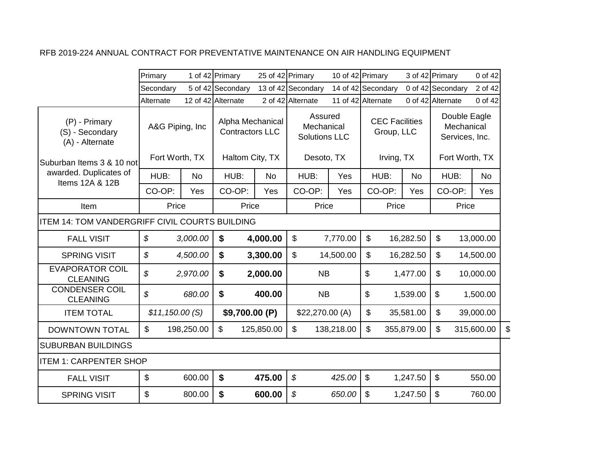|                                                       | Primary                    |            | 1 of 42 Primary                            |            | 25 of 42 Primary                              |            | 10 of 42 Primary                    |            | 3 of 42 Primary           | 0 of 42                                      |    |
|-------------------------------------------------------|----------------------------|------------|--------------------------------------------|------------|-----------------------------------------------|------------|-------------------------------------|------------|---------------------------|----------------------------------------------|----|
|                                                       | Secondary                  |            | 5 of 42 Secondary                          |            | 13 of 42 Secondary                            |            | 14 of 42 Secondary                  |            | 0 of 42 Secondary         | 2 of 42                                      |    |
|                                                       | Alternate                  |            | 12 of 42 Alternate                         |            | 2 of 42 Alternate                             |            | 11 of 42 Alternate                  |            | 0 of 42 Alternate         | 0 of 42                                      |    |
| (P) - Primary<br>(S) - Secondary<br>(A) - Alternate   | A&G Piping, Inc            |            | Alpha Mechanical<br><b>Contractors LLC</b> |            | Assured<br>Mechanical<br><b>Solutions LLC</b> |            | <b>CEC Facilities</b><br>Group, LLC |            |                           | Double Eagle<br>Mechanical<br>Services, Inc. |    |
| Suburban Items 3 & 10 not                             | Fort Worth, TX             |            | Haltom City, TX                            |            | Desoto, TX                                    |            | Irving, TX                          |            |                           | Fort Worth, TX                               |    |
| awarded. Duplicates of<br>Items 12A & 12B             | HUB:                       | <b>No</b>  | HUB:                                       | <b>No</b>  | HUB:                                          | Yes        | HUB:                                | <b>No</b>  | HUB:                      | <b>No</b>                                    |    |
|                                                       | CO-OP:                     | Yes        | CO-OP:                                     | Yes        | CO-OP:                                        | Yes        | CO-OP:                              | Yes        | CO-OP:                    | Yes                                          |    |
| Item                                                  | Price                      |            | Price                                      |            | Price                                         |            | Price                               |            |                           | Price                                        |    |
| <b>ITEM 14: TOM VANDERGRIFF CIVIL COURTS BUILDING</b> |                            |            |                                            |            |                                               |            |                                     |            |                           |                                              |    |
| <b>FALL VISIT</b>                                     | $\boldsymbol{\mathcal{S}}$ | 3,000.00   | \$                                         | 4,000.00   | $\boldsymbol{\mathsf{S}}$                     | 7,770.00   | \$                                  | 16,282.50  | $\boldsymbol{\mathsf{S}}$ | 13,000.00                                    |    |
| <b>SPRING VISIT</b>                                   | \$                         | 4,500.00   | \$                                         | 3,300.00   | $\boldsymbol{\mathsf{S}}$                     | 14,500.00  | \$                                  | 16,282.50  | \$                        | 14,500.00                                    |    |
| <b>EVAPORATOR COIL</b><br><b>CLEANING</b>             | \$                         | 2,970.00   | \$                                         | 2,000.00   | <b>NB</b>                                     |            | \$                                  | 1,477.00   | \$                        | 10,000.00                                    |    |
| <b>CONDENSER COIL</b><br><b>CLEANING</b>              | \$                         | 680.00     | \$                                         | 400.00     | <b>NB</b>                                     |            | \$                                  | 1,539.00   | \$                        | 1,500.00                                     |    |
| <b>ITEM TOTAL</b>                                     | \$11,150.00(S)             |            | \$9,700.00 (P)                             |            | \$22,270.00 (A)                               |            | \$                                  | 35,581.00  | \$                        | 39,000.00                                    |    |
| <b>DOWNTOWN TOTAL</b>                                 | \$                         | 198,250.00 | \$                                         | 125,850.00 | \$                                            | 138,218.00 | \$                                  | 355,879.00 | \$                        | 315,600.00                                   | \$ |
| <b>SUBURBAN BUILDINGS</b>                             |                            |            |                                            |            |                                               |            |                                     |            |                           |                                              |    |
| <b>ITEM 1: CARPENTER SHOP</b>                         |                            |            |                                            |            |                                               |            |                                     |            |                           |                                              |    |
| <b>FALL VISIT</b>                                     | \$                         | 600.00     | \$                                         | 475.00     | \$                                            | 425.00     | \$                                  | 1,247.50   | $\boldsymbol{\mathsf{S}}$ | 550.00                                       |    |
| <b>SPRING VISIT</b>                                   | \$                         | 800.00     | \$                                         | 600.00     | \$                                            | 650.00     | \$                                  | 1,247.50   | \$                        | 760.00                                       |    |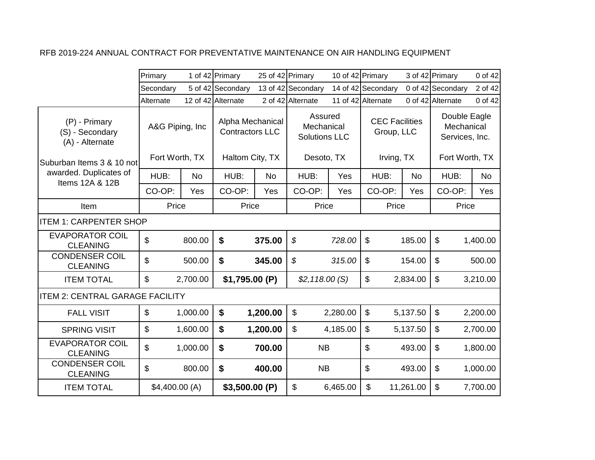|                                                     | Primary                   |           | 1 of 42 Primary                            |           | 25 of 42 Primary                              |          | 10 of 42 Primary                    |           | 3 of 42 Primary                              | 0 of 42   |
|-----------------------------------------------------|---------------------------|-----------|--------------------------------------------|-----------|-----------------------------------------------|----------|-------------------------------------|-----------|----------------------------------------------|-----------|
|                                                     | Secondary                 |           | 5 of 42 Secondary                          |           | 13 of 42 Secondary                            |          | 14 of 42 Secondary                  |           | 0 of 42 Secondary                            | 2 of 42   |
|                                                     | Alternate                 |           | 12 of 42 Alternate                         |           | 2 of 42 Alternate                             |          | 11 of 42 Alternate                  |           | 0 of 42 Alternate                            | 0 of 42   |
| (P) - Primary<br>(S) - Secondary<br>(A) - Alternate | A&G Piping, Inc           |           | Alpha Mechanical<br><b>Contractors LLC</b> |           | Assured<br>Mechanical<br><b>Solutions LLC</b> |          | <b>CEC Facilities</b><br>Group, LLC |           | Double Eagle<br>Mechanical<br>Services, Inc. |           |
| Suburban Items 3 & 10 not                           | Fort Worth, TX            |           | Haltom City, TX                            |           | Desoto, TX                                    |          | Irving, TX                          |           | Fort Worth, TX                               |           |
| awarded. Duplicates of<br>Items 12A & 12B           | HUB:                      | <b>No</b> | HUB:                                       | <b>No</b> | HUB:                                          | Yes      | HUB:                                | No        | HUB:                                         | <b>No</b> |
|                                                     | CO-OP:                    | Yes       | CO-OP:                                     | Yes       | CO-OP:                                        | Yes      | CO-OP:                              | Yes       | CO-OP:                                       | Yes       |
| Item                                                | Price                     |           | Price                                      |           | Price                                         |          | Price                               |           | Price                                        |           |
| <b>ITEM 1: CARPENTER SHOP</b>                       |                           |           |                                            |           |                                               |          |                                     |           |                                              |           |
| <b>EVAPORATOR COIL</b><br><b>CLEANING</b>           | \$                        | 800.00    | \$                                         | 375.00    | \$                                            | 728.00   | \$                                  | 185.00    | $\boldsymbol{\mathsf{s}}$                    | 1,400.00  |
| <b>CONDENSER COIL</b><br><b>CLEANING</b>            | \$                        | 500.00    | $\boldsymbol{\$}$                          | 345.00    | $\mathcal{S}$                                 | 315.00   | \$                                  | 154.00    | $\boldsymbol{\mathsf{s}}$                    | 500.00    |
| <b>ITEM TOTAL</b>                                   | \$                        | 2,700.00  | \$1,795.00(P)                              |           | \$2,118.00(S)                                 |          | $\boldsymbol{\mathsf{S}}$           | 2,834.00  | $\boldsymbol{\mathsf{s}}$                    | 3,210.00  |
| <b>ITEM 2: CENTRAL GARAGE FACILITY</b>              |                           |           |                                            |           |                                               |          |                                     |           |                                              |           |
| <b>FALL VISIT</b>                                   | $\boldsymbol{\mathsf{S}}$ | 1,000.00  | $\boldsymbol{\$}$                          | 1,200.00  | \$                                            | 2,280.00 | $\boldsymbol{\mathsf{S}}$           | 5,137.50  | $\boldsymbol{\mathsf{S}}$                    | 2,200.00  |
| <b>SPRING VISIT</b>                                 | $\boldsymbol{\mathsf{S}}$ | 1,600.00  | \$                                         | 1,200.00  | \$                                            | 4,185.00 | $\boldsymbol{\mathsf{S}}$           | 5,137.50  | $\boldsymbol{\mathsf{S}}$                    | 2,700.00  |
| <b>EVAPORATOR COIL</b><br><b>CLEANING</b>           | \$                        | 1,000.00  | $\boldsymbol{\$}$                          | 700.00    | <b>NB</b>                                     |          | \$                                  | 493.00    | $\boldsymbol{\mathsf{s}}$                    | 1,800.00  |
| <b>CONDENSER COIL</b><br><b>CLEANING</b>            | \$                        | 800.00    | $\boldsymbol{\$}$                          | 400.00    | <b>NB</b>                                     |          | \$                                  | 493.00    | $\boldsymbol{\mathsf{S}}$                    | 1,000.00  |
| <b>ITEM TOTAL</b>                                   | \$4,400.00(A)             |           | \$3,500.00(P)                              |           | \$                                            | 6,465.00 | \$                                  | 11,261.00 | $\boldsymbol{\mathsf{S}}$                    | 7,700.00  |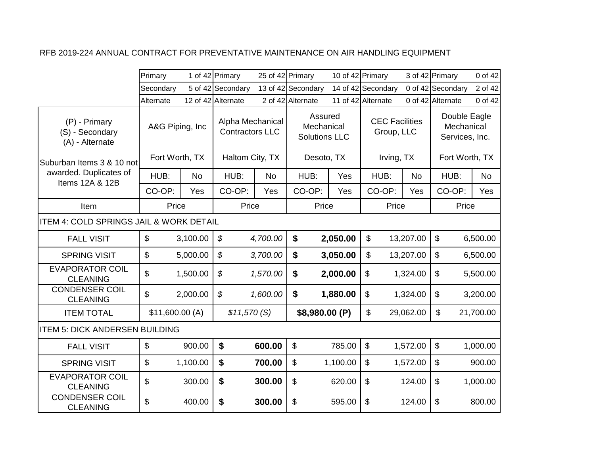|                                                     | Primary                   |           | 1 of 42 Primary                            | 25 of 42 Primary |                                               | 10 of 42 Primary |                                     |           | 3 of 42 Primary                              | 0 of 42   |
|-----------------------------------------------------|---------------------------|-----------|--------------------------------------------|------------------|-----------------------------------------------|------------------|-------------------------------------|-----------|----------------------------------------------|-----------|
|                                                     | Secondary                 |           | 5 of 42 Secondary                          |                  | 13 of 42 Secondary                            |                  | 14 of 42 Secondary                  |           | 0 of 42 Secondary                            | 2 of 42   |
|                                                     | Alternate                 |           | 12 of 42 Alternate                         |                  | 2 of 42 Alternate                             |                  | 11 of 42 Alternate                  |           | 0 of 42 Alternate                            | 0 of 42   |
| (P) - Primary<br>(S) - Secondary<br>(A) - Alternate | A&G Piping, Inc           |           | Alpha Mechanical<br><b>Contractors LLC</b> |                  | Assured<br>Mechanical<br><b>Solutions LLC</b> |                  | <b>CEC Facilities</b><br>Group, LLC |           | Double Eagle<br>Mechanical<br>Services, Inc. |           |
| Suburban Items 3 & 10 not                           | Fort Worth, TX            |           | Haltom City, TX                            |                  | Desoto, TX                                    |                  | Irving, TX                          |           | Fort Worth, TX                               |           |
| awarded. Duplicates of<br>Items 12A & 12B           | HUB:                      | <b>No</b> | HUB:                                       | <b>No</b>        | HUB:                                          | Yes              | HUB:                                | <b>No</b> | HUB:                                         | <b>No</b> |
|                                                     | CO-OP:                    | Yes       | CO-OP:                                     | Yes              | CO-OP:                                        | Yes              | CO-OP:                              | Yes       | CO-OP:                                       | Yes       |
| Item                                                | Price                     |           | Price                                      |                  | Price                                         |                  | Price                               |           | Price                                        |           |
| <b>ITEM 4: COLD SPRINGS JAIL &amp; WORK DETAIL</b>  |                           |           |                                            |                  |                                               |                  |                                     |           |                                              |           |
| <b>FALL VISIT</b>                                   | $\boldsymbol{\mathsf{S}}$ | 3,100.00  | \$                                         | 4,700.00         | \$                                            | 2,050.00         | \$                                  | 13,207.00 | $\boldsymbol{\mathsf{S}}$                    | 6,500.00  |
| <b>SPRING VISIT</b>                                 | $\mathfrak{L}$            | 5,000.00  | \$                                         | 3,700.00         | \$                                            | 3,050.00         | \$                                  | 13,207.00 | $\mathfrak{S}$                               | 6,500.00  |
| <b>EVAPORATOR COIL</b><br><b>CLEANING</b>           | \$                        | 1,500.00  | \$                                         | 1,570.00         | $\boldsymbol{\mathsf{s}}$                     | 2,000.00         | \$                                  | 1,324.00  | $\mathfrak{L}$                               | 5,500.00  |
| <b>CONDENSER COIL</b><br><b>CLEANING</b>            | $\mathfrak{S}$            | 2,000.00  | $\boldsymbol{\mathcal{S}}$                 | 1,600.00         | \$                                            | 1,880.00         | $\boldsymbol{\mathsf{S}}$           | 1,324.00  | $\boldsymbol{\mathsf{S}}$                    | 3,200.00  |
| <b>ITEM TOTAL</b>                                   | \$11,600.00(A)            |           | \$11,570(S)                                |                  | \$8,980.00 (P)                                |                  | \$                                  | 29,062.00 | \$                                           | 21,700.00 |
| <b>ITEM 5: DICK ANDERSEN BUILDING</b>               |                           |           |                                            |                  |                                               |                  |                                     |           |                                              |           |
| <b>FALL VISIT</b>                                   | \$                        | 900.00    | \$                                         | 600.00           | \$                                            | 785.00           | \$                                  | 1,572.00  | $\mathfrak{S}$                               | 1,000.00  |
| <b>SPRING VISIT</b>                                 | $\mathfrak{S}$            | 1,100.00  | \$                                         | 700.00           | \$                                            | 1,100.00         | $\mathfrak{S}$                      | 1,572.00  | $\mathfrak{S}$                               | 900.00    |
| <b>EVAPORATOR COIL</b><br><b>CLEANING</b>           | \$                        | 300.00    | \$                                         | 300.00           | \$                                            | 620.00           | $\boldsymbol{\mathsf{S}}$           | 124.00    | $\boldsymbol{\mathsf{S}}$                    | 1,000.00  |
| <b>CONDENSER COIL</b><br><b>CLEANING</b>            | \$                        | 400.00    | \$                                         | 300.00           | \$                                            | 595.00           | $\mathfrak{S}$                      | 124.00    | \$                                           | 800.00    |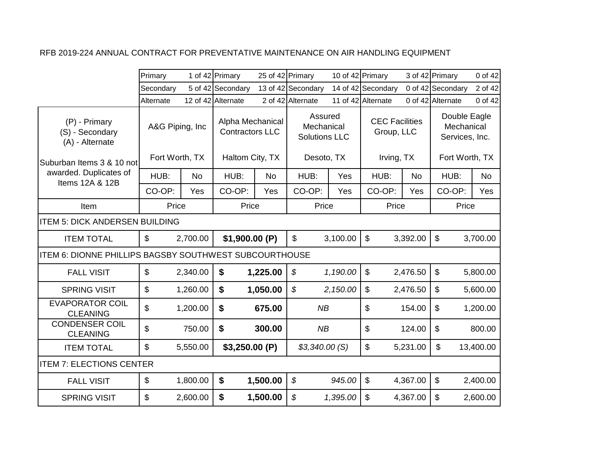|                                                        | Primary                           |           | 1 of 42 Primary                                               | 25 of 42 Primary |                                                             | 10 of 42 Primary |                                                   |           | 3 of 42 Primary                                                | 0 of 42   |
|--------------------------------------------------------|-----------------------------------|-----------|---------------------------------------------------------------|------------------|-------------------------------------------------------------|------------------|---------------------------------------------------|-----------|----------------------------------------------------------------|-----------|
|                                                        | Secondary                         |           | 5 of 42 Secondary                                             |                  | 13 of 42 Secondary                                          |                  | 14 of 42 Secondary                                |           | 0 of 42 Secondary                                              | 2 of 42   |
|                                                        | Alternate                         |           | 12 of 42 Alternate                                            |                  | 2 of 42 Alternate                                           |                  | 11 of 42 Alternate                                |           | 0 of 42 Alternate                                              | 0 of 42   |
| (P) - Primary<br>(S) - Secondary<br>(A) - Alternate    | A&G Piping, Inc<br>Fort Worth, TX |           | Alpha Mechanical<br><b>Contractors LLC</b><br>Haltom City, TX |                  | Assured<br>Mechanical<br><b>Solutions LLC</b><br>Desoto, TX |                  | <b>CEC Facilities</b><br>Group, LLC<br>Irving, TX |           | Double Eagle<br>Mechanical<br>Services, Inc.<br>Fort Worth, TX |           |
| Suburban Items 3 & 10 not                              |                                   |           |                                                               |                  |                                                             |                  |                                                   |           |                                                                |           |
| awarded. Duplicates of<br>Items 12A & 12B              | HUB:                              | <b>No</b> | HUB:                                                          | <b>No</b>        | HUB:                                                        | Yes              | HUB:                                              | <b>No</b> | HUB:                                                           | No        |
|                                                        | CO-OP:                            | Yes       | CO-OP:                                                        | Yes              | CO-OP:                                                      | Yes              | CO-OP:                                            | Yes       | CO-OP:                                                         | Yes       |
| Item                                                   | Price                             |           | Price                                                         |                  | Price                                                       |                  | Price                                             |           | Price                                                          |           |
| <b>ITEM 5: DICK ANDERSEN BUILDING</b>                  |                                   |           |                                                               |                  |                                                             |                  |                                                   |           |                                                                |           |
| <b>ITEM TOTAL</b>                                      | $\mathfrak{L}$                    | 2,700.00  | \$1,900.00 (P)                                                |                  | $\mathbb{S}$                                                | 3,100.00         | $\mathbb{S}$                                      | 3,392.00  | \$                                                             | 3,700.00  |
| ITEM 6: DIONNE PHILLIPS BAGSBY SOUTHWEST SUBCOURTHOUSE |                                   |           |                                                               |                  |                                                             |                  |                                                   |           |                                                                |           |
| <b>FALL VISIT</b>                                      | $\boldsymbol{\mathsf{S}}$         | 2,340.00  | \$                                                            | 1,225.00         | \$                                                          | 1,190.00         | $\mathfrak{S}$                                    | 2,476.50  | \$                                                             | 5,800.00  |
| <b>SPRING VISIT</b>                                    | $\mathbb{S}$                      | 1,260.00  | \$                                                            | 1,050.00         | $\boldsymbol{\mathcal{S}}$                                  | 2,150.00         | $\boldsymbol{\mathsf{S}}$                         | 2,476.50  | \$                                                             | 5,600.00  |
| <b>EVAPORATOR COIL</b><br><b>CLEANING</b>              | $\mathfrak{L}$                    | 1,200.00  | $\boldsymbol{\mathsf{s}}$                                     | 675.00           | NB                                                          |                  | \$                                                | 154.00    | \$                                                             | 1,200.00  |
| <b>CONDENSER COIL</b><br><b>CLEANING</b>               | \$                                | 750.00    | \$                                                            | 300.00           | NB                                                          |                  | \$                                                | 124.00    | \$                                                             | 800.00    |
| <b>ITEM TOTAL</b>                                      | $\boldsymbol{\mathsf{S}}$         | 5,550.00  | \$3,250.00(P)                                                 |                  | \$3,340.00(S)                                               |                  | \$                                                | 5,231.00  | \$                                                             | 13,400.00 |
| <b>ITEM 7: ELECTIONS CENTER</b>                        |                                   |           |                                                               |                  |                                                             |                  |                                                   |           |                                                                |           |
| <b>FALL VISIT</b>                                      | $\boldsymbol{\mathsf{s}}$         | 1,800.00  | $\boldsymbol{\$}$                                             | 1,500.00         | \$                                                          | 945.00           | $\mathfrak{S}$                                    | 4,367.00  | $\boldsymbol{\mathsf{S}}$                                      | 2,400.00  |
| <b>SPRING VISIT</b>                                    | $\mathbf{\$}$                     | 2,600.00  | $\mathbf{\hat{s}}$                                            | 1,500.00         | $\boldsymbol{\mathcal{S}}$                                  | 1,395.00         | $\mathfrak{S}$                                    | 4,367.00  | \$                                                             | 2,600.00  |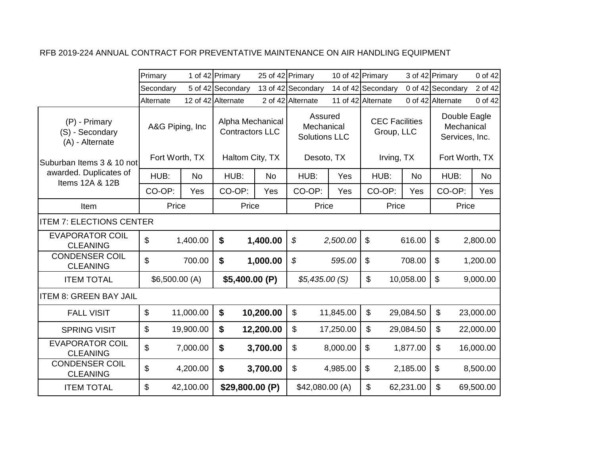|                                                     | Primary                   |           | 1 of 42 Primary                            | 25 of 42 Primary |                                               | 10 of 42 Primary |                                     |           | 3 of 42 Primary                              | 0 of 42   |
|-----------------------------------------------------|---------------------------|-----------|--------------------------------------------|------------------|-----------------------------------------------|------------------|-------------------------------------|-----------|----------------------------------------------|-----------|
|                                                     | Secondary                 |           | 5 of 42 Secondary                          |                  | 13 of 42 Secondary                            |                  | 14 of 42 Secondary                  |           | 0 of 42 Secondary                            | 2 of 42   |
|                                                     | Alternate                 |           | 12 of 42 Alternate                         |                  | 2 of 42 Alternate                             |                  | 11 of 42 Alternate                  |           | 0 of 42 Alternate                            | 0 of 42   |
| (P) - Primary<br>(S) - Secondary<br>(A) - Alternate | A&G Piping, Inc           |           | Alpha Mechanical<br><b>Contractors LLC</b> |                  | Assured<br>Mechanical<br><b>Solutions LLC</b> |                  | <b>CEC Facilities</b><br>Group, LLC |           | Double Eagle<br>Mechanical<br>Services, Inc. |           |
| Suburban Items 3 & 10 not                           | Fort Worth, TX            |           | Haltom City, TX                            |                  | Desoto, TX                                    |                  | Irving, TX                          |           | Fort Worth, TX                               |           |
| awarded. Duplicates of<br>Items 12A & 12B           | HUB:                      | <b>No</b> | HUB:                                       | <b>No</b>        | HUB:                                          | Yes              | HUB:                                | <b>No</b> | HUB:                                         | <b>No</b> |
|                                                     | CO-OP:                    | Yes       | CO-OP:                                     | Yes              | CO-OP:                                        | Yes              | CO-OP:                              | Yes       | CO-OP:                                       | Yes       |
| Item                                                | Price                     |           | Price                                      |                  | Price                                         |                  | Price                               |           | Price                                        |           |
| <b>ITEM 7: ELECTIONS CENTER</b>                     |                           |           |                                            |                  |                                               |                  |                                     |           |                                              |           |
| <b>EVAPORATOR COIL</b><br><b>CLEANING</b>           | \$                        | 1,400.00  | \$                                         | 1,400.00         | \$                                            | 2,500.00         | $\mathfrak{S}$                      | 616.00    | $\boldsymbol{\mathsf{S}}$                    | 2,800.00  |
| <b>CONDENSER COIL</b><br><b>CLEANING</b>            | \$                        | 700.00    | \$                                         | 1,000.00         | $\boldsymbol{\mathcal{S}}$                    | 595.00           | $\boldsymbol{\mathsf{S}}$           | 708.00    | $\boldsymbol{\mathsf{S}}$                    | 1,200.00  |
| <b>ITEM TOTAL</b>                                   | \$6,500.00(A)             |           | \$5,400.00 (P)                             |                  | \$5,435.00(S)                                 |                  | $\mathbb{S}$                        | 10,058.00 | \$                                           | 9,000.00  |
| <b>ITEM 8: GREEN BAY JAIL</b>                       |                           |           |                                            |                  |                                               |                  |                                     |           |                                              |           |
| <b>FALL VISIT</b>                                   | $\boldsymbol{\mathsf{S}}$ | 11,000.00 | $\boldsymbol{\$}$                          | 10,200.00        | \$                                            | 11,845.00        | $\boldsymbol{\mathsf{S}}$           | 29,084.50 | \$                                           | 23,000.00 |
| <b>SPRING VISIT</b>                                 | $\boldsymbol{\mathsf{S}}$ | 19,900.00 | $\boldsymbol{\$}$                          | 12,200.00        | \$                                            | 17,250.00        | \$                                  | 29,084.50 | \$                                           | 22,000.00 |
| <b>EVAPORATOR COIL</b><br><b>CLEANING</b>           | $\mathfrak{S}$            | 7,000.00  | $\boldsymbol{\$}$                          | 3,700.00         | \$                                            | 8,000.00         | $\boldsymbol{\mathsf{S}}$           | 1,877.00  | \$                                           | 16,000.00 |
| <b>CONDENSER COIL</b><br><b>CLEANING</b>            | \$                        | 4,200.00  | \$                                         | 3,700.00         | \$                                            | 4,985.00         | $\boldsymbol{\mathsf{S}}$           | 2,185.00  | \$                                           | 8,500.00  |
| <b>ITEM TOTAL</b>                                   | \$                        | 42,100.00 | \$29,800.00 (P)                            |                  | \$42,080.00 (A)                               |                  | \$                                  | 62,231.00 | \$                                           | 69,500.00 |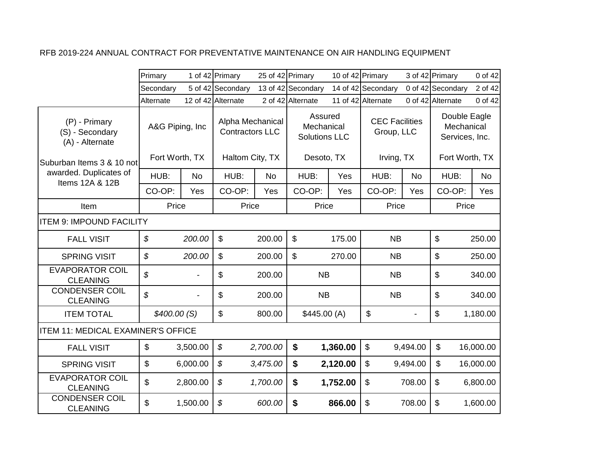|                                                     | Primary                            |           | 1 of 42 Primary                                               |           | 25 of 42 Primary                                            |          | 10 of 42 Primary                                  |           | 3 of 42 Primary                                                | 0 of 42   |
|-----------------------------------------------------|------------------------------------|-----------|---------------------------------------------------------------|-----------|-------------------------------------------------------------|----------|---------------------------------------------------|-----------|----------------------------------------------------------------|-----------|
|                                                     | Secondary                          |           | 5 of 42 Secondary                                             |           | 13 of 42 Secondary                                          |          | 14 of 42 Secondary                                |           | 0 of 42 Secondary                                              | 2 of 42   |
|                                                     | Alternate                          |           | 12 of 42 Alternate                                            |           | 2 of 42 Alternate                                           |          | 11 of 42 Alternate                                |           | 0 of 42 Alternate                                              | 0 of 42   |
| (P) - Primary<br>(S) - Secondary<br>(A) - Alternate | A&G Piping, Inc.<br>Fort Worth, TX |           | Alpha Mechanical<br><b>Contractors LLC</b><br>Haltom City, TX |           | Assured<br>Mechanical<br><b>Solutions LLC</b><br>Desoto, TX |          | <b>CEC Facilities</b><br>Group, LLC<br>Irving, TX |           | Double Eagle<br>Mechanical<br>Services, Inc.<br>Fort Worth, TX |           |
| Suburban Items 3 & 10 not                           |                                    |           |                                                               |           |                                                             |          |                                                   |           |                                                                |           |
| awarded. Duplicates of<br>Items 12A & 12B           | HUB:                               | <b>No</b> | HUB:                                                          | <b>No</b> | HUB:                                                        | Yes      | HUB:                                              | <b>No</b> | HUB:                                                           | <b>No</b> |
|                                                     | CO-OP:                             | Yes       | CO-OP:                                                        | Yes       | CO-OP:                                                      | Yes      | CO-OP:                                            | Yes       | CO-OP:                                                         | Yes       |
| Item                                                | Price                              |           | Price                                                         |           | Price                                                       |          | Price                                             |           | Price                                                          |           |
| <b>ITEM 9: IMPOUND FACILITY</b>                     |                                    |           |                                                               |           |                                                             |          |                                                   |           |                                                                |           |
| <b>FALL VISIT</b>                                   | $\boldsymbol{\mathcal{S}}$         | 200.00    | \$                                                            | 200.00    | \$                                                          | 175.00   | <b>NB</b>                                         |           | $\boldsymbol{\mathsf{S}}$                                      | 250.00    |
| <b>SPRING VISIT</b>                                 | $\mathcal{L}$                      | 200.00    | $\mathbb{S}$                                                  | 200.00    | $\mathfrak{L}$                                              | 270.00   | <b>NB</b>                                         |           | $\mathfrak{S}$                                                 | 250.00    |
| <b>EVAPORATOR COIL</b><br><b>CLEANING</b>           | \$                                 |           | \$                                                            | 200.00    | <b>NB</b>                                                   |          | <b>NB</b>                                         |           | $\boldsymbol{\mathsf{S}}$                                      | 340.00    |
| <b>CONDENSER COIL</b><br><b>CLEANING</b>            | $\boldsymbol{\mathcal{S}}$         |           | \$                                                            | 200.00    | <b>NB</b>                                                   |          | <b>NB</b>                                         |           | $\boldsymbol{\mathsf{S}}$                                      | 340.00    |
| <b>ITEM TOTAL</b>                                   | \$400.00(S)                        |           | \$                                                            | 800.00    | \$445.00(A)                                                 |          | \$                                                |           | $\boldsymbol{\mathsf{S}}$                                      | 1,180.00  |
| <b>ITEM 11: MEDICAL EXAMINER'S OFFICE</b>           |                                    |           |                                                               |           |                                                             |          |                                                   |           |                                                                |           |
| <b>FALL VISIT</b>                                   | $\boldsymbol{\mathsf{S}}$          | 3,500.00  | \$                                                            | 2,700.00  | \$                                                          | 1,360.00 | $\boldsymbol{\mathsf{S}}$                         | 9,494.00  | $\boldsymbol{\mathsf{S}}$                                      | 16,000.00 |
| <b>SPRING VISIT</b>                                 | $\boldsymbol{\mathsf{S}}$          | 6,000.00  | \$                                                            | 3,475.00  | $\boldsymbol{\$}$                                           | 2,120.00 | $\boldsymbol{\mathsf{S}}$                         | 9,494.00  | $\mathbb{S}$                                                   | 16,000.00 |
| <b>EVAPORATOR COIL</b><br><b>CLEANING</b>           | \$                                 | 2,800.00  | \$                                                            | 1,700.00  | \$                                                          | 1,752.00 | $\boldsymbol{\mathsf{S}}$                         | 708.00    | $\boldsymbol{\mathsf{S}}$                                      | 6,800.00  |
| <b>CONDENSER COIL</b><br><b>CLEANING</b>            | \$                                 | 1,500.00  | \$                                                            | 600.00    | \$                                                          | 866.00   | \$                                                | 708.00    | $\boldsymbol{\mathsf{\$}}$                                     | 1,600.00  |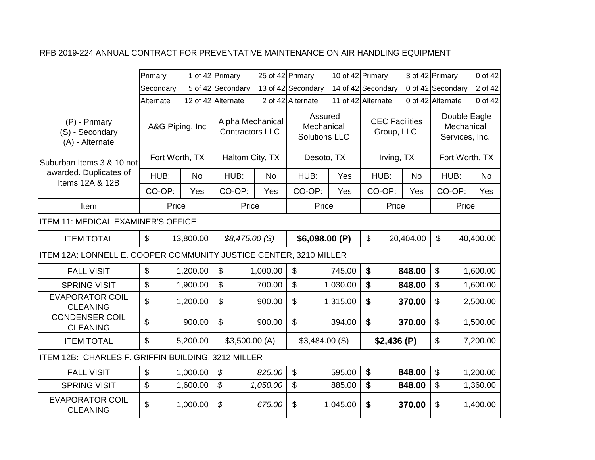|                                                                   | Primary                   |           | 1 of 42 Primary                            |           | 25 of 42 Primary                              | 10 of 42 Primary |                                     |           | 3 of 42 Primary   |            | 0 of 42        |
|-------------------------------------------------------------------|---------------------------|-----------|--------------------------------------------|-----------|-----------------------------------------------|------------------|-------------------------------------|-----------|-------------------|------------|----------------|
|                                                                   | Secondary                 |           | 5 of 42 Secondary                          |           | 13 of 42 Secondary                            |                  | 14 of 42 Secondary                  |           | 0 of 42 Secondary |            | 2 of 42        |
|                                                                   | Alternate                 |           | 12 of 42 Alternate                         |           | 2 of 42 Alternate                             |                  | 11 of 42 Alternate                  |           | 0 of 42 Alternate |            | 0 of 42        |
| $(P)$ - Primary<br>(S) - Secondary<br>(A) - Alternate             | A&G Piping, Inc.          |           | Alpha Mechanical<br><b>Contractors LLC</b> |           | Assured<br>Mechanical<br><b>Solutions LLC</b> |                  | <b>CEC Facilities</b><br>Group, LLC |           | Services, Inc.    | Mechanical | Double Eagle   |
| lSuburban Items 3 & 10 notl                                       | Fort Worth, TX            |           | Haltom City, TX                            |           | Desoto, TX                                    |                  | Irving, TX                          |           |                   |            | Fort Worth, TX |
| awarded. Duplicates of<br>Items 12A & 12B                         | HUB:                      | <b>No</b> | HUB:                                       | <b>No</b> | HUB:                                          | Yes              | HUB:                                | <b>No</b> | HUB:              |            | <b>No</b>      |
|                                                                   | CO-OP:                    | Yes       | CO-OP:                                     | Yes       | CO-OP:                                        | Yes              | CO-OP:                              | Yes       | CO-OP:            |            | Yes            |
| Item                                                              | Price                     |           | Price                                      |           | Price                                         |                  | Price                               |           |                   | Price      |                |
| <b>ITEM 11: MEDICAL EXAMINER'S OFFICE</b>                         |                           |           |                                            |           |                                               |                  |                                     |           |                   |            |                |
| <b>ITEM TOTAL</b>                                                 | $\mathbb{S}$              | 13,800.00 | \$8,475.00(S)                              |           | \$6,098.00 (P)                                |                  | $\mathbb{S}$                        | 20,404.00 | $\mathbb{S}$      |            | 40,400.00      |
| ITEM 12A: LONNELL E. COOPER COMMUNITY JUSTICE CENTER, 3210 MILLER |                           |           |                                            |           |                                               |                  |                                     |           |                   |            |                |
| <b>FALL VISIT</b>                                                 | $\mathbf{\$}$             | 1,200.00  | $\mathfrak{S}$                             | 1,000.00  | \$                                            | 745.00           | $\boldsymbol{\$}$                   | 848.00    | $\mathbb{S}$      |            | 1,600.00       |
| <b>SPRING VISIT</b>                                               | $\boldsymbol{\mathsf{S}}$ | 1,900.00  | $\boldsymbol{\mathsf{S}}$                  | 700.00    | \$                                            | 1,030.00         | \$                                  | 848.00    | \$                |            | 1,600.00       |
| <b>EVAPORATOR COIL</b><br><b>CLEANING</b>                         | \$                        | 1,200.00  | $\mathfrak{S}$                             | 900.00    | \$                                            | 1,315.00         | \$                                  | 370.00    | \$                |            | 2,500.00       |
| <b>CONDENSER COIL</b><br><b>CLEANING</b>                          | \$                        | 900.00    | $\mathfrak{S}$                             | 900.00    | $\mathbb{S}$                                  | 394.00           | \$                                  | 370.00    | \$                |            | 1,500.00       |
| <b>ITEM TOTAL</b>                                                 | $\mathbf{\$}$             | 5,200.00  | \$3,500.00(A)                              |           | \$3,484.00(S)                                 |                  | \$2,436(P)                          |           | \$                |            | 7,200.00       |
| ITEM 12B: CHARLES F. GRIFFIN BUILDING, 3212 MILLER                |                           |           |                                            |           |                                               |                  |                                     |           |                   |            |                |
| <b>FALL VISIT</b>                                                 | $\mathfrak{L}$            | 1,000.00  | \$                                         | 825.00    | $\mathfrak{S}$                                | 595.00           | \$                                  | 848.00    | $\mathfrak{S}$    |            | 1,200.00       |
| <b>SPRING VISIT</b>                                               | \$                        | 1,600.00  | $\boldsymbol{\mathcal{S}}$                 | 1,050.00  | \$                                            | 885.00           | \$                                  | 848.00    | \$                |            | 1,360.00       |
| <b>EVAPORATOR COIL</b><br><b>CLEANING</b>                         | \$                        | 1,000.00  | \$                                         | 675.00    | \$                                            | 1,045.00         | \$                                  | 370.00    | \$                |            | 1,400.00       |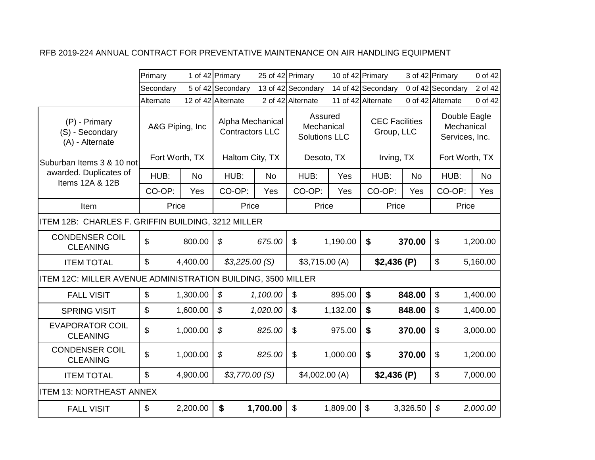|                                                                     | Primary          |           | 1 of 42 Primary                            | 25 of 42 Primary |                                               | 10 of 42 Primary |                                     |          | 3 of 42 Primary            | 0 of 42                                      |
|---------------------------------------------------------------------|------------------|-----------|--------------------------------------------|------------------|-----------------------------------------------|------------------|-------------------------------------|----------|----------------------------|----------------------------------------------|
|                                                                     | Secondary        |           | 5 of 42 Secondary                          |                  | 13 of 42 Secondary                            |                  | 14 of 42 Secondary                  |          | 0 of 42 Secondary          | 2 of 42                                      |
|                                                                     | Alternate        |           | 12 of 42 Alternate                         |                  | 2 of 42 Alternate                             |                  | 11 of 42 Alternate                  |          | 0 of 42 Alternate          | 0 of 42                                      |
| (P) - Primary<br>(S) - Secondary<br>(A) - Alternate                 | A&G Piping, Inc. |           | Alpha Mechanical<br><b>Contractors LLC</b> |                  | Assured<br>Mechanical<br><b>Solutions LLC</b> |                  | <b>CEC Facilities</b><br>Group, LLC |          |                            | Double Eagle<br>Mechanical<br>Services, Inc. |
| Suburban Items 3 & 10 not                                           | Fort Worth, TX   |           | Haltom City, TX                            |                  | Desoto, TX                                    |                  | Irving, TX                          |          |                            | Fort Worth, TX                               |
| awarded. Duplicates of<br>Items 12A & 12B                           | HUB:             | <b>No</b> | HUB:                                       | No               | HUB:                                          | Yes              | HUB:                                | No       | HUB:                       | <b>No</b>                                    |
|                                                                     | CO-OP:           | Yes       | CO-OP:                                     | Yes              | CO-OP:                                        | Yes              | CO-OP:                              | Yes      | CO-OP:                     | Yes                                          |
| Item                                                                | Price            |           | Price                                      |                  | Price                                         |                  | Price                               |          |                            | Price                                        |
| ITEM 12B: CHARLES F. GRIFFIN BUILDING, 3212 MILLER                  |                  |           |                                            |                  |                                               |                  |                                     |          |                            |                                              |
| <b>CONDENSER COIL</b><br><b>CLEANING</b>                            | $\mathfrak{S}$   | 800.00    | \$                                         | 675.00           | $\mathbb{S}$                                  | 1,190.00         | $\boldsymbol{\$}$                   | 370.00   | $\boldsymbol{\mathsf{S}}$  | 1,200.00                                     |
| <b>ITEM TOTAL</b>                                                   | \$               | 4,400.00  | \$3,225.00(S)                              |                  | \$3,715.00(A)                                 |                  | \$2,436(P)                          |          | $\boldsymbol{\mathsf{S}}$  | 5,160.00                                     |
| <b>ITEM 12C: MILLER AVENUE ADMINISTRATION BUILDING, 3500 MILLER</b> |                  |           |                                            |                  |                                               |                  |                                     |          |                            |                                              |
| <b>FALL VISIT</b>                                                   | \$               | 1,300.00  | $\mathcal{L}$                              | 1,100.00         | \$                                            | 895.00           | $\boldsymbol{\mathsf{s}}$           | 848.00   | $\mathfrak{S}$             | 1,400.00                                     |
| <b>SPRING VISIT</b>                                                 | $\mathbb{S}$     | 1,600.00  | $\mathcal{S}$                              | 1,020.00         | $\mathfrak{S}$                                | 1,132.00         | $\boldsymbol{\mathsf{s}}$           | 848.00   | $\mathfrak{S}$             | 1,400.00                                     |
| <b>EVAPORATOR COIL</b><br><b>CLEANING</b>                           | \$               | 1,000.00  | \$                                         | 825.00           | \$                                            | 975.00           | \$                                  | 370.00   | $\boldsymbol{\mathsf{S}}$  | 3,000.00                                     |
| <b>CONDENSER COIL</b><br><b>CLEANING</b>                            | \$               | 1,000.00  | \$                                         | 825.00           | \$                                            | 1,000.00         | \$                                  | 370.00   | \$                         | 1,200.00                                     |
| <b>ITEM TOTAL</b>                                                   | \$               | 4,900.00  | \$3,770.00(S)                              |                  | \$4,002.00(A)                                 |                  | \$2,436(P)                          |          | $\boldsymbol{\mathsf{S}}$  | 7,000.00                                     |
| <b>ITEM 13: NORTHEAST ANNEX</b>                                     |                  |           |                                            |                  |                                               |                  |                                     |          |                            |                                              |
| <b>FALL VISIT</b>                                                   | $\mathbf{\$}$    | 2,200.00  | $\boldsymbol{\$}$                          | 1,700.00         | $\mathfrak{S}$                                | 1,809.00         | $\mathfrak{S}$                      | 3,326.50 | $\boldsymbol{\mathcal{S}}$ | 2,000.00                                     |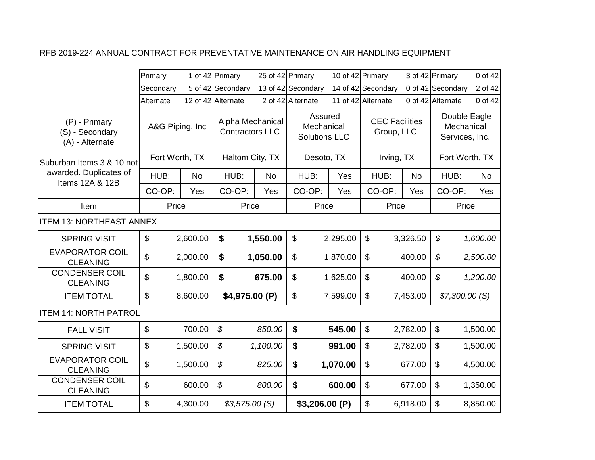|                                                     | Primary                            |           | 1 of 42 Primary                                               | 25 of 42 Primary |                                                             | 10 of 42 Primary |                                                   |           | 3 of 42 Primary                                                | 0 of 42   |
|-----------------------------------------------------|------------------------------------|-----------|---------------------------------------------------------------|------------------|-------------------------------------------------------------|------------------|---------------------------------------------------|-----------|----------------------------------------------------------------|-----------|
|                                                     | Secondary                          |           | 5 of 42 Secondary                                             |                  | 13 of 42 Secondary                                          |                  | 14 of 42 Secondary                                |           | 0 of 42 Secondary                                              | 2 of 42   |
|                                                     | Alternate                          |           | 12 of 42 Alternate                                            |                  | 2 of 42 Alternate                                           |                  | 11 of 42 Alternate                                |           | 0 of 42 Alternate                                              | 0 of 42   |
| (P) - Primary<br>(S) - Secondary<br>(A) - Alternate | A&G Piping, Inc.<br>Fort Worth, TX |           | Alpha Mechanical<br><b>Contractors LLC</b><br>Haltom City, TX |                  | Assured<br>Mechanical<br><b>Solutions LLC</b><br>Desoto, TX |                  | <b>CEC Facilities</b><br>Group, LLC<br>Irving, TX |           | Double Eagle<br>Mechanical<br>Services, Inc.<br>Fort Worth, TX |           |
| Suburban Items 3 & 10 notl                          |                                    |           |                                                               |                  |                                                             |                  |                                                   |           |                                                                |           |
| awarded. Duplicates of<br>Items 12A & 12B           | HUB:                               | <b>No</b> | HUB:                                                          | <b>No</b>        | HUB:                                                        | Yes              | HUB:                                              | <b>No</b> | HUB:                                                           | <b>No</b> |
|                                                     | CO-OP:                             | Yes       | CO-OP:                                                        | Yes              | CO-OP:                                                      | Yes              | CO-OP:                                            | Yes       | CO-OP:                                                         | Yes       |
| Item                                                | Price                              |           | Price                                                         |                  | Price                                                       |                  | Price                                             |           | Price                                                          |           |
| <b>ITEM 13: NORTHEAST ANNEX</b>                     |                                    |           |                                                               |                  |                                                             |                  |                                                   |           |                                                                |           |
| <b>SPRING VISIT</b>                                 | $\boldsymbol{\mathsf{S}}$          | 2,600.00  | \$                                                            | 1,550.00         | \$                                                          | 2,295.00         | $\boldsymbol{\mathsf{S}}$                         | 3,326.50  | $\boldsymbol{\mathcal{S}}$                                     | 1,600.00  |
| <b>EVAPORATOR COIL</b><br><b>CLEANING</b>           | \$                                 | 2,000.00  | \$                                                            | 1,050.00         | \$                                                          | 1,870.00         | $\boldsymbol{\mathsf{S}}$                         | 400.00    | $\boldsymbol{\mathcal{S}}$                                     | 2,500.00  |
| <b>CONDENSER COIL</b><br><b>CLEANING</b>            | \$                                 | 1,800.00  | $\boldsymbol{\$}$                                             | 675.00           | \$                                                          | 1,625.00         | \$                                                | 400.00    | $\boldsymbol{\mathcal{S}}$                                     | 1,200.00  |
| <b>ITEM TOTAL</b>                                   | $\mathbb{S}$                       | 8,600.00  | \$4,975.00 (P)                                                |                  | \$                                                          | 7,599.00         | \$                                                | 7,453.00  | \$7,300.00(S)                                                  |           |
| <b>ITEM 14: NORTH PATROL</b>                        |                                    |           |                                                               |                  |                                                             |                  |                                                   |           |                                                                |           |
| <b>FALL VISIT</b>                                   | $\boldsymbol{\mathsf{S}}$          | 700.00    | $\boldsymbol{\mathcal{S}}$                                    | 850.00           | $\boldsymbol{\mathsf{s}}$                                   | 545.00           | \$                                                | 2,782.00  | $\boldsymbol{\mathsf{S}}$                                      | 1,500.00  |
| <b>SPRING VISIT</b>                                 | \$                                 | 1,500.00  | \$                                                            | 1,100.00         | \$                                                          | 991.00           | \$                                                | 2,782.00  | \$                                                             | 1,500.00  |
| <b>EVAPORATOR COIL</b><br><b>CLEANING</b>           | \$                                 | 1,500.00  | \$                                                            | 825.00           | \$                                                          | 1,070.00         | \$                                                | 677.00    | $\mathfrak{S}$                                                 | 4,500.00  |
| <b>CONDENSER COIL</b><br><b>CLEANING</b>            | \$                                 | 600.00    | \$                                                            | 800.00           | \$                                                          | 600.00           | $\boldsymbol{\mathsf{S}}$                         | 677.00    | $\boldsymbol{\mathsf{S}}$                                      | 1,350.00  |
| <b>ITEM TOTAL</b>                                   | \$                                 | 4,300.00  | \$3,575.00(S)                                                 |                  | \$3,206.00(P)                                               |                  | \$                                                | 6,918.00  | $\boldsymbol{\mathsf{S}}$                                      | 8,850.00  |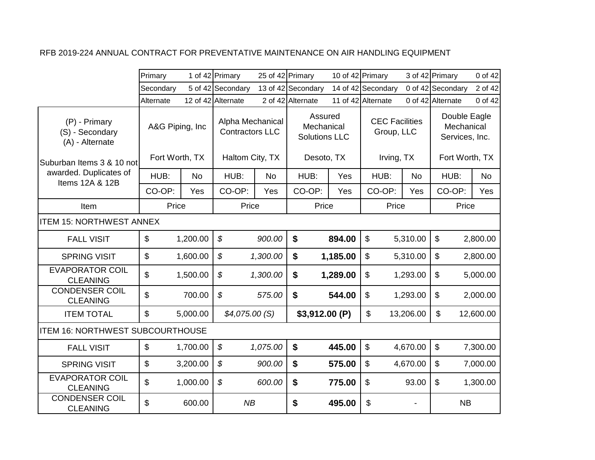|                                                     | Primary                            |           | 1 of 42 Primary                                               | 25 of 42 Primary |                                                             | 10 of 42 Primary |                                                   |           | 3 of 42 Primary                                                | 0 of 42   |
|-----------------------------------------------------|------------------------------------|-----------|---------------------------------------------------------------|------------------|-------------------------------------------------------------|------------------|---------------------------------------------------|-----------|----------------------------------------------------------------|-----------|
|                                                     | Secondary                          |           | 5 of 42 Secondary                                             |                  | 13 of 42 Secondary                                          |                  | 14 of 42 Secondary                                |           | 0 of 42 Secondary                                              | 2 of 42   |
|                                                     | Alternate                          |           | 12 of 42 Alternate                                            |                  | 2 of 42 Alternate                                           |                  | 11 of 42 Alternate                                |           | 0 of 42 Alternate                                              | 0 of 42   |
| (P) - Primary<br>(S) - Secondary<br>(A) - Alternate | A&G Piping, Inc.<br>Fort Worth, TX |           | Alpha Mechanical<br><b>Contractors LLC</b><br>Haltom City, TX |                  | Assured<br>Mechanical<br><b>Solutions LLC</b><br>Desoto, TX |                  | <b>CEC Facilities</b><br>Group, LLC<br>Irving, TX |           | Double Eagle<br>Mechanical<br>Services, Inc.<br>Fort Worth, TX |           |
| Suburban Items 3 & 10 not<br>awarded. Duplicates of | HUB:                               | <b>No</b> | HUB:                                                          | <b>No</b>        | HUB:                                                        | Yes              | HUB:                                              | <b>No</b> | HUB:                                                           | <b>No</b> |
| Items 12A & 12B                                     | CO-OP:                             | Yes       | CO-OP:                                                        | Yes              | CO-OP:                                                      | Yes              | CO-OP:                                            | Yes       | CO-OP:                                                         | Yes       |
| Item                                                | Price                              |           | Price                                                         |                  | Price                                                       |                  | Price                                             |           | Price                                                          |           |
| <b>ITEM 15: NORTHWEST ANNEX</b>                     |                                    |           |                                                               |                  |                                                             |                  |                                                   |           |                                                                |           |
| <b>FALL VISIT</b>                                   | $\boldsymbol{\mathsf{S}}$          | 1,200.00  | \$                                                            | 900.00           | $\boldsymbol{\$}$                                           | 894.00           | \$                                                | 5,310.00  | $\boldsymbol{\mathsf{S}}$                                      | 2,800.00  |
| <b>SPRING VISIT</b>                                 | $\mathfrak{L}$                     | 1,600.00  | $\boldsymbol{\mathcal{S}}$                                    | 1,300.00         | \$                                                          | 1,185.00         | \$                                                | 5,310.00  | $\mathfrak{S}$                                                 | 2,800.00  |
| <b>EVAPORATOR COIL</b><br><b>CLEANING</b>           | \$                                 | 1,500.00  | \$                                                            | 1,300.00         | \$                                                          | 1,289.00         | \$                                                | 1,293.00  | $\boldsymbol{\mathsf{S}}$                                      | 5,000.00  |
| <b>CONDENSER COIL</b><br><b>CLEANING</b>            | $\mathfrak{L}$                     | 700.00    | $\boldsymbol{\mathcal{S}}$                                    | 575.00           | \$                                                          | 544.00           | $\boldsymbol{\mathsf{S}}$                         | 1,293.00  | $\boldsymbol{\mathsf{S}}$                                      | 2,000.00  |
| <b>ITEM TOTAL</b>                                   | $\boldsymbol{\mathsf{S}}$          | 5,000.00  | \$4,075.00(S)                                                 |                  | \$3,912.00 (P)                                              |                  | \$                                                | 13,206.00 | \$                                                             | 12,600.00 |
| <b>ITEM 16: NORTHWEST SUBCOURTHOUSE</b>             |                                    |           |                                                               |                  |                                                             |                  |                                                   |           |                                                                |           |
| <b>FALL VISIT</b>                                   | $\boldsymbol{\mathsf{S}}$          | 1,700.00  | \$                                                            | 1,075.00         | \$                                                          | 445.00           | \$                                                | 4,670.00  | $\boldsymbol{\mathsf{S}}$                                      | 7,300.00  |
| <b>SPRING VISIT</b>                                 | $\boldsymbol{\mathsf{S}}$          | 3,200.00  | \$                                                            | 900.00           | \$                                                          | 575.00           | $\boldsymbol{\mathsf{S}}$                         | 4,670.00  | $\boldsymbol{\mathsf{S}}$                                      | 7,000.00  |
| <b>EVAPORATOR COIL</b><br><b>CLEANING</b>           | \$                                 | 1,000.00  | \$                                                            | 600.00           | \$                                                          | 775.00           | $\boldsymbol{\mathsf{S}}$                         | 93.00     | $\boldsymbol{\mathsf{S}}$                                      | 1,300.00  |
| <b>CONDENSER COIL</b><br><b>CLEANING</b>            | \$                                 | 600.00    | NB                                                            |                  | \$                                                          | 495.00           | \$                                                |           | <b>NB</b>                                                      |           |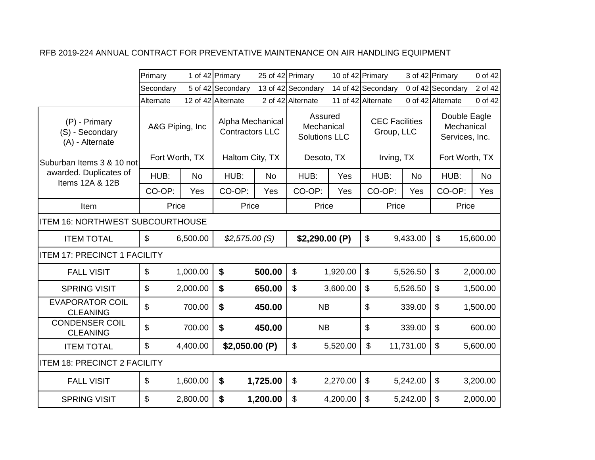|                                                     | Primary                   |           | 1 of 42 Primary                            |          | 25 of 42 Primary                              |          | 10 of 42 Primary                    |           | 3 of 42 Primary                              | 0 of 42   |
|-----------------------------------------------------|---------------------------|-----------|--------------------------------------------|----------|-----------------------------------------------|----------|-------------------------------------|-----------|----------------------------------------------|-----------|
|                                                     | Secondary                 |           | 5 of 42 Secondary                          |          | 13 of 42 Secondary                            |          | 14 of 42 Secondary                  |           | 0 of 42 Secondary                            | 2 of 42   |
|                                                     | Alternate                 |           | 12 of 42 Alternate                         |          | 2 of 42 Alternate                             |          | 11 of 42 Alternate                  |           | 0 of 42 Alternate                            | 0 of 42   |
| (P) - Primary<br>(S) - Secondary<br>(A) - Alternate | A&G Piping, Inc           |           | Alpha Mechanical<br><b>Contractors LLC</b> |          | Assured<br>Mechanical<br><b>Solutions LLC</b> |          | <b>CEC Facilities</b><br>Group, LLC |           | Double Eagle<br>Mechanical<br>Services, Inc. |           |
| Suburban Items 3 & 10 not                           | Fort Worth, TX            |           | Haltom City, TX                            |          | Desoto, TX                                    |          | Irving, TX                          |           | Fort Worth, TX                               |           |
| awarded. Duplicates of<br>Items 12A & 12B           | HUB:                      | <b>No</b> | HUB:                                       | No       | HUB:                                          | Yes      | HUB:                                | <b>No</b> | HUB:                                         | <b>No</b> |
|                                                     | CO-OP:                    | Yes       | CO-OP:                                     | Yes      | CO-OP:                                        | Yes      | CO-OP:                              | Yes       | CO-OP:                                       | Yes       |
| Item                                                | Price                     |           | Price                                      |          | Price                                         |          | Price                               |           | Price                                        |           |
| ITEM 16: NORTHWEST SUBCOURTHOUSE                    |                           |           |                                            |          |                                               |          |                                     |           |                                              |           |
| <b>ITEM TOTAL</b>                                   | $\mathfrak{S}$            | 6,500.00  | \$2,575.00(S)                              |          | \$2,290.00(P)                                 |          | $\boldsymbol{\mathsf{S}}$           | 9,433.00  | $\mathbb{S}$                                 | 15,600.00 |
| <b>ITEM 17: PRECINCT 1 FACILITY</b>                 |                           |           |                                            |          |                                               |          |                                     |           |                                              |           |
| <b>FALL VISIT</b>                                   | $\boldsymbol{\mathsf{S}}$ | 1,000.00  | \$                                         | 500.00   | $\boldsymbol{\mathsf{S}}$                     | 1,920.00 | $\boldsymbol{\mathsf{S}}$           | 5,526.50  | \$                                           | 2,000.00  |
| <b>SPRING VISIT</b>                                 | $\mathbb{S}$              | 2,000.00  | \$                                         | 650.00   | $\mathfrak{S}$                                | 3,600.00 | $\mathfrak{S}$                      | 5,526.50  | \$                                           | 1,500.00  |
| <b>EVAPORATOR COIL</b><br><b>CLEANING</b>           | \$                        | 700.00    | $\boldsymbol{\$}$                          | 450.00   | <b>NB</b>                                     |          | $\boldsymbol{\mathsf{S}}$           | 339.00    | \$                                           | 1,500.00  |
| <b>CONDENSER COIL</b><br><b>CLEANING</b>            | \$                        | 700.00    | \$                                         | 450.00   | <b>NB</b>                                     |          | \$                                  | 339.00    | \$                                           | 600.00    |
| <b>ITEM TOTAL</b>                                   | $\mathfrak{S}$            | 4,400.00  | \$2,050.00(P)                              |          | $\boldsymbol{\mathsf{S}}$                     | 5,520.00 | $\mathbb{S}$                        | 11,731.00 | \$                                           | 5,600.00  |
| <b>ITEM 18: PRECINCT 2 FACILITY</b>                 |                           |           |                                            |          |                                               |          |                                     |           |                                              |           |
| <b>FALL VISIT</b>                                   | $\$\$                     | 1,600.00  | \$                                         | 1,725.00 | \$                                            | 2,270.00 | \$                                  | 5,242.00  | \$                                           | 3,200.00  |
| <b>SPRING VISIT</b>                                 | $\mathbf{\$}$             | 2,800.00  | $\boldsymbol{\mathsf{s}}$                  | 1,200.00 | $\mathfrak{S}$                                | 4,200.00 | $\mathfrak{S}$                      | 5,242.00  | \$                                           | 2,000.00  |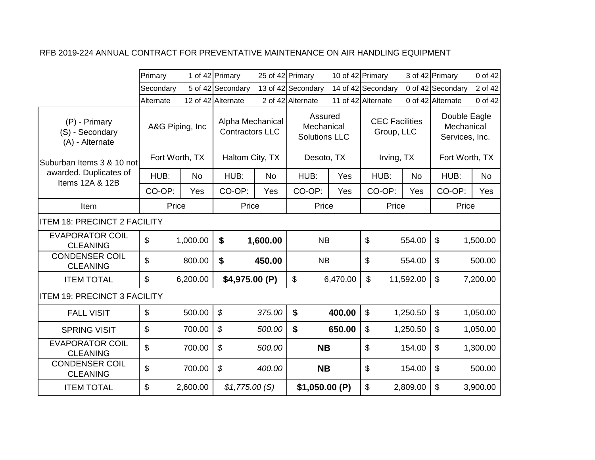|                                                     | Primary                   |           | 1 of 42 Primary                            | 25 of 42 Primary |                                               | 10 of 42 Primary |                                     |           | 3 of 42 Primary                              | 0 of 42   |
|-----------------------------------------------------|---------------------------|-----------|--------------------------------------------|------------------|-----------------------------------------------|------------------|-------------------------------------|-----------|----------------------------------------------|-----------|
|                                                     | Secondary                 |           | 5 of 42 Secondary                          |                  | 13 of 42 Secondary                            |                  | 14 of 42 Secondary                  |           | 0 of 42 Secondary                            | 2 of 42   |
|                                                     | Alternate                 |           | 12 of 42 Alternate                         |                  | 2 of 42 Alternate                             |                  | 11 of 42 Alternate                  |           | 0 of 42 Alternate                            | 0 of 42   |
| (P) - Primary<br>(S) - Secondary<br>(A) - Alternate | A&G Piping, Inc.          |           | Alpha Mechanical<br><b>Contractors LLC</b> |                  | Assured<br>Mechanical<br><b>Solutions LLC</b> |                  | <b>CEC Facilities</b><br>Group, LLC |           | Double Eagle<br>Mechanical<br>Services, Inc. |           |
| Suburban Items 3 & 10 not                           | Fort Worth, TX            |           | Haltom City, TX                            |                  | Desoto, TX                                    |                  | Irving, TX                          |           | Fort Worth, TX                               |           |
| awarded. Duplicates of<br>Items 12A & 12B           | HUB:                      | <b>No</b> | HUB:                                       | <b>No</b>        | HUB:                                          | Yes              | HUB:                                | <b>No</b> | HUB:                                         | <b>No</b> |
|                                                     | CO-OP:                    | Yes       | CO-OP:                                     | Yes              | CO-OP:                                        | Yes              | CO-OP:                              | Yes       | CO-OP:                                       | Yes       |
| Item                                                | Price                     |           | Price                                      |                  | Price                                         |                  | Price                               |           | Price                                        |           |
| <b>ITEM 18: PRECINCT 2 FACILITY</b>                 |                           |           |                                            |                  |                                               |                  |                                     |           |                                              |           |
| <b>EVAPORATOR COIL</b><br><b>CLEANING</b>           | \$                        | 1,000.00  | \$                                         | 1,600.00         | <b>NB</b>                                     |                  | \$                                  | 554.00    | $\mathfrak{S}$                               | 1,500.00  |
| <b>CONDENSER COIL</b><br><b>CLEANING</b>            | \$                        | 800.00    | \$                                         | 450.00           | <b>NB</b>                                     |                  | \$                                  | 554.00    | $\boldsymbol{\mathsf{S}}$                    | 500.00    |
| <b>ITEM TOTAL</b>                                   | \$                        | 6,200.00  | \$4,975.00 (P)                             |                  | $\boldsymbol{\mathsf{S}}$                     | 6,470.00         | $\mathbb{S}$                        | 11,592.00 | $\boldsymbol{\mathsf{S}}$                    | 7,200.00  |
| <b>ITEM 19: PRECINCT 3 FACILITY</b>                 |                           |           |                                            |                  |                                               |                  |                                     |           |                                              |           |
| <b>FALL VISIT</b>                                   | $\boldsymbol{\mathsf{S}}$ | 500.00    | $\boldsymbol{\mathcal{S}}$                 | 375.00           | $\boldsymbol{\$}$                             | 400.00           | $\boldsymbol{\mathsf{S}}$           | 1,250.50  | $\boldsymbol{\mathsf{S}}$                    | 1,050.00  |
| <b>SPRING VISIT</b>                                 | $\mathbb{S}$              | 700.00    | \$                                         | 500.00           | $\boldsymbol{\$}$                             | 650.00           | $\mathfrak{S}$                      | 1,250.50  | \$                                           | 1,050.00  |
| <b>EVAPORATOR COIL</b><br><b>CLEANING</b>           | $\mathfrak{S}$            | 700.00    | \$                                         | 500.00           | <b>NB</b>                                     |                  | \$                                  | 154.00    | $\boldsymbol{\mathsf{S}}$                    | 1,300.00  |
| <b>CONDENSER COIL</b><br><b>CLEANING</b>            | \$                        | 700.00    | \$                                         | 400.00           | <b>NB</b>                                     |                  | \$                                  | 154.00    | \$                                           | 500.00    |
| <b>ITEM TOTAL</b>                                   | \$                        | 2,600.00  | \$1,775.00(S)                              |                  | \$1,050.00(P)                                 |                  | \$                                  | 2,809.00  | \$                                           | 3,900.00  |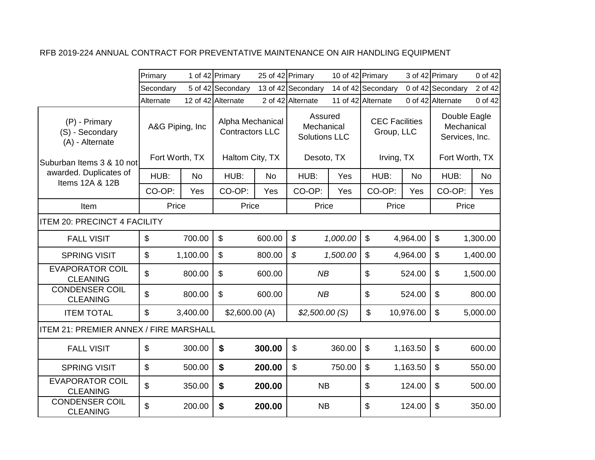|                                                     | Primary                 |           | 1 of 42 Primary                            | 25 of 42 Primary |                                               |          | 10 of 42 Primary                    |           | 3 of 42 Primary              | 0 of 42        |
|-----------------------------------------------------|-------------------------|-----------|--------------------------------------------|------------------|-----------------------------------------------|----------|-------------------------------------|-----------|------------------------------|----------------|
|                                                     | Secondary               |           | 5 of 42 Secondary                          |                  | 13 of 42 Secondary                            |          | 14 of 42 Secondary                  |           | 0 of 42 Secondary            | 2 of 42        |
|                                                     | Alternate               |           | 12 of 42 Alternate                         |                  | 2 of 42 Alternate                             |          | 11 of 42 Alternate                  |           | 0 of 42 Alternate            | 0 of 42        |
| (P) - Primary<br>(S) - Secondary<br>(A) - Alternate | A&G Piping, Inc         |           | Alpha Mechanical<br><b>Contractors LLC</b> |                  | Assured<br>Mechanical<br><b>Solutions LLC</b> |          | <b>CEC Facilities</b><br>Group, LLC |           | Mechanical<br>Services, Inc. | Double Eagle   |
| Suburban Items 3 & 10 notl                          | Fort Worth, TX          |           | Haltom City, TX                            |                  | Desoto, TX                                    |          | Irving, TX                          |           |                              | Fort Worth, TX |
| awarded. Duplicates of<br>Items 12A & 12B           | HUB:                    | <b>No</b> | HUB:                                       | No               | HUB:                                          | Yes      | HUB:                                | No        | HUB:                         | <b>No</b>      |
|                                                     | CO-OP:                  | Yes       | CO-OP:                                     | Yes              | CO-OP:                                        | Yes      | CO-OP:                              | Yes       | CO-OP:                       | Yes            |
| Item                                                | Price                   |           | Price                                      |                  | Price                                         |          | Price                               |           | Price                        |                |
| <b>ITEM 20: PRECINCT 4 FACILITY</b>                 |                         |           |                                            |                  |                                               |          |                                     |           |                              |                |
| <b>FALL VISIT</b>                                   | $\mathfrak{S}$          | 700.00    | $\mathfrak{S}$                             | 600.00           | \$                                            | 1,000.00 | \$                                  | 4,964.00  | $\mathfrak{S}$               | 1,300.00       |
| <b>SPRING VISIT</b>                                 | $\sqrt[6]{\frac{1}{2}}$ | 1,100.00  | $\boldsymbol{\mathsf{S}}$                  | 800.00           | $\boldsymbol{\mathcal{S}}$                    | 1,500.00 | $\boldsymbol{\mathsf{S}}$           | 4,964.00  | $\mathfrak{S}$               | 1,400.00       |
| <b>EVAPORATOR COIL</b><br><b>CLEANING</b>           | $\mathfrak{L}$          | 800.00    | $\boldsymbol{\mathsf{S}}$                  | 600.00           | NB                                            |          | \$                                  | 524.00    | $\boldsymbol{\mathsf{s}}$    | 1,500.00       |
| <b>CONDENSER COIL</b><br><b>CLEANING</b>            | \$                      | 800.00    | $\mathfrak{S}$                             | 600.00           | NB                                            |          | \$                                  | 524.00    | $\boldsymbol{\mathsf{S}}$    | 800.00         |
| <b>ITEM TOTAL</b>                                   | $\mathfrak{L}$          | 3,400.00  | \$2,600.00(A)                              |                  | \$2,500.00(S)                                 |          | \$                                  | 10,976.00 | $\mathfrak{L}$               | 5,000.00       |
| <b>ITEM 21: PREMIER ANNEX / FIRE MARSHALL</b>       |                         |           |                                            |                  |                                               |          |                                     |           |                              |                |
| <b>FALL VISIT</b>                                   | $\mathfrak{L}$          | 300.00    | \$                                         | 300.00           | \$                                            | 360.00   | $\boldsymbol{\mathsf{S}}$           | 1,163.50  | $\boldsymbol{\mathsf{s}}$    | 600.00         |
| <b>SPRING VISIT</b>                                 | \$                      | 500.00    | \$                                         | 200.00           | \$                                            | 750.00   | $\boldsymbol{\mathsf{S}}$           | 1,163.50  | $\boldsymbol{\mathsf{S}}$    | 550.00         |
| <b>EVAPORATOR COIL</b><br><b>CLEANING</b>           | \$                      | 350.00    | \$                                         | 200.00           | <b>NB</b>                                     |          | \$                                  | 124.00    | $\boldsymbol{\mathsf{S}}$    | 500.00         |
| <b>CONDENSER COIL</b><br><b>CLEANING</b>            | \$                      | 200.00    | \$                                         | 200.00           | <b>NB</b>                                     |          | \$                                  | 124.00    | \$                           | 350.00         |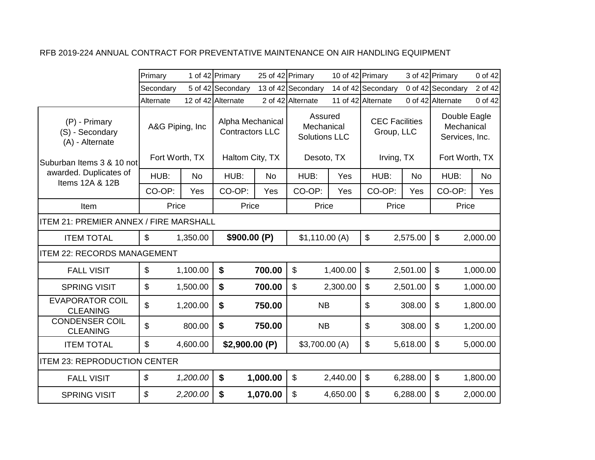|                                                     | Primary                    |           | 1 of 42 Primary                            | 25 of 42 Primary |                                               | 10 of 42 Primary |                                     |           | 3 of 42 Primary                              | 0 of 42  |
|-----------------------------------------------------|----------------------------|-----------|--------------------------------------------|------------------|-----------------------------------------------|------------------|-------------------------------------|-----------|----------------------------------------------|----------|
|                                                     | Secondary                  |           | 5 of 42 Secondary                          |                  | 13 of 42 Secondary                            |                  | 14 of 42 Secondary                  |           | 0 of 42 Secondary                            | 2 of 42  |
|                                                     | Alternate                  |           | 12 of 42 Alternate                         |                  | 2 of 42 Alternate                             |                  | 11 of 42 Alternate                  |           | 0 of 42 Alternate                            | 0 of 42  |
| (P) - Primary<br>(S) - Secondary<br>(A) - Alternate | A&G Piping, Inc            |           | Alpha Mechanical<br><b>Contractors LLC</b> |                  | Assured<br>Mechanical<br><b>Solutions LLC</b> |                  | <b>CEC Facilities</b><br>Group, LLC |           | Double Eagle<br>Mechanical<br>Services, Inc. |          |
| Suburban Items 3 & 10 not                           | Fort Worth, TX             |           | Haltom City, TX                            |                  | Desoto, TX                                    |                  | Irving, TX                          |           | Fort Worth, TX                               |          |
| awarded. Duplicates of<br>Items 12A & 12B           | HUB:                       | <b>No</b> | HUB:                                       | <b>No</b>        | HUB:                                          | Yes              | HUB:                                | <b>No</b> | HUB:                                         | No       |
|                                                     | CO-OP:                     | Yes       | CO-OP:                                     | Yes              | CO-OP:                                        | Yes              | CO-OP:                              | Yes       | CO-OP:                                       | Yes      |
| Item                                                | Price                      |           | Price                                      |                  | Price                                         |                  | Price                               |           | Price                                        |          |
| <b>ITEM 21: PREMIER ANNEX / FIRE MARSHALL</b>       |                            |           |                                            |                  |                                               |                  |                                     |           |                                              |          |
| <b>ITEM TOTAL</b>                                   | $\mathfrak{L}$             | 1,350.00  | \$900.00 (P)                               |                  | \$1,110.00(A)                                 |                  | $\boldsymbol{\mathsf{S}}$           | 2,575.00  | \$                                           | 2,000.00 |
| <b>ITEM 22: RECORDS MANAGEMENT</b>                  |                            |           |                                            |                  |                                               |                  |                                     |           |                                              |          |
| <b>FALL VISIT</b>                                   | $\boldsymbol{\mathsf{S}}$  | 1,100.00  | $\boldsymbol{\$}$                          | 700.00           | $\boldsymbol{\mathsf{S}}$                     | 1,400.00         | $\boldsymbol{\mathsf{S}}$           | 2,501.00  | \$                                           | 1,000.00 |
| <b>SPRING VISIT</b>                                 | $\boldsymbol{\mathsf{S}}$  | 1,500.00  | \$                                         | 700.00           | \$                                            | 2,300.00         | \$                                  | 2,501.00  | \$                                           | 1,000.00 |
| <b>EVAPORATOR COIL</b><br><b>CLEANING</b>           | \$                         | 1,200.00  | \$                                         | 750.00           | <b>NB</b>                                     |                  | \$                                  | 308.00    | \$                                           | 1,800.00 |
| <b>CONDENSER COIL</b><br><b>CLEANING</b>            | \$                         | 800.00    | \$                                         | 750.00           | <b>NB</b>                                     |                  | \$                                  | 308.00    | \$                                           | 1,200.00 |
| <b>ITEM TOTAL</b>                                   | \$                         | 4,600.00  | \$2,900.00(P)                              |                  | \$3,700.00 (A)                                |                  | \$                                  | 5,618.00  | \$                                           | 5,000.00 |
| <b>ITEM 23: REPRODUCTION CENTER</b>                 |                            |           |                                            |                  |                                               |                  |                                     |           |                                              |          |
| <b>FALL VISIT</b>                                   | $\boldsymbol{\mathcal{S}}$ | 1,200.00  | \$                                         | 1,000.00         | $\boldsymbol{\mathsf{S}}$                     | 2,440.00         | $\boldsymbol{\mathsf{S}}$           | 6,288.00  | $\boldsymbol{\mathsf{S}}$                    | 1,800.00 |
| <b>SPRING VISIT</b>                                 | \$                         | 2,200.00  | \$                                         | 1,070.00         | \$                                            | 4,650.00         | \$                                  | 6,288.00  | \$                                           | 2,000.00 |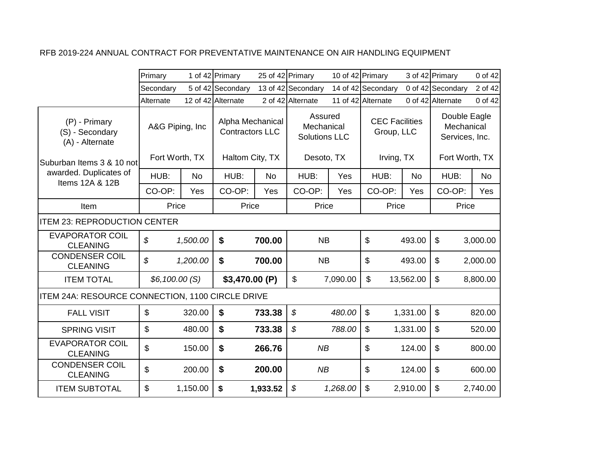|                                                     | Primary                    |          | 1 of 42 Primary                            | 25 of 42 Primary |                                               |          | 10 of 42 Primary                    |           | 3 of 42 Primary                              | 0 of 42   |
|-----------------------------------------------------|----------------------------|----------|--------------------------------------------|------------------|-----------------------------------------------|----------|-------------------------------------|-----------|----------------------------------------------|-----------|
|                                                     | Secondary                  |          | 5 of 42 Secondary                          |                  | 13 of 42 Secondary                            |          | 14 of 42 Secondary                  |           | 0 of 42 Secondary                            | 2 of 42   |
|                                                     | Alternate                  |          | 12 of 42 Alternate                         |                  | 2 of 42 Alternate                             |          | 11 of 42 Alternate                  |           | 0 of 42 Alternate                            | 0 of 42   |
| (P) - Primary<br>(S) - Secondary<br>(A) - Alternate | A&G Piping, Inc.           |          | Alpha Mechanical<br><b>Contractors LLC</b> |                  | Assured<br>Mechanical<br><b>Solutions LLC</b> |          | <b>CEC Facilities</b><br>Group, LLC |           | Double Eagle<br>Mechanical<br>Services, Inc. |           |
| Suburban Items 3 & 10 not                           | Fort Worth, TX             |          | Haltom City, TX                            |                  | Desoto, TX                                    |          | Irving, TX                          |           | Fort Worth, TX                               |           |
| awarded. Duplicates of<br>Items 12A & 12B           | HUB:                       | No       | HUB:                                       | <b>No</b>        | HUB:                                          | Yes      | HUB:                                | <b>No</b> | HUB:                                         | <b>No</b> |
|                                                     | CO-OP:                     | Yes      | CO-OP:                                     | Yes              | CO-OP:                                        | Yes      | CO-OP:                              | Yes       | CO-OP:                                       | Yes       |
| Item                                                | Price                      |          | Price                                      |                  | Price                                         |          | Price                               |           | Price                                        |           |
| <b>ITEM 23: REPRODUCTION CENTER</b>                 |                            |          |                                            |                  |                                               |          |                                     |           |                                              |           |
| <b>EVAPORATOR COIL</b><br><b>CLEANING</b>           | $\boldsymbol{\mathcal{S}}$ | 1,500.00 | \$                                         | 700.00           | <b>NB</b>                                     |          | $\mathbb{S}$                        | 493.00    | $\boldsymbol{\mathsf{S}}$                    | 3,000.00  |
| <b>CONDENSER COIL</b><br><b>CLEANING</b>            | \$                         | 1,200.00 | \$                                         | 700.00           | <b>NB</b>                                     |          | \$                                  | 493.00    | \$                                           | 2,000.00  |
| <b>ITEM TOTAL</b>                                   | \$6,100.00 (S)             |          | \$3,470.00 (P)                             |                  | $\mathbb{S}$                                  | 7,090.00 | $\mathbb{S}$                        | 13,562.00 | $\mathfrak{S}$                               | 8,800.00  |
| ITEM 24A: RESOURCE CONNECTION, 1100 CIRCLE DRIVE    |                            |          |                                            |                  |                                               |          |                                     |           |                                              |           |
| <b>FALL VISIT</b>                                   | $\mathbf{\$}$              | 320.00   | $\boldsymbol{\mathsf{s}}$                  | 733.38           | $\mathcal{S}$                                 | 480.00   | $\mathbb{S}$                        | 1,331.00  | $\mathfrak{S}$                               | 820.00    |
| <b>SPRING VISIT</b>                                 | \$                         | 480.00   | \$                                         | 733.38           | \$                                            | 788.00   | \$                                  | 1,331.00  | \$                                           | 520.00    |
| <b>EVAPORATOR COIL</b><br><b>CLEANING</b>           | \$                         | 150.00   | \$                                         | 266.76           | NB                                            |          | \$                                  | 124.00    | \$                                           | 800.00    |
| <b>CONDENSER COIL</b><br><b>CLEANING</b>            | \$                         | 200.00   | \$                                         | 200.00           | NB                                            |          | \$                                  | 124.00    | \$                                           | 600.00    |
| <b>ITEM SUBTOTAL</b>                                | \$                         | 1,150.00 | \$                                         | 1,933.52         | $\boldsymbol{\mathcal{S}}$                    | 1,268.00 | \$                                  | 2,910.00  | \$                                           | 2,740.00  |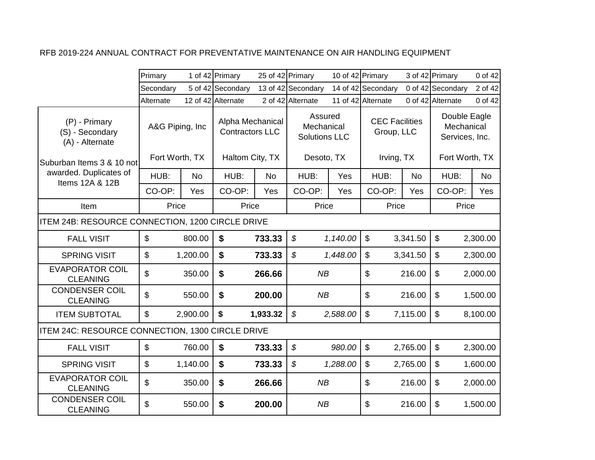|                                                     | Primary                   |          | 1 of 42 Primary                            |           | 25 of 42 Primary                              | 10 of 42 Primary |                                     |           | 3 of 42 Primary                              | 0 of 42   |
|-----------------------------------------------------|---------------------------|----------|--------------------------------------------|-----------|-----------------------------------------------|------------------|-------------------------------------|-----------|----------------------------------------------|-----------|
|                                                     | Secondary                 |          | 5 of 42 Secondary                          |           | 13 of 42 Secondary                            |                  | 14 of 42 Secondary                  |           | 0 of 42 Secondary                            | 2 of 42   |
|                                                     | Alternate                 |          | 12 of 42 Alternate                         |           | 2 of 42 Alternate                             |                  | 11 of 42 Alternate                  |           | 0 of 42 Alternate                            | 0 of 42   |
| (P) - Primary<br>(S) - Secondary<br>(A) - Alternate | A&G Piping, Inc.          |          | Alpha Mechanical<br><b>Contractors LLC</b> |           | Assured<br>Mechanical<br><b>Solutions LLC</b> |                  | <b>CEC Facilities</b><br>Group, LLC |           | Double Eagle<br>Mechanical<br>Services, Inc. |           |
| lSuburban Items 3 & 10 notl                         | Fort Worth, TX            |          | Haltom City, TX                            |           | Desoto, TX                                    |                  | Irving, TX                          |           | Fort Worth, TX                               |           |
| awarded. Duplicates of<br>Items 12A & 12B           | HUB:                      | No       | HUB:                                       | <b>No</b> | HUB:                                          | Yes              | HUB:                                | <b>No</b> | HUB:                                         | <b>No</b> |
|                                                     | CO-OP:                    | Yes      | CO-OP:                                     | Yes       | CO-OP:                                        | Yes              | CO-OP:                              | Yes       | CO-OP:                                       | Yes       |
| Item                                                | Price                     |          | Price                                      |           | Price                                         |                  | Price                               |           | Price                                        |           |
| ITEM 24B: RESOURCE CONNECTION, 1200 CIRCLE DRIVE    |                           |          |                                            |           |                                               |                  |                                     |           |                                              |           |
| <b>FALL VISIT</b>                                   | $\mathfrak{S}$            | 800.00   | \$                                         | 733.33    | $\boldsymbol{\mathcal{S}}$                    | 1,140.00         | $\mathfrak{S}$                      | 3,341.50  | $\mathfrak{L}$                               | 2,300.00  |
| <b>SPRING VISIT</b>                                 | $\boldsymbol{\mathsf{S}}$ | 1,200.00 | \$                                         | 733.33    | \$                                            | 1,448.00         | \$                                  | 3,341.50  | $\boldsymbol{\mathsf{S}}$                    | 2,300.00  |
| <b>EVAPORATOR COIL</b><br><b>CLEANING</b>           | \$                        | 350.00   | \$                                         | 266.66    | NB                                            |                  | \$                                  | 216.00    | $\boldsymbol{\mathsf{S}}$                    | 2,000.00  |
| <b>CONDENSER COIL</b><br><b>CLEANING</b>            | \$                        | 550.00   | $\boldsymbol{\mathsf{s}}$                  | 200.00    | NB                                            |                  | \$                                  | 216.00    | $\mathfrak{S}$                               | 1,500.00  |
| <b>ITEM SUBTOTAL</b>                                | $\mathbb{S}$              | 2,900.00 | $\boldsymbol{\mathsf{s}}$                  | 1,933.32  | $\boldsymbol{\mathcal{S}}$                    | 2,588.00         | \$                                  | 7,115.00  | $\mathfrak{S}$                               | 8,100.00  |
| ITEM 24C: RESOURCE CONNECTION, 1300 CIRCLE DRIVE    |                           |          |                                            |           |                                               |                  |                                     |           |                                              |           |
| <b>FALL VISIT</b>                                   | $\boldsymbol{\mathsf{S}}$ | 760.00   | \$                                         | 733.33    | \$                                            | 980.00           | $\boldsymbol{\mathsf{S}}$           | 2,765.00  | $\boldsymbol{\mathsf{S}}$                    | 2,300.00  |
| <b>SPRING VISIT</b>                                 | $\boldsymbol{\mathsf{S}}$ | 1,140.00 | \$                                         | 733.33    | \$                                            | 1,288.00         | $\boldsymbol{\mathsf{S}}$           | 2,765.00  | $\boldsymbol{\mathsf{S}}$                    | 1,600.00  |
| <b>EVAPORATOR COIL</b><br><b>CLEANING</b>           | $\mathfrak{L}$            | 350.00   | \$                                         | 266.66    | NB                                            |                  | \$                                  | 216.00    | $\boldsymbol{\mathsf{S}}$                    | 2,000.00  |
| <b>CONDENSER COIL</b><br><b>CLEANING</b>            | \$                        | 550.00   | \$                                         | 200.00    | NB                                            |                  | \$                                  | 216.00    | \$                                           | 1,500.00  |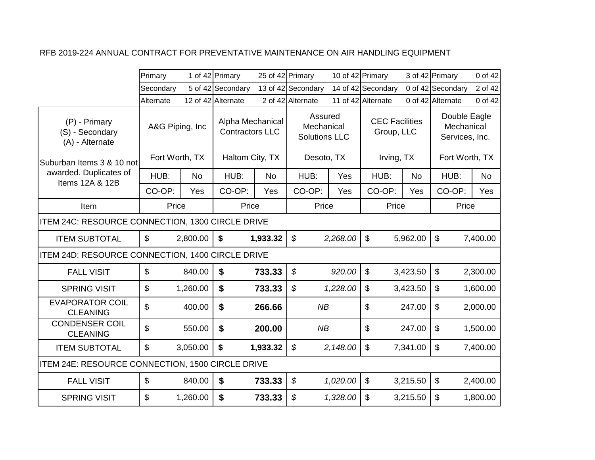|                                                     | Primary         |           | 1 of 42 Primary                            |           | 25 of 42 Primary                              | 10 of 42 Primary |                                     |           | 3 of 42 Primary                              | 0 of 42   |
|-----------------------------------------------------|-----------------|-----------|--------------------------------------------|-----------|-----------------------------------------------|------------------|-------------------------------------|-----------|----------------------------------------------|-----------|
|                                                     | Secondary       |           | 5 of 42 Secondary                          |           | 13 of 42 Secondary                            |                  | 14 of 42 Secondary                  |           | 0 of 42 Secondary                            | 2 of 42   |
|                                                     | Alternate       |           | 12 of 42 Alternate                         |           | 2 of 42 Alternate                             |                  | 11 of 42 Alternate                  |           | 0 of 42 Alternate                            | 0 of 42   |
| (P) - Primary<br>(S) - Secondary<br>(A) - Alternate | A&G Piping, Inc |           | Alpha Mechanical<br><b>Contractors LLC</b> |           | Assured<br>Mechanical<br><b>Solutions LLC</b> |                  | <b>CEC Facilities</b><br>Group, LLC |           | Double Eagle<br>Mechanical<br>Services, Inc. |           |
| Suburban Items 3 & 10 not                           | Fort Worth, TX  |           | Haltom City, TX                            |           | Desoto, TX                                    |                  | Irving, TX                          |           | Fort Worth, TX                               |           |
| awarded. Duplicates of<br>Items 12A & 12B           | HUB:            | <b>No</b> | HUB:                                       | <b>No</b> | HUB:                                          | Yes              | HUB:                                | <b>No</b> | HUB:                                         | <b>No</b> |
|                                                     | CO-OP:          | Yes       | CO-OP:                                     | Yes       | CO-OP:                                        | Yes              | CO-OP:                              | Yes       | CO-OP:                                       | Yes       |
| Item                                                | Price           |           | Price                                      |           | Price                                         |                  | Price                               |           | Price                                        |           |
| ITEM 24C: RESOURCE CONNECTION, 1300 CIRCLE DRIVE    |                 |           |                                            |           |                                               |                  |                                     |           |                                              |           |
| <b>ITEM SUBTOTAL</b>                                | $\mathfrak{L}$  | 2,800.00  | \$                                         | 1,933.32  | $\boldsymbol{\mathcal{S}}$                    | 2,268.00         | $\mathbb{S}$                        | 5,962.00  | $\mathfrak{L}$                               | 7,400.00  |
| ITEM 24D: RESOURCE CONNECTION, 1400 CIRCLE DRIVE    |                 |           |                                            |           |                                               |                  |                                     |           |                                              |           |
| <b>FALL VISIT</b>                                   | $\mathbb{S}$    | 840.00    | $\mathbf S$                                | 733.33    | $\boldsymbol{\mathcal{S}}$                    | 920.00           | $\mathfrak{S}$                      | 3,423.50  | $\mathfrak{S}$                               | 2,300.00  |
| <b>SPRING VISIT</b>                                 | $\mathfrak{L}$  | 1,260.00  | $\boldsymbol{\mathsf{s}}$                  | 733.33    | \$                                            | 1,228.00         | $\mathfrak{L}$                      | 3,423.50  | $\mathfrak{L}$                               | 1,600.00  |
| <b>EVAPORATOR COIL</b><br><b>CLEANING</b>           | \$              | 400.00    | \$                                         | 266.66    | <b>NB</b>                                     |                  | \$                                  | 247.00    | \$                                           | 2,000.00  |
| <b>CONDENSER COIL</b><br><b>CLEANING</b>            | \$              | 550.00    | \$                                         | 200.00    | NB                                            |                  | \$                                  | 247.00    | \$                                           | 1,500.00  |
| <b>ITEM SUBTOTAL</b>                                | $\mathbf{\$}$   | 3,050.00  | \$                                         | 1,933.32  | $\boldsymbol{\mathcal{S}}$                    | 2,148.00         | $\boldsymbol{\mathsf{S}}$           | 7,341.00  | \$                                           | 7,400.00  |
| ITEM 24E: RESOURCE CONNECTION, 1500 CIRCLE DRIVE    |                 |           |                                            |           |                                               |                  |                                     |           |                                              |           |
| <b>FALL VISIT</b>                                   | $\mathfrak{S}$  | 840.00    | $\boldsymbol{\mathsf{s}}$                  | 733.33    | $\boldsymbol{\mathcal{S}}$                    | 1,020.00         | $\boldsymbol{\mathsf{S}}$           | 3,215.50  | $\boldsymbol{\mathsf{S}}$                    | 2,400.00  |
| <b>SPRING VISIT</b>                                 | $\mathbf{\$}$   | 1,260.00  | \$                                         | 733.33    | \$                                            | 1,328.00         | $\mathfrak{S}$                      | 3,215.50  | \$                                           | 1,800.00  |
|                                                     |                 |           |                                            |           |                                               |                  |                                     |           |                                              |           |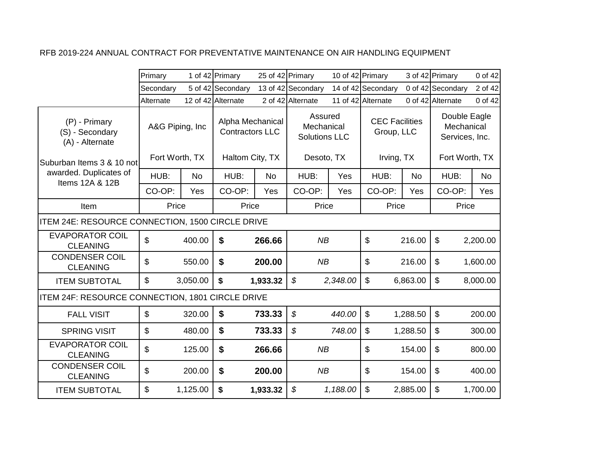|                                                     | Primary         |          | 1 of 42 Primary                            |           | 25 of 42 Primary                              | 10 of 42 Primary |                                     |           | 3 of 42 Primary                              | 0 of 42   |
|-----------------------------------------------------|-----------------|----------|--------------------------------------------|-----------|-----------------------------------------------|------------------|-------------------------------------|-----------|----------------------------------------------|-----------|
|                                                     | Secondary       |          | 5 of 42 Secondary                          |           | 13 of 42 Secondary                            |                  | 14 of 42 Secondary                  |           | 0 of 42 Secondary                            | 2 of 42   |
|                                                     | Alternate       |          | 12 of 42 Alternate                         |           | 2 of 42 Alternate                             |                  | 11 of 42 Alternate                  |           | 0 of 42 Alternate                            | 0 of 42   |
| (P) - Primary<br>(S) - Secondary<br>(A) - Alternate | A&G Piping, Inc |          | Alpha Mechanical<br><b>Contractors LLC</b> |           | Assured<br>Mechanical<br><b>Solutions LLC</b> |                  | <b>CEC Facilities</b><br>Group, LLC |           | Double Eagle<br>Mechanical<br>Services, Inc. |           |
| Suburban Items 3 & 10 not                           | Fort Worth, TX  |          | Haltom City, TX                            |           | Desoto, TX                                    |                  | Irving, TX                          |           | Fort Worth, TX                               |           |
| awarded. Duplicates of<br>Items 12A & 12B           | HUB:            | No       | HUB:                                       | <b>No</b> | HUB:                                          | Yes              | HUB:                                | <b>No</b> | HUB:                                         | <b>No</b> |
|                                                     | CO-OP:          | Yes      | CO-OP:                                     | Yes       | CO-OP:                                        | Yes              | CO-OP:                              | Yes       | CO-OP:                                       | Yes       |
| Item                                                | Price           |          | Price                                      |           | Price                                         |                  | Price                               |           | Price                                        |           |
| ITEM 24E: RESOURCE CONNECTION, 1500 CIRCLE DRIVE    |                 |          |                                            |           |                                               |                  |                                     |           |                                              |           |
| <b>EVAPORATOR COIL</b><br><b>CLEANING</b>           | $\mathfrak{L}$  | 400.00   | $\boldsymbol{\mathsf{s}}$                  | 266.66    | NB                                            |                  | \$                                  | 216.00    | $\boldsymbol{\mathsf{s}}$                    | 2,200.00  |
| <b>CONDENSER COIL</b><br><b>CLEANING</b>            | \$              | 550.00   | \$                                         | 200.00    | NB                                            |                  | \$                                  | 216.00    | $\boldsymbol{\mathsf{S}}$                    | 1,600.00  |
| <b>ITEM SUBTOTAL</b>                                | $\mathbb{S}$    | 3,050.00 | $\boldsymbol{\mathsf{s}}$                  | 1,933.32  | $\boldsymbol{\mathcal{S}}$                    | 2,348.00         | $\mathfrak{S}$                      | 6,863.00  | $\mathfrak{S}$                               | 8,000.00  |
| ITEM 24F: RESOURCE CONNECTION, 1801 CIRCLE DRIVE    |                 |          |                                            |           |                                               |                  |                                     |           |                                              |           |
| <b>FALL VISIT</b>                                   | $\mathfrak{S}$  | 320.00   | \$                                         | 733.33    | $\mathcal{S}$                                 | 440.00           | $\mathfrak{S}$                      | 1,288.50  | $\mathfrak{S}$                               | 200.00    |
| <b>SPRING VISIT</b>                                 | $\mathfrak{L}$  | 480.00   | $\boldsymbol{\$}$                          | 733.33    | \$                                            | 748.00           | \$                                  | 1,288.50  | $\mathfrak{S}$                               | 300.00    |
| <b>EVAPORATOR COIL</b><br><b>CLEANING</b>           | \$              | 125.00   | \$                                         | 266.66    | NB                                            |                  | \$                                  | 154.00    | $\boldsymbol{\mathsf{S}}$                    | 800.00    |
| <b>CONDENSER COIL</b><br><b>CLEANING</b>            | \$              | 200.00   | \$                                         | 200.00    | NB                                            |                  | \$                                  | 154.00    | $\boldsymbol{\mathsf{S}}$                    | 400.00    |
| <b>ITEM SUBTOTAL</b>                                | \$              | 1,125.00 | $\boldsymbol{\mathsf{s}}$                  | 1,933.32  | $\boldsymbol{\mathcal{S}}$                    | 1,188.00         | \$                                  | 2,885.00  | \$                                           | 1,700.00  |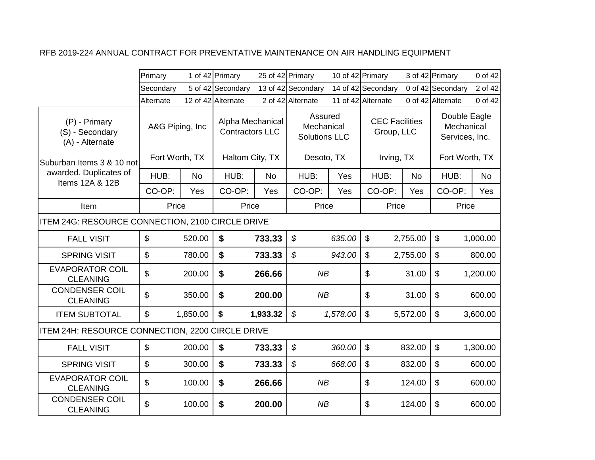|                                                     | Primary                   |          | 1 of 42 Primary                            | 25 of 42 Primary |                                               |          | 10 of 42 Primary                    |           | 3 of 42 Primary                              | 0 of 42   |
|-----------------------------------------------------|---------------------------|----------|--------------------------------------------|------------------|-----------------------------------------------|----------|-------------------------------------|-----------|----------------------------------------------|-----------|
|                                                     | Secondary                 |          | 5 of 42 Secondary                          |                  | 13 of 42 Secondary                            |          | 14 of 42 Secondary                  |           | 0 of 42 Secondary                            | 2 of 42   |
|                                                     | Alternate                 |          | 12 of 42 Alternate                         |                  | 2 of 42 Alternate                             |          | 11 of 42 Alternate                  |           | 0 of 42 Alternate                            | 0 of 42   |
| (P) - Primary<br>(S) - Secondary<br>(A) - Alternate | A&G Piping, Inc           |          | Alpha Mechanical<br><b>Contractors LLC</b> |                  | Assured<br>Mechanical<br><b>Solutions LLC</b> |          | <b>CEC Facilities</b><br>Group, LLC |           | Double Eagle<br>Mechanical<br>Services, Inc. |           |
| lSuburban Items 3 & 10 notl                         | Fort Worth, TX            |          | Haltom City, TX                            |                  | Desoto, TX                                    |          | Irving, TX                          |           | Fort Worth, TX                               |           |
| awarded. Duplicates of<br>Items 12A & 12B           | HUB:                      | No       | HUB:                                       | <b>No</b>        | HUB:                                          | Yes      | HUB:                                | <b>No</b> | HUB:                                         | <b>No</b> |
|                                                     | CO-OP:                    | Yes      | CO-OP:                                     | Yes              | CO-OP:                                        | Yes      | CO-OP:                              | Yes       | CO-OP:                                       | Yes       |
| Item                                                | Price                     |          | Price                                      |                  | Price                                         |          | Price                               |           | Price                                        |           |
| ITEM 24G: RESOURCE CONNECTION, 2100 CIRCLE DRIVE    |                           |          |                                            |                  |                                               |          |                                     |           |                                              |           |
| <b>FALL VISIT</b>                                   | $\mathfrak{S}$            | 520.00   | \$                                         | 733.33           | $\mathcal{S}$                                 | 635.00   | $\mathfrak{S}$                      | 2,755.00  | $\mathfrak{L}$                               | 1,000.00  |
| <b>SPRING VISIT</b>                                 | \$                        | 780.00   | \$                                         | 733.33           | \$                                            | 943.00   | $\boldsymbol{\mathsf{S}}$           | 2,755.00  | $\boldsymbol{\mathsf{S}}$                    | 800.00    |
| <b>EVAPORATOR COIL</b><br><b>CLEANING</b>           | \$                        | 200.00   | \$                                         | 266.66           | NB                                            |          | \$                                  | 31.00     | $\boldsymbol{\mathsf{S}}$                    | 1,200.00  |
| <b>CONDENSER COIL</b><br><b>CLEANING</b>            | \$                        | 350.00   | $\boldsymbol{\mathsf{s}}$                  | 200.00           | NB                                            |          | \$                                  | 31.00     | $\mathfrak{S}$                               | 600.00    |
| <b>ITEM SUBTOTAL</b>                                | $\mathbb{S}$              | 1,850.00 | $\boldsymbol{\mathsf{s}}$                  | 1,933.32         | $\boldsymbol{\mathcal{S}}$                    | 1,578.00 | \$                                  | 5,572.00  | $\mathfrak{S}$                               | 3,600.00  |
| ITEM 24H: RESOURCE CONNECTION, 2200 CIRCLE DRIVE    |                           |          |                                            |                  |                                               |          |                                     |           |                                              |           |
| <b>FALL VISIT</b>                                   | $\boldsymbol{\mathsf{S}}$ | 200.00   | \$                                         | 733.33           | \$                                            | 360.00   | $\boldsymbol{\mathsf{S}}$           | 832.00    | $\boldsymbol{\mathsf{S}}$                    | 1,300.00  |
| <b>SPRING VISIT</b>                                 | \$                        | 300.00   | \$                                         | 733.33           | \$                                            | 668.00   | $\boldsymbol{\mathsf{S}}$           | 832.00    | $\boldsymbol{\mathsf{S}}$                    | 600.00    |
| <b>EVAPORATOR COIL</b><br><b>CLEANING</b>           | $\mathfrak{L}$            | 100.00   | \$                                         | 266.66           | NB                                            |          | \$                                  | 124.00    | $\boldsymbol{\mathsf{S}}$                    | 600.00    |
| <b>CONDENSER COIL</b><br><b>CLEANING</b>            | \$                        | 100.00   | \$                                         | 200.00           | NB                                            |          | \$                                  | 124.00    | \$                                           | 600.00    |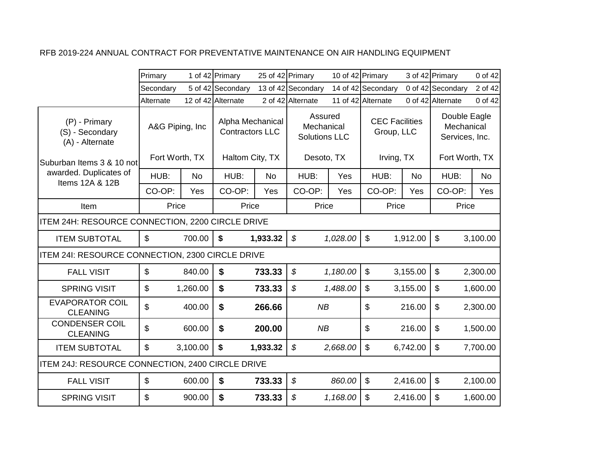|                                                     | Primary                   |           | 1 of 42 Primary                            | 25 of 42 Primary |                                               | 10 of 42 Primary |                                     |           | 3 of 42 Primary                              | 0 of 42   |
|-----------------------------------------------------|---------------------------|-----------|--------------------------------------------|------------------|-----------------------------------------------|------------------|-------------------------------------|-----------|----------------------------------------------|-----------|
|                                                     | Secondary                 |           | 5 of 42 Secondary                          |                  | 13 of 42 Secondary                            |                  | 14 of 42 Secondary                  |           | 0 of 42 Secondary                            | 2 of 42   |
|                                                     | Alternate                 |           | 12 of 42 Alternate                         |                  | 2 of 42 Alternate                             |                  | 11 of 42 Alternate                  |           | 0 of 42 Alternate                            | 0 of 42   |
| (P) - Primary<br>(S) - Secondary<br>(A) - Alternate | A&G Piping, Inc           |           | Alpha Mechanical<br><b>Contractors LLC</b> |                  | Assured<br>Mechanical<br><b>Solutions LLC</b> |                  | <b>CEC Facilities</b><br>Group, LLC |           | Double Eagle<br>Mechanical<br>Services, Inc. |           |
| Suburban Items 3 & 10 not                           | Fort Worth, TX            |           | Haltom City, TX                            |                  | Desoto, TX                                    |                  | Irving, TX                          |           | Fort Worth, TX                               |           |
| awarded. Duplicates of<br>Items 12A & 12B           | HUB:                      | <b>No</b> | HUB:                                       | <b>No</b>        | HUB:                                          | Yes              | HUB:                                | <b>No</b> | HUB:                                         | <b>No</b> |
|                                                     | CO-OP:                    | Yes       | CO-OP:                                     | Yes              | CO-OP:                                        | Yes              | CO-OP:                              | Yes       | CO-OP:                                       | Yes       |
| Item                                                | Price                     |           | Price                                      |                  | Price                                         |                  | Price                               |           | Price                                        |           |
| ITEM 24H: RESOURCE CONNECTION, 2200 CIRCLE DRIVE    |                           |           |                                            |                  |                                               |                  |                                     |           |                                              |           |
| <b>ITEM SUBTOTAL</b>                                | $\mathfrak{L}$            | 700.00    | \$                                         | 1,933.32         | $\boldsymbol{\mathcal{S}}$                    | 1,028.00         | $\mathbb{S}$                        | 1,912.00  | $\mathbb{S}$                                 | 3,100.00  |
| ITEM 241: RESOURCE CONNECTION, 2300 CIRCLE DRIVE    |                           |           |                                            |                  |                                               |                  |                                     |           |                                              |           |
| <b>FALL VISIT</b>                                   | $\mathbb{S}$              | 840.00    | $\boldsymbol{\mathsf{s}}$                  | 733.33           | $\boldsymbol{\mathcal{S}}$                    | 1,180.00         | $\mathfrak{S}$                      | 3,155.00  | $\mathfrak{S}$                               | 2,300.00  |
| <b>SPRING VISIT</b>                                 | $\mathfrak{L}$            | 1,260.00  | $\boldsymbol{\mathsf{s}}$                  | 733.33           | $\boldsymbol{\mathcal{S}}$                    | 1,488.00         | $\mathfrak{L}$                      | 3,155.00  | $\mathfrak{L}$                               | 1,600.00  |
| <b>EVAPORATOR COIL</b><br><b>CLEANING</b>           | \$                        | 400.00    | \$                                         | 266.66           | <b>NB</b>                                     |                  | \$                                  | 216.00    | \$                                           | 2,300.00  |
| <b>CONDENSER COIL</b><br><b>CLEANING</b>            | \$                        | 600.00    | \$                                         | 200.00           | NB                                            |                  | \$                                  | 216.00    | \$                                           | 1,500.00  |
| <b>ITEM SUBTOTAL</b>                                | $\mathbf{\$}$             | 3,100.00  | \$                                         | 1,933.32         | $\boldsymbol{\mathcal{S}}$                    | 2,668.00         | $\boldsymbol{\mathsf{S}}$           | 6,742.00  | \$                                           | 7,700.00  |
| ITEM 24J: RESOURCE CONNECTION, 2400 CIRCLE DRIVE    |                           |           |                                            |                  |                                               |                  |                                     |           |                                              |           |
| <b>FALL VISIT</b>                                   | $\boldsymbol{\mathsf{s}}$ | 600.00    | $\boldsymbol{\mathsf{s}}$                  | 733.33           | \$                                            | 860.00           | $\mathfrak{S}$                      | 2,416.00  | $\boldsymbol{\mathsf{S}}$                    | 2,100.00  |
| <b>SPRING VISIT</b>                                 | \$                        | 900.00    | \$                                         | 733.33           | \$                                            | 1,168.00         | $\mathfrak{S}$                      | 2,416.00  | \$                                           | 1,600.00  |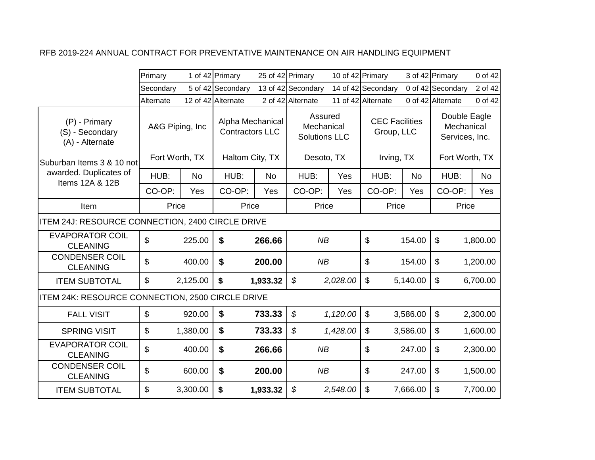|                                                     | Primary                   |          | 1 of 42 Primary                            |           | 25 of 42 Primary                              | 10 of 42 Primary |                                     |           | 3 of 42 Primary                              | 0 of 42   |
|-----------------------------------------------------|---------------------------|----------|--------------------------------------------|-----------|-----------------------------------------------|------------------|-------------------------------------|-----------|----------------------------------------------|-----------|
|                                                     | Secondary                 |          | 5 of 42 Secondary                          |           | 13 of 42 Secondary                            |                  | 14 of 42 Secondary                  |           | 0 of 42 Secondary                            | 2 of 42   |
|                                                     | Alternate                 |          | 12 of 42 Alternate                         |           | 2 of 42 Alternate                             |                  | 11 of 42 Alternate                  |           | 0 of 42 Alternate                            | 0 of 42   |
| (P) - Primary<br>(S) - Secondary<br>(A) - Alternate | A&G Piping, Inc           |          | Alpha Mechanical<br><b>Contractors LLC</b> |           | Assured<br>Mechanical<br><b>Solutions LLC</b> |                  | <b>CEC Facilities</b><br>Group, LLC |           | Double Eagle<br>Mechanical<br>Services, Inc. |           |
| Suburban Items 3 & 10 not                           | Fort Worth, TX            |          | Haltom City, TX                            |           | Desoto, TX                                    |                  | Irving, TX                          |           | Fort Worth, TX                               |           |
| awarded. Duplicates of<br>Items 12A & 12B           | HUB:                      | No       | HUB:                                       | <b>No</b> | HUB:                                          | Yes              | HUB:                                | <b>No</b> | HUB:                                         | <b>No</b> |
|                                                     | CO-OP:                    | Yes      | CO-OP:                                     | Yes       | CO-OP:                                        | Yes              | CO-OP:                              | Yes       | CO-OP:                                       | Yes       |
| Item                                                | Price                     |          | Price                                      |           | Price                                         |                  | Price                               |           | Price                                        |           |
| ITEM 24J: RESOURCE CONNECTION, 2400 CIRCLE DRIVE    |                           |          |                                            |           |                                               |                  |                                     |           |                                              |           |
| <b>EVAPORATOR COIL</b><br><b>CLEANING</b>           | $\mathfrak{L}$            | 225.00   | \$                                         | 266.66    | NB                                            |                  | \$                                  | 154.00    | $\boldsymbol{\mathsf{s}}$                    | 1,800.00  |
| <b>CONDENSER COIL</b><br><b>CLEANING</b>            | \$                        | 400.00   | \$                                         | 200.00    | NB                                            |                  | \$                                  | 154.00    | $\boldsymbol{\mathsf{S}}$                    | 1,200.00  |
| <b>ITEM SUBTOTAL</b>                                | $\mathbb{S}$              | 2,125.00 | $\boldsymbol{\mathsf{s}}$                  | 1,933.32  | $\boldsymbol{\mathcal{S}}$                    | 2,028.00         | $\mathfrak{S}$                      | 5,140.00  | $\mathfrak{S}$                               | 6,700.00  |
| ITEM 24K: RESOURCE CONNECTION, 2500 CIRCLE DRIVE    |                           |          |                                            |           |                                               |                  |                                     |           |                                              |           |
| <b>FALL VISIT</b>                                   | $\boldsymbol{\mathsf{S}}$ | 920.00   | \$                                         | 733.33    | $\boldsymbol{\mathcal{S}}$                    | 1,120.00         | $\boldsymbol{\mathsf{S}}$           | 3,586.00  | $\mathfrak{S}$                               | 2,300.00  |
| <b>SPRING VISIT</b>                                 | $\mathfrak{L}$            | 1,380.00 | $\boldsymbol{\$}$                          | 733.33    | \$                                            | 1,428.00         | \$                                  | 3,586.00  | $\mathfrak{S}$                               | 1,600.00  |
| <b>EVAPORATOR COIL</b><br><b>CLEANING</b>           | \$                        | 400.00   | \$                                         | 266.66    | NB                                            |                  | \$                                  | 247.00    | \$                                           | 2,300.00  |
| <b>CONDENSER COIL</b><br><b>CLEANING</b>            | \$                        | 600.00   | \$                                         | 200.00    | NB                                            |                  | \$                                  | 247.00    | $\mathfrak{S}$                               | 1,500.00  |
| <b>ITEM SUBTOTAL</b>                                | \$                        | 3,300.00 | $\boldsymbol{\mathsf{s}}$                  | 1,933.32  | $\boldsymbol{\mathcal{S}}$                    | 2,548.00         | \$                                  | 7,666.00  | \$                                           | 7,700.00  |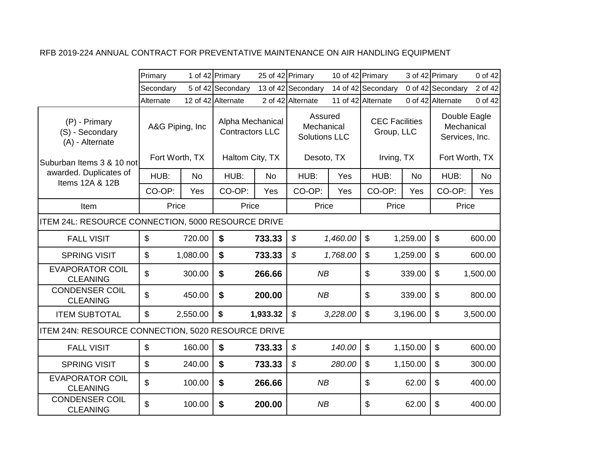|                                                     | Primary                           |          | 1 of 42 Primary                                               | 25 of 42 Primary |                                                             | 10 of 42 Primary |                                                   |          | 3 of 42 Primary                                                | 0 of 42   |
|-----------------------------------------------------|-----------------------------------|----------|---------------------------------------------------------------|------------------|-------------------------------------------------------------|------------------|---------------------------------------------------|----------|----------------------------------------------------------------|-----------|
|                                                     | Secondary                         |          | 5 of 42 Secondary                                             |                  | 13 of 42 Secondary                                          |                  | 14 of 42 Secondary                                |          | 0 of 42 Secondary                                              | 2 of 42   |
|                                                     | Alternate                         |          | 12 of 42 Alternate                                            |                  | 2 of 42 Alternate                                           |                  | 11 of 42 Alternate                                |          | 0 of 42 Alternate                                              | 0 of 42   |
| (P) - Primary<br>(S) - Secondary<br>(A) - Alternate | A&G Piping, Inc<br>Fort Worth, TX |          | Alpha Mechanical<br><b>Contractors LLC</b><br>Haltom City, TX |                  | Assured<br>Mechanical<br><b>Solutions LLC</b><br>Desoto, TX |                  | <b>CEC Facilities</b><br>Group, LLC<br>Irving, TX |          | Double Eagle<br>Mechanical<br>Services, Inc.<br>Fort Worth, TX |           |
| lSuburban Items 3 & 10 notl                         |                                   |          |                                                               |                  |                                                             |                  |                                                   |          |                                                                |           |
| awarded. Duplicates of<br>Items 12A & 12B           | HUB:                              | No       | HUB:                                                          | <b>No</b>        | HUB:                                                        | Yes              | HUB:                                              | No       | HUB:                                                           | <b>No</b> |
|                                                     | CO-OP:                            | Yes      | CO-OP:                                                        | Yes              | CO-OP:                                                      | Yes              | CO-OP:                                            | Yes      | CO-OP:                                                         | Yes       |
| Item                                                | Price                             |          | Price                                                         |                  | Price                                                       |                  | Price                                             |          | Price                                                          |           |
| ITEM 24L: RESOURCE CONNECTION, 5000 RESOURCE DRIVE  |                                   |          |                                                               |                  |                                                             |                  |                                                   |          |                                                                |           |
| <b>FALL VISIT</b>                                   | $\mathfrak{S}$                    | 720.00   | \$                                                            | 733.33           | $\mathcal{S}$                                               | 1,460.00         | $\mathbb{S}$                                      | 1,259.00 | $\mathfrak{L}$                                                 | 600.00    |
| <b>SPRING VISIT</b>                                 | $\boldsymbol{\mathsf{S}}$         | 1,080.00 | \$                                                            | 733.33           | \$                                                          | 1,768.00         | \$                                                | 1,259.00 | $\boldsymbol{\mathsf{S}}$                                      | 600.00    |
| <b>EVAPORATOR COIL</b><br><b>CLEANING</b>           | \$                                | 300.00   | \$                                                            | 266.66           | NB                                                          |                  | \$                                                | 339.00   | $\boldsymbol{\mathsf{\$}}$                                     | 1,500.00  |
| <b>CONDENSER COIL</b><br><b>CLEANING</b>            | \$                                | 450.00   | $\boldsymbol{\mathsf{s}}$                                     | 200.00           | NB                                                          |                  | \$                                                | 339.00   | $\mathfrak{F}$                                                 | 800.00    |
| <b>ITEM SUBTOTAL</b>                                | $\mathbb{S}$                      | 2,550.00 | $\boldsymbol{\mathsf{s}}$                                     | 1,933.32         | $\mathcal{S}$                                               | 3,228.00         | $\mathfrak{S}$                                    | 3,196.00 | $\mathfrak{L}$                                                 | 3,500.00  |
| ITEM 24N: RESOURCE CONNECTION, 5020 RESOURCE DRIVE  |                                   |          |                                                               |                  |                                                             |                  |                                                   |          |                                                                |           |
| <b>FALL VISIT</b>                                   | $\boldsymbol{\mathsf{S}}$         | 160.00   | \$                                                            | 733.33           | $\boldsymbol{\mathcal{S}}$                                  | 140.00           | $\boldsymbol{\mathsf{S}}$                         | 1,150.00 | $\boldsymbol{\mathsf{S}}$                                      | 600.00    |
| <b>SPRING VISIT</b>                                 | $\boldsymbol{\mathsf{S}}$         | 240.00   | \$                                                            | 733.33           | $\boldsymbol{\mathcal{S}}$                                  | 280.00           | $\boldsymbol{\mathsf{S}}$                         | 1,150.00 | $\boldsymbol{\mathsf{S}}$                                      | 300.00    |
| <b>EVAPORATOR COIL</b><br><b>CLEANING</b>           | \$                                | 100.00   | \$                                                            | 266.66           | NB                                                          |                  | \$                                                | 62.00    | $\sqrt[6]{\frac{1}{2}}$<br>400.00                              |           |
| <b>CONDENSER COIL</b><br><b>CLEANING</b>            | \$                                | 100.00   | \$                                                            | 200.00           | NB                                                          |                  | \$                                                | 62.00    | $\boldsymbol{\mathsf{\$}}$                                     | 400.00    |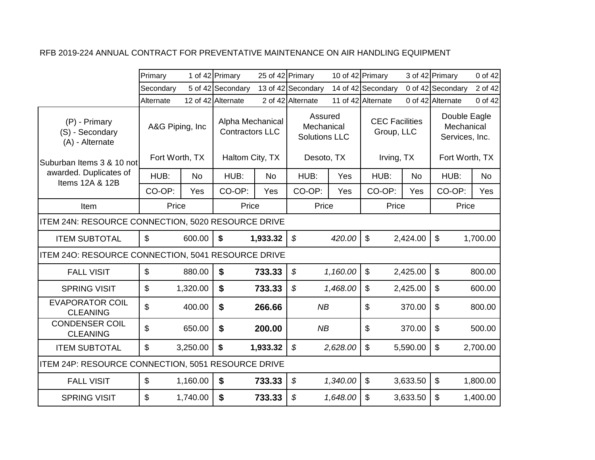|                                                     | Primary                   |           | 1 of 42 Primary                            | 25 of 42 Primary |                                               | 10 of 42 Primary |                                     |           | 3 of 42 Primary                              | 0 of 42  |
|-----------------------------------------------------|---------------------------|-----------|--------------------------------------------|------------------|-----------------------------------------------|------------------|-------------------------------------|-----------|----------------------------------------------|----------|
|                                                     | Secondary                 |           | 5 of 42 Secondary                          |                  | 13 of 42 Secondary                            |                  | 14 of 42 Secondary                  |           | 0 of 42 Secondary                            | 2 of 42  |
|                                                     | Alternate                 |           | 12 of 42 Alternate                         |                  | 2 of 42 Alternate                             |                  | 11 of 42 Alternate                  |           | 0 of 42 Alternate                            | 0 of 42  |
| (P) - Primary<br>(S) - Secondary<br>(A) - Alternate | A&G Piping, Inc           |           | Alpha Mechanical<br><b>Contractors LLC</b> |                  | Assured<br>Mechanical<br><b>Solutions LLC</b> |                  | <b>CEC Facilities</b><br>Group, LLC |           | Double Eagle<br>Mechanical<br>Services, Inc. |          |
| Suburban Items 3 & 10 not                           | Fort Worth, TX            |           | Haltom City, TX                            |                  | Desoto, TX                                    |                  | Irving, TX                          |           | Fort Worth, TX                               |          |
| awarded. Duplicates of<br>Items 12A & 12B           | HUB:                      | <b>No</b> | HUB:                                       | <b>No</b>        | HUB:                                          | Yes              | HUB:                                | <b>No</b> | HUB:                                         | No       |
|                                                     | CO-OP:                    | Yes       | CO-OP:                                     | Yes              | CO-OP:                                        | Yes              | CO-OP:                              | Yes       | CO-OP:                                       | Yes      |
| Item                                                | Price                     |           | Price                                      |                  | Price                                         |                  | Price                               |           | Price                                        |          |
| ITEM 24N: RESOURCE CONNECTION, 5020 RESOURCE DRIVE  |                           |           |                                            |                  |                                               |                  |                                     |           |                                              |          |
| <b>ITEM SUBTOTAL</b>                                | $\mathfrak{L}$            | 600.00    | \$                                         | 1,933.32         | $\boldsymbol{\mathcal{S}}$                    | 420.00           | $\mathfrak{S}$                      | 2,424.00  | $\mathfrak{S}$                               | 1,700.00 |
| ITEM 240: RESOURCE CONNECTION, 5041 RESOURCE DRIVE  |                           |           |                                            |                  |                                               |                  |                                     |           |                                              |          |
| <b>FALL VISIT</b>                                   | $\boldsymbol{\mathsf{S}}$ | 880.00    | $\boldsymbol{\$}$                          | 733.33           | $\boldsymbol{\mathcal{S}}$                    | 1,160.00         | $\boldsymbol{\mathsf{S}}$           | 2,425.00  | \$                                           | 800.00   |
| <b>SPRING VISIT</b>                                 | $\mathfrak{L}$            | 1,320.00  | \$                                         | 733.33           | $\boldsymbol{\mathcal{S}}$                    | 1,468.00         | $\mathfrak{S}$                      | 2,425.00  | \$                                           | 600.00   |
| <b>EVAPORATOR COIL</b><br><b>CLEANING</b>           | $\mathfrak{L}$            | 400.00    | $\boldsymbol{\mathsf{s}}$                  | 266.66           | NB                                            |                  | \$                                  | 370.00    | \$                                           | 800.00   |
| <b>CONDENSER COIL</b><br><b>CLEANING</b>            | \$                        | 650.00    | \$                                         | 200.00           | NB                                            |                  | \$                                  | 370.00    | \$                                           | 500.00   |
| <b>ITEM SUBTOTAL</b>                                | $\boldsymbol{\mathsf{S}}$ | 3,250.00  | \$                                         | 1,933.32         | \$                                            | 2,628.00         | $\boldsymbol{\mathsf{S}}$           | 5,590.00  | \$                                           | 2,700.00 |
| ITEM 24P: RESOURCE CONNECTION, 5051 RESOURCE DRIVE  |                           |           |                                            |                  |                                               |                  |                                     |           |                                              |          |
| <b>FALL VISIT</b>                                   | $\boldsymbol{\mathsf{s}}$ | 1,160.00  | $\boldsymbol{\mathsf{s}}$                  | 733.33           | \$                                            | 1,340.00         | $\boldsymbol{\mathsf{S}}$           | 3,633.50  | $\boldsymbol{\mathsf{S}}$                    | 1,800.00 |
| <b>SPRING VISIT</b>                                 | $\mathbf{\$}$             | 1,740.00  | \$                                         | 733.33           | \$                                            | 1,648.00         | \$                                  | 3,633.50  | \$                                           | 1,400.00 |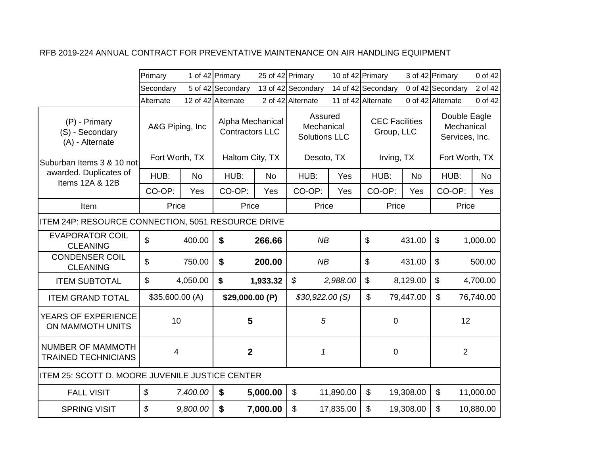|                                                        | Primary                    |           | 1 of 42 Primary                            | 25 of 42 Primary |                                               |           | 10 of 42 Primary                    |           | 3 of 42 Primary                              | 0 of 42   |
|--------------------------------------------------------|----------------------------|-----------|--------------------------------------------|------------------|-----------------------------------------------|-----------|-------------------------------------|-----------|----------------------------------------------|-----------|
|                                                        | Secondary                  |           | 5 of 42 Secondary                          |                  | 13 of 42 Secondary                            |           | 14 of 42 Secondary                  |           | 0 of 42 Secondary                            | 2 of 42   |
|                                                        | Alternate                  |           | 12 of 42 Alternate                         |                  | 2 of 42 Alternate                             |           | 11 of 42 Alternate                  |           | 0 of 42 Alternate                            | 0 of 42   |
| (P) - Primary<br>(S) - Secondary<br>(A) - Alternate    | A&G Piping, Inc.           |           | Alpha Mechanical<br><b>Contractors LLC</b> |                  | Assured<br>Mechanical<br><b>Solutions LLC</b> |           | <b>CEC Facilities</b><br>Group, LLC |           | Double Eagle<br>Mechanical<br>Services, Inc. |           |
| lSuburban Items 3 & 10 notl                            | Fort Worth, TX             |           | Haltom City, TX                            |                  | Desoto, TX                                    |           | Irving, TX                          |           | Fort Worth, TX                               |           |
| awarded. Duplicates of<br>Items 12A & 12B              | HUB:                       | <b>No</b> | HUB:                                       | <b>No</b>        | HUB:                                          | Yes       | HUB:                                | <b>No</b> | HUB:                                         | <b>No</b> |
|                                                        | CO-OP:                     | Yes       | CO-OP:                                     | Yes              | CO-OP:                                        | Yes       | CO-OP:                              | Yes       | CO-OP:                                       | Yes       |
| Item                                                   | Price                      |           | Price                                      |                  | Price                                         |           | Price                               |           | Price                                        |           |
| ITEM 24P: RESOURCE CONNECTION, 5051 RESOURCE DRIVE     |                            |           |                                            |                  |                                               |           |                                     |           |                                              |           |
| <b>EVAPORATOR COIL</b><br><b>CLEANING</b>              | $\mathfrak{L}$             | 400.00    | \$                                         | 266.66           | NB                                            |           | \$                                  | 431.00    | $\mathfrak{F}$                               | 1,000.00  |
| <b>CONDENSER COIL</b><br><b>CLEANING</b>               | \$                         | 750.00    | \$                                         | 200.00           | NB                                            |           | \$                                  | 431.00    | $\boldsymbol{\mathsf{\$}}$                   | 500.00    |
| <b>ITEM SUBTOTAL</b>                                   | $\boldsymbol{\mathsf{S}}$  | 4,050.00  | \$                                         | 1,933.32         | $\boldsymbol{\mathcal{S}}$                    | 2,988.00  | $\boldsymbol{\mathsf{S}}$           | 8,129.00  | $\boldsymbol{\mathsf{S}}$                    | 4,700.00  |
| <b>ITEM GRAND TOTAL</b>                                | \$35,600.00 (A)            |           | \$29,000.00 (P)                            |                  | \$30,922.00(S)                                |           | \$                                  | 79,447.00 | $\boldsymbol{\mathsf{S}}$                    | 76,740.00 |
| YEARS OF EXPERIENCE<br>ON MAMMOTH UNITS                | 10                         |           | 5                                          |                  | 5                                             |           | $\mathbf 0$                         |           | 12                                           |           |
| <b>NUMBER OF MAMMOTH</b><br><b>TRAINED TECHNICIANS</b> | 4                          |           | $\mathbf{2}$                               |                  | 1                                             |           | $\mathbf 0$                         |           | $\overline{2}$                               |           |
| ITEM 25: SCOTT D. MOORE JUVENILE JUSTICE CENTER        |                            |           |                                            |                  |                                               |           |                                     |           |                                              |           |
| <b>FALL VISIT</b>                                      | $\boldsymbol{\mathcal{S}}$ | 7,400.00  | \$                                         | 5,000.00         | $\boldsymbol{\mathsf{S}}$                     | 11,890.00 | $\mathbb{S}$                        | 19,308.00 | $\mathfrak{S}$                               | 11,000.00 |
| <b>SPRING VISIT</b>                                    | $\boldsymbol{\mathcal{S}}$ | 9,800.00  | \$                                         | 7,000.00         | \$                                            | 17,835.00 | \$                                  | 19,308.00 | $\boldsymbol{\mathsf{S}}$                    | 10,880.00 |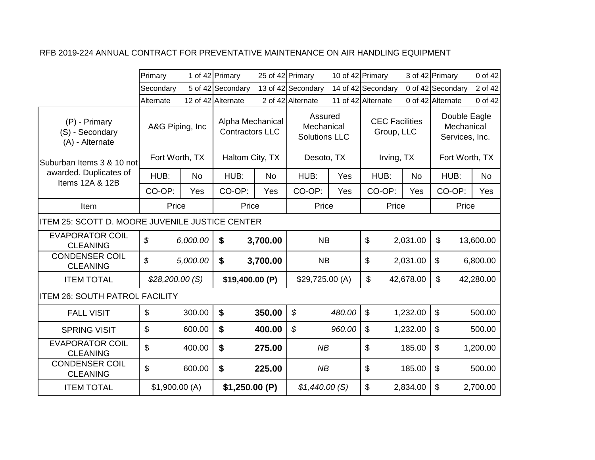|                                                     | Primary                            |           | 1 of 42 Primary                                               | 25 of 42 Primary |                                                             | 10 of 42 Primary |                                                   |           | 3 of 42 Primary                                                | 0 of 42   |
|-----------------------------------------------------|------------------------------------|-----------|---------------------------------------------------------------|------------------|-------------------------------------------------------------|------------------|---------------------------------------------------|-----------|----------------------------------------------------------------|-----------|
|                                                     | Secondary                          |           | 5 of 42 Secondary                                             |                  | 13 of 42 Secondary                                          |                  | 14 of 42 Secondary                                |           | 0 of 42 Secondary                                              | 2 of 42   |
|                                                     | Alternate                          |           | 12 of 42 Alternate                                            |                  | 2 of 42 Alternate                                           |                  | 11 of 42 Alternate                                |           | 0 of 42 Alternate                                              | 0 of 42   |
| (P) - Primary<br>(S) - Secondary<br>(A) - Alternate | A&G Piping, Inc.<br>Fort Worth, TX |           | Alpha Mechanical<br><b>Contractors LLC</b><br>Haltom City, TX |                  | Assured<br>Mechanical<br><b>Solutions LLC</b><br>Desoto, TX |                  | <b>CEC Facilities</b><br>Group, LLC<br>Irving, TX |           | Double Eagle<br>Mechanical<br>Services, Inc.<br>Fort Worth, TX |           |
| Suburban Items 3 & 10 not<br>awarded. Duplicates of |                                    |           |                                                               |                  |                                                             |                  |                                                   |           |                                                                |           |
| Items 12A & 12B                                     | HUB:                               | <b>No</b> | HUB:                                                          | <b>No</b>        | HUB:                                                        | Yes              | HUB:                                              | <b>No</b> | HUB:                                                           | No        |
|                                                     | CO-OP:                             | Yes       | CO-OP:                                                        | Yes              | CO-OP:                                                      | Yes              | CO-OP:                                            | Yes       | CO-OP:                                                         | Yes       |
| Item                                                | Price                              |           | Price                                                         |                  | Price                                                       |                  | Price                                             |           | Price                                                          |           |
| ITEM 25: SCOTT D. MOORE JUVENILE JUSTICE CENTER     |                                    |           |                                                               |                  |                                                             |                  |                                                   |           |                                                                |           |
| <b>EVAPORATOR COIL</b><br><b>CLEANING</b>           | $\mathcal{S}$                      | 6,000.00  | \$                                                            | 3,700.00         | <b>NB</b>                                                   |                  | \$                                                | 2,031.00  | \$                                                             | 13,600.00 |
| <b>CONDENSER COIL</b><br><b>CLEANING</b>            | $\mathcal{S}$                      | 5,000.00  | \$                                                            | 3,700.00         | <b>NB</b>                                                   |                  | \$                                                | 2,031.00  | $\boldsymbol{\mathsf{S}}$                                      | 6,800.00  |
| <b>ITEM TOTAL</b>                                   | \$28,200.00(S)                     |           | \$19,400.00 (P)                                               |                  | \$29,725.00 (A)                                             |                  | \$                                                | 42,678.00 | \$                                                             | 42,280.00 |
| <b>ITEM 26: SOUTH PATROL FACILITY</b>               |                                    |           |                                                               |                  |                                                             |                  |                                                   |           |                                                                |           |
| <b>FALL VISIT</b>                                   | $\boldsymbol{\mathsf{S}}$          | 300.00    | \$                                                            | 350.00           | $\boldsymbol{\mathcal{S}}$                                  | 480.00           | $\boldsymbol{\mathsf{S}}$                         | 1,232.00  | $\mathfrak{S}$                                                 | 500.00    |
| <b>SPRING VISIT</b>                                 | $\mathfrak{S}$                     | 600.00    | $\boldsymbol{\$}$                                             | 400.00           | $\boldsymbol{\mathcal{S}}$                                  | 960.00           | $\mathfrak{S}$                                    | 1,232.00  | $\mathfrak{L}$                                                 | 500.00    |
| <b>EVAPORATOR COIL</b><br><b>CLEANING</b>           | $\mathfrak{L}$                     | 400.00    | \$                                                            | 275.00           | NB                                                          |                  | \$                                                | 185.00    | $\boldsymbol{\mathsf{S}}$<br>1,200.00                          |           |
| <b>CONDENSER COIL</b><br><b>CLEANING</b>            | \$                                 | 600.00    | \$                                                            | 225.00           | NB                                                          |                  | \$                                                | 185.00    | $\mathfrak{F}$                                                 | 500.00    |
| <b>ITEM TOTAL</b>                                   | \$1,900.00(A)                      |           | \$1,250.00(P)                                                 |                  | \$1,440.00(S)                                               |                  | \$                                                | 2,834.00  | $\mathfrak{S}$                                                 | 2,700.00  |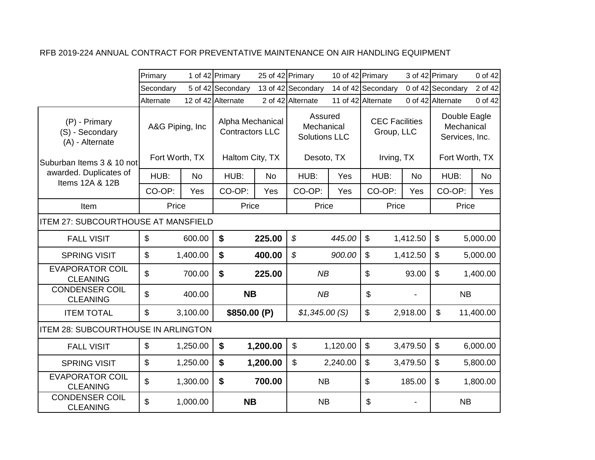|                                                     | Primary                   |           | 1 of 42 Primary                            | 25 of 42 Primary |                                               | 10 of 42 Primary |                                     |           | 3 of 42 Primary                              | 0 of 42   |
|-----------------------------------------------------|---------------------------|-----------|--------------------------------------------|------------------|-----------------------------------------------|------------------|-------------------------------------|-----------|----------------------------------------------|-----------|
|                                                     | Secondary                 |           | 5 of 42 Secondary                          |                  | 13 of 42 Secondary                            |                  | 14 of 42 Secondary                  |           | 0 of 42 Secondary                            | 2 of 42   |
|                                                     | Alternate                 |           | 12 of 42 Alternate                         |                  | 2 of 42 Alternate                             |                  | 11 of 42 Alternate                  |           | 0 of 42 Alternate                            | 0 of 42   |
| (P) - Primary<br>(S) - Secondary<br>(A) - Alternate | A&G Piping, Inc           |           | Alpha Mechanical<br><b>Contractors LLC</b> |                  | Assured<br>Mechanical<br><b>Solutions LLC</b> |                  | <b>CEC Facilities</b><br>Group, LLC |           | Double Eagle<br>Mechanical<br>Services, Inc. |           |
| Suburban Items 3 & 10 not                           | Fort Worth, TX            |           | Haltom City, TX                            |                  | Desoto, TX                                    |                  | Irving, TX                          |           | Fort Worth, TX                               |           |
| awarded. Duplicates of<br>Items 12A & 12B           | HUB:                      | <b>No</b> | HUB:                                       | <b>No</b>        | HUB:                                          | Yes              | HUB:                                | <b>No</b> | HUB:                                         | <b>No</b> |
|                                                     | CO-OP:                    | Yes       | CO-OP:                                     | Yes              | CO-OP:                                        | Yes              | CO-OP:                              | Yes       | CO-OP:                                       | Yes       |
| Item                                                | Price                     |           | Price                                      |                  | Price                                         |                  | Price                               |           | Price                                        |           |
| <b>ITEM 27: SUBCOURTHOUSE AT MANSFIELD</b>          |                           |           |                                            |                  |                                               |                  |                                     |           |                                              |           |
| <b>FALL VISIT</b>                                   | $\boldsymbol{\mathsf{S}}$ | 600.00    | $\boldsymbol{\mathsf{s}}$                  | 225.00           | $\boldsymbol{\mathcal{S}}$                    | 445.00           | $\boldsymbol{\mathsf{S}}$           | 1,412.50  | $\mathfrak{S}$                               | 5,000.00  |
| <b>SPRING VISIT</b>                                 | \$                        | 1,400.00  | \$                                         | 400.00           | \$                                            | 900.00           | \$                                  | 1,412.50  | $\mathfrak{S}$                               | 5,000.00  |
| <b>EVAPORATOR COIL</b><br><b>CLEANING</b>           | \$                        | 700.00    | \$                                         | 225.00           | NB                                            |                  | \$                                  | 93.00     | $\mathfrak{L}$                               | 1,400.00  |
| <b>CONDENSER COIL</b><br><b>CLEANING</b>            | \$                        | 400.00    | <b>NB</b>                                  |                  | NB                                            |                  | \$                                  |           | <b>NB</b>                                    |           |
| <b>ITEM TOTAL</b>                                   | $\mathfrak{S}$            | 3,100.00  | \$850.00 (P)                               |                  | \$1,345.00(S)                                 |                  | \$                                  | 2,918.00  | \$                                           | 11,400.00 |
| <b>ITEM 28: SUBCOURTHOUSE IN ARLINGTON</b>          |                           |           |                                            |                  |                                               |                  |                                     |           |                                              |           |
| <b>FALL VISIT</b>                                   | \$                        | 1,250.00  | \$                                         | 1,200.00         | \$                                            | 1,120.00         | \$                                  | 3,479.50  | $\mathfrak{S}$                               | 6,000.00  |
| <b>SPRING VISIT</b>                                 | $\mathfrak{S}$            | 1,250.00  | \$                                         | 1,200.00         | \$                                            | 2,240.00         | $\mathfrak{S}$                      | 3,479.50  | $\mathfrak{S}$                               | 5,800.00  |
| <b>EVAPORATOR COIL</b><br><b>CLEANING</b>           | \$                        | 1,300.00  | \$                                         | 700.00           | <b>NB</b>                                     |                  | \$                                  | 185.00    | $\boldsymbol{\mathsf{S}}$                    | 1,800.00  |
| <b>CONDENSER COIL</b><br><b>CLEANING</b>            | \$                        | 1,000.00  | <b>NB</b>                                  |                  | <b>NB</b>                                     |                  | \$                                  |           | <b>NB</b>                                    |           |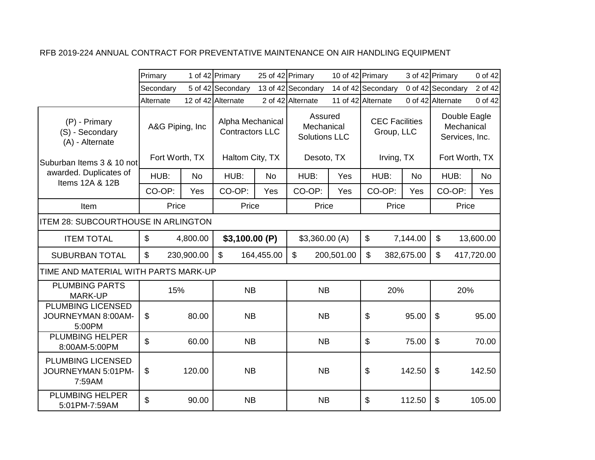|                                                          | Primary         |            | 1 of 42 Primary                            |            | 25 of 42 Primary                              | 10 of 42 Primary |                                     |            | 3 of 42 Primary                              | 0 of 42    |
|----------------------------------------------------------|-----------------|------------|--------------------------------------------|------------|-----------------------------------------------|------------------|-------------------------------------|------------|----------------------------------------------|------------|
|                                                          | Secondary       |            | 5 of 42 Secondary                          |            | 13 of 42 Secondary                            |                  | 14 of 42 Secondary                  |            | 0 of 42 Secondary                            | 2 of 42    |
|                                                          | Alternate       |            | 12 of 42 Alternate                         |            | 2 of 42 Alternate                             |                  | 11 of 42 Alternate                  |            | 0 of 42 Alternate                            | 0 of 42    |
| (P) - Primary<br>(S) - Secondary<br>(A) - Alternate      | A&G Piping, Inc |            | Alpha Mechanical<br><b>Contractors LLC</b> |            | Assured<br>Mechanical<br><b>Solutions LLC</b> |                  | <b>CEC Facilities</b><br>Group, LLC |            | Double Eagle<br>Mechanical<br>Services, Inc. |            |
| Suburban Items 3 & 10 not                                | Fort Worth, TX  |            | Haltom City, TX                            |            | Desoto, TX                                    |                  | Irving, TX                          |            | Fort Worth, TX                               |            |
| awarded. Duplicates of<br>Items 12A & 12B                | HUB:            | <b>No</b>  | HUB:                                       | <b>No</b>  | HUB:                                          | Yes              | HUB:                                | <b>No</b>  | HUB:                                         | No.        |
|                                                          | CO-OP:          | Yes        | CO-OP:                                     | Yes        | CO-OP:                                        | Yes              | CO-OP:                              | Yes        | CO-OP:                                       | Yes        |
| Item                                                     | Price           |            | Price                                      |            | Price                                         |                  | Price                               |            | Price                                        |            |
| <b>ITEM 28: SUBCOURTHOUSE IN ARLINGTON</b>               |                 |            |                                            |            |                                               |                  |                                     |            |                                              |            |
| <b>ITEM TOTAL</b>                                        | \$              | 4,800.00   | \$3,100.00 (P)                             |            | \$3,360.00(A)                                 |                  | $\boldsymbol{\mathsf{S}}$           | 7,144.00   | $\boldsymbol{\mathsf{S}}$                    | 13,600.00  |
| <b>SUBURBAN TOTAL</b>                                    | \$              | 230,900.00 | $\mathfrak{S}$                             | 164,455.00 | $\mathfrak{S}$                                | 200,501.00       | $\boldsymbol{\mathsf{S}}$           | 382,675.00 | $\mathfrak{S}$                               | 417,720.00 |
| TIME AND MATERIAL WITH PARTS MARK-UP                     |                 |            |                                            |            |                                               |                  |                                     |            |                                              |            |
| <b>PLUMBING PARTS</b><br><b>MARK-UP</b>                  | 15%             |            | <b>NB</b>                                  |            | <b>NB</b>                                     |                  | 20%                                 |            | 20%                                          |            |
| <b>PLUMBING LICENSED</b><br>JOURNEYMAN 8:00AM-<br>5:00PM | \$              | 80.00      | <b>NB</b>                                  |            | <b>NB</b>                                     |                  | \$                                  | 95.00      | $\boldsymbol{\mathsf{S}}$                    | 95.00      |
| <b>PLUMBING HELPER</b><br>8:00AM-5:00PM                  | \$              | 60.00      | <b>NB</b>                                  |            | <b>NB</b>                                     |                  | \$                                  | 75.00      | $\mathfrak{S}$                               | 70.00      |
| PLUMBING LICENSED<br>JOURNEYMAN 5:01PM-<br>7:59AM        | \$              | 120.00     | <b>NB</b>                                  |            | <b>NB</b>                                     |                  | \$                                  | 142.50     | $\boldsymbol{\mathsf{S}}$                    | 142.50     |
| <b>PLUMBING HELPER</b><br>5:01PM-7:59AM                  | \$              | 90.00      | <b>NB</b>                                  |            | <b>NB</b>                                     |                  | \$                                  | 112.50     | \$                                           | 105.00     |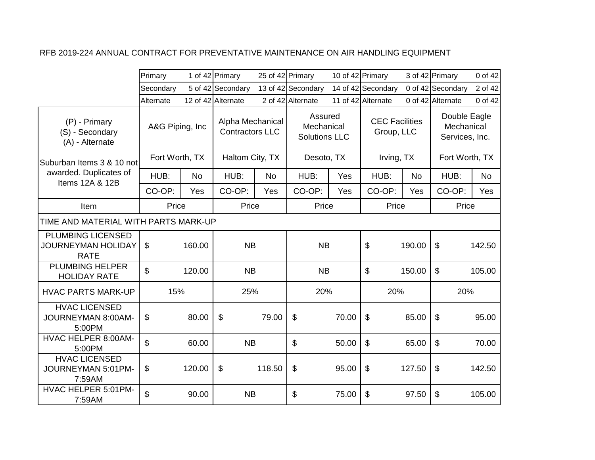|                                                                      | Primary         |        | 1 of 42 Primary                            |        | 25 of 42 Primary                              |       | 10 of 42 Primary                    |        | 3 of 42 Primary                              | 0 of 42 |
|----------------------------------------------------------------------|-----------------|--------|--------------------------------------------|--------|-----------------------------------------------|-------|-------------------------------------|--------|----------------------------------------------|---------|
|                                                                      | Secondary       |        | 5 of 42 Secondary                          |        | 13 of 42 Secondary                            |       | 14 of 42 Secondary                  |        | 0 of 42 Secondary                            | 2 of 42 |
|                                                                      | Alternate       |        | 12 of 42 Alternate                         |        | 2 of 42 Alternate                             |       | 11 of 42 Alternate                  |        | 0 of 42 Alternate                            | 0 of 42 |
| (P) - Primary<br>(S) - Secondary<br>(A) - Alternate                  | A&G Piping, Inc |        | Alpha Mechanical<br><b>Contractors LLC</b> |        | Assured<br>Mechanical<br><b>Solutions LLC</b> |       | <b>CEC Facilities</b><br>Group, LLC |        | Double Eagle<br>Mechanical<br>Services, Inc. |         |
| Suburban Items 3 & 10 not                                            | Fort Worth, TX  |        | Haltom City, TX                            |        | Desoto, TX                                    |       | Irving, TX                          |        | Fort Worth, TX                               |         |
| awarded. Duplicates of<br>Items 12A & 12B                            | HUB:            | No     | HUB:                                       | No     | HUB:                                          | Yes   | HUB:                                | No     | HUB:                                         | No      |
|                                                                      | CO-OP:          | Yes    | CO-OP:                                     | Yes    | CO-OP:                                        | Yes   | CO-OP:                              | Yes    | CO-OP:                                       | Yes     |
| Item                                                                 | Price           |        | Price                                      |        | Price                                         |       | Price                               |        | Price                                        |         |
| TIME AND MATERIAL WITH PARTS MARK-UP                                 |                 |        |                                            |        |                                               |       |                                     |        |                                              |         |
| <b>PLUMBING LICENSED</b><br><b>JOURNEYMAN HOLIDAY</b><br><b>RATE</b> | $\mathfrak{L}$  | 160.00 | <b>NB</b>                                  |        | <b>NB</b>                                     |       | \$                                  | 190.00 | $\mathfrak{F}$                               | 142.50  |
| <b>PLUMBING HELPER</b><br><b>HOLIDAY RATE</b>                        | \$              | 120.00 | <b>NB</b>                                  |        | <b>NB</b>                                     |       | \$                                  | 150.00 | $\mathfrak{F}$                               | 105.00  |
| <b>HVAC PARTS MARK-UP</b>                                            | 15%             |        | 25%                                        |        | 20%                                           |       | 20%                                 |        | 20%                                          |         |
| <b>HVAC LICENSED</b><br>JOURNEYMAN 8:00AM-<br>5:00PM                 | \$              | 80.00  | \$                                         | 79.00  | \$                                            | 70.00 | \$                                  | 85.00  | $\boldsymbol{\mathsf{S}}$                    | 95.00   |
| HVAC HELPER 8:00AM-<br>5:00PM                                        | \$              | 60.00  | <b>NB</b>                                  |        | \$                                            | 50.00 | \$                                  | 65.00  | $\sqrt[6]{\frac{1}{2}}$                      | 70.00   |
| <b>HVAC LICENSED</b><br>JOURNEYMAN 5:01PM-<br>7:59AM                 | \$              | 120.00 | \$                                         | 118.50 | \$                                            | 95.00 | \$                                  | 127.50 | $\boldsymbol{\mathsf{\$}}$                   | 142.50  |
| HVAC HELPER 5:01PM-<br>7:59AM                                        | \$              | 90.00  | <b>NB</b>                                  |        | \$                                            | 75.00 | \$                                  | 97.50  | $\boldsymbol{\mathsf{\$}}$                   | 105.00  |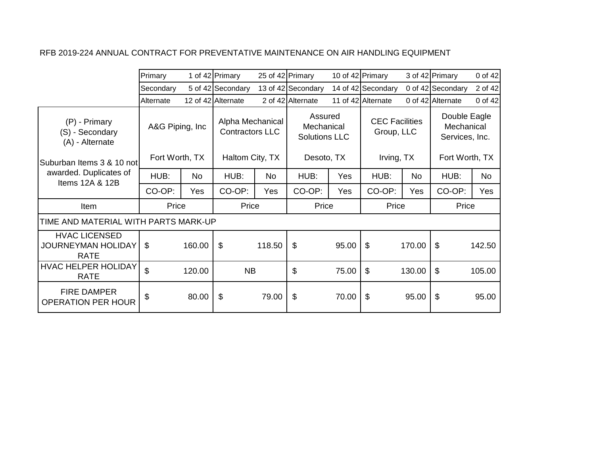|                                                                  | Primary        |                 | 1 of 42 Primary            | 25 of 42 Primary                           |                    | 10 of 42 Primary                              |                    |                                     | 3 of 42 Primary                              | 0 of 42   |
|------------------------------------------------------------------|----------------|-----------------|----------------------------|--------------------------------------------|--------------------|-----------------------------------------------|--------------------|-------------------------------------|----------------------------------------------|-----------|
|                                                                  | Secondary      |                 | 5 of 42 Secondary          |                                            | 13 of 42 Secondary |                                               | 14 of 42 Secondary |                                     | 0 of 42 Secondary                            | 2 of 42   |
|                                                                  | Alternate      |                 | 12 of 42 Alternate         |                                            | 2 of 42 Alternate  |                                               | 11 of 42 Alternate |                                     | 0 of 42 Alternate                            | 0 of 42   |
| (P) - Primary<br>(S) - Secondary<br>(A) - Alternate              |                | A&G Piping, Inc |                            | Alpha Mechanical<br><b>Contractors LLC</b> |                    | Assured<br>Mechanical<br><b>Solutions LLC</b> |                    | <b>CEC Facilities</b><br>Group, LLC | Double Eagle<br>Mechanical<br>Services, Inc. |           |
| Suburban Items 3 & 10 not                                        | Fort Worth, TX |                 | Haltom City, TX            |                                            | Desoto, TX         |                                               | Irving, TX         |                                     | Fort Worth, TX                               |           |
| awarded. Duplicates of<br>Items 12A & 12B                        | HUB:           | No              | HUB:                       | No                                         | HUB:               | Yes                                           | HUB:               | No                                  | HUB:                                         | <b>No</b> |
|                                                                  | CO-OP:         | Yes             | CO-OP:                     | Yes                                        | CO-OP:             | Yes                                           | CO-OP:             | Yes                                 | CO-OP:                                       | Yes       |
| Item                                                             | Price          |                 | Price                      |                                            | Price              |                                               | Price              |                                     | Price                                        |           |
| TIME AND MATERIAL WITH PARTS MARK-UP                             |                |                 |                            |                                            |                    |                                               |                    |                                     |                                              |           |
| <b>HVAC LICENSED</b><br><b>JOURNEYMAN HOLIDAY</b><br><b>RATE</b> | \$             | 160.00          | $\boldsymbol{\mathsf{\$}}$ | 118.50                                     | \$                 | 95.00                                         | \$                 | 170.00                              | \$                                           | 142.50    |
| <b>HVAC HELPER HOLIDAY</b><br><b>RATE</b>                        | $\mathfrak{L}$ | 120.00          | <b>NB</b>                  |                                            | \$                 | 75.00                                         | \$                 | 130.00                              | \$                                           | 105.00    |
| <b>FIRE DAMPER</b><br><b>OPERATION PER HOUR</b>                  | \$             | 80.00           | \$                         | 79.00                                      | \$                 | 70.00                                         | \$                 | 95.00                               | \$                                           | 95.00     |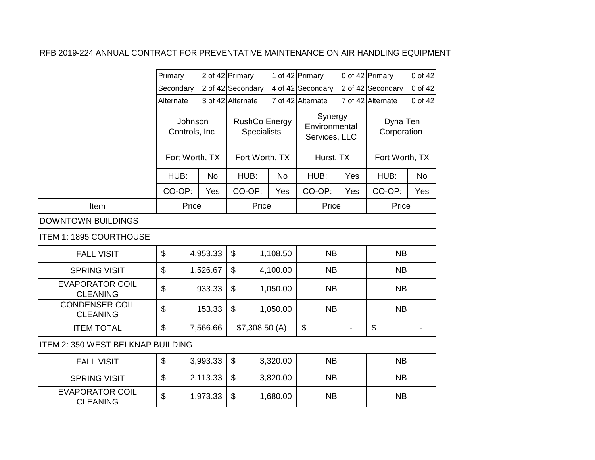|                                           | Primary                   |           | 2 of 42 Primary                     |           | 1 of 42 Primary                           |     | 0 of 42 Primary         | 0 of 42   |
|-------------------------------------------|---------------------------|-----------|-------------------------------------|-----------|-------------------------------------------|-----|-------------------------|-----------|
|                                           | Secondary                 |           | 2 of 42 Secondary                   |           | 4 of 42 Secondary                         |     | 2 of 42 Secondary       | 0 of 42   |
|                                           | Alternate                 |           | 3 of 42 Alternate                   |           | 7 of 42 Alternate                         |     | 7 of 42 Alternate       | 0 of 42   |
|                                           | Johnson<br>Controls, Inc. |           | RushCo Energy<br><b>Specialists</b> |           | Synergy<br>Environmental<br>Services, LLC |     | Dyna Ten<br>Corporation |           |
|                                           | Fort Worth, TX            |           | Fort Worth, TX                      |           | Hurst, TX                                 |     | Fort Worth, TX          |           |
|                                           | HUB:                      | <b>No</b> | HUB:                                | <b>No</b> | HUB:                                      | Yes | HUB:                    | <b>No</b> |
|                                           | CO-OP:                    | Yes       | CO-OP:                              | Yes       | CO-OP:                                    | Yes | CO-OP:                  | Yes       |
| Item                                      | Price                     |           | Price                               |           | Price                                     |     | Price                   |           |
| <b>DOWNTOWN BUILDINGS</b>                 |                           |           |                                     |           |                                           |     |                         |           |
| <b>ITEM 1: 1895 COURTHOUSE</b>            |                           |           |                                     |           |                                           |     |                         |           |
| <b>FALL VISIT</b>                         | \$                        | 4,953.33  | \$                                  | 1,108.50  | <b>NB</b>                                 |     | <b>NB</b>               |           |
| <b>SPRING VISIT</b>                       | \$                        | 1,526.67  | \$                                  | 4,100.00  | NB                                        |     | NB                      |           |
| <b>EVAPORATOR COIL</b><br><b>CLEANING</b> | \$                        | 933.33    | \$                                  | 1,050.00  | <b>NB</b>                                 |     | <b>NB</b>               |           |
| <b>CONDENSER COIL</b><br><b>CLEANING</b>  | \$                        | 153.33    | \$                                  | 1,050.00  | <b>NB</b>                                 |     | <b>NB</b>               |           |
| <b>ITEM TOTAL</b>                         | $\mathfrak{S}$            | 7,566.66  | \$7,308.50(A)                       |           | \$                                        |     | \$                      |           |
| ITEM 2: 350 WEST BELKNAP BUILDING         |                           |           |                                     |           |                                           |     |                         |           |
| <b>FALL VISIT</b>                         | \$                        | 3,993.33  | \$                                  | 3,320.00  | <b>NB</b>                                 |     | <b>NB</b>               |           |
| <b>SPRING VISIT</b>                       | $\boldsymbol{\mathsf{S}}$ | 2,113.33  | $\mathfrak{S}$                      | 3,820.00  | <b>NB</b>                                 |     | <b>NB</b>               |           |
| <b>EVAPORATOR COIL</b><br><b>CLEANING</b> | \$                        | 1,973.33  | \$                                  | 1,680.00  | <b>NB</b>                                 |     | <b>NB</b>               |           |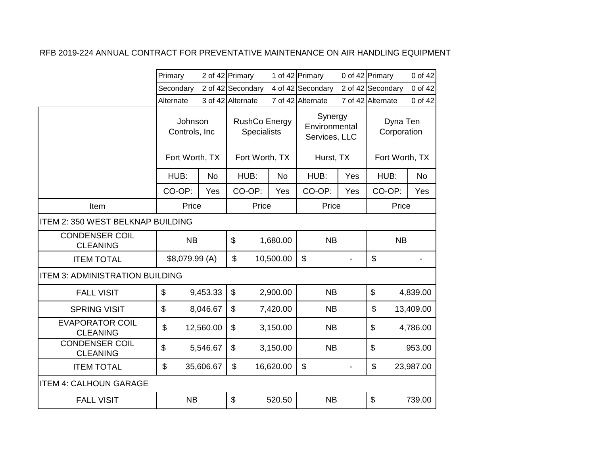|                                           | Primary                   |           | 2 of 42 Primary                            |           | 1 of 42 Primary                           |     | 0 of 42 Primary         | 0 of 42   |
|-------------------------------------------|---------------------------|-----------|--------------------------------------------|-----------|-------------------------------------------|-----|-------------------------|-----------|
|                                           | Secondary                 |           | 2 of 42 Secondary                          |           | 4 of 42 Secondary                         |     | 2 of 42 Secondary       | 0 of 42   |
|                                           | Alternate                 |           | 3 of 42 Alternate                          |           | 7 of 42 Alternate                         |     | 7 of 42 Alternate       | 0 of 42   |
|                                           | Johnson<br>Controls, Inc  |           | <b>RushCo Energy</b><br><b>Specialists</b> |           | Synergy<br>Environmental<br>Services, LLC |     | Dyna Ten<br>Corporation |           |
|                                           | Fort Worth, TX            |           | Fort Worth, TX                             |           | Hurst, TX                                 |     | Fort Worth, TX          |           |
|                                           | HUB:                      | <b>No</b> | HUB:                                       | <b>No</b> | HUB:                                      | Yes | HUB:                    | <b>No</b> |
|                                           | CO-OP:                    | Yes       | CO-OP:                                     | Yes       | CO-OP:                                    | Yes | CO-OP:                  | Yes       |
| Item                                      | Price                     |           | Price                                      |           | Price                                     |     | Price                   |           |
| ITEM 2: 350 WEST BELKNAP BUILDING         |                           |           |                                            |           |                                           |     |                         |           |
| <b>CONDENSER COIL</b><br><b>CLEANING</b>  | <b>NB</b>                 |           | \$                                         | 1,680.00  | <b>NB</b>                                 |     | <b>NB</b>               |           |
| <b>ITEM TOTAL</b>                         | \$8,079.99 (A)            |           | \$                                         | 10,500.00 | \$                                        |     | \$                      |           |
| <b>ITEM 3: ADMINISTRATION BUILDING</b>    |                           |           |                                            |           |                                           |     |                         |           |
| <b>FALL VISIT</b>                         | $\boldsymbol{\mathsf{S}}$ | 9,453.33  | $\mathbb S$                                | 2,900.00  | <b>NB</b>                                 |     | \$                      | 4,839.00  |
| <b>SPRING VISIT</b>                       | \$                        | 8,046.67  | \$                                         | 7,420.00  | <b>NB</b>                                 |     | \$                      | 13,409.00 |
| <b>EVAPORATOR COIL</b><br><b>CLEANING</b> | \$                        | 12,560.00 | \$                                         | 3,150.00  | <b>NB</b>                                 |     | \$                      | 4,786.00  |
| <b>CONDENSER COIL</b><br><b>CLEANING</b>  | \$                        | 5,546.67  | \$                                         | 3,150.00  | <b>NB</b>                                 |     | \$                      | 953.00    |
| <b>ITEM TOTAL</b>                         | \$                        | 35,606.67 | $\mathfrak{S}$                             | 16,620.00 | \$                                        |     | \$                      | 23,987.00 |
| <b>ITEM 4: CALHOUN GARAGE</b>             |                           |           |                                            |           |                                           |     |                         |           |
| <b>FALL VISIT</b>                         | <b>NB</b>                 |           | \$                                         | 520.50    | <b>NB</b>                                 |     | $\mathfrak{S}$          | 739.00    |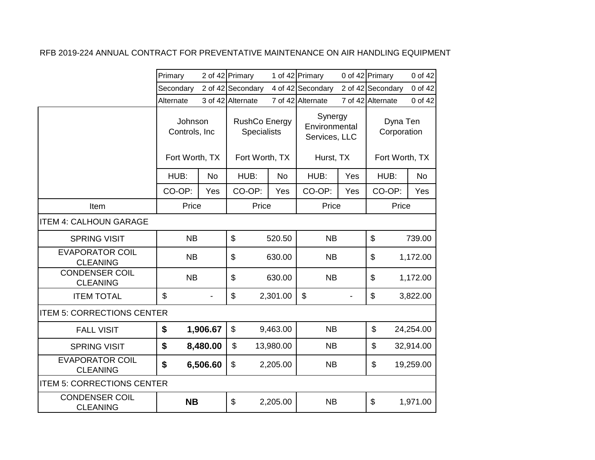|                                           | Primary                  |           | 2 of 42 Primary   |           | 1 of 42 Primary   |                                                              | 0 of 42 Primary   | 0 of 42                                                |                                           |  |
|-------------------------------------------|--------------------------|-----------|-------------------|-----------|-------------------|--------------------------------------------------------------|-------------------|--------------------------------------------------------|-------------------------------------------|--|
|                                           | Secondary                |           | 2 of 42 Secondary |           | 4 of 42 Secondary |                                                              | 2 of 42 Secondary | 0 of 42                                                |                                           |  |
|                                           | Alternate                |           | 3 of 42 Alternate |           | 7 of 42 Alternate |                                                              | 7 of 42 Alternate | 0 of 42                                                |                                           |  |
|                                           | Johnson<br>Controls, Inc |           | Fort Worth, TX    |           |                   | <b>RushCo Energy</b><br><b>Specialists</b><br>Fort Worth, TX |                   | Synergy<br>Environmental<br>Services, LLC<br>Hurst, TX | Dyna Ten<br>Corporation<br>Fort Worth, TX |  |
|                                           | HUB:                     | <b>No</b> | HUB:              | <b>No</b> | HUB:              | Yes                                                          | HUB:              | <b>No</b>                                              |                                           |  |
|                                           | CO-OP:                   | Yes       | CO-OP:            | Yes       | CO-OP:            | Yes                                                          | CO-OP:            | Yes                                                    |                                           |  |
| Item                                      | Price                    |           | Price             |           | Price             |                                                              | Price             |                                                        |                                           |  |
| <b>ITEM 4: CALHOUN GARAGE</b>             |                          |           |                   |           |                   |                                                              |                   |                                                        |                                           |  |
| <b>SPRING VISIT</b>                       | <b>NB</b>                |           | \$                | 520.50    | <b>NB</b>         |                                                              | \$                | 739.00                                                 |                                           |  |
| <b>EVAPORATOR COIL</b><br><b>CLEANING</b> | <b>NB</b>                |           | \$                | 630.00    | <b>NB</b>         |                                                              | \$                | 1,172.00                                               |                                           |  |
| <b>CONDENSER COIL</b><br><b>CLEANING</b>  | <b>NB</b>                |           | \$                | 630.00    | <b>NB</b>         |                                                              | \$                | 1,172.00                                               |                                           |  |
| <b>ITEM TOTAL</b>                         | \$                       |           | \$                | 2,301.00  | \$                |                                                              | \$                | 3,822.00                                               |                                           |  |
| <b>ITEM 5: CORRECTIONS CENTER</b>         |                          |           |                   |           |                   |                                                              |                   |                                                        |                                           |  |
| <b>FALL VISIT</b>                         | \$                       | 1,906.67  | \$                | 9,463.00  | <b>NB</b>         |                                                              | \$                | 24,254.00                                              |                                           |  |
| <b>SPRING VISIT</b>                       | \$                       | 8,480.00  | \$                | 13,980.00 | <b>NB</b>         |                                                              | \$                | 32,914.00                                              |                                           |  |
| <b>EVAPORATOR COIL</b><br><b>CLEANING</b> | \$                       | 6,506.60  | \$                | 2,205.00  | <b>NB</b>         |                                                              | \$                | 19,259.00                                              |                                           |  |
| <b>ITEM 5: CORRECTIONS CENTER</b>         |                          |           |                   |           |                   |                                                              |                   |                                                        |                                           |  |
| <b>CONDENSER COIL</b><br><b>CLEANING</b>  | <b>NB</b>                |           | \$                | 2,205.00  | <b>NB</b>         |                                                              | \$                | 1,971.00                                               |                                           |  |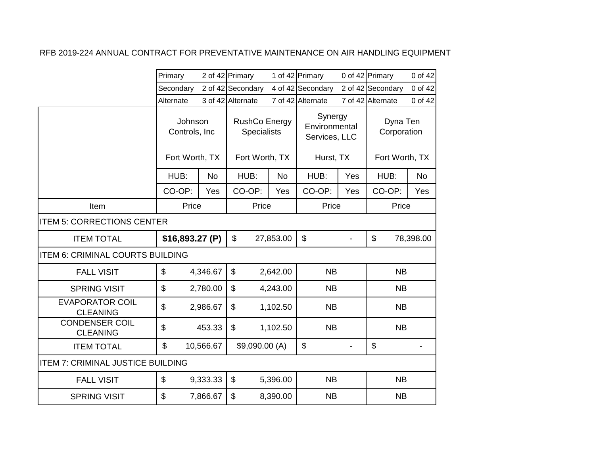|                                           | Primary                  |           | 2 of 42 Primary                            |           | 1 of 42 Primary                           |     | 0 of 42 Primary           | 0 of 42   |
|-------------------------------------------|--------------------------|-----------|--------------------------------------------|-----------|-------------------------------------------|-----|---------------------------|-----------|
|                                           | Secondary                |           | 2 of 42 Secondary                          |           | 4 of 42 Secondary                         |     | 2 of 42 Secondary         | 0 of 42   |
|                                           | Alternate                |           | 3 of 42 Alternate                          |           | 7 of 42 Alternate                         |     | 7 of 42 Alternate         | 0 of 42   |
|                                           | Johnson<br>Controls, Inc |           | <b>RushCo Energy</b><br><b>Specialists</b> |           | Synergy<br>Environmental<br>Services, LLC |     | Dyna Ten<br>Corporation   |           |
|                                           | Fort Worth, TX           |           | Fort Worth, TX                             |           | Hurst, TX                                 |     | Fort Worth, TX            |           |
|                                           | HUB:                     | <b>No</b> | HUB:                                       | <b>No</b> | HUB:                                      | Yes | HUB:                      | <b>No</b> |
|                                           | CO-OP:                   | Yes       | CO-OP:                                     | Yes       | CO-OP:                                    | Yes | CO-OP:                    | Yes       |
| Item                                      | Price                    |           | Price                                      |           | Price                                     |     | Price                     |           |
| <b>ITEM 5: CORRECTIONS CENTER</b>         |                          |           |                                            |           |                                           |     |                           |           |
| <b>ITEM TOTAL</b>                         | \$16,893.27 (P)          |           | $\mathfrak{S}$                             | 27,853.00 | \$                                        |     | $\mathfrak{S}$            | 78,398.00 |
| <b>ITEM 6: CRIMINAL COURTS BUILDING</b>   |                          |           |                                            |           |                                           |     |                           |           |
| <b>FALL VISIT</b>                         | \$                       | 4,346.67  | $\mathfrak{S}$                             | 2,642.00  | <b>NB</b>                                 |     | <b>NB</b>                 |           |
| <b>SPRING VISIT</b>                       | \$                       | 2,780.00  | \$                                         | 4,243.00  | <b>NB</b>                                 |     | <b>NB</b>                 |           |
| <b>EVAPORATOR COIL</b><br><b>CLEANING</b> | \$                       | 2,986.67  | \$                                         | 1,102.50  | <b>NB</b>                                 |     | <b>NB</b>                 |           |
| <b>CONDENSER COIL</b><br><b>CLEANING</b>  | \$                       | 453.33    | \$                                         | 1,102.50  | <b>NB</b>                                 |     | <b>NB</b>                 |           |
| <b>ITEM TOTAL</b>                         | \$                       | 10,566.67 | \$9,090.00 (A)                             |           | \$                                        |     | $\boldsymbol{\mathsf{S}}$ |           |
| <b>ITEM 7: CRIMINAL JUSTICE BUILDING</b>  |                          |           |                                            |           |                                           |     |                           |           |
| <b>FALL VISIT</b>                         | \$                       | 9,333.33  | $\mathfrak{S}$                             | 5,396.00  | <b>NB</b>                                 |     | <b>NB</b>                 |           |
| <b>SPRING VISIT</b>                       | \$                       | 7,866.67  | \$                                         | 8,390.00  | <b>NB</b>                                 |     | <b>NB</b>                 |           |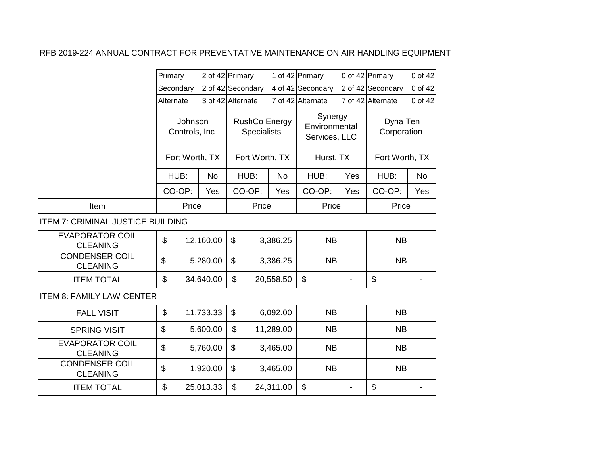|                                           | Primary                                    |           | 2 of 42 Primary                                       |           | 1 of 42 Primary                                        |     | 0 of 42 Primary                           | 0 of 42   |
|-------------------------------------------|--------------------------------------------|-----------|-------------------------------------------------------|-----------|--------------------------------------------------------|-----|-------------------------------------------|-----------|
|                                           | Secondary                                  |           | 2 of 42 Secondary                                     |           | 4 of 42 Secondary                                      |     | 2 of 42 Secondary                         | 0 of 42   |
|                                           | Alternate                                  |           | 3 of 42 Alternate                                     |           | 7 of 42 Alternate                                      |     | 7 of 42 Alternate                         | 0 of 42   |
|                                           | Johnson<br>Controls, Inc<br>Fort Worth, TX |           | RushCo Energy<br><b>Specialists</b><br>Fort Worth, TX |           | Synergy<br>Environmental<br>Services, LLC<br>Hurst, TX |     | Dyna Ten<br>Corporation<br>Fort Worth, TX |           |
|                                           | HUB:                                       | <b>No</b> | HUB:                                                  | <b>No</b> | HUB:                                                   | Yes | HUB:                                      | <b>No</b> |
|                                           | CO-OP:                                     | Yes       | CO-OP:                                                | Yes       | CO-OP:                                                 | Yes | CO-OP:                                    | Yes       |
| Item                                      | Price                                      |           | Price                                                 |           | Price                                                  |     | Price                                     |           |
| <b>ITEM 7: CRIMINAL JUSTICE BUILDING</b>  |                                            |           |                                                       |           |                                                        |     |                                           |           |
| <b>EVAPORATOR COIL</b><br><b>CLEANING</b> | \$                                         | 12,160.00 | \$                                                    | 3,386.25  | <b>NB</b>                                              |     | <b>NB</b>                                 |           |
| <b>CONDENSER COIL</b><br><b>CLEANING</b>  | \$                                         | 5,280.00  | \$                                                    | 3,386.25  | <b>NB</b>                                              |     | <b>NB</b>                                 |           |
| <b>ITEM TOTAL</b>                         | \$                                         | 34,640.00 | $\mathfrak{S}$                                        | 20,558.50 | $\boldsymbol{\mathsf{S}}$                              |     | \$                                        |           |
| <b>ITEM 8: FAMILY LAW CENTER</b>          |                                            |           |                                                       |           |                                                        |     |                                           |           |
| <b>FALL VISIT</b>                         | \$                                         | 11,733.33 | \$                                                    | 6,092.00  | <b>NB</b>                                              |     | <b>NB</b>                                 |           |
| <b>SPRING VISIT</b>                       | $\boldsymbol{\mathsf{S}}$                  | 5,600.00  | $\mathfrak{L}$                                        | 11,289.00 | <b>NB</b>                                              |     | <b>NB</b>                                 |           |
| <b>EVAPORATOR COIL</b><br><b>CLEANING</b> | $\boldsymbol{\mathsf{S}}$                  | 5,760.00  | \$                                                    | 3,465.00  | <b>NB</b>                                              |     | <b>NB</b>                                 |           |
| <b>CONDENSER COIL</b><br><b>CLEANING</b>  | $\$\$                                      | 1,920.00  | \$                                                    | 3,465.00  | <b>NB</b>                                              |     | <b>NB</b>                                 |           |
| <b>ITEM TOTAL</b>                         | \$                                         | 25,013.33 | \$                                                    | 24,311.00 | $\boldsymbol{\mathsf{S}}$                              |     | \$                                        |           |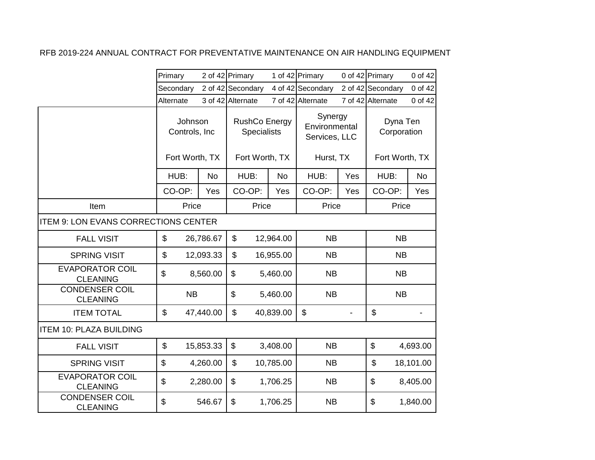|                                           | Primary                                    |           | 2 of 42 Primary                     |           | 1 of 42 Primary                           |     | 0 of 42 Primary         | 0 of 42   |
|-------------------------------------------|--------------------------------------------|-----------|-------------------------------------|-----------|-------------------------------------------|-----|-------------------------|-----------|
|                                           | Secondary                                  |           | 2 of 42 Secondary                   |           | 4 of 42 Secondary                         |     | 2 of 42 Secondary       | 0 of 42   |
|                                           | Alternate                                  |           | 3 of 42 Alternate                   |           | 7 of 42 Alternate                         |     | 7 of 42 Alternate       | 0 of 42   |
|                                           | Johnson<br>Controls, Inc<br>Fort Worth, TX |           | RushCo Energy<br><b>Specialists</b> |           | Synergy<br>Environmental<br>Services, LLC |     | Dyna Ten<br>Corporation |           |
|                                           |                                            |           | Fort Worth, TX                      |           | Hurst, TX                                 |     | Fort Worth, TX          |           |
|                                           | HUB:                                       | <b>No</b> | HUB:                                | <b>No</b> | HUB:                                      | Yes | HUB:                    | <b>No</b> |
|                                           | CO-OP:                                     | Yes       | CO-OP:                              | Yes       | CO-OP:                                    | Yes | CO-OP:                  | Yes       |
| Item                                      |                                            | Price     | Price                               |           | Price                                     |     | Price                   |           |
| ITEM 9: LON EVANS CORRECTIONS CENTER      |                                            |           |                                     |           |                                           |     |                         |           |
| <b>FALL VISIT</b>                         | \$                                         | 26,786.67 | $\boldsymbol{\mathsf{S}}$           | 12,964.00 | <b>NB</b>                                 |     | <b>NB</b>               |           |
| <b>SPRING VISIT</b>                       | \$                                         | 12,093.33 | \$                                  | 16,955.00 | <b>NB</b>                                 |     | <b>NB</b>               |           |
| <b>EVAPORATOR COIL</b><br><b>CLEANING</b> | \$                                         | 8,560.00  | \$                                  | 5,460.00  | <b>NB</b>                                 |     | <b>NB</b>               |           |
| <b>CONDENSER COIL</b><br><b>CLEANING</b>  |                                            | <b>NB</b> | \$                                  | 5,460.00  | <b>NB</b>                                 |     | NB                      |           |
| <b>ITEM TOTAL</b>                         | \$                                         | 47,440.00 | \$                                  | 40,839.00 | $\boldsymbol{\mathsf{S}}$                 |     | $\mathfrak{S}$          |           |
| <b>ITEM 10: PLAZA BUILDING</b>            |                                            |           |                                     |           |                                           |     |                         |           |
| <b>FALL VISIT</b>                         | \$                                         | 15,853.33 | \$                                  | 3,408.00  | <b>NB</b>                                 |     | \$                      | 4,693.00  |
| <b>SPRING VISIT</b>                       | \$                                         | 4,260.00  | $\mathfrak{S}$                      | 10,785.00 | <b>NB</b>                                 |     | \$                      | 18,101.00 |
| <b>EVAPORATOR COIL</b><br><b>CLEANING</b> | \$                                         | 2,280.00  | \$                                  | 1,706.25  | <b>NB</b>                                 |     | \$                      | 8,405.00  |
| <b>CONDENSER COIL</b><br><b>CLEANING</b>  | \$                                         | 546.67    | \$                                  | 1,706.25  | <b>NB</b>                                 |     | \$                      | 1,840.00  |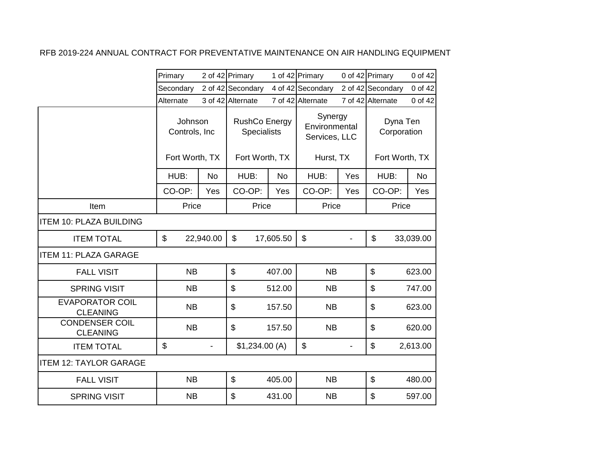|                                           | Primary                  |           | 2 of 42 Primary   |           | 1 of 42 Primary   |                                                              | 0 of 42 Primary   | 0 of 42                                   |                         |  |
|-------------------------------------------|--------------------------|-----------|-------------------|-----------|-------------------|--------------------------------------------------------------|-------------------|-------------------------------------------|-------------------------|--|
|                                           | Secondary                |           | 2 of 42 Secondary |           | 4 of 42 Secondary |                                                              | 2 of 42 Secondary | 0 of 42                                   |                         |  |
|                                           | Alternate                |           | 3 of 42 Alternate |           | 7 of 42 Alternate |                                                              | 7 of 42 Alternate | 0 of 42                                   |                         |  |
|                                           | Johnson<br>Controls, Inc |           | Fort Worth, TX    |           |                   | <b>RushCo Energy</b><br><b>Specialists</b><br>Fort Worth, TX |                   | Synergy<br>Environmental<br>Services, LLC | Dyna Ten<br>Corporation |  |
|                                           |                          |           |                   |           | Hurst, TX         |                                                              | Fort Worth, TX    |                                           |                         |  |
|                                           | HUB:                     | <b>No</b> | HUB:              | <b>No</b> | HUB:              | Yes                                                          | HUB:              | <b>No</b>                                 |                         |  |
|                                           | CO-OP:                   | Yes       | CO-OP:            | Yes       | CO-OP:            | Yes                                                          | CO-OP:            | Yes                                       |                         |  |
| Item                                      | Price                    |           | Price             |           | Price             |                                                              | Price             |                                           |                         |  |
| <b>ITEM 10: PLAZA BUILDING</b>            |                          |           |                   |           |                   |                                                              |                   |                                           |                         |  |
| <b>ITEM TOTAL</b>                         | \$                       | 22,940.00 | \$                | 17,605.50 | \$                |                                                              | \$                | 33,039.00                                 |                         |  |
| <b>ITEM 11: PLAZA GARAGE</b>              |                          |           |                   |           |                   |                                                              |                   |                                           |                         |  |
| <b>FALL VISIT</b>                         | <b>NB</b>                |           | $\mathfrak{S}$    | 407.00    | <b>NB</b>         |                                                              | \$                | 623.00                                    |                         |  |
| <b>SPRING VISIT</b>                       | <b>NB</b>                |           | \$                | 512.00    | <b>NB</b>         |                                                              | \$                | 747.00                                    |                         |  |
| <b>EVAPORATOR COIL</b><br><b>CLEANING</b> | <b>NB</b>                |           | \$                | 157.50    | <b>NB</b>         |                                                              | \$                | 623.00                                    |                         |  |
| <b>CONDENSER COIL</b><br><b>CLEANING</b>  | <b>NB</b>                |           | $\mathfrak{S}$    | 157.50    | <b>NB</b>         |                                                              | \$                | 620.00                                    |                         |  |
| <b>ITEM TOTAL</b>                         | \$                       |           | \$1,234.00(A)     |           | \$                |                                                              | \$                | 2,613.00                                  |                         |  |
| <b>ITEM 12: TAYLOR GARAGE</b>             |                          |           |                   |           |                   |                                                              |                   |                                           |                         |  |
| <b>FALL VISIT</b>                         | <b>NB</b>                |           | \$                | 405.00    | <b>NB</b>         |                                                              | $\mathfrak{S}$    | 480.00                                    |                         |  |
| <b>SPRING VISIT</b>                       | <b>NB</b>                |           | \$                | 431.00    | <b>NB</b>         |                                                              | \$                | 597.00                                    |                         |  |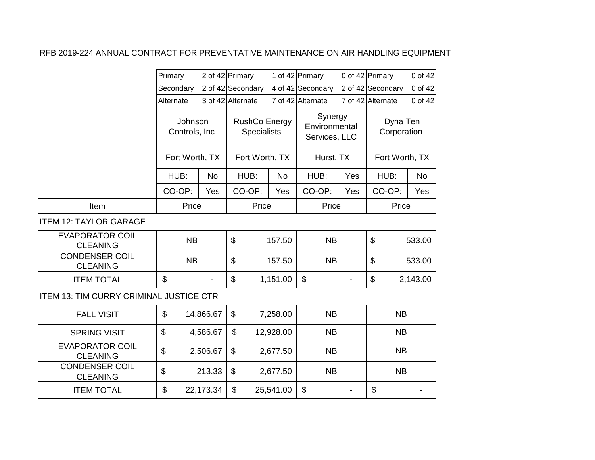|                                                | Primary                                    |           | 2 of 42 Primary                                              |           | 1 of 42 Primary                                        |     | 0 of 42 Primary                           | 0 of 42   |  |
|------------------------------------------------|--------------------------------------------|-----------|--------------------------------------------------------------|-----------|--------------------------------------------------------|-----|-------------------------------------------|-----------|--|
|                                                | Secondary                                  |           | 2 of 42 Secondary                                            |           | 4 of 42 Secondary                                      |     | 2 of 42 Secondary                         | 0 of 42   |  |
|                                                | Alternate                                  |           | 3 of 42 Alternate                                            |           | 7 of 42 Alternate                                      |     | 7 of 42 Alternate                         | 0 of 42   |  |
|                                                | Johnson<br>Controls, Inc<br>Fort Worth, TX |           | <b>RushCo Energy</b><br><b>Specialists</b><br>Fort Worth, TX |           | Synergy<br>Environmental<br>Services, LLC<br>Hurst, TX |     | Dyna Ten<br>Corporation<br>Fort Worth, TX |           |  |
|                                                |                                            |           |                                                              |           |                                                        |     |                                           |           |  |
|                                                | HUB:                                       | <b>No</b> | HUB:                                                         | <b>No</b> | HUB:                                                   | Yes | HUB:                                      | <b>No</b> |  |
|                                                | CO-OP:                                     | Yes       | CO-OP:                                                       | Yes       | CO-OP:                                                 | Yes | CO-OP:                                    | Yes       |  |
| Item                                           | Price                                      |           | Price                                                        |           | Price                                                  |     | Price                                     |           |  |
| <b>ITEM 12: TAYLOR GARAGE</b>                  |                                            |           |                                                              |           |                                                        |     |                                           |           |  |
| <b>EVAPORATOR COIL</b><br><b>CLEANING</b>      | <b>NB</b>                                  |           | \$                                                           | 157.50    | <b>NB</b>                                              |     | \$                                        | 533.00    |  |
| <b>CONDENSER COIL</b><br><b>CLEANING</b>       | <b>NB</b>                                  |           | \$                                                           | 157.50    | <b>NB</b>                                              |     | \$                                        | 533.00    |  |
| <b>ITEM TOTAL</b>                              | \$                                         |           | $\mathfrak{S}$                                               | 1,151.00  | \$                                                     |     | \$                                        | 2,143.00  |  |
| <b>ITEM 13: TIM CURRY CRIMINAL JUSTICE CTR</b> |                                            |           |                                                              |           |                                                        |     |                                           |           |  |
| <b>FALL VISIT</b>                              | \$                                         | 14,866.67 | \$                                                           | 7,258.00  | <b>NB</b>                                              |     | <b>NB</b>                                 |           |  |
| <b>SPRING VISIT</b>                            | \$                                         | 4,586.67  | \$                                                           | 12,928.00 | <b>NB</b>                                              |     | <b>NB</b>                                 |           |  |
| <b>EVAPORATOR COIL</b><br><b>CLEANING</b>      | \$                                         | 2,506.67  | \$                                                           | 2,677.50  | <b>NB</b>                                              |     | <b>NB</b>                                 |           |  |
| <b>CONDENSER COIL</b><br><b>CLEANING</b>       | \$                                         | 213.33    | \$                                                           | 2,677.50  | <b>NB</b>                                              |     | <b>NB</b>                                 |           |  |
| <b>ITEM TOTAL</b>                              | \$                                         | 22,173.34 | \$                                                           | 25,541.00 | \$                                                     |     | \$                                        |           |  |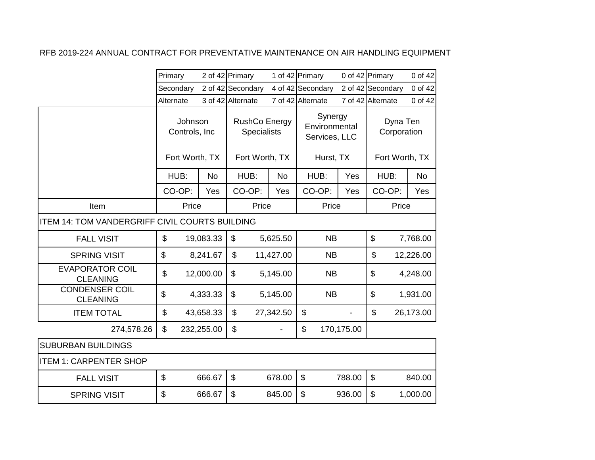|                                                       | Primary                   |            | 2 of 42 Primary                            |           | 1 of 42 Primary                           |            | 0 of 42 Primary           | 0 of 42   |
|-------------------------------------------------------|---------------------------|------------|--------------------------------------------|-----------|-------------------------------------------|------------|---------------------------|-----------|
|                                                       | Secondary                 |            | 2 of 42 Secondary                          |           | 4 of 42 Secondary                         |            | 2 of 42 Secondary         | 0 of 42   |
|                                                       | Alternate                 |            | 3 of 42 Alternate                          |           | 7 of 42 Alternate                         |            | 7 of 42 Alternate         | 0 of 42   |
|                                                       | Johnson<br>Controls, Inc. |            | <b>RushCo Energy</b><br><b>Specialists</b> |           | Synergy<br>Environmental<br>Services, LLC |            | Dyna Ten<br>Corporation   |           |
|                                                       | Fort Worth, TX            |            | Fort Worth, TX                             |           | Hurst, TX                                 |            | Fort Worth, TX            |           |
|                                                       | HUB:                      | <b>No</b>  | HUB:                                       | <b>No</b> | HUB:                                      | Yes        | HUB:                      | <b>No</b> |
|                                                       | CO-OP:                    | Yes        | CO-OP:                                     | Yes       | CO-OP:                                    | Yes        | CO-OP:                    | Yes       |
| Item                                                  | Price                     |            | Price                                      |           | Price                                     |            | Price                     |           |
| <b>ITEM 14: TOM VANDERGRIFF CIVIL COURTS BUILDING</b> |                           |            |                                            |           |                                           |            |                           |           |
| <b>FALL VISIT</b>                                     | \$                        | 19,083.33  | \$                                         | 5,625.50  | <b>NB</b>                                 |            | $\$\$                     | 7,768.00  |
| <b>SPRING VISIT</b>                                   | \$                        | 8,241.67   | \$                                         | 11,427.00 | <b>NB</b>                                 |            | \$                        | 12,226.00 |
| <b>EVAPORATOR COIL</b><br><b>CLEANING</b>             | \$                        | 12,000.00  | \$                                         | 5,145.00  | <b>NB</b>                                 |            | \$                        | 4,248.00  |
| <b>CONDENSER COIL</b><br><b>CLEANING</b>              | \$                        | 4,333.33   | \$                                         | 5,145.00  | <b>NB</b>                                 |            | \$                        | 1,931.00  |
| <b>ITEM TOTAL</b>                                     | \$                        | 43,658.33  | $\mathfrak{L}$                             | 27,342.50 | \$                                        |            | \$                        | 26,173.00 |
| 274,578.26                                            | \$                        | 232,255.00 | $\mathfrak{L}$                             |           | \$                                        | 170,175.00 |                           |           |
| <b>SUBURBAN BUILDINGS</b>                             |                           |            |                                            |           |                                           |            |                           |           |
| <b>ITEM 1: CARPENTER SHOP</b>                         |                           |            |                                            |           |                                           |            |                           |           |
| <b>FALL VISIT</b>                                     | \$                        | 666.67     | $\mathfrak{S}$                             | 678.00    | \$                                        | 788.00     | $\boldsymbol{\mathsf{S}}$ | 840.00    |
| <b>SPRING VISIT</b>                                   | \$                        | 666.67     | \$                                         | 845.00    | \$                                        | 936.00     | $\boldsymbol{\mathsf{S}}$ | 1,000.00  |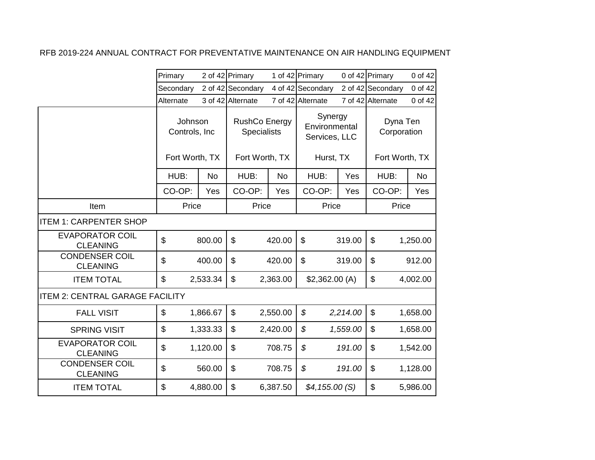|                                           | Primary                                    |           | 2 of 42 Primary                                       |           | 1 of 42 Primary                                        |          | 0 of 42 Primary                           | 0 of 42   |
|-------------------------------------------|--------------------------------------------|-----------|-------------------------------------------------------|-----------|--------------------------------------------------------|----------|-------------------------------------------|-----------|
|                                           | Secondary                                  |           | 2 of 42 Secondary                                     |           | 4 of 42 Secondary                                      |          | 2 of 42 Secondary                         | 0 of 42   |
|                                           | Alternate                                  |           | 3 of 42 Alternate                                     |           | 7 of 42 Alternate                                      |          | 7 of 42 Alternate                         | 0 of 42   |
|                                           | Johnson<br>Controls, Inc<br>Fort Worth, TX |           | RushCo Energy<br><b>Specialists</b><br>Fort Worth, TX |           | Synergy<br>Environmental<br>Services, LLC<br>Hurst, TX |          | Dyna Ten<br>Corporation<br>Fort Worth, TX |           |
|                                           | HUB:                                       | <b>No</b> | HUB:                                                  | <b>No</b> | HUB:                                                   | Yes      | HUB:                                      | <b>No</b> |
|                                           | CO-OP:                                     | Yes       | CO-OP:                                                | Yes       | CO-OP:                                                 | Yes      | CO-OP:                                    | Yes       |
| Item                                      | Price                                      |           | Price                                                 |           | Price                                                  |          | Price                                     |           |
| <b>ITEM 1: CARPENTER SHOP</b>             |                                            |           |                                                       |           |                                                        |          |                                           |           |
| <b>EVAPORATOR COIL</b><br><b>CLEANING</b> | $\mathfrak{S}$                             | 800.00    | $\mathfrak{D}$                                        | 420.00    | \$                                                     | 319.00   | $\mathfrak{S}$                            | 1,250.00  |
| <b>CONDENSER COIL</b><br><b>CLEANING</b>  | $\mathfrak{S}$                             | 400.00    | \$                                                    | 420.00    | \$                                                     | 319.00   | \$                                        | 912.00    |
| <b>ITEM TOTAL</b>                         | $\mathbb{S}$                               | 2,533.34  | \$                                                    | 2,363.00  | \$2,362.00(A)                                          |          | \$                                        | 4,002.00  |
| <b>ITEM 2: CENTRAL GARAGE FACILITY</b>    |                                            |           |                                                       |           |                                                        |          |                                           |           |
| <b>FALL VISIT</b>                         | $\boldsymbol{\mathsf{S}}$                  | 1,866.67  | \$                                                    | 2,550.00  | \$                                                     | 2,214.00 | \$                                        | 1,658.00  |
| <b>SPRING VISIT</b>                       | $\boldsymbol{\mathsf{S}}$                  | 1,333.33  | \$                                                    | 2,420.00  | \$                                                     | 1,559.00 | \$                                        | 1,658.00  |
| <b>EVAPORATOR COIL</b><br><b>CLEANING</b> | $\mathfrak{S}$                             | 1,120.00  | \$                                                    | 708.75    | \$                                                     | 191.00   | \$                                        | 1,542.00  |
| <b>CONDENSER COIL</b><br><b>CLEANING</b>  | $\boldsymbol{\mathsf{S}}$                  | 560.00    | \$                                                    | 708.75    | \$                                                     | 191.00   | \$                                        | 1,128.00  |
| <b>ITEM TOTAL</b>                         | $\mathfrak{S}$                             | 4,880.00  | \$                                                    | 6,387.50  | \$4,155.00(S)                                          |          | \$                                        | 5,986.00  |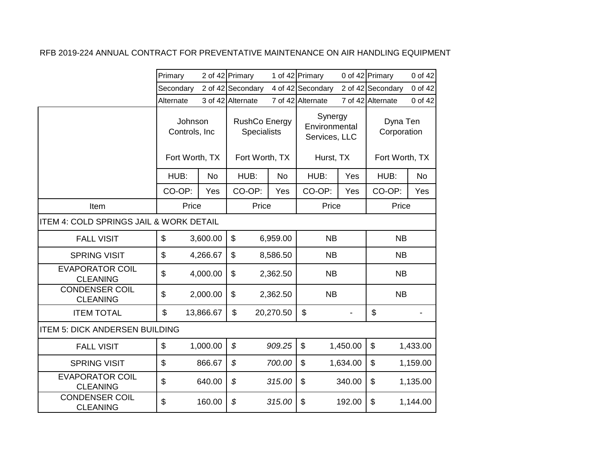|                                                    | Primary   |                                            | 2 of 42 Primary   |                                            | 1 of 42 Primary                           |           | 0 of 42 Primary           | 0 of 42                 |  |
|----------------------------------------------------|-----------|--------------------------------------------|-------------------|--------------------------------------------|-------------------------------------------|-----------|---------------------------|-------------------------|--|
|                                                    | Secondary |                                            | 2 of 42 Secondary |                                            | 4 of 42 Secondary                         |           | 2 of 42 Secondary         | 0 of 42                 |  |
|                                                    | Alternate |                                            | 3 of 42 Alternate |                                            | 7 of 42 Alternate                         |           | 7 of 42 Alternate         | 0 of 42                 |  |
|                                                    |           | Johnson<br>Controls, Inc<br>Fort Worth, TX |                   | <b>RushCo Energy</b><br><b>Specialists</b> | Synergy<br>Environmental<br>Services, LLC |           |                           | Dyna Ten<br>Corporation |  |
|                                                    |           |                                            |                   | Fort Worth, TX                             |                                           | Hurst, TX |                           | Fort Worth, TX          |  |
|                                                    | HUB:      | <b>No</b>                                  | HUB:              | <b>No</b>                                  | HUB:                                      | Yes       | HUB:                      | <b>No</b>               |  |
|                                                    | CO-OP:    | Yes                                        | CO-OP:            | Yes                                        | CO-OP:                                    | Yes       | CO-OP:                    | Yes                     |  |
| Item                                               |           | Price                                      | Price             |                                            | Price                                     |           | Price                     |                         |  |
| <b>ITEM 4: COLD SPRINGS JAIL &amp; WORK DETAIL</b> |           |                                            |                   |                                            |                                           |           |                           |                         |  |
| <b>FALL VISIT</b>                                  | \$        | 3,600.00                                   | \$                | 6,959.00                                   | <b>NB</b>                                 |           | <b>NB</b>                 |                         |  |
| <b>SPRING VISIT</b>                                | \$        | 4,266.67                                   | \$                | 8,586.50                                   | <b>NB</b>                                 |           | <b>NB</b>                 |                         |  |
| <b>EVAPORATOR COIL</b><br><b>CLEANING</b>          | \$        | 4,000.00                                   | \$                | 2,362.50                                   | <b>NB</b>                                 |           | NB                        |                         |  |
| <b>CONDENSER COIL</b><br><b>CLEANING</b>           | \$        | 2,000.00                                   | \$                | 2,362.50                                   | <b>NB</b>                                 |           | <b>NB</b>                 |                         |  |
| <b>ITEM TOTAL</b>                                  | \$        | 13,866.67                                  | \$                | 20,270.50                                  | $\boldsymbol{\mathsf{S}}$                 |           | $\mathfrak{S}$            |                         |  |
| <b>ITEM 5: DICK ANDERSEN BUILDING</b>              |           |                                            |                   |                                            |                                           |           |                           |                         |  |
| <b>FALL VISIT</b>                                  | \$        | 1,000.00                                   | $\mathcal{L}$     | 909.25                                     | \$                                        | 1,450.00  | $\boldsymbol{\mathsf{S}}$ | 1,433.00                |  |
| <b>SPRING VISIT</b>                                | \$        | 866.67                                     | \$                | 700.00                                     | \$                                        | 1,634.00  | \$                        | 1,159.00                |  |
| <b>EVAPORATOR COIL</b><br><b>CLEANING</b>          | \$        | 640.00                                     | \$                | 315.00                                     | \$                                        | 340.00    | $\boldsymbol{\mathsf{S}}$ | 1,135.00                |  |
| <b>CONDENSER COIL</b><br><b>CLEANING</b>           | \$        | 160.00                                     | \$                | 315.00                                     | \$                                        | 192.00    | \$                        | 1,144.00                |  |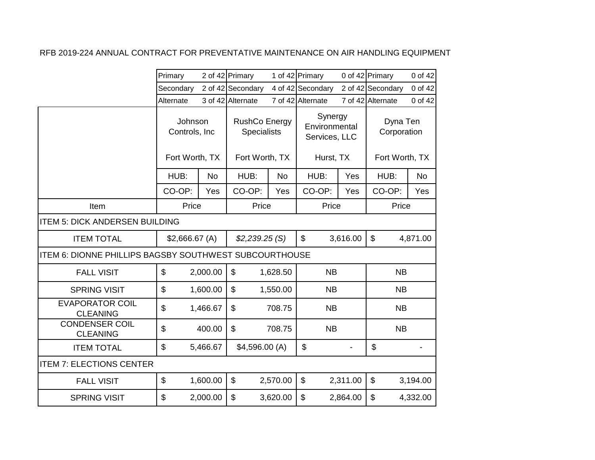|                                                        | Primary                   |           | 2 of 42 Primary                     |           | 1 of 42 Primary                           |          | 0 of 42 Primary         | 0 of 42   |
|--------------------------------------------------------|---------------------------|-----------|-------------------------------------|-----------|-------------------------------------------|----------|-------------------------|-----------|
|                                                        | Secondary                 |           | 2 of 42 Secondary                   |           | 4 of 42 Secondary                         |          | 2 of 42 Secondary       | 0 of 42   |
|                                                        | Alternate                 |           | 3 of 42 Alternate                   |           | 7 of 42 Alternate                         |          | 7 of 42 Alternate       | 0 of 42   |
|                                                        | Johnson<br>Controls, Inc. |           | RushCo Energy<br><b>Specialists</b> |           | Synergy<br>Environmental<br>Services, LLC |          | Dyna Ten<br>Corporation |           |
|                                                        | Fort Worth, TX            |           | Fort Worth, TX                      |           | Hurst, TX                                 |          | Fort Worth, TX          |           |
|                                                        | HUB:                      | <b>No</b> | HUB:                                | <b>No</b> | HUB:                                      | Yes      | HUB:                    | <b>No</b> |
|                                                        | CO-OP:                    | Yes       | CO-OP:                              | Yes       | CO-OP:                                    | Yes      | CO-OP:                  | Yes       |
| Item                                                   | Price                     |           | Price                               |           | Price                                     |          | Price                   |           |
| <b>ITEM 5: DICK ANDERSEN BUILDING</b>                  |                           |           |                                     |           |                                           |          |                         |           |
| <b>ITEM TOTAL</b>                                      | \$2,666.67(A)             |           | \$2,239.25(S)                       |           | \$                                        | 3,616.00 | \$                      | 4,871.00  |
| ITEM 6: DIONNE PHILLIPS BAGSBY SOUTHWEST SUBCOURTHOUSE |                           |           |                                     |           |                                           |          |                         |           |
| <b>FALL VISIT</b>                                      | \$                        | 2,000.00  | $\mathfrak{L}$                      | 1,628.50  | <b>NB</b>                                 |          | <b>NB</b>               |           |
| <b>SPRING VISIT</b>                                    | \$                        | 1,600.00  | $\mathfrak{S}$                      | 1,550.00  | <b>NB</b>                                 |          | <b>NB</b>               |           |
| <b>EVAPORATOR COIL</b><br><b>CLEANING</b>              | \$                        | 1,466.67  | $\mathfrak{L}$                      | 708.75    | <b>NB</b>                                 |          | <b>NB</b>               |           |
| <b>CONDENSER COIL</b><br><b>CLEANING</b>               | \$                        | 400.00    | \$                                  | 708.75    | NB                                        |          | <b>NB</b>               |           |
| <b>ITEM TOTAL</b>                                      | \$                        | 5,466.67  | \$4,596.00(A)                       |           | \$                                        |          | \$                      |           |
| <b>ITEM 7: ELECTIONS CENTER</b>                        |                           |           |                                     |           |                                           |          |                         |           |
| <b>FALL VISIT</b>                                      | \$                        | 1,600.00  | $\boldsymbol{\mathsf{S}}$           | 2,570.00  | \$                                        | 2,311.00 | \$                      | 3,194.00  |
| <b>SPRING VISIT</b>                                    | \$                        | 2,000.00  | \$                                  | 3,620.00  | \$                                        | 2,864.00 | \$                      | 4,332.00  |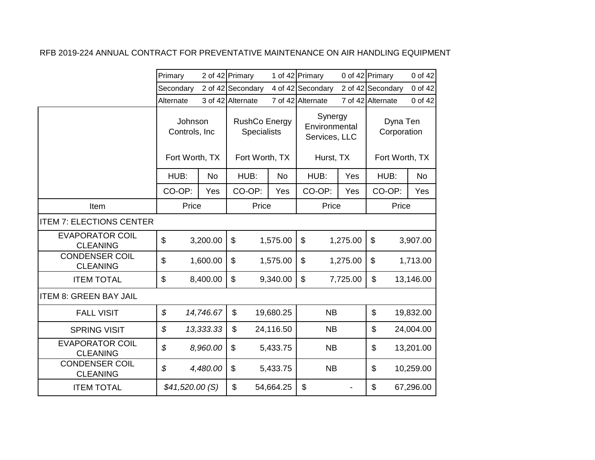|                                           | Primary                                    |           | 2 of 42 Primary                                |           | 1 of 42 Primary                                        |          | 0 of 42 Primary                           | 0 of 42   |
|-------------------------------------------|--------------------------------------------|-----------|------------------------------------------------|-----------|--------------------------------------------------------|----------|-------------------------------------------|-----------|
|                                           | Secondary                                  |           | 2 of 42 Secondary                              |           | 4 of 42 Secondary                                      |          | 2 of 42 Secondary                         | 0 of 42   |
|                                           | Alternate                                  |           | 3 of 42 Alternate                              |           | 7 of 42 Alternate                                      |          | 7 of 42 Alternate                         | 0 of 42   |
|                                           | Johnson<br>Controls, Inc<br>Fort Worth, TX |           | RushCo Energy<br>Specialists<br>Fort Worth, TX |           | Synergy<br>Environmental<br>Services, LLC<br>Hurst, TX |          | Dyna Ten<br>Corporation<br>Fort Worth, TX |           |
|                                           | HUB:                                       | <b>No</b> | HUB:                                           | <b>No</b> | HUB:                                                   | Yes      | HUB:                                      | <b>No</b> |
|                                           | CO-OP:                                     | Yes       | CO-OP:                                         | Yes       | CO-OP:                                                 | Yes      | CO-OP:                                    | Yes       |
| Item                                      | Price                                      |           | Price                                          |           | Price                                                  |          | Price                                     |           |
| <b>ITEM 7: ELECTIONS CENTER</b>           |                                            |           |                                                |           |                                                        |          |                                           |           |
| <b>EVAPORATOR COIL</b><br><b>CLEANING</b> | $\boldsymbol{\mathsf{S}}$                  | 3,200.00  | $\mathfrak{S}$                                 | 1,575.00  | \$                                                     | 1,275.00 | $\mathfrak{L}$                            | 3,907.00  |
| <b>CONDENSER COIL</b><br><b>CLEANING</b>  | \$                                         | 1,600.00  | \$                                             | 1,575.00  | \$                                                     | 1,275.00 | \$                                        | 1,713.00  |
| <b>ITEM TOTAL</b>                         | $\boldsymbol{\mathsf{S}}$                  | 8,400.00  | \$                                             | 9,340.00  | \$                                                     | 7,725.00 | $\boldsymbol{\mathsf{S}}$                 | 13,146.00 |
| <b>ITEM 8: GREEN BAY JAIL</b>             |                                            |           |                                                |           |                                                        |          |                                           |           |
| <b>FALL VISIT</b>                         | $\boldsymbol{\mathcal{S}}$                 | 14,746.67 | \$                                             | 19,680.25 | <b>NB</b>                                              |          | \$                                        | 19,832.00 |
| <b>SPRING VISIT</b>                       | \$                                         | 13,333.33 | \$                                             | 24,116.50 | <b>NB</b>                                              |          | \$                                        | 24,004.00 |
| <b>EVAPORATOR COIL</b><br><b>CLEANING</b> | \$                                         | 8,960.00  | \$                                             | 5,433.75  | <b>NB</b>                                              |          | \$                                        | 13,201.00 |
| <b>CONDENSER COIL</b><br><b>CLEANING</b>  | \$                                         | 4,480.00  | \$                                             | 5,433.75  | <b>NB</b>                                              |          | \$                                        | 10,259.00 |
| <b>ITEM TOTAL</b>                         | \$41,520.00(S)                             |           | \$                                             | 54,664.25 | \$                                                     |          | \$                                        | 67,296.00 |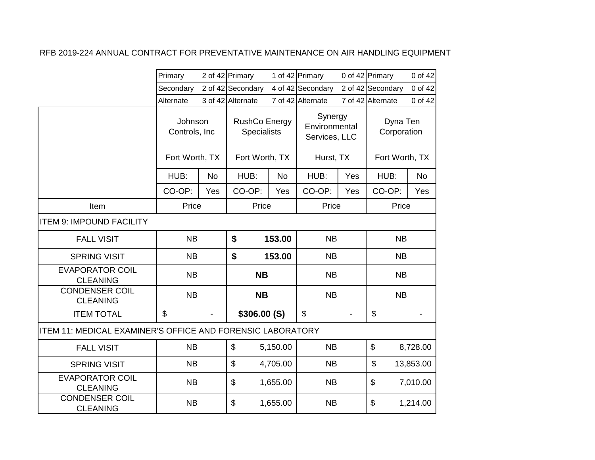|                                                            | Primary                  |           | 2 of 42 Primary                     |           | 1 of 42 Primary                           |     | 0 of 42 Primary         | 0 of 42   |
|------------------------------------------------------------|--------------------------|-----------|-------------------------------------|-----------|-------------------------------------------|-----|-------------------------|-----------|
|                                                            | Secondary                |           | 2 of 42 Secondary                   |           | 4 of 42 Secondary                         |     | 2 of 42 Secondary       | 0 of 42   |
|                                                            | Alternate                |           | 3 of 42 Alternate                   |           | 7 of 42 Alternate                         |     | 7 of 42 Alternate       | 0 of 42   |
|                                                            | Johnson<br>Controls, Inc |           | RushCo Energy<br><b>Specialists</b> |           | Synergy<br>Environmental<br>Services, LLC |     | Dyna Ten<br>Corporation |           |
|                                                            | Fort Worth, TX           |           | Fort Worth, TX                      |           | Hurst, TX                                 |     | Fort Worth, TX          |           |
|                                                            | HUB:                     | <b>No</b> | HUB:                                | <b>No</b> | HUB:                                      | Yes | HUB:                    | <b>No</b> |
|                                                            | CO-OP:                   | Yes       | CO-OP:                              | Yes       | CO-OP:                                    | Yes | CO-OP:                  | Yes       |
| Item                                                       | Price                    |           | Price                               |           | Price                                     |     | Price                   |           |
| <b>ITEM 9: IMPOUND FACILITY</b>                            |                          |           |                                     |           |                                           |     |                         |           |
| <b>FALL VISIT</b>                                          | <b>NB</b>                |           | \$                                  | 153.00    | <b>NB</b>                                 |     | <b>NB</b>               |           |
| <b>SPRING VISIT</b>                                        | <b>NB</b>                |           | \$                                  | 153.00    | <b>NB</b>                                 |     | <b>NB</b>               |           |
| <b>EVAPORATOR COIL</b><br><b>CLEANING</b>                  | <b>NB</b>                |           | <b>NB</b>                           |           | <b>NB</b>                                 |     | <b>NB</b>               |           |
| <b>CONDENSER COIL</b><br><b>CLEANING</b>                   | <b>NB</b>                |           | <b>NB</b>                           |           | <b>NB</b>                                 |     | <b>NB</b>               |           |
| <b>ITEM TOTAL</b>                                          | \$                       |           | \$306.00(S)                         |           | $\boldsymbol{\mathsf{S}}$                 |     | \$                      |           |
| ITEM 11: MEDICAL EXAMINER'S OFFICE AND FORENSIC LABORATORY |                          |           |                                     |           |                                           |     |                         |           |
| <b>FALL VISIT</b>                                          | <b>NB</b>                |           | \$                                  | 5,150.00  | <b>NB</b>                                 |     | $\$\$                   | 8,728.00  |
| <b>SPRING VISIT</b>                                        | <b>NB</b>                |           | \$                                  | 4,705.00  | <b>NB</b>                                 |     | \$                      | 13,853.00 |
| <b>EVAPORATOR COIL</b><br><b>CLEANING</b>                  | <b>NB</b>                |           | \$                                  | 1,655.00  | <b>NB</b>                                 |     | \$                      | 7,010.00  |
| <b>CONDENSER COIL</b><br><b>CLEANING</b>                   | <b>NB</b>                |           | \$                                  | 1,655.00  | <b>NB</b>                                 |     | \$                      | 1,214.00  |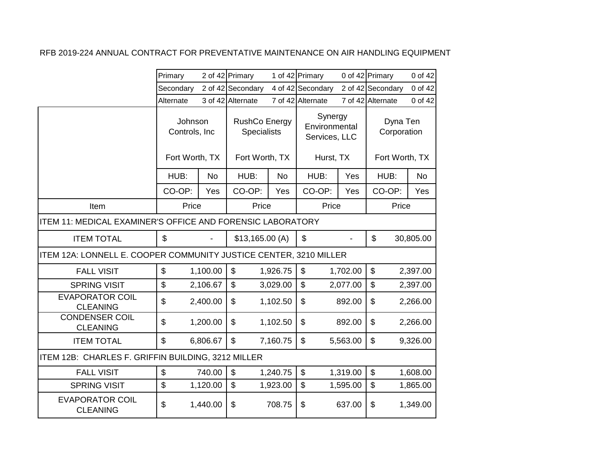|                                                                   | Primary        |                                            | 2 of 42 Primary   |                                            | 1 of 42 Primary                           |          | 0 of 42 Primary                           | 0 of 42   |
|-------------------------------------------------------------------|----------------|--------------------------------------------|-------------------|--------------------------------------------|-------------------------------------------|----------|-------------------------------------------|-----------|
|                                                                   | Secondary      |                                            | 2 of 42 Secondary |                                            | 4 of 42 Secondary                         |          | 2 of 42 Secondary                         | 0 of 42   |
|                                                                   | Alternate      |                                            | 3 of 42 Alternate |                                            | 7 of 42 Alternate                         |          | 7 of 42 Alternate                         | 0 of 42   |
|                                                                   |                | Johnson<br>Controls, Inc<br>Fort Worth, TX |                   | <b>RushCo Energy</b><br><b>Specialists</b> | Synergy<br>Environmental<br>Services, LLC |          | Dyna Ten<br>Corporation<br>Fort Worth, TX |           |
|                                                                   |                |                                            | Fort Worth, TX    |                                            | Hurst, TX                                 |          |                                           |           |
|                                                                   | HUB:           | <b>No</b>                                  | HUB:              | <b>No</b>                                  | HUB:                                      | Yes      | HUB:                                      | <b>No</b> |
|                                                                   | CO-OP:         | Yes                                        | CO-OP:            | Yes                                        | CO-OP:                                    | Yes      | CO-OP:                                    | Yes       |
| Item                                                              | Price          |                                            | Price             |                                            | Price                                     |          |                                           | Price     |
| ITEM 11: MEDICAL EXAMINER'S OFFICE AND FORENSIC LABORATORY        |                |                                            |                   |                                            |                                           |          |                                           |           |
| <b>ITEM TOTAL</b>                                                 | \$             |                                            | \$13,165.00(A)    |                                            | $\boldsymbol{\mathsf{S}}$                 |          | $\mathfrak{S}$                            | 30,805.00 |
| ITEM 12A: LONNELL E. COOPER COMMUNITY JUSTICE CENTER, 3210 MILLER |                |                                            |                   |                                            |                                           |          |                                           |           |
| <b>FALL VISIT</b>                                                 | \$             | 1,100.00                                   | \$                | 1,926.75                                   | \$                                        | 1,702.00 | $\$\$                                     | 2,397.00  |
| <b>SPRING VISIT</b>                                               | $\mathfrak{S}$ | 2,106.67                                   | $\mathfrak{S}$    | 3,029.00                                   | \$                                        | 2,077.00 | $\boldsymbol{\mathsf{S}}$                 | 2,397.00  |
| <b>EVAPORATOR COIL</b><br><b>CLEANING</b>                         | \$             | 2,400.00                                   | \$                | 1,102.50                                   | \$                                        | 892.00   | $\boldsymbol{\mathsf{S}}$                 | 2,266.00  |
| <b>CONDENSER COIL</b><br><b>CLEANING</b>                          | \$             | 1,200.00                                   | \$                | 1,102.50                                   | \$                                        | 892.00   | $\boldsymbol{\mathsf{S}}$                 | 2,266.00  |
| <b>ITEM TOTAL</b>                                                 | \$             | 6,806.67                                   | \$                | 7,160.75                                   | \$                                        | 5,563.00 | $\mathfrak{S}$                            | 9,326.00  |
| ITEM 12B: CHARLES F. GRIFFIN BUILDING, 3212 MILLER                |                |                                            |                   |                                            |                                           |          |                                           |           |
| <b>FALL VISIT</b>                                                 | \$             | 740.00                                     | \$                | 1,240.75                                   | \$                                        | 1,319.00 | $\boldsymbol{\mathsf{S}}$                 | 1,608.00  |
| <b>SPRING VISIT</b>                                               | \$             | 1,120.00                                   | $\mathfrak{S}$    | 1,923.00                                   | \$                                        | 1,595.00 | $\boldsymbol{\mathsf{S}}$                 | 1,865.00  |
| <b>EVAPORATOR COIL</b><br><b>CLEANING</b>                         | \$             | 1,440.00                                   | \$                | 708.75                                     | \$                                        | 637.00   | \$                                        | 1,349.00  |
|                                                                   |                |                                            |                   |                                            |                                           |          |                                           |           |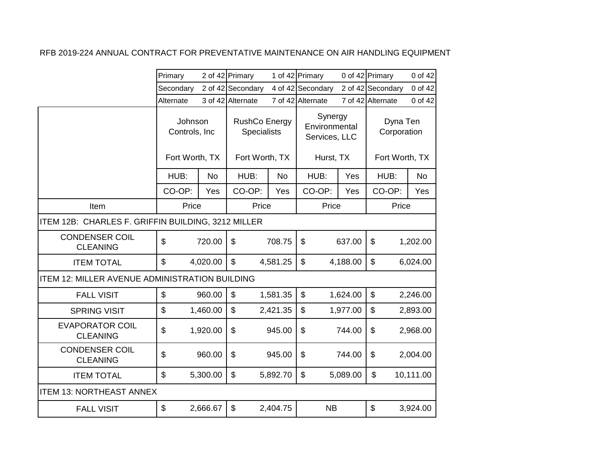|                                                    | Primary        |                                             | 2 of 42 Primary   |                                                              | 1 of 42 Primary                                        |          | 0 of 42 Primary                           | 0 of 42   |  |
|----------------------------------------------------|----------------|---------------------------------------------|-------------------|--------------------------------------------------------------|--------------------------------------------------------|----------|-------------------------------------------|-----------|--|
|                                                    | Secondary      |                                             | 2 of 42 Secondary |                                                              | 4 of 42 Secondary                                      |          | 2 of 42 Secondary                         | 0 of 42   |  |
|                                                    | Alternate      |                                             | 3 of 42 Alternate |                                                              | 7 of 42 Alternate                                      |          | 7 of 42 Alternate                         | 0 of 42   |  |
|                                                    |                | Johnson<br>Controls, Inc.<br>Fort Worth, TX |                   | <b>RushCo Energy</b><br><b>Specialists</b><br>Fort Worth, TX | Synergy<br>Environmental<br>Services, LLC<br>Hurst, TX |          | Dyna Ten<br>Corporation<br>Fort Worth, TX |           |  |
|                                                    | HUB:           | <b>No</b>                                   | HUB:              | <b>No</b>                                                    | HUB:                                                   | Yes      | HUB:                                      | <b>No</b> |  |
|                                                    | CO-OP:         | Yes                                         | CO-OP:            | Yes                                                          | CO-OP:                                                 | Yes      | CO-OP:                                    | Yes       |  |
| Item                                               | Price          |                                             | Price             |                                                              | Price                                                  |          | Price                                     |           |  |
| ITEM 12B: CHARLES F. GRIFFIN BUILDING, 3212 MILLER |                |                                             |                   |                                                              |                                                        |          |                                           |           |  |
| <b>CONDENSER COIL</b><br><b>CLEANING</b>           | \$             | 720.00                                      | \$                | 708.75                                                       | $\boldsymbol{\mathsf{S}}$                              | 637.00   | \$                                        | 1,202.00  |  |
| <b>ITEM TOTAL</b>                                  | \$             | 4,020.00                                    | $\mathfrak{S}$    | 4,581.25                                                     | \$                                                     | 4,188.00 | \$                                        | 6,024.00  |  |
| ITEM 12: MILLER AVENUE ADMINISTRATION BUILDING     |                |                                             |                   |                                                              |                                                        |          |                                           |           |  |
| <b>FALL VISIT</b>                                  | \$             | 960.00                                      | $\mathfrak{S}$    | 1,581.35                                                     | \$                                                     | 1,624.00 | \$                                        | 2,246.00  |  |
| <b>SPRING VISIT</b>                                | \$             | 1,460.00                                    | $\mathfrak{S}$    | 2,421.35                                                     | \$                                                     | 1,977.00 | \$                                        | 2,893.00  |  |
| <b>EVAPORATOR COIL</b><br><b>CLEANING</b>          | $\mathfrak{S}$ | 1,920.00                                    | \$                | 945.00                                                       | \$                                                     | 744.00   | \$                                        | 2,968.00  |  |
| <b>CONDENSER COIL</b><br><b>CLEANING</b>           | \$             | 960.00                                      | \$                | 945.00                                                       | \$                                                     | 744.00   | \$                                        | 2,004.00  |  |
| <b>ITEM TOTAL</b>                                  | \$             | 5,300.00                                    | $\mathfrak{S}$    | 5,892.70                                                     | \$                                                     | 5,089.00 | \$                                        | 10,111.00 |  |
| <b>ITEM 13: NORTHEAST ANNEX</b>                    |                |                                             |                   |                                                              |                                                        |          |                                           |           |  |
| <b>FALL VISIT</b>                                  | \$             | 2,666.67                                    | \$                | 2,404.75                                                     | <b>NB</b>                                              |          | \$                                        | 3,924.00  |  |
|                                                    |                |                                             |                   |                                                              |                                                        |          |                                           |           |  |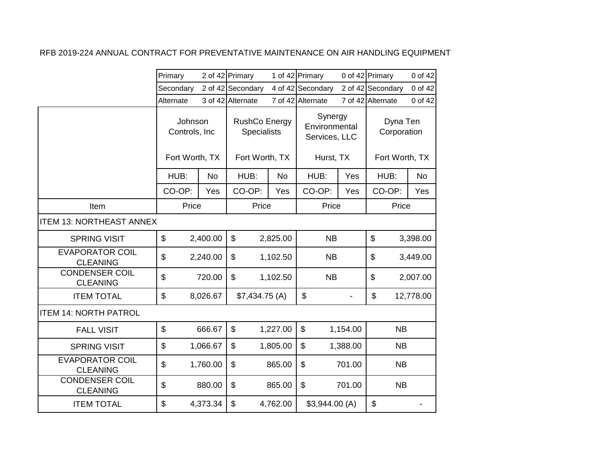|                                           | Primary   |                                             | 2 of 42 Primary   |                                            | 1 of 42 Primary                           |          | 0 of 42 Primary         | 0 of 42   |  |
|-------------------------------------------|-----------|---------------------------------------------|-------------------|--------------------------------------------|-------------------------------------------|----------|-------------------------|-----------|--|
|                                           | Secondary |                                             | 2 of 42 Secondary |                                            | 4 of 42 Secondary                         |          | 2 of 42 Secondary       | 0 of 42   |  |
|                                           | Alternate |                                             | 3 of 42 Alternate |                                            | 7 of 42 Alternate                         |          | 7 of 42 Alternate       | 0 of 42   |  |
|                                           |           | Johnson<br>Controls, Inc.<br>Fort Worth, TX |                   | <b>RushCo Energy</b><br><b>Specialists</b> | Synergy<br>Environmental<br>Services, LLC |          | Dyna Ten<br>Corporation |           |  |
|                                           |           |                                             | Fort Worth, TX    |                                            | Hurst, TX                                 |          | Fort Worth, TX          |           |  |
|                                           | HUB:      | <b>No</b>                                   | HUB:              | No                                         | HUB:                                      | Yes      | HUB:                    | <b>No</b> |  |
|                                           | CO-OP:    | Yes                                         | CO-OP:            | Yes                                        | CO-OP:                                    | Yes      | CO-OP:                  | Yes       |  |
| Item                                      | Price     |                                             | Price             |                                            | Price                                     |          | Price                   |           |  |
| <b>ITEM 13: NORTHEAST ANNEX</b>           |           |                                             |                   |                                            |                                           |          |                         |           |  |
| <b>SPRING VISIT</b>                       | \$        | 2,400.00                                    | \$                | 2,825.00                                   | <b>NB</b>                                 |          | \$                      | 3,398.00  |  |
| <b>EVAPORATOR COIL</b><br><b>CLEANING</b> | \$        | 2,240.00                                    | \$                | 1,102.50                                   | <b>NB</b>                                 |          | \$                      | 3,449.00  |  |
| <b>CONDENSER COIL</b><br><b>CLEANING</b>  | \$        | 720.00                                      | $\mathfrak{S}$    | 1,102.50                                   | NB                                        |          | \$                      | 2,007.00  |  |
| <b>ITEM TOTAL</b>                         | \$        | 8,026.67                                    | \$7,434.75(A)     |                                            | \$                                        |          | \$                      | 12,778.00 |  |
| <b>ITEM 14: NORTH PATROL</b>              |           |                                             |                   |                                            |                                           |          |                         |           |  |
| <b>FALL VISIT</b>                         | \$        | 666.67                                      | $\mathfrak{S}$    | 1,227.00                                   | \$                                        | 1,154.00 | <b>NB</b>               |           |  |
| <b>SPRING VISIT</b>                       | \$        | 1,066.67                                    | \$                | 1,805.00                                   | \$                                        | 1,388.00 | <b>NB</b>               |           |  |
| <b>EVAPORATOR COIL</b><br><b>CLEANING</b> | \$        | 1,760.00                                    | $\mathfrak{S}$    | 865.00                                     | \$                                        | 701.00   | <b>NB</b>               |           |  |
| <b>CONDENSER COIL</b><br><b>CLEANING</b>  | \$        | 880.00                                      | $\mathfrak{L}$    | 865.00                                     | \$                                        | 701.00   | <b>NB</b>               |           |  |
| <b>ITEM TOTAL</b>                         | \$        | 4,373.34                                    | $\mathfrak{S}$    | 4,762.00                                   | \$3,944.00(A)                             |          | \$                      |           |  |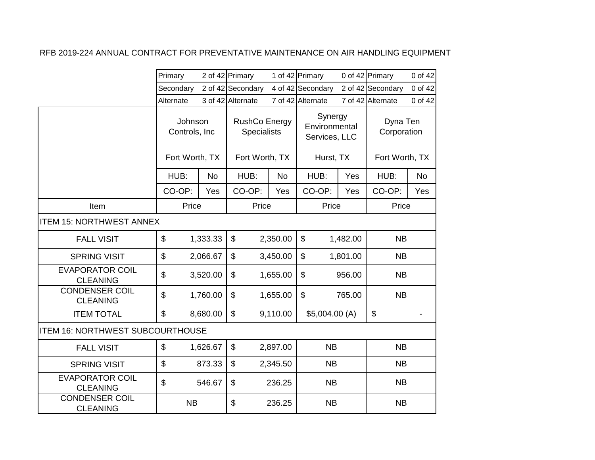|                                           | Primary   |                                            | 2 of 42 Primary   |                                            | 1 of 42 Primary                           |          | 0 of 42 Primary           | 0 of 42   |  |
|-------------------------------------------|-----------|--------------------------------------------|-------------------|--------------------------------------------|-------------------------------------------|----------|---------------------------|-----------|--|
|                                           | Secondary |                                            | 2 of 42 Secondary |                                            | 4 of 42 Secondary                         |          | 2 of 42 Secondary         | 0 of 42   |  |
|                                           | Alternate |                                            | 3 of 42 Alternate |                                            | 7 of 42 Alternate                         |          | 7 of 42 Alternate         | 0 of 42   |  |
|                                           |           | Johnson<br>Controls, Inc<br>Fort Worth, TX |                   | <b>RushCo Energy</b><br><b>Specialists</b> | Synergy<br>Environmental<br>Services, LLC |          | Dyna Ten<br>Corporation   |           |  |
|                                           |           |                                            | Fort Worth, TX    |                                            | Hurst, TX                                 |          | Fort Worth, TX            |           |  |
|                                           | HUB:      | <b>No</b>                                  | HUB:              | <b>No</b>                                  | HUB:                                      | Yes      | HUB:                      | <b>No</b> |  |
|                                           | CO-OP:    | Yes                                        | CO-OP:            | Yes                                        | CO-OP:                                    | Yes      | CO-OP:                    | Yes       |  |
| Item                                      | Price     |                                            | Price             |                                            | Price                                     |          | Price                     |           |  |
| <b>ITEM 15: NORTHWEST ANNEX</b>           |           |                                            |                   |                                            |                                           |          |                           |           |  |
| <b>FALL VISIT</b>                         | \$        | 1,333.33                                   | \$                | 2,350.00                                   | \$                                        | 1,482.00 | <b>NB</b>                 |           |  |
| <b>SPRING VISIT</b>                       | \$        | 2,066.67                                   | \$                | 3,450.00                                   | \$                                        | 1,801.00 | <b>NB</b>                 |           |  |
| <b>EVAPORATOR COIL</b><br><b>CLEANING</b> | \$        | 3,520.00                                   | \$                | 1,655.00                                   | \$                                        | 956.00   | <b>NB</b>                 |           |  |
| <b>CONDENSER COIL</b><br><b>CLEANING</b>  | \$        | 1,760.00                                   | \$                | 1,655.00                                   | \$                                        | 765.00   | <b>NB</b>                 |           |  |
| <b>ITEM TOTAL</b>                         | \$        | 8,680.00                                   | \$                | 9,110.00                                   | \$5,004.00(A)                             |          | $\boldsymbol{\mathsf{S}}$ |           |  |
| <b>ITEM 16: NORTHWEST SUBCOURTHOUSE</b>   |           |                                            |                   |                                            |                                           |          |                           |           |  |
| <b>FALL VISIT</b>                         | \$        | 1,626.67                                   | \$                | 2,897.00                                   | <b>NB</b>                                 |          | <b>NB</b>                 |           |  |
| <b>SPRING VISIT</b>                       | \$        | 873.33                                     | \$                | 2,345.50                                   | <b>NB</b>                                 |          | <b>NB</b>                 |           |  |
| <b>EVAPORATOR COIL</b><br><b>CLEANING</b> | \$        | 546.67                                     | \$                | 236.25                                     | <b>NB</b>                                 |          | <b>NB</b>                 |           |  |
| <b>CONDENSER COIL</b><br><b>CLEANING</b>  | <b>NB</b> |                                            | \$                | 236.25                                     | <b>NB</b>                                 |          | <b>NB</b>                 |           |  |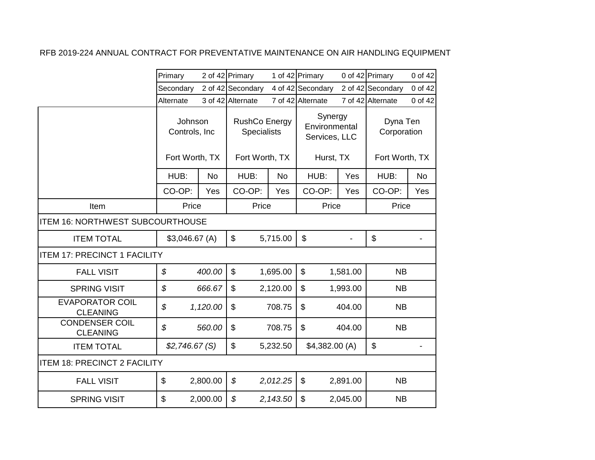|                                           | Primary                  |           | 2 of 42 Primary   |                                            | 1 of 42 Primary   |                                           | 0 of 42 Primary         | 0 of 42   |  |
|-------------------------------------------|--------------------------|-----------|-------------------|--------------------------------------------|-------------------|-------------------------------------------|-------------------------|-----------|--|
|                                           | Secondary                |           | 2 of 42 Secondary |                                            | 4 of 42 Secondary |                                           | 2 of 42 Secondary       | 0 of 42   |  |
|                                           | Alternate                |           | 3 of 42 Alternate |                                            | 7 of 42 Alternate |                                           | 7 of 42 Alternate       | 0 of 42   |  |
|                                           | Johnson<br>Controls, Inc |           |                   | <b>RushCo Energy</b><br><b>Specialists</b> |                   | Synergy<br>Environmental<br>Services, LLC | Dyna Ten<br>Corporation |           |  |
|                                           | Fort Worth, TX           |           | Fort Worth, TX    |                                            | Hurst, TX         |                                           | Fort Worth, TX          |           |  |
|                                           | HUB:                     | <b>No</b> | HUB:              | <b>No</b>                                  | HUB:              | Yes                                       | HUB:                    | <b>No</b> |  |
|                                           | CO-OP:                   | Yes       | CO-OP:            | Yes                                        | CO-OP:            | Yes                                       | CO-OP:                  | Yes       |  |
| Item                                      | Price                    |           | Price             |                                            | Price             |                                           | Price                   |           |  |
| <b>ITEM 16: NORTHWEST SUBCOURTHOUSE</b>   |                          |           |                   |                                            |                   |                                           |                         |           |  |
| <b>ITEM TOTAL</b>                         | \$3,046.67(A)            |           | \$                | 5,715.00                                   | \$                |                                           | \$                      |           |  |
| <b>ITEM 17: PRECINCT 1 FACILITY</b>       |                          |           |                   |                                            |                   |                                           |                         |           |  |
| <b>FALL VISIT</b>                         | \$                       | 400.00    | $\mathfrak{S}$    | 1,695.00                                   | \$                | 1,581.00                                  | <b>NB</b>               |           |  |
| <b>SPRING VISIT</b>                       | \$                       | 666.67    | $\mathfrak{L}$    | 2,120.00                                   | \$                | 1,993.00                                  | <b>NB</b>               |           |  |
| <b>EVAPORATOR COIL</b><br><b>CLEANING</b> | \$                       | 1,120.00  | $\mathfrak{S}$    | 708.75                                     | \$                | 404.00                                    | <b>NB</b>               |           |  |
| <b>CONDENSER COIL</b><br><b>CLEANING</b>  | \$                       | 560.00    | \$                | 708.75                                     | \$                | 404.00                                    | <b>NB</b>               |           |  |
| <b>ITEM TOTAL</b>                         | \$2,746.67(S)            |           | $\mathfrak{L}$    | 5,232.50                                   | \$4,382.00(A)     |                                           | \$                      |           |  |
| <b>ITEM 18: PRECINCT 2 FACILITY</b>       |                          |           |                   |                                            |                   |                                           |                         |           |  |
| <b>FALL VISIT</b>                         | \$                       | 2,800.00  | \$                | 2,012.25                                   | \$                | 2,891.00                                  | <b>NB</b>               |           |  |
| <b>SPRING VISIT</b>                       | \$                       | 2,000.00  | \$                | 2,143.50                                   | \$                | 2,045.00                                  | <b>NB</b>               |           |  |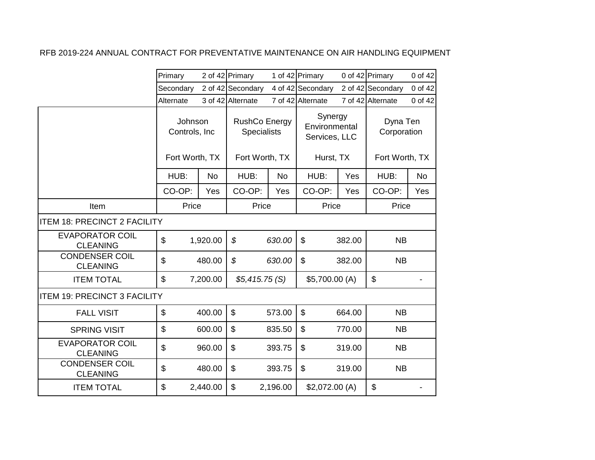|                                           | Primary                                    |           | 2 of 42 Primary                                       |           | 1 of 42 Primary                                        |        | 0 of 42 Primary                           | 0 of 42   |
|-------------------------------------------|--------------------------------------------|-----------|-------------------------------------------------------|-----------|--------------------------------------------------------|--------|-------------------------------------------|-----------|
|                                           | Secondary                                  |           | 2 of 42 Secondary                                     |           | 4 of 42 Secondary                                      |        | 2 of 42 Secondary                         | 0 of 42   |
|                                           | Alternate                                  |           | 3 of 42 Alternate                                     |           | 7 of 42 Alternate                                      |        | 7 of 42 Alternate                         | 0 of 42   |
|                                           | Johnson<br>Controls, Inc<br>Fort Worth, TX |           | RushCo Energy<br><b>Specialists</b><br>Fort Worth, TX |           | Synergy<br>Environmental<br>Services, LLC<br>Hurst, TX |        | Dyna Ten<br>Corporation<br>Fort Worth, TX |           |
|                                           | HUB:                                       | <b>No</b> | HUB:                                                  | <b>No</b> | HUB:                                                   | Yes    | HUB:                                      | <b>No</b> |
|                                           | CO-OP:                                     | Yes       | CO-OP:                                                | Yes       | CO-OP:                                                 | Yes    | CO-OP:                                    | Yes       |
| Item                                      | Price                                      |           | Price                                                 |           | Price                                                  |        | Price                                     |           |
| <b>ITEM 18: PRECINCT 2 FACILITY</b>       |                                            |           |                                                       |           |                                                        |        |                                           |           |
| <b>EVAPORATOR COIL</b><br><b>CLEANING</b> | $\mathfrak{S}$                             | 1,920.00  | $\boldsymbol{\mathcal{S}}$                            | 630.00    | $\mathfrak{S}$                                         | 382.00 | <b>NB</b>                                 |           |
| <b>CONDENSER COIL</b><br><b>CLEANING</b>  | $\boldsymbol{\mathsf{S}}$                  | 480.00    | \$                                                    | 630.00    | \$                                                     | 382.00 | <b>NB</b>                                 |           |
| <b>ITEM TOTAL</b>                         | $\boldsymbol{\mathsf{S}}$                  | 7,200.00  | \$5,415.75(S)                                         |           | \$5,700.00 (A)                                         |        | \$                                        |           |
| <b>ITEM 19: PRECINCT 3 FACILITY</b>       |                                            |           |                                                       |           |                                                        |        |                                           |           |
| <b>FALL VISIT</b>                         | $\mathfrak{S}$                             | 400.00    | $\mathfrak{S}$                                        | 573.00    | $\mathfrak{S}$                                         | 664.00 | <b>NB</b>                                 |           |
| <b>SPRING VISIT</b>                       | $\mathfrak{S}$                             | 600.00    | \$                                                    | 835.50    | \$                                                     | 770.00 | <b>NB</b>                                 |           |
| <b>EVAPORATOR COIL</b><br><b>CLEANING</b> | $\mathfrak{S}$                             | 960.00    | \$                                                    | 393.75    | \$                                                     | 319.00 | <b>NB</b>                                 |           |
| <b>CONDENSER COIL</b><br><b>CLEANING</b>  | $\boldsymbol{\mathsf{S}}$                  | 480.00    | \$                                                    | 393.75    | \$                                                     | 319.00 | <b>NB</b>                                 |           |
| <b>ITEM TOTAL</b>                         | \$                                         | 2,440.00  | \$                                                    | 2,196.00  | \$2,072.00(A)                                          |        | \$                                        |           |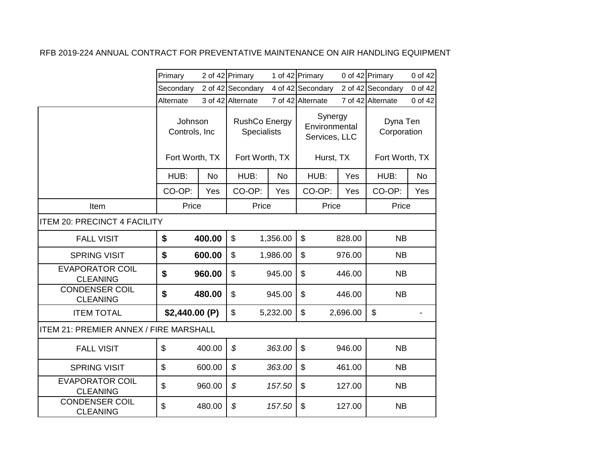|                                               | Primary                   |           | 2 of 42 Primary   |                                                                                         | 1 of 42 Primary           |                         | 0 of 42 Primary   | 0 of 42   |
|-----------------------------------------------|---------------------------|-----------|-------------------|-----------------------------------------------------------------------------------------|---------------------------|-------------------------|-------------------|-----------|
|                                               | Secondary                 |           | 2 of 42 Secondary |                                                                                         | 4 of 42 Secondary         |                         | 2 of 42 Secondary | 0 of 42   |
|                                               | Alternate                 |           | 3 of 42 Alternate |                                                                                         | 7 of 42 Alternate         |                         | 7 of 42 Alternate | 0 of 42   |
|                                               | Johnson<br>Controls, Inc  |           |                   | Synergy<br><b>RushCo Energy</b><br>Environmental<br><b>Specialists</b><br>Services, LLC |                           | Dyna Ten<br>Corporation |                   |           |
|                                               | Fort Worth, TX            |           | Fort Worth, TX    |                                                                                         | Hurst, TX                 |                         | Fort Worth, TX    |           |
|                                               | HUB:                      | <b>No</b> | HUB:              | <b>No</b>                                                                               | HUB:                      | Yes                     | HUB:              | <b>No</b> |
|                                               | CO-OP:                    | Yes       | CO-OP:            | Yes                                                                                     | CO-OP:                    | Yes                     | CO-OP:            | Yes       |
| Item                                          | Price                     |           | Price             |                                                                                         | Price                     |                         | Price             |           |
| <b>ITEM 20: PRECINCT 4 FACILITY</b>           |                           |           |                   |                                                                                         |                           |                         |                   |           |
| <b>FALL VISIT</b>                             | \$                        | 400.00    | \$                | 1,356.00                                                                                | \$                        | 828.00                  | <b>NB</b>         |           |
| <b>SPRING VISIT</b>                           | \$                        | 600.00    | \$                | 1,986.00                                                                                | \$                        | 976.00                  | <b>NB</b>         |           |
| <b>EVAPORATOR COIL</b><br><b>CLEANING</b>     | \$                        | 960.00    | \$                | 945.00                                                                                  | \$                        | 446.00                  | <b>NB</b>         |           |
| <b>CONDENSER COIL</b><br><b>CLEANING</b>      | \$                        | 480.00    | \$                | 945.00                                                                                  | \$                        | 446.00                  | NB                |           |
| <b>ITEM TOTAL</b>                             | \$2,440.00(P)             |           | $\mathfrak{S}$    | 5,232.00                                                                                | \$                        | 2,696.00                | $\mathfrak{S}$    |           |
| <b>ITEM 21: PREMIER ANNEX / FIRE MARSHALL</b> |                           |           |                   |                                                                                         |                           |                         |                   |           |
| <b>FALL VISIT</b>                             | $\boldsymbol{\mathsf{S}}$ | 400.00    | $\mathcal{L}$     | 363.00                                                                                  | $\mathfrak{S}$            | 946.00                  | <b>NB</b>         |           |
| <b>SPRING VISIT</b>                           | $\mathfrak{S}$            | 600.00    | $\mathcal{S}$     | 363.00                                                                                  | $\boldsymbol{\mathsf{S}}$ | 461.00                  | <b>NB</b>         |           |
| <b>EVAPORATOR COIL</b><br><b>CLEANING</b>     | \$                        | 960.00    | $\mathcal{L}$     | 157.50                                                                                  | \$                        | 127.00                  | <b>NB</b>         |           |
| <b>CONDENSER COIL</b><br><b>CLEANING</b>      | \$                        | 480.00    | \$                | 157.50                                                                                  | \$                        | 127.00                  | <b>NB</b>         |           |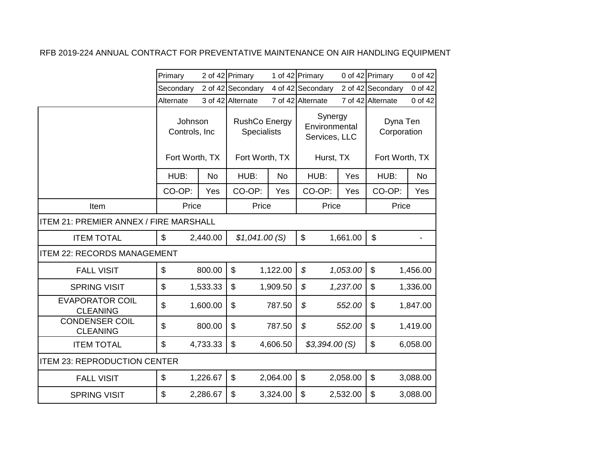|                                               | Primary                   |           | 2 of 42 Primary                            |           | 1 of 42 Primary                           |          | 0 of 42 Primary           | 0 of 42   |
|-----------------------------------------------|---------------------------|-----------|--------------------------------------------|-----------|-------------------------------------------|----------|---------------------------|-----------|
|                                               | Secondary                 |           | 2 of 42 Secondary                          |           | 4 of 42 Secondary                         |          | 2 of 42 Secondary         | 0 of 42   |
|                                               | Alternate                 |           | 3 of 42 Alternate                          |           | 7 of 42 Alternate                         |          | 7 of 42 Alternate         | 0 of 42   |
|                                               | Johnson<br>Controls, Inc. |           | <b>RushCo Energy</b><br><b>Specialists</b> |           | Synergy<br>Environmental<br>Services, LLC |          | Dyna Ten<br>Corporation   |           |
|                                               | Fort Worth, TX            |           | Fort Worth, TX                             |           | Hurst, TX                                 |          | Fort Worth, TX            |           |
|                                               | HUB:                      | <b>No</b> | HUB:                                       | <b>No</b> | HUB:                                      | Yes      | HUB:                      | <b>No</b> |
|                                               | CO-OP:                    | Yes       | CO-OP:                                     | Yes       | CO-OP:                                    | Yes      | CO-OP:                    | Yes       |
| Item                                          | Price                     |           | Price                                      |           | Price                                     |          | Price                     |           |
| <b>ITEM 21: PREMIER ANNEX / FIRE MARSHALL</b> |                           |           |                                            |           |                                           |          |                           |           |
| <b>ITEM TOTAL</b>                             | \$                        | 2,440.00  | \$1,041.00(S)                              |           | \$                                        | 1,661.00 | $\mathfrak{S}$            |           |
| <b>ITEM 22: RECORDS MANAGEMENT</b>            |                           |           |                                            |           |                                           |          |                           |           |
| <b>FALL VISIT</b>                             | \$                        | 800.00    | \$                                         | 1,122.00  | \$                                        | 1,053.00 | $\boldsymbol{\mathsf{S}}$ | 1,456.00  |
| <b>SPRING VISIT</b>                           | \$                        | 1,533.33  | \$                                         | 1,909.50  | \$                                        | 1,237.00 | $\mathfrak{S}$            | 1,336.00  |
| <b>EVAPORATOR COIL</b><br><b>CLEANING</b>     | \$                        | 1,600.00  | \$                                         | 787.50    | \$                                        | 552.00   | \$                        | 1,847.00  |
| <b>CONDENSER COIL</b><br><b>CLEANING</b>      | \$                        | 800.00    | \$                                         | 787.50    | \$                                        | 552.00   | \$                        | 1,419.00  |
| <b>ITEM TOTAL</b>                             | \$                        | 4,733.33  | \$                                         | 4,606.50  | \$3,394.00(S)                             |          | \$                        | 6,058.00  |
| <b>ITEM 23: REPRODUCTION CENTER</b>           |                           |           |                                            |           |                                           |          |                           |           |
| <b>FALL VISIT</b>                             | \$                        | 1,226.67  | $\mathfrak{S}$                             | 2,064.00  | \$                                        | 2,058.00 | $\boldsymbol{\mathsf{S}}$ | 3,088.00  |
| <b>SPRING VISIT</b>                           | \$                        | 2,286.67  | \$                                         | 3,324.00  | \$                                        | 2,532.00 | \$                        | 3,088.00  |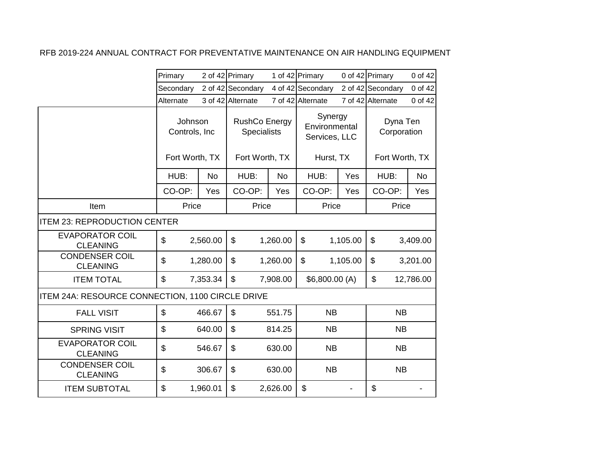|                                                  | Primary                                    |           | 2 of 42 Primary                                              |           | 1 of 42 Primary                                        |          | 0 of 42 Primary                           | 0 of 42    |
|--------------------------------------------------|--------------------------------------------|-----------|--------------------------------------------------------------|-----------|--------------------------------------------------------|----------|-------------------------------------------|------------|
|                                                  | Secondary                                  |           | 2 of 42 Secondary                                            |           | 4 of 42 Secondary                                      |          | 2 of 42 Secondary                         | 0 of 42    |
|                                                  | Alternate                                  |           | 3 of 42 Alternate                                            |           | 7 of 42 Alternate                                      |          | 7 of 42 Alternate                         | 0 of 42    |
|                                                  | Johnson<br>Controls, Inc<br>Fort Worth, TX |           | <b>RushCo Energy</b><br><b>Specialists</b><br>Fort Worth, TX |           | Synergy<br>Environmental<br>Services, LLC<br>Hurst, TX |          | Dyna Ten<br>Corporation<br>Fort Worth, TX |            |
|                                                  | HUB:                                       | <b>No</b> | HUB:                                                         | <b>No</b> | HUB:                                                   | Yes      | HUB:                                      | <b>No</b>  |
|                                                  | CO-OP:                                     | Yes       | CO-OP:                                                       | Yes       | CO-OP:                                                 | Yes      | CO-OP:                                    | <b>Yes</b> |
| Item                                             | Price                                      |           | Price                                                        |           | Price                                                  |          | Price                                     |            |
| <b>ITEM 23: REPRODUCTION CENTER</b>              |                                            |           |                                                              |           |                                                        |          |                                           |            |
| <b>EVAPORATOR COIL</b><br><b>CLEANING</b>        | \$                                         | 2,560.00  | \$                                                           | 1,260.00  | \$                                                     | 1,105.00 | \$                                        | 3,409.00   |
| <b>CONDENSER COIL</b><br><b>CLEANING</b>         | $\boldsymbol{\mathsf{S}}$                  | 1,280.00  | \$                                                           | 1,260.00  | \$                                                     | 1,105.00 | \$                                        | 3,201.00   |
| <b>ITEM TOTAL</b>                                | $\boldsymbol{\mathsf{S}}$                  | 7,353.34  | \$                                                           | 7,908.00  | \$6,800.00 (A)                                         |          | \$                                        | 12,786.00  |
| ITEM 24A: RESOURCE CONNECTION, 1100 CIRCLE DRIVE |                                            |           |                                                              |           |                                                        |          |                                           |            |
| <b>FALL VISIT</b>                                | $\boldsymbol{\mathsf{S}}$                  | 466.67    | $\mathfrak{L}$                                               | 551.75    | <b>NB</b>                                              |          | <b>NB</b>                                 |            |
| <b>SPRING VISIT</b>                              | \$                                         | 640.00    | \$                                                           | 814.25    | <b>NB</b>                                              |          | <b>NB</b>                                 |            |
| <b>EVAPORATOR COIL</b><br><b>CLEANING</b>        | $\mathfrak{S}$                             | 546.67    | $\mathfrak{L}$                                               | 630.00    | <b>NB</b>                                              |          | <b>NB</b>                                 |            |
| <b>CONDENSER COIL</b><br><b>CLEANING</b>         | $\boldsymbol{\mathsf{S}}$                  | 306.67    | \$                                                           | 630.00    | <b>NB</b>                                              |          | <b>NB</b>                                 |            |
| <b>ITEM SUBTOTAL</b>                             | \$                                         | 1,960.01  | \$                                                           | 2,626.00  | $\mathfrak{S}$                                         |          | \$                                        |            |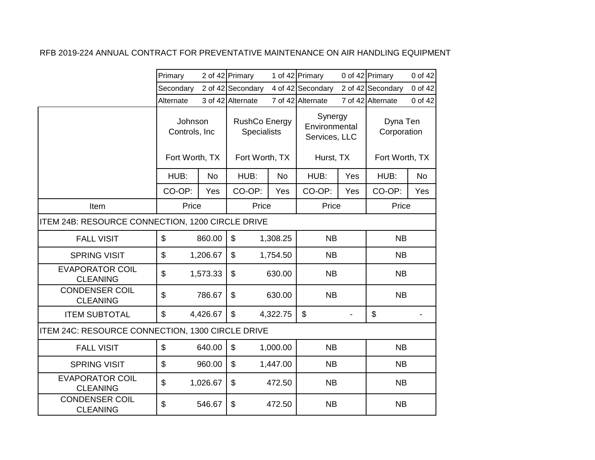|                                                  | Primary        |                          | 2 of 42 Primary   |                                            | 1 of 42 Primary                           |           | 0 of 42 Primary         | 0 of 42        |
|--------------------------------------------------|----------------|--------------------------|-------------------|--------------------------------------------|-------------------------------------------|-----------|-------------------------|----------------|
|                                                  | Secondary      |                          | 2 of 42 Secondary |                                            | 4 of 42 Secondary                         |           | 2 of 42 Secondary       | 0 of 42        |
|                                                  | Alternate      |                          | 3 of 42 Alternate |                                            | 7 of 42 Alternate                         |           | 7 of 42 Alternate       | 0 of 42        |
|                                                  |                | Johnson<br>Controls, Inc |                   | <b>RushCo Energy</b><br><b>Specialists</b> | Synergy<br>Environmental<br>Services, LLC |           | Dyna Ten<br>Corporation |                |
|                                                  | Fort Worth, TX |                          | Fort Worth, TX    |                                            |                                           | Hurst, TX |                         | Fort Worth, TX |
|                                                  | HUB:           | <b>No</b>                | HUB:              | <b>No</b>                                  | HUB:                                      | Yes       | HUB:                    | <b>No</b>      |
|                                                  | CO-OP:         | Yes                      | CO-OP:            | Yes                                        | CO-OP:                                    | Yes       | CO-OP:                  | Yes            |
| Item                                             | Price          |                          | Price             |                                            | Price                                     |           | Price                   |                |
| ITEM 24B: RESOURCE CONNECTION, 1200 CIRCLE DRIVE |                |                          |                   |                                            |                                           |           |                         |                |
| <b>FALL VISIT</b>                                | \$             | 860.00                   | \$                | 1,308.25                                   | <b>NB</b>                                 |           | <b>NB</b>               |                |
| <b>SPRING VISIT</b>                              | \$             | 1,206.67                 | $\mathfrak{S}$    | 1,754.50                                   | <b>NB</b>                                 |           | <b>NB</b>               |                |
| <b>EVAPORATOR COIL</b><br><b>CLEANING</b>        | \$             | 1,573.33                 | \$                | 630.00                                     | <b>NB</b>                                 |           | <b>NB</b>               |                |
| <b>CONDENSER COIL</b><br><b>CLEANING</b>         | \$             | 786.67                   | \$                | 630.00                                     | <b>NB</b>                                 |           | <b>NB</b>               |                |
| <b>ITEM SUBTOTAL</b>                             | \$             | 4,426.67                 | $\mathfrak{S}$    | 4,322.75                                   | $\mathfrak{S}$                            |           | \$                      |                |
| ITEM 24C: RESOURCE CONNECTION, 1300 CIRCLE DRIVE |                |                          |                   |                                            |                                           |           |                         |                |
| <b>FALL VISIT</b>                                | \$             | 640.00                   | $\mathfrak{S}$    | 1,000.00                                   | <b>NB</b>                                 |           | <b>NB</b>               |                |
| <b>SPRING VISIT</b>                              | \$             | 960.00                   | \$                | 1,447.00                                   | <b>NB</b>                                 |           | <b>NB</b>               |                |
| <b>EVAPORATOR COIL</b><br><b>CLEANING</b>        | \$             | 1,026.67                 | \$                | 472.50                                     | <b>NB</b>                                 |           | <b>NB</b>               |                |
| <b>CONDENSER COIL</b><br><b>CLEANING</b>         | \$             | 546.67                   | \$                | 472.50                                     | <b>NB</b>                                 |           | <b>NB</b>               |                |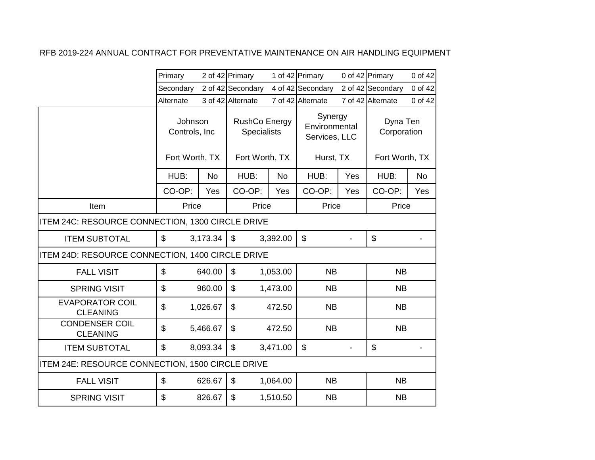|                                                  | Primary                                     |          | 2 of 42 Primary                                              |           | 1 of 42 Primary                                        |     | 0 of 42 Primary                           | 0 of 42   |
|--------------------------------------------------|---------------------------------------------|----------|--------------------------------------------------------------|-----------|--------------------------------------------------------|-----|-------------------------------------------|-----------|
|                                                  | Secondary                                   |          | 2 of 42 Secondary                                            |           | 4 of 42 Secondary                                      |     | 2 of 42 Secondary                         | 0 of 42   |
|                                                  | Alternate                                   |          | 3 of 42 Alternate                                            |           | 7 of 42 Alternate                                      |     | 7 of 42 Alternate                         | 0 of 42   |
|                                                  | Johnson<br>Controls, Inc.<br>Fort Worth, TX |          | <b>RushCo Energy</b><br><b>Specialists</b><br>Fort Worth, TX |           | Synergy<br>Environmental<br>Services, LLC<br>Hurst, TX |     | Dyna Ten<br>Corporation<br>Fort Worth, TX |           |
|                                                  |                                             |          |                                                              |           |                                                        |     |                                           |           |
|                                                  | HUB:                                        | No       | HUB:                                                         | <b>No</b> | HUB:                                                   | Yes | HUB:                                      | <b>No</b> |
|                                                  | CO-OP:                                      | Yes      | CO-OP:                                                       | Yes       | CO-OP:                                                 | Yes | CO-OP:                                    | Yes       |
| Item                                             | Price                                       |          | Price                                                        |           | Price                                                  |     | Price                                     |           |
| ITEM 24C: RESOURCE CONNECTION, 1300 CIRCLE DRIVE |                                             |          |                                                              |           |                                                        |     |                                           |           |
| <b>ITEM SUBTOTAL</b>                             | \$                                          | 3,173.34 | \$                                                           | 3,392.00  | \$                                                     |     | \$                                        |           |
| ITEM 24D: RESOURCE CONNECTION, 1400 CIRCLE DRIVE |                                             |          |                                                              |           |                                                        |     |                                           |           |
| <b>FALL VISIT</b>                                | $\mathfrak{S}$                              | 640.00   | $\mathfrak{S}$                                               | 1,053.00  | <b>NB</b>                                              |     | <b>NB</b>                                 |           |
| <b>SPRING VISIT</b>                              | \$                                          | 960.00   | $\mathfrak{S}$                                               | 1,473.00  | <b>NB</b>                                              |     | <b>NB</b>                                 |           |
| <b>EVAPORATOR COIL</b><br><b>CLEANING</b>        | \$                                          | 1,026.67 | \$                                                           | 472.50    | <b>NB</b>                                              |     | <b>NB</b>                                 |           |
| <b>CONDENSER COIL</b><br><b>CLEANING</b>         | \$                                          | 5,466.67 | \$                                                           | 472.50    | <b>NB</b>                                              |     | <b>NB</b>                                 |           |
| <b>ITEM SUBTOTAL</b>                             | \$                                          | 8,093.34 | \$                                                           | 3,471.00  | \$                                                     |     | \$                                        |           |
| ITEM 24E: RESOURCE CONNECTION, 1500 CIRCLE DRIVE |                                             |          |                                                              |           |                                                        |     |                                           |           |
| <b>FALL VISIT</b>                                | \$                                          | 626.67   | $\mathfrak{L}$                                               | 1,064.00  | <b>NB</b>                                              |     | <b>NB</b>                                 |           |
| <b>SPRING VISIT</b>                              | \$                                          | 826.67   | $\mathfrak{L}$                                               | 1,510.50  | NB                                                     |     | <b>NB</b>                                 |           |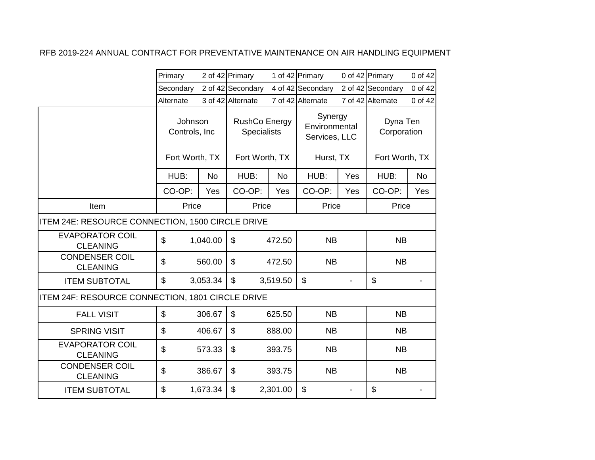|                                                  | Primary                                    |           | 2 of 42 Primary                            |           | 1 of 42 Primary                           |     | 0 of 42 Primary         | 0 of 42   |
|--------------------------------------------------|--------------------------------------------|-----------|--------------------------------------------|-----------|-------------------------------------------|-----|-------------------------|-----------|
|                                                  | Secondary                                  |           | 2 of 42 Secondary                          |           | 4 of 42 Secondary                         |     | 2 of 42 Secondary       | 0 of 42   |
|                                                  | Alternate                                  |           | 3 of 42 Alternate                          |           | 7 of 42 Alternate                         |     | 7 of 42 Alternate       | 0 of 42   |
|                                                  | Johnson<br>Controls, Inc<br>Fort Worth, TX |           | <b>RushCo Energy</b><br><b>Specialists</b> |           | Synergy<br>Environmental<br>Services, LLC |     | Dyna Ten<br>Corporation |           |
|                                                  |                                            |           | Fort Worth, TX                             |           | Hurst, TX                                 |     | Fort Worth, TX          |           |
|                                                  | HUB:                                       | <b>No</b> | HUB:                                       | <b>No</b> | HUB:                                      | Yes | HUB:                    | <b>No</b> |
|                                                  | CO-OP:                                     | Yes       | CO-OP:                                     | Yes       | CO-OP:                                    | Yes | CO-OP:                  | Yes       |
| Item                                             | Price                                      |           | Price                                      |           | Price                                     |     | Price                   |           |
| ITEM 24E: RESOURCE CONNECTION, 1500 CIRCLE DRIVE |                                            |           |                                            |           |                                           |     |                         |           |
| <b>EVAPORATOR COIL</b><br><b>CLEANING</b>        | \$                                         | 1,040.00  | \$                                         | 472.50    | <b>NB</b>                                 |     | <b>NB</b>               |           |
| <b>CONDENSER COIL</b><br><b>CLEANING</b>         | $\mathfrak{S}$                             | 560.00    | \$                                         | 472.50    | <b>NB</b>                                 |     | <b>NB</b>               |           |
| <b>ITEM SUBTOTAL</b>                             | \$                                         | 3,053.34  | \$                                         | 3,519.50  | $\boldsymbol{\mathsf{S}}$                 |     | \$                      |           |
| ITEM 24F: RESOURCE CONNECTION, 1801 CIRCLE DRIVE |                                            |           |                                            |           |                                           |     |                         |           |
| <b>FALL VISIT</b>                                | $\mathfrak{S}$                             | 306.67    | \$                                         | 625.50    | <b>NB</b>                                 |     | <b>NB</b>               |           |
| <b>SPRING VISIT</b>                              | \$                                         | 406.67    | \$                                         | 888.00    | <b>NB</b>                                 |     | <b>NB</b>               |           |
| <b>EVAPORATOR COIL</b><br><b>CLEANING</b>        | \$                                         | 573.33    | \$                                         | 393.75    | <b>NB</b>                                 |     | <b>NB</b>               |           |
| <b>CONDENSER COIL</b><br><b>CLEANING</b>         | \$                                         | 386.67    | \$                                         | 393.75    | <b>NB</b>                                 |     | <b>NB</b>               |           |
| <b>ITEM SUBTOTAL</b>                             | \$                                         | 1,673.34  | \$                                         | 2,301.00  | \$                                        |     | \$                      |           |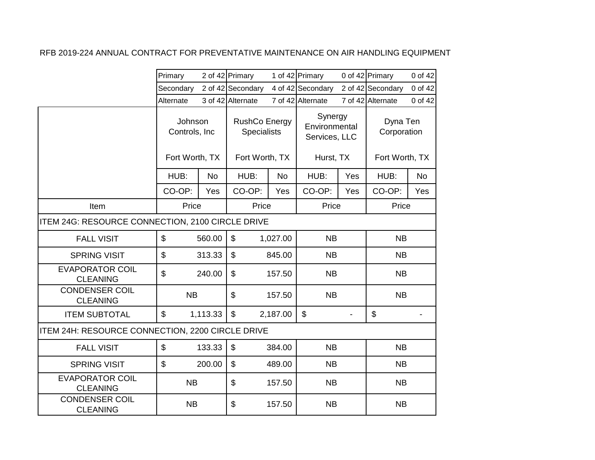|                                                  | Primary        |                          | 2 of 42 Primary   |                                            | 1 of 42 Primary                           |           | 0 of 42 Primary         | 0 of 42        |
|--------------------------------------------------|----------------|--------------------------|-------------------|--------------------------------------------|-------------------------------------------|-----------|-------------------------|----------------|
|                                                  | Secondary      |                          | 2 of 42 Secondary |                                            | 4 of 42 Secondary                         |           | 2 of 42 Secondary       | 0 of 42        |
|                                                  | Alternate      |                          | 3 of 42 Alternate |                                            | 7 of 42 Alternate                         |           | 7 of 42 Alternate       | 0 of 42        |
|                                                  |                | Johnson<br>Controls, Inc |                   | <b>RushCo Energy</b><br><b>Specialists</b> | Synergy<br>Environmental<br>Services, LLC |           | Dyna Ten<br>Corporation |                |
|                                                  | Fort Worth, TX |                          | Fort Worth, TX    |                                            |                                           | Hurst, TX |                         | Fort Worth, TX |
|                                                  | HUB:           | <b>No</b>                | HUB:              | <b>No</b>                                  | HUB:                                      | Yes       | HUB:                    | <b>No</b>      |
|                                                  | CO-OP:         | Yes                      | CO-OP:            | Yes                                        | CO-OP:                                    | Yes       | CO-OP:                  | Yes            |
| Item                                             | Price          |                          | Price             |                                            | Price                                     |           | Price                   |                |
| ITEM 24G: RESOURCE CONNECTION, 2100 CIRCLE DRIVE |                |                          |                   |                                            |                                           |           |                         |                |
| <b>FALL VISIT</b>                                | \$             | 560.00                   | \$                | 1,027.00                                   | <b>NB</b>                                 |           | <b>NB</b>               |                |
| <b>SPRING VISIT</b>                              | \$             | 313.33                   | $\mathfrak{S}$    | 845.00                                     | <b>NB</b>                                 |           | <b>NB</b>               |                |
| <b>EVAPORATOR COIL</b><br><b>CLEANING</b>        | \$             | 240.00                   | $\mathfrak{S}$    | 157.50                                     | <b>NB</b>                                 |           | <b>NB</b>               |                |
| <b>CONDENSER COIL</b><br><b>CLEANING</b>         | <b>NB</b>      |                          | \$                | 157.50                                     | <b>NB</b>                                 |           | <b>NB</b>               |                |
| <b>ITEM SUBTOTAL</b>                             | \$             | 1,113.33                 | \$                | 2,187.00                                   | $\mathfrak{S}$                            |           | \$                      |                |
| ITEM 24H: RESOURCE CONNECTION, 2200 CIRCLE DRIVE |                |                          |                   |                                            |                                           |           |                         |                |
| <b>FALL VISIT</b>                                | \$             | 133.33                   | $\mathfrak{S}$    | 384.00                                     | <b>NB</b>                                 |           | <b>NB</b>               |                |
| <b>SPRING VISIT</b>                              | \$             | 200.00                   | \$                | 489.00                                     | <b>NB</b>                                 |           | <b>NB</b>               |                |
| <b>EVAPORATOR COIL</b><br><b>CLEANING</b>        | <b>NB</b>      |                          | \$                | 157.50                                     | <b>NB</b>                                 |           | <b>NB</b>               |                |
| <b>CONDENSER COIL</b><br><b>CLEANING</b>         | <b>NB</b>      |                          | \$                | 157.50                                     | <b>NB</b>                                 |           | <b>NB</b>               |                |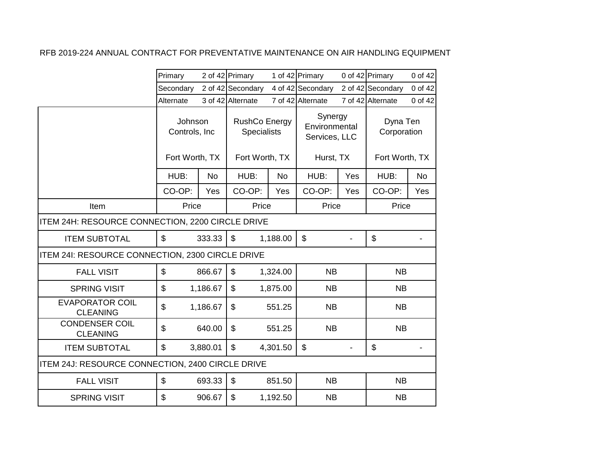|                                                  | Primary                   |           | 2 of 42 Primary                            |           | 1 of 42 Primary                           |     | 0 of 42 Primary         | 0 of 42   |
|--------------------------------------------------|---------------------------|-----------|--------------------------------------------|-----------|-------------------------------------------|-----|-------------------------|-----------|
|                                                  | Secondary                 |           | 2 of 42 Secondary                          |           | 4 of 42 Secondary                         |     | 2 of 42 Secondary       | 0 of 42   |
|                                                  | Alternate                 |           | 3 of 42 Alternate                          |           | 7 of 42 Alternate                         |     | 7 of 42 Alternate       | 0 of 42   |
|                                                  | Johnson<br>Controls, Inc. |           | <b>RushCo Energy</b><br><b>Specialists</b> |           | Synergy<br>Environmental<br>Services, LLC |     | Dyna Ten<br>Corporation |           |
|                                                  | Fort Worth, TX            |           | Fort Worth, TX                             |           | Hurst, TX                                 |     | Fort Worth, TX          |           |
|                                                  | HUB:                      | <b>No</b> | HUB:                                       | <b>No</b> | HUB:                                      | Yes | HUB:                    | <b>No</b> |
|                                                  | CO-OP:                    | Yes       | CO-OP:                                     | Yes       | CO-OP:                                    | Yes | CO-OP:                  | Yes       |
| Item                                             | Price                     |           | Price                                      |           | Price                                     |     | Price                   |           |
| ITEM 24H: RESOURCE CONNECTION, 2200 CIRCLE DRIVE |                           |           |                                            |           |                                           |     |                         |           |
| <b>ITEM SUBTOTAL</b>                             | $\mathfrak{S}$            | 333.33    | \$                                         | 1,188.00  | $\boldsymbol{\mathsf{S}}$                 |     | \$                      |           |
| ITEM 24I: RESOURCE CONNECTION, 2300 CIRCLE DRIVE |                           |           |                                            |           |                                           |     |                         |           |
| <b>FALL VISIT</b>                                | \$                        | 866.67    | \$                                         | 1,324.00  | <b>NB</b>                                 |     | <b>NB</b>               |           |
| <b>SPRING VISIT</b>                              | \$                        | 1,186.67  | \$                                         | 1,875.00  | <b>NB</b>                                 |     | <b>NB</b>               |           |
| <b>EVAPORATOR COIL</b><br><b>CLEANING</b>        | \$                        | 1,186.67  | $\mathfrak{L}$                             | 551.25    | <b>NB</b>                                 |     | <b>NB</b>               |           |
| <b>CONDENSER COIL</b><br><b>CLEANING</b>         | \$                        | 640.00    | \$                                         | 551.25    | <b>NB</b>                                 |     | <b>NB</b>               |           |
| <b>ITEM SUBTOTAL</b>                             | \$                        | 3,880.01  | \$                                         | 4,301.50  | \$                                        |     | \$                      |           |
| ITEM 24J: RESOURCE CONNECTION, 2400 CIRCLE DRIVE |                           |           |                                            |           |                                           |     |                         |           |
| <b>FALL VISIT</b>                                | \$                        | 693.33    | $\mathfrak{L}$                             | 851.50    | <b>NB</b>                                 |     | <b>NB</b>               |           |
| <b>SPRING VISIT</b>                              | \$                        | 906.67    | $\mathfrak{L}$                             | 1,192.50  | <b>NB</b>                                 |     | <b>NB</b>               |           |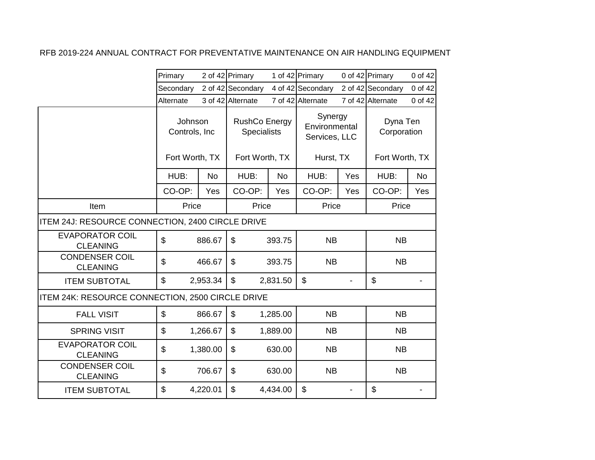|                                                  | Primary                                    |           | 2 of 42 Primary   |           | 1 of 42 Primary                            |     | 0 of 42 Primary                           | 0 of 42   |                         |  |
|--------------------------------------------------|--------------------------------------------|-----------|-------------------|-----------|--------------------------------------------|-----|-------------------------------------------|-----------|-------------------------|--|
|                                                  | Secondary                                  |           | 2 of 42 Secondary |           | 4 of 42 Secondary                          |     | 2 of 42 Secondary                         | 0 of 42   |                         |  |
|                                                  | Alternate                                  |           | 3 of 42 Alternate |           | 7 of 42 Alternate                          |     | 7 of 42 Alternate                         | 0 of 42   |                         |  |
|                                                  | Johnson<br>Controls, Inc<br>Fort Worth, TX |           |                   |           | <b>RushCo Energy</b><br><b>Specialists</b> |     | Synergy<br>Environmental<br>Services, LLC |           | Dyna Ten<br>Corporation |  |
|                                                  |                                            |           | Fort Worth, TX    |           | Hurst, TX                                  |     | Fort Worth, TX                            |           |                         |  |
|                                                  | HUB:                                       | <b>No</b> | HUB:              | <b>No</b> | HUB:                                       | Yes | HUB:                                      | <b>No</b> |                         |  |
|                                                  | CO-OP:                                     | Yes       | CO-OP:            | Yes       | CO-OP:                                     | Yes | CO-OP:                                    | Yes       |                         |  |
| Item                                             | Price                                      |           | Price             |           | Price                                      |     | Price                                     |           |                         |  |
| ITEM 24J: RESOURCE CONNECTION, 2400 CIRCLE DRIVE |                                            |           |                   |           |                                            |     |                                           |           |                         |  |
| <b>EVAPORATOR COIL</b><br><b>CLEANING</b>        | \$                                         | 886.67    | \$                | 393.75    | <b>NB</b>                                  |     | <b>NB</b>                                 |           |                         |  |
| <b>CONDENSER COIL</b><br><b>CLEANING</b>         | \$                                         | 466.67    | \$                | 393.75    | <b>NB</b>                                  |     | <b>NB</b>                                 |           |                         |  |
| <b>ITEM SUBTOTAL</b>                             | \$                                         | 2,953.34  | \$                | 2,831.50  | \$                                         |     | \$                                        |           |                         |  |
| ITEM 24K: RESOURCE CONNECTION, 2500 CIRCLE DRIVE |                                            |           |                   |           |                                            |     |                                           |           |                         |  |
| <b>FALL VISIT</b>                                | $\mathfrak{S}$                             | 866.67    | \$                | 1,285.00  | <b>NB</b>                                  |     | <b>NB</b>                                 |           |                         |  |
| <b>SPRING VISIT</b>                              | \$                                         | 1,266.67  | \$                | 1,889.00  | <b>NB</b>                                  |     | <b>NB</b>                                 |           |                         |  |
| <b>EVAPORATOR COIL</b><br><b>CLEANING</b>        | \$                                         | 1,380.00  | \$                | 630.00    | <b>NB</b>                                  |     | <b>NB</b>                                 |           |                         |  |
| <b>CONDENSER COIL</b><br><b>CLEANING</b>         | \$                                         | 706.67    | \$                | 630.00    | <b>NB</b>                                  |     | <b>NB</b>                                 |           |                         |  |
| <b>ITEM SUBTOTAL</b>                             | \$                                         | 4,220.01  | \$                | 4,434.00  | \$                                         |     | \$                                        |           |                         |  |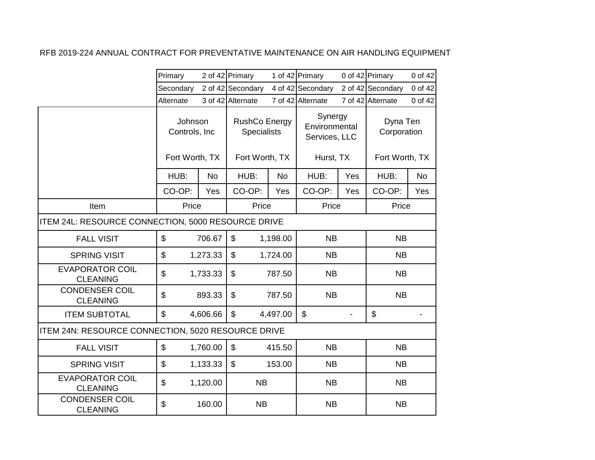|                                                    | Primary        |                          | 2 of 42 Primary   |                                     | 1 of 42 Primary                           |     | 0 of 42 Primary         | 0 of 42   |
|----------------------------------------------------|----------------|--------------------------|-------------------|-------------------------------------|-------------------------------------------|-----|-------------------------|-----------|
|                                                    | Secondary      |                          | 2 of 42 Secondary |                                     | 4 of 42 Secondary                         |     | 2 of 42 Secondary       | 0 of 42   |
|                                                    | Alternate      |                          | 3 of 42 Alternate |                                     | 7 of 42 Alternate                         |     | 7 of 42 Alternate       | 0 of 42   |
|                                                    |                | Johnson<br>Controls, Inc |                   | RushCo Energy<br><b>Specialists</b> | Synergy<br>Environmental<br>Services, LLC |     | Dyna Ten<br>Corporation |           |
|                                                    | Fort Worth, TX |                          | Fort Worth, TX    |                                     | Hurst, TX                                 |     | Fort Worth, TX          |           |
|                                                    | HUB:           | <b>No</b>                | HUB:              | <b>No</b>                           | HUB:                                      | Yes | HUB:                    | <b>No</b> |
|                                                    | CO-OP:         | Yes                      | CO-OP:            | Yes                                 | CO-OP:                                    | Yes | CO-OP:                  | Yes       |
| Item                                               | Price          |                          | Price             |                                     | Price                                     |     | Price                   |           |
| ITEM 24L: RESOURCE CONNECTION, 5000 RESOURCE DRIVE |                |                          |                   |                                     |                                           |     |                         |           |
| <b>FALL VISIT</b>                                  | \$             | 706.67                   | \$                | 1,198.00                            | <b>NB</b>                                 |     | <b>NB</b>               |           |
| <b>SPRING VISIT</b>                                | \$             | 1,273.33                 | $\mathbb{S}$      | 1,724.00                            | <b>NB</b>                                 |     | <b>NB</b>               |           |
| <b>EVAPORATOR COIL</b><br><b>CLEANING</b>          | \$             | 1,733.33                 | \$                | 787.50                              | <b>NB</b>                                 |     | <b>NB</b>               |           |
| <b>CONDENSER COIL</b><br><b>CLEANING</b>           | \$             | 893.33                   | $\mathfrak{S}$    | 787.50                              | <b>NB</b>                                 |     | <b>NB</b>               |           |
| <b>ITEM SUBTOTAL</b>                               | \$             | 4,606.66                 | \$                | 4,497.00                            | $\boldsymbol{\mathsf{S}}$                 |     | \$                      |           |
| ITEM 24N: RESOURCE CONNECTION, 5020 RESOURCE DRIVE |                |                          |                   |                                     |                                           |     |                         |           |
| <b>FALL VISIT</b>                                  | \$             | 1,760.00                 | $\mathfrak{S}$    | 415.50                              | <b>NB</b>                                 |     | <b>NB</b>               |           |
| <b>SPRING VISIT</b>                                | \$             | 1,133.33                 | \$                | 153.00                              | <b>NB</b>                                 |     | <b>NB</b>               |           |
| <b>EVAPORATOR COIL</b><br><b>CLEANING</b>          | \$             | 1,120.00                 | <b>NB</b>         |                                     | <b>NB</b>                                 |     | <b>NB</b>               |           |
| <b>CONDENSER COIL</b><br><b>CLEANING</b>           | \$             | 160.00                   | <b>NB</b>         |                                     | <b>NB</b>                                 |     | <b>NB</b>               |           |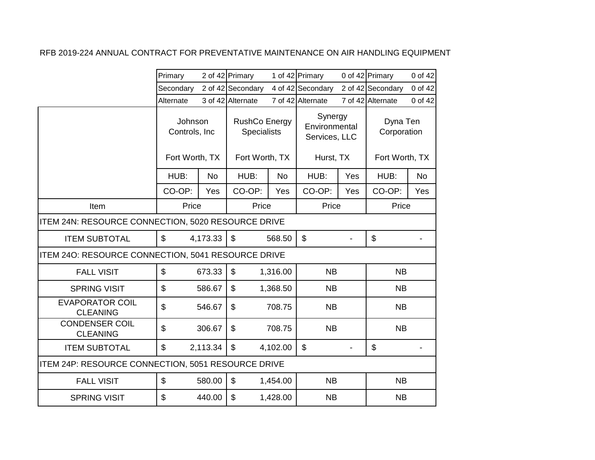|                                                    | Primary                                     |           | 2 of 42 Primary                                              |          | 1 of 42 Primary                                        |     | 0 of 42 Primary                           | 0 of 42   |
|----------------------------------------------------|---------------------------------------------|-----------|--------------------------------------------------------------|----------|--------------------------------------------------------|-----|-------------------------------------------|-----------|
|                                                    | Secondary                                   |           | 2 of 42 Secondary                                            |          | 4 of 42 Secondary                                      |     | 2 of 42 Secondary                         | 0 of 42   |
|                                                    | Alternate                                   |           | 3 of 42 Alternate                                            |          | 7 of 42 Alternate                                      |     | 7 of 42 Alternate                         | 0 of 42   |
|                                                    | Johnson<br>Controls, Inc.<br>Fort Worth, TX |           | <b>RushCo Energy</b><br><b>Specialists</b><br>Fort Worth, TX |          | Synergy<br>Environmental<br>Services, LLC<br>Hurst, TX |     | Dyna Ten<br>Corporation<br>Fort Worth, TX |           |
|                                                    |                                             |           |                                                              |          |                                                        |     |                                           |           |
|                                                    | HUB:                                        | <b>No</b> | HUB:                                                         | No       | HUB:                                                   | Yes | HUB:                                      | <b>No</b> |
|                                                    | CO-OP:                                      | Yes       | CO-OP:                                                       | Yes      | CO-OP:                                                 | Yes | CO-OP:                                    | Yes       |
| Item                                               | Price                                       |           | Price                                                        |          | Price                                                  |     | Price                                     |           |
| ITEM 24N: RESOURCE CONNECTION, 5020 RESOURCE DRIVE |                                             |           |                                                              |          |                                                        |     |                                           |           |
| <b>ITEM SUBTOTAL</b>                               | $\mathfrak{S}$                              | 4,173.33  | $\mathfrak{S}$                                               | 568.50   | \$                                                     |     | \$                                        |           |
| ITEM 240: RESOURCE CONNECTION, 5041 RESOURCE DRIVE |                                             |           |                                                              |          |                                                        |     |                                           |           |
| <b>FALL VISIT</b>                                  | \$                                          | 673.33    | $\mathfrak{S}$                                               | 1,316.00 | <b>NB</b>                                              |     | <b>NB</b>                                 |           |
| <b>SPRING VISIT</b>                                | \$                                          | 586.67    | $\mathfrak{S}$                                               | 1,368.50 | <b>NB</b>                                              |     | <b>NB</b>                                 |           |
| <b>EVAPORATOR COIL</b><br><b>CLEANING</b>          | $\mathfrak{S}$                              | 546.67    | $\mathfrak{L}$                                               | 708.75   | <b>NB</b>                                              |     | <b>NB</b>                                 |           |
| <b>CONDENSER COIL</b><br><b>CLEANING</b>           | \$                                          | 306.67    | \$                                                           | 708.75   | <b>NB</b>                                              |     | <b>NB</b>                                 |           |
| <b>ITEM SUBTOTAL</b>                               | \$                                          | 2,113.34  | \$                                                           | 4,102.00 | \$                                                     |     | \$                                        |           |
| ITEM 24P: RESOURCE CONNECTION, 5051 RESOURCE DRIVE |                                             |           |                                                              |          |                                                        |     |                                           |           |
| <b>FALL VISIT</b>                                  | \$                                          | 580.00    | \$                                                           | 1,454.00 | <b>NB</b>                                              |     | <b>NB</b>                                 |           |
| <b>SPRING VISIT</b>                                | \$                                          | 440.00    | $\mathfrak{L}$                                               | 1,428.00 | <b>NB</b>                                              |     | <b>NB</b>                                 |           |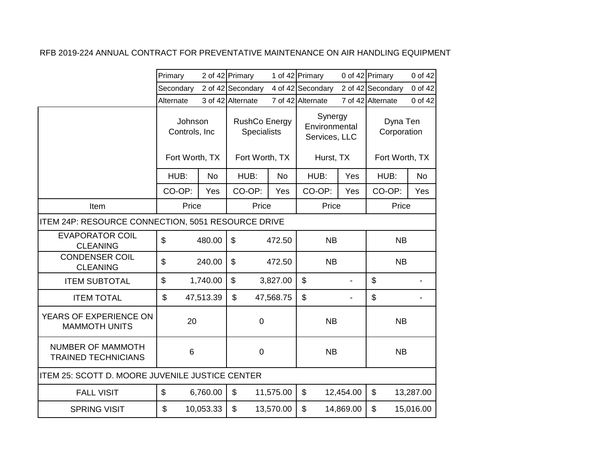|                                                        | Primary                   |           | 2 of 42 Primary   |                                            | 1 of 42 Primary           |                                           | 0 of 42 Primary         | 0 of 42        |
|--------------------------------------------------------|---------------------------|-----------|-------------------|--------------------------------------------|---------------------------|-------------------------------------------|-------------------------|----------------|
|                                                        | Secondary                 |           | 2 of 42 Secondary |                                            | 4 of 42 Secondary         |                                           | 2 of 42 Secondary       | 0 of 42        |
|                                                        | Alternate                 |           | 3 of 42 Alternate |                                            | 7 of 42 Alternate         |                                           | 7 of 42 Alternate       | 0 of 42        |
|                                                        | Johnson<br>Controls, Inc  |           |                   | <b>RushCo Energy</b><br><b>Specialists</b> |                           | Synergy<br>Environmental<br>Services, LLC | Dyna Ten<br>Corporation |                |
|                                                        | Fort Worth, TX            |           | Fort Worth, TX    |                                            |                           | Hurst, TX                                 |                         | Fort Worth, TX |
|                                                        | HUB:                      | <b>No</b> | HUB:              | <b>No</b>                                  | HUB:                      | Yes                                       | HUB:                    | <b>No</b>      |
|                                                        | CO-OP:                    | Yes       | CO-OP:            | Yes                                        | CO-OP:                    | Yes                                       | CO-OP:                  | Yes            |
| Item                                                   | Price                     |           | Price             |                                            | Price                     |                                           | Price                   |                |
| ITEM 24P: RESOURCE CONNECTION, 5051 RESOURCE DRIVE     |                           |           |                   |                                            |                           |                                           |                         |                |
| <b>EVAPORATOR COIL</b><br><b>CLEANING</b>              | \$                        | 480.00    | $\mathfrak{L}$    | 472.50                                     | <b>NB</b>                 |                                           | <b>NB</b>               |                |
| <b>CONDENSER COIL</b><br><b>CLEANING</b>               | $\mathfrak{S}$            | 240.00    | \$                | 472.50                                     | <b>NB</b>                 |                                           | <b>NB</b>               |                |
| <b>ITEM SUBTOTAL</b>                                   | \$                        | 1,740.00  | \$                | 3,827.00                                   | \$                        |                                           | \$                      |                |
| <b>ITEM TOTAL</b>                                      | \$                        | 47,513.39 | $\mathfrak{S}$    | 47,568.75                                  | $\boldsymbol{\mathsf{S}}$ |                                           | \$                      |                |
| YEARS OF EXPERIENCE ON<br><b>MAMMOTH UNITS</b>         | 20                        |           | $\mathbf 0$       |                                            | <b>NB</b>                 |                                           | <b>NB</b>               |                |
| <b>NUMBER OF MAMMOTH</b><br><b>TRAINED TECHNICIANS</b> | 6                         |           |                   |                                            | <b>NB</b>                 |                                           | <b>NB</b>               |                |
| ITEM 25: SCOTT D. MOORE JUVENILE JUSTICE CENTER        |                           |           |                   |                                            |                           |                                           |                         |                |
| <b>FALL VISIT</b>                                      | $\boldsymbol{\mathsf{S}}$ | 6,760.00  | \$                | 11,575.00                                  | \$                        | 12,454.00                                 | \$                      | 13,287.00      |
| <b>SPRING VISIT</b>                                    | \$                        | 10,053.33 | \$                | 13,570.00                                  | \$                        | 14,869.00                                 | $\mathfrak{S}$          | 15,016.00      |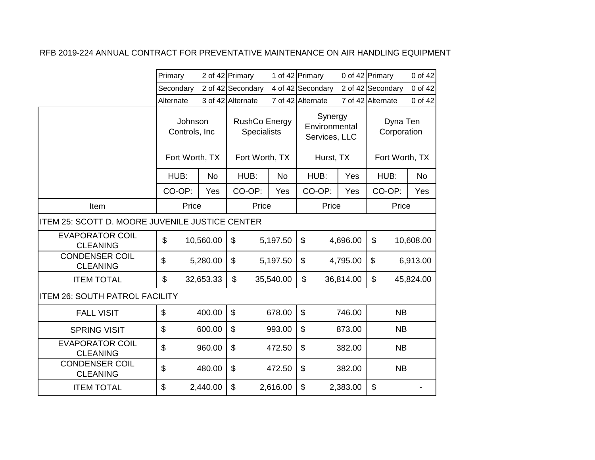|                                                        | Primary                                    |           | 2 of 42 Primary                                       |           | 1 of 42 Primary                                        |           | 0 of 42 Primary                           | 0 of 42   |
|--------------------------------------------------------|--------------------------------------------|-----------|-------------------------------------------------------|-----------|--------------------------------------------------------|-----------|-------------------------------------------|-----------|
|                                                        | Secondary                                  |           | 2 of 42 Secondary                                     |           | 4 of 42 Secondary                                      |           | 2 of 42 Secondary                         | 0 of 42   |
|                                                        | Alternate                                  |           | 3 of 42 Alternate                                     |           | 7 of 42 Alternate                                      |           | 7 of 42 Alternate                         | 0 of 42   |
|                                                        | Johnson<br>Controls, Inc<br>Fort Worth, TX |           | RushCo Energy<br><b>Specialists</b><br>Fort Worth, TX |           | Synergy<br>Environmental<br>Services, LLC<br>Hurst, TX |           | Dyna Ten<br>Corporation<br>Fort Worth, TX |           |
|                                                        | HUB:                                       | <b>No</b> | HUB:                                                  | <b>No</b> | HUB:                                                   | Yes       | HUB:                                      | No        |
|                                                        | CO-OP:                                     | Yes       | CO-OP:                                                | Yes       | CO-OP:                                                 | Yes       | CO-OP:                                    | Yes       |
| Item                                                   | Price                                      |           | Price                                                 |           | Price                                                  |           | Price                                     |           |
| <b>ITEM 25: SCOTT D. MOORE JUVENILE JUSTICE CENTER</b> |                                            |           |                                                       |           |                                                        |           |                                           |           |
| <b>EVAPORATOR COIL</b><br><b>CLEANING</b>              | \$                                         | 10,560.00 | \$                                                    | 5,197.50  | \$                                                     | 4,696.00  | \$                                        | 10,608.00 |
| <b>CONDENSER COIL</b><br><b>CLEANING</b>               | \$                                         | 5,280.00  | \$                                                    | 5,197.50  | \$                                                     | 4,795.00  | \$                                        | 6,913.00  |
| <b>ITEM TOTAL</b>                                      | \$                                         | 32,653.33 | \$                                                    | 35,540.00 | $\mathfrak{S}$                                         | 36,814.00 | \$                                        | 45,824.00 |
| <b>ITEM 26: SOUTH PATROL FACILITY</b>                  |                                            |           |                                                       |           |                                                        |           |                                           |           |
| <b>FALL VISIT</b>                                      | $\mathfrak{L}$                             | 400.00    | \$                                                    | 678.00    | $\boldsymbol{\mathsf{S}}$                              | 746.00    | <b>NB</b>                                 |           |
| <b>SPRING VISIT</b>                                    | \$                                         | 600.00    | \$                                                    | 993.00    | \$                                                     | 873.00    | <b>NB</b>                                 |           |
| <b>EVAPORATOR COIL</b><br><b>CLEANING</b>              | \$                                         | 960.00    | \$                                                    | 472.50    | \$                                                     | 382.00    | <b>NB</b>                                 |           |
| <b>CONDENSER COIL</b><br><b>CLEANING</b>               | \$                                         | 480.00    | $\mathfrak{S}$                                        | 472.50    | \$                                                     | 382.00    | <b>NB</b>                                 |           |
| <b>ITEM TOTAL</b>                                      | \$                                         | 2,440.00  | \$                                                    | 2,616.00  | \$                                                     | 2,383.00  | \$                                        |           |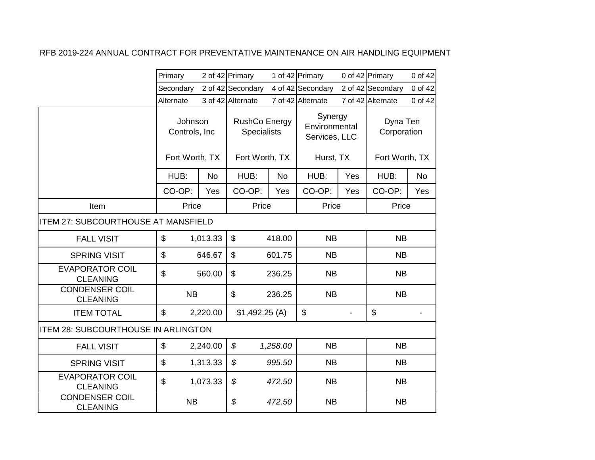|                                            | Primary                  |           | 2 of 42 Primary                     |           | 1 of 42 Primary                           |     | 0 of 42 Primary         | 0 of 42   |
|--------------------------------------------|--------------------------|-----------|-------------------------------------|-----------|-------------------------------------------|-----|-------------------------|-----------|
|                                            | Secondary                |           | 2 of 42 Secondary                   |           | 4 of 42 Secondary                         |     | 2 of 42 Secondary       | 0 of 42   |
|                                            | Alternate                |           | 3 of 42 Alternate                   |           | 7 of 42 Alternate                         |     | 7 of 42 Alternate       | 0 of 42   |
|                                            | Johnson<br>Controls, Inc |           | RushCo Energy<br><b>Specialists</b> |           | Synergy<br>Environmental<br>Services, LLC |     | Dyna Ten<br>Corporation |           |
|                                            | Fort Worth, TX           |           | Fort Worth, TX                      |           | Hurst, TX                                 |     | Fort Worth, TX          |           |
|                                            | HUB:                     | <b>No</b> | HUB:                                | <b>No</b> | HUB:                                      | Yes | HUB:                    | <b>No</b> |
|                                            | CO-OP:                   | Yes       | CO-OP:                              | Yes       | CO-OP:                                    | Yes | CO-OP:                  | Yes       |
| Item                                       | Price                    |           | Price                               |           | Price                                     |     | Price                   |           |
| ITEM 27: SUBCOURTHOUSE AT MANSFIELD        |                          |           |                                     |           |                                           |     |                         |           |
| <b>FALL VISIT</b>                          | \$                       | 1,013.33  |                                     | 418.00    | <b>NB</b>                                 |     | <b>NB</b>               |           |
| <b>SPRING VISIT</b>                        | \$                       | 646.67    | \$                                  | 601.75    | <b>NB</b>                                 |     | <b>NB</b>               |           |
| <b>EVAPORATOR COIL</b><br><b>CLEANING</b>  | \$                       | 560.00    | \$                                  | 236.25    | <b>NB</b>                                 |     | <b>NB</b>               |           |
| <b>CONDENSER COIL</b><br><b>CLEANING</b>   | <b>NB</b>                |           | \$                                  | 236.25    | <b>NB</b>                                 |     | <b>NB</b>               |           |
| <b>ITEM TOTAL</b>                          | \$                       | 2,220.00  | \$1,492.25(A)                       |           | \$                                        |     | \$                      |           |
| <b>ITEM 28: SUBCOURTHOUSE IN ARLINGTON</b> |                          |           |                                     |           |                                           |     |                         |           |
| <b>FALL VISIT</b>                          | \$                       | 2,240.00  | \$                                  | 1,258.00  | <b>NB</b>                                 |     | <b>NB</b>               |           |
| <b>SPRING VISIT</b>                        | \$                       | 1,313.33  | $\mathcal{L}$                       | 995.50    | <b>NB</b>                                 |     | <b>NB</b>               |           |
| <b>EVAPORATOR COIL</b><br><b>CLEANING</b>  | \$                       | 1,073.33  | $\boldsymbol{\mathcal{S}}$          | 472.50    | <b>NB</b>                                 |     | <b>NB</b>               |           |
| <b>CONDENSER COIL</b><br><b>CLEANING</b>   | <b>NB</b>                |           | \$                                  | 472.50    | <b>NB</b>                                 |     | <b>NB</b>               |           |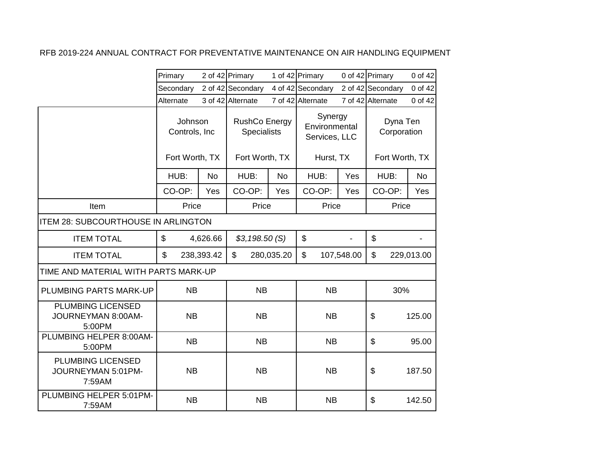|                                                          | Primary   |                                             | 2 of 42 Primary   |            | 1 of 42 Primary   |                                            | 0 of 42 Primary           | 0 of 42                                   |                         |  |
|----------------------------------------------------------|-----------|---------------------------------------------|-------------------|------------|-------------------|--------------------------------------------|---------------------------|-------------------------------------------|-------------------------|--|
|                                                          | Secondary |                                             | 2 of 42 Secondary |            | 4 of 42 Secondary |                                            | 2 of 42 Secondary         | 0 of 42                                   |                         |  |
|                                                          | Alternate |                                             | 3 of 42 Alternate |            | 7 of 42 Alternate |                                            | 7 of 42 Alternate         | 0 of 42                                   |                         |  |
|                                                          |           | Johnson<br>Controls, Inc.<br>Fort Worth, TX |                   |            |                   | <b>RushCo Energy</b><br><b>Specialists</b> |                           | Synergy<br>Environmental<br>Services, LLC | Dyna Ten<br>Corporation |  |
|                                                          |           |                                             | Fort Worth, TX    |            | Hurst, TX         |                                            | Fort Worth, TX            |                                           |                         |  |
|                                                          | HUB:      | <b>No</b>                                   | HUB:              | <b>No</b>  | HUB:              | Yes                                        | HUB:                      | <b>No</b>                                 |                         |  |
|                                                          | CO-OP:    | Yes                                         | CO-OP:            | Yes        | CO-OP:            | Yes                                        | CO-OP:                    | Yes                                       |                         |  |
| Item                                                     | Price     |                                             | Price             |            | Price             |                                            | Price                     |                                           |                         |  |
| <b>ITEM 28: SUBCOURTHOUSE IN ARLINGTON</b>               |           |                                             |                   |            |                   |                                            |                           |                                           |                         |  |
| <b>ITEM TOTAL</b>                                        | \$        | 4,626.66                                    | \$3,198.50(S)     |            | \$                |                                            | $\boldsymbol{\mathsf{S}}$ |                                           |                         |  |
| <b>ITEM TOTAL</b>                                        | \$        | 238,393.42                                  | \$                | 280,035.20 | \$                | 107,548.00                                 | \$                        | 229,013.00                                |                         |  |
| TIME AND MATERIAL WITH PARTS MARK-UP                     |           |                                             |                   |            |                   |                                            |                           |                                           |                         |  |
| <b>PLUMBING PARTS MARK-UP</b>                            | <b>NB</b> |                                             | <b>NB</b>         |            | <b>NB</b>         |                                            | 30%                       |                                           |                         |  |
| PLUMBING LICENSED<br>JOURNEYMAN 8:00AM-<br>5:00PM        | <b>NB</b> |                                             | <b>NB</b>         |            | <b>NB</b>         |                                            | \$                        | 125.00                                    |                         |  |
| PLUMBING HELPER 8:00AM-<br>5:00PM                        | <b>NB</b> |                                             | <b>NB</b>         |            | <b>NB</b>         |                                            | \$                        | 95.00                                     |                         |  |
| <b>PLUMBING LICENSED</b><br>JOURNEYMAN 5:01PM-<br>7:59AM | <b>NB</b> |                                             | <b>NB</b>         |            | <b>NB</b>         |                                            | \$                        | 187.50                                    |                         |  |
| PLUMBING HELPER 5:01PM-<br>7:59AM                        | <b>NB</b> |                                             | <b>NB</b>         |            | <b>NB</b>         |                                            | \$                        | 142.50                                    |                         |  |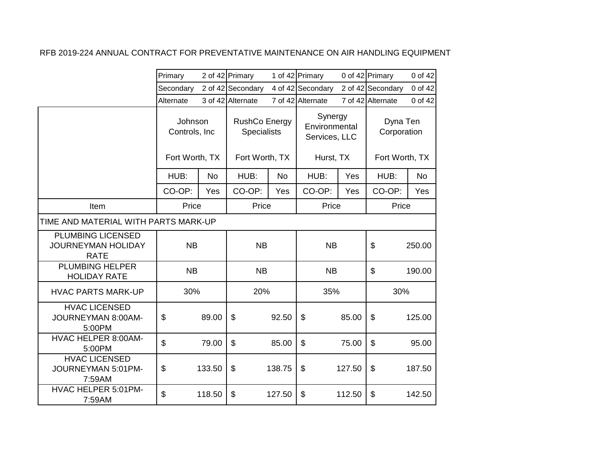|                                                                      | Primary                   |                | 2 of 42 Primary                     |                | 1 of 42 Primary                           |        | 0 of 42 Primary         | 0 of 42   |  |  |
|----------------------------------------------------------------------|---------------------------|----------------|-------------------------------------|----------------|-------------------------------------------|--------|-------------------------|-----------|--|--|
|                                                                      | Secondary                 |                | 2 of 42 Secondary                   |                | 4 of 42 Secondary                         |        | 2 of 42 Secondary       | 0 of 42   |  |  |
|                                                                      | Alternate                 |                | 3 of 42 Alternate                   |                | 7 of 42 Alternate                         |        | 7 of 42 Alternate       | 0 of 42   |  |  |
|                                                                      | Johnson<br>Controls, Inc. |                | <b>RushCo Energy</b><br>Specialists |                | Synergy<br>Environmental<br>Services, LLC |        | Dyna Ten<br>Corporation |           |  |  |
|                                                                      |                           | Fort Worth, TX |                                     | Fort Worth, TX | Hurst, TX                                 |        | Fort Worth, TX          |           |  |  |
|                                                                      | HUB:                      | No             | HUB:                                | <b>No</b>      | HUB:                                      | Yes    | HUB:                    | <b>No</b> |  |  |
|                                                                      | CO-OP:                    | Yes            | CO-OP:                              | Yes            | CO-OP:                                    | Yes    | CO-OP:                  | Yes       |  |  |
| Item                                                                 | Price                     |                | Price                               |                | Price                                     |        | Price                   |           |  |  |
| TIME AND MATERIAL WITH PARTS MARK-UP                                 |                           |                |                                     |                |                                           |        |                         |           |  |  |
| <b>PLUMBING LICENSED</b><br><b>JOURNEYMAN HOLIDAY</b><br><b>RATE</b> |                           | <b>NB</b>      |                                     | <b>NB</b>      | <b>NB</b>                                 |        | \$                      | 250.00    |  |  |
| <b>PLUMBING HELPER</b><br><b>HOLIDAY RATE</b>                        | <b>NB</b>                 |                | <b>NB</b>                           |                | <b>NB</b>                                 |        | \$                      | 190.00    |  |  |
| <b>HVAC PARTS MARK-UP</b>                                            | 30%                       |                | 20%                                 |                | 35%                                       |        | 30%                     |           |  |  |
| <b>HVAC LICENSED</b><br>JOURNEYMAN 8:00AM-<br>5:00PM                 | \$                        | 89.00          | \$                                  | 92.50          | \$                                        | 85.00  | \$                      | 125.00    |  |  |
| <b>HVAC HELPER 8:00AM-</b><br>5:00PM                                 | \$                        | 79.00          | \$                                  | 85.00          | \$                                        | 75.00  | $\mathfrak{L}$          | 95.00     |  |  |
| <b>HVAC LICENSED</b><br>JOURNEYMAN 5:01PM-<br>7:59AM                 | \$                        | 133.50         | \$                                  | 138.75         | \$                                        | 127.50 | \$                      | 187.50    |  |  |
| HVAC HELPER 5:01PM-<br>7:59AM                                        | \$                        | 118.50         | \$                                  | 127.50         | \$                                        | 112.50 | \$                      | 142.50    |  |  |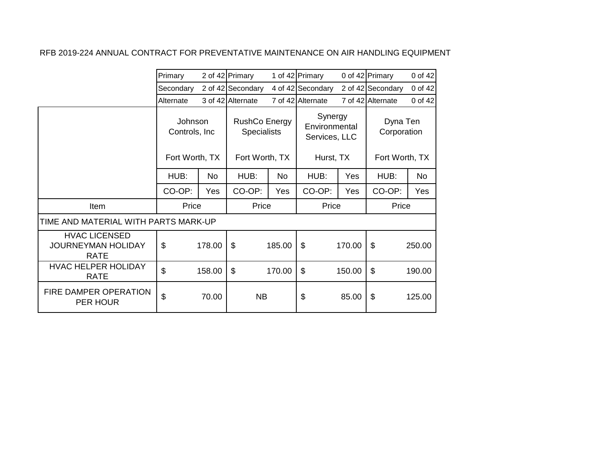|                                                                  | Primary                   | 2 of 42 Primary |                                            |        | 1 of 42 Primary                           |        | 0 of 42 Primary         | 0 of 42        |
|------------------------------------------------------------------|---------------------------|-----------------|--------------------------------------------|--------|-------------------------------------------|--------|-------------------------|----------------|
|                                                                  | Secondary                 |                 | 2 of 42 Secondary                          |        | 4 of 42 Secondary                         |        | 2 of 42 Secondary       | 0 of 42        |
|                                                                  | Alternate                 |                 | 3 of 42 Alternate                          |        | 7 of 42 Alternate                         |        | 7 of 42 Alternate       | 0 of 42        |
|                                                                  | Johnson<br>Controls, Inc. |                 | <b>RushCo Energy</b><br><b>Specialists</b> |        | Synergy<br>Environmental<br>Services, LLC |        | Dyna Ten<br>Corporation |                |
|                                                                  | Fort Worth, TX            |                 | Fort Worth, TX                             |        | Hurst, TX                                 |        | Fort Worth, TX          |                |
|                                                                  | HUB:                      | <b>No</b>       | HUB:                                       | No     | HUB:                                      | Yes    | HUB:                    | N <sub>o</sub> |
|                                                                  | CO-OP:                    | Yes             | CO-OP:                                     | Yes    | CO-OP:                                    | Yes    | CO-OP:                  | <b>Yes</b>     |
| Item                                                             | Price                     |                 | Price                                      |        | Price                                     |        | Price                   |                |
| TIME AND MATERIAL WITH PARTS MARK-UP                             |                           |                 |                                            |        |                                           |        |                         |                |
| <b>HVAC LICENSED</b><br><b>JOURNEYMAN HOLIDAY</b><br><b>RATE</b> | \$                        | 178.00          | $\mathfrak{S}$                             | 185.00 | \$                                        | 170.00 | \$                      | 250.00         |
| HVAC HELPER HOLIDAY<br><b>RATE</b>                               | \$                        | 158.00          | $\$\$                                      | 170.00 | \$                                        | 150.00 | \$                      | 190.00         |
| FIRE DAMPER OPERATION<br>PER HOUR                                | $\mathfrak{S}$            | 70.00           | <b>NB</b>                                  |        | \$                                        | 85.00  | \$                      | 125.00         |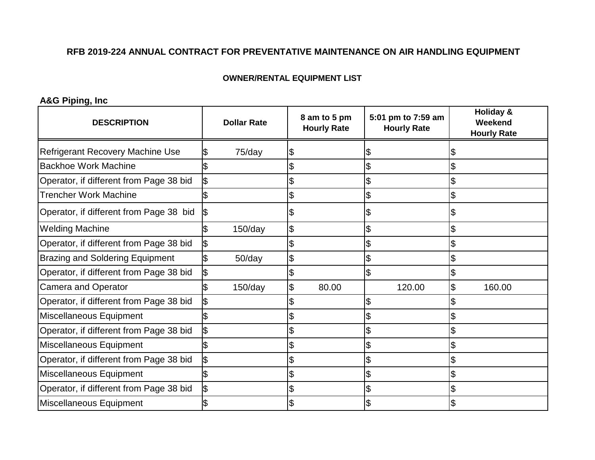#### **OWNER/RENTAL EQUIPMENT LIST**

**A&G Piping, Inc**

| <b>DESCRIPTION</b>                      |     | <b>Dollar Rate</b> | 8 am to 5 pm<br><b>Hourly Rate</b> |       | 5:01 pm to 7:59 am<br><b>Hourly Rate</b> | Holiday &<br>Weekend<br><b>Hourly Rate</b> |
|-----------------------------------------|-----|--------------------|------------------------------------|-------|------------------------------------------|--------------------------------------------|
| <b>Refrigerant Recovery Machine Use</b> |     | 75/day             |                                    |       | J                                        |                                            |
| <b>Backhoe Work Machine</b>             |     |                    |                                    |       | $\mathfrak{S}$                           |                                            |
| Operator, if different from Page 38 bid |     |                    |                                    |       | $\boldsymbol{\mathsf{\$}}$               |                                            |
| <b>Trencher Work Machine</b>            |     |                    | \$                                 |       | \$                                       |                                            |
| Operator, if different from Page 38 bid | 1\$ |                    |                                    |       | 1\$                                      |                                            |
| <b>Welding Machine</b>                  |     | 150/day            | \$                                 |       | $\overline{\theta}$                      |                                            |
| Operator, if different from Page 38 bid | 1\$ |                    |                                    |       | $\overline{\theta}$                      |                                            |
| <b>Brazing and Soldering Equipment</b>  |     | $50$ /day          | \$                                 |       | \$                                       |                                            |
| Operator, if different from Page 38 bid |     |                    |                                    |       | \$                                       |                                            |
| <b>Camera and Operator</b>              |     | $150$ /day         | \$                                 | 80.00 | 120.00                                   | 160.00                                     |
| Operator, if different from Page 38 bid | ß.  |                    |                                    |       | \$                                       |                                            |
| Miscellaneous Equipment                 |     |                    |                                    |       | Ι\$                                      |                                            |
| Operator, if different from Page 38 bid |     |                    |                                    |       | $\overline{\theta}$                      |                                            |
| Miscellaneous Equipment                 |     |                    |                                    |       | $\overline{\mathcal{S}}$                 |                                            |
| Operator, if different from Page 38 bid |     |                    |                                    |       | $\overline{\mathcal{S}}$                 |                                            |
| Miscellaneous Equipment                 |     |                    |                                    |       | $\overline{\theta}$                      |                                            |
| Operator, if different from Page 38 bid |     |                    |                                    |       | $\boldsymbol{\theta}$                    |                                            |
| Miscellaneous Equipment                 |     |                    |                                    |       |                                          |                                            |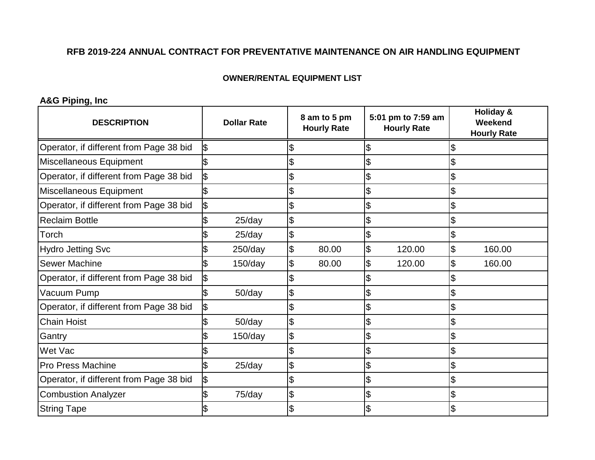### **OWNER/RENTAL EQUIPMENT LIST**

**A&G Piping, Inc**

| <b>DESCRIPTION</b>                      |    | <b>Dollar Rate</b> |                            | 8 am to 5 pm<br><b>Hourly Rate</b> | 5:01 pm to 7:59 am<br><b>Hourly Rate</b> |        | <b>Holiday &amp;</b><br>Weekend<br><b>Hourly Rate</b> |
|-----------------------------------------|----|--------------------|----------------------------|------------------------------------|------------------------------------------|--------|-------------------------------------------------------|
| Operator, if different from Page 38 bid | \$ |                    |                            |                                    | S                                        |        |                                                       |
| Miscellaneous Equipment                 |    |                    |                            |                                    | $\boldsymbol{\mathsf{S}}$                |        |                                                       |
| Operator, if different from Page 38 bid |    |                    |                            |                                    | $\mathfrak{S}$                           |        |                                                       |
| Miscellaneous Equipment                 |    |                    |                            |                                    | \$                                       |        | \$                                                    |
| Operator, if different from Page 38 bid | ß  |                    |                            |                                    | $\boldsymbol{\mathsf{\$}}$               |        | \$                                                    |
| <b>Reclaim Bottle</b>                   |    | $25$ /day          | $\boldsymbol{\theta}$      |                                    | $\boldsymbol{\mathsf{S}}$                |        |                                                       |
| Torch                                   |    | $25$ /day          | $\boldsymbol{\mathsf{\$}}$ |                                    | Ŝ.                                       |        |                                                       |
| <b>Hydro Jetting Svc</b>                |    | $250$ /day         | \$                         | 80.00                              | $\boldsymbol{\theta}$                    | 120.00 | \$<br>160.00                                          |
| <b>Sewer Machine</b>                    |    | $150$ /day         | \$                         | 80.00                              | \$                                       | 120.00 | \$<br>160.00                                          |
| Operator, if different from Page 38 bid |    |                    |                            |                                    |                                          |        |                                                       |
| Vacuum Pump                             |    | $50$ /day          | \$                         |                                    | \$                                       |        |                                                       |
| Operator, if different from Page 38 bid |    |                    |                            |                                    | $\boldsymbol{\mathsf{S}}$                |        |                                                       |
| <b>Chain Hoist</b>                      |    | $50$ /day          | $\boldsymbol{\mathsf{S}}$  |                                    | \$                                       |        | \$                                                    |
| Gantry                                  |    | $150$ /day         | $\boldsymbol{\theta}$      |                                    | $\boldsymbol{\theta}$                    |        | \$                                                    |
| Wet Vac                                 |    |                    |                            |                                    | $\mathfrak{S}$                           |        | \$                                                    |
| <b>Pro Press Machine</b>                |    | 25/day             | \$                         |                                    | $\boldsymbol{\mathsf{\$}}$               |        | \$                                                    |
| Operator, if different from Page 38 bid | \$ |                    | \$                         |                                    | $\boldsymbol{\mathsf{\$}}$               |        | \$                                                    |
| <b>Combustion Analyzer</b>              |    | 75/day             | $\boldsymbol{\theta}$      |                                    | $\boldsymbol{\mathsf{\$}}$               |        | \$                                                    |
| <b>String Tape</b>                      |    |                    |                            |                                    |                                          |        |                                                       |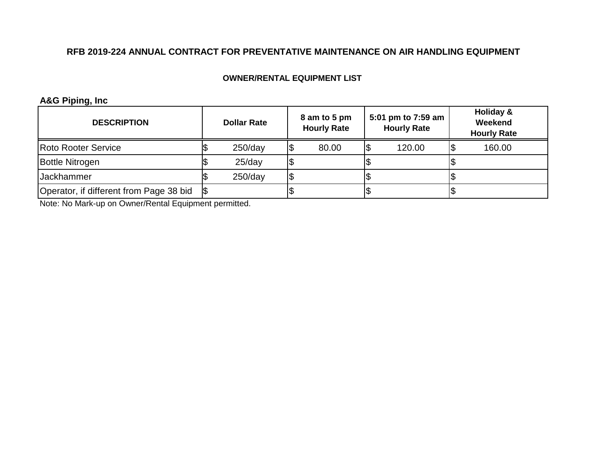### **OWNER/RENTAL EQUIPMENT LIST**

## **A&G Piping, Inc**

| <b>DESCRIPTION</b>                      | <b>Dollar Rate</b> | 8 am to 5 pm<br><b>Hourly Rate</b> |     | 5:01 pm to 7:59 am<br><b>Hourly Rate</b> | Holiday &<br>Weekend<br><b>Hourly Rate</b> |
|-----------------------------------------|--------------------|------------------------------------|-----|------------------------------------------|--------------------------------------------|
| <b>Roto Rooter Service</b>              | $250$ /day         | 80.00                              | 1\$ | 120.00                                   | 160.00                                     |
| <b>Bottle Nitrogen</b>                  | $25$ /day          |                                    |     |                                          |                                            |
| <b>Jackhammer</b>                       | $250$ /day         |                                    | ۵J  |                                          |                                            |
| Operator, if different from Page 38 bid |                    |                                    |     |                                          |                                            |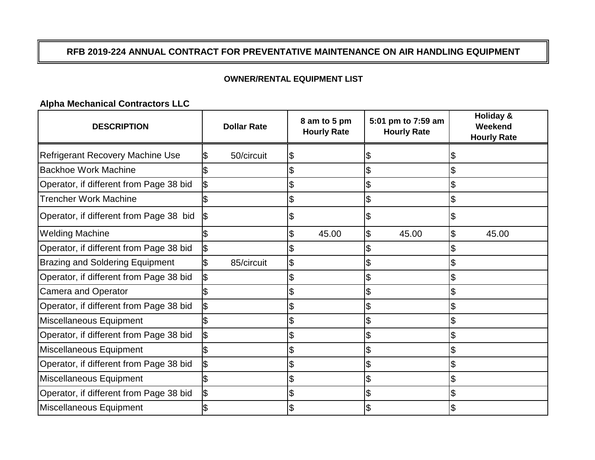## **OWNER/RENTAL EQUIPMENT LIST**

**Alpha Mechanical Contractors LLC**

| <b>DESCRIPTION</b>                      | <b>Dollar Rate</b> | 8 am to 5 pm<br><b>Hourly Rate</b> | 5:01 pm to 7:59 am<br><b>Hourly Rate</b> | Holiday &<br>Weekend<br><b>Hourly Rate</b> |
|-----------------------------------------|--------------------|------------------------------------|------------------------------------------|--------------------------------------------|
| <b>Refrigerant Recovery Machine Use</b> | 50/circuit         | \$                                 |                                          |                                            |
| <b>Backhoe Work Machine</b>             |                    |                                    | \$                                       |                                            |
| Operator, if different from Page 38 bid | I\$                |                                    | $\overline{\theta}$                      |                                            |
| <b>Trencher Work Machine</b>            |                    | \$                                 | $\overline{\theta}$                      |                                            |
| Operator, if different from Page 38 bid |                    |                                    | \$                                       |                                            |
| <b>Welding Machine</b>                  |                    | 45.00<br>\$                        | $\overline{\theta}$<br>45.00             | \$<br>45.00                                |
| Operator, if different from Page 38 bid |                    |                                    |                                          |                                            |
| <b>Brazing and Soldering Equipment</b>  | 85/circuit         | \$                                 | \$                                       |                                            |
| Operator, if different from Page 38 bid |                    |                                    | \$                                       |                                            |
| <b>Camera and Operator</b>              |                    |                                    | \$                                       |                                            |
| Operator, if different from Page 38 bid | I\$                |                                    | \$                                       |                                            |
| Miscellaneous Equipment                 |                    |                                    |                                          |                                            |
| Operator, if different from Page 38 bid |                    |                                    |                                          |                                            |
| Miscellaneous Equipment                 |                    |                                    | \$                                       |                                            |
| Operator, if different from Page 38 bid | ß                  | \$                                 | \$                                       |                                            |
| Miscellaneous Equipment                 |                    | \$                                 | \$                                       |                                            |
| Operator, if different from Page 38 bid |                    |                                    |                                          |                                            |
| Miscellaneous Equipment                 |                    |                                    | \$                                       |                                            |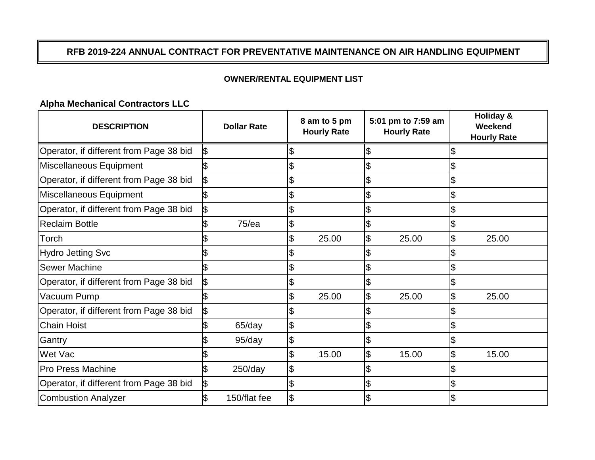## **OWNER/RENTAL EQUIPMENT LIST**

**Alpha Mechanical Contractors LLC**

| <b>DESCRIPTION</b>                      | <b>Dollar Rate</b> | 8 am to 5 pm<br><b>Hourly Rate</b> | 5:01 pm to 7:59 am<br><b>Hourly Rate</b> |       | <b>Holiday &amp;</b><br>Weekend<br><b>Hourly Rate</b> |
|-----------------------------------------|--------------------|------------------------------------|------------------------------------------|-------|-------------------------------------------------------|
| Operator, if different from Page 38 bid |                    |                                    | \$                                       |       |                                                       |
| Miscellaneous Equipment                 |                    |                                    | \$                                       |       |                                                       |
| Operator, if different from Page 38 bid |                    | \$                                 | \$                                       |       |                                                       |
| Miscellaneous Equipment                 |                    |                                    | \$                                       |       |                                                       |
| Operator, if different from Page 38 bid |                    |                                    | \$                                       |       |                                                       |
| <b>Reclaim Bottle</b>                   | 75/ea              | \$                                 | \$                                       |       |                                                       |
| Torch                                   |                    | 25.00                              | $\frac{1}{2}$                            | 25.00 | \$<br>25.00                                           |
| <b>Hydro Jetting Svc</b>                |                    |                                    | \$                                       |       |                                                       |
| <b>Sewer Machine</b>                    |                    | \$                                 | \$                                       |       |                                                       |
| Operator, if different from Page 38 bid |                    |                                    | \$                                       |       |                                                       |
| Vacuum Pump                             |                    | 25.00                              | $\overline{\theta}$                      | 25.00 | 25.00                                                 |
| Operator, if different from Page 38 bid |                    |                                    | \$                                       |       |                                                       |
| <b>Chain Hoist</b>                      | 65/day             | \$                                 | \$                                       |       |                                                       |
| Gantry                                  | 95/day             | \$                                 | \$                                       |       |                                                       |
| Wet Vac                                 |                    | \$<br>15.00                        | $\frac{1}{2}$                            | 15.00 | \$<br>15.00                                           |
| <b>Pro Press Machine</b>                | $250$ /day         | \$                                 | \$                                       |       |                                                       |
| Operator, if different from Page 38 bid |                    |                                    | \$                                       |       |                                                       |
| <b>Combustion Analyzer</b>              | 150/flat fee       |                                    | \$                                       |       |                                                       |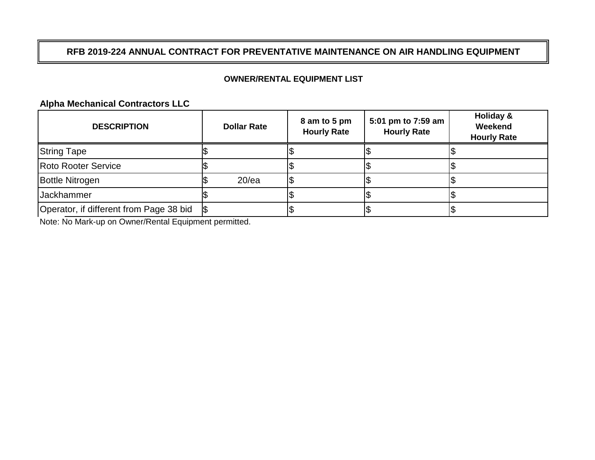## **OWNER/RENTAL EQUIPMENT LIST**

**Alpha Mechanical Contractors LLC**

| <b>DESCRIPTION</b>                      | <b>Dollar Rate</b> | 8 am to 5 pm<br><b>Hourly Rate</b> | 5:01 pm to 7:59 am<br><b>Hourly Rate</b> | Holiday &<br>Weekend<br><b>Hourly Rate</b> |
|-----------------------------------------|--------------------|------------------------------------|------------------------------------------|--------------------------------------------|
| <b>String Tape</b>                      |                    |                                    |                                          |                                            |
| <b>Roto Rooter Service</b>              |                    |                                    |                                          |                                            |
| Bottle Nitrogen                         | 20/ea              |                                    |                                          |                                            |
| <b>Jackhammer</b>                       |                    |                                    |                                          |                                            |
| Operator, if different from Page 38 bid |                    |                                    |                                          |                                            |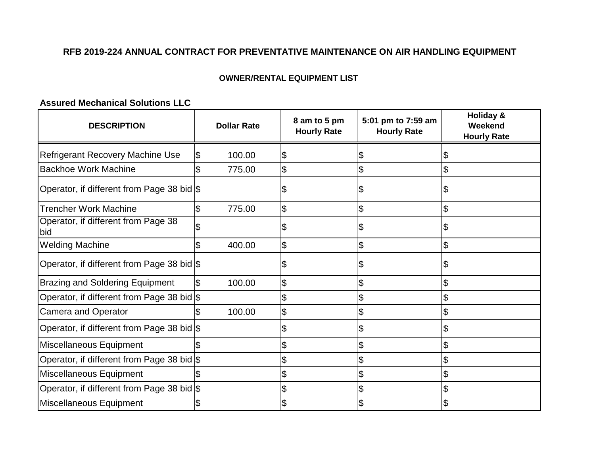## **OWNER/RENTAL EQUIPMENT LIST**

# **Assured Mechanical Solutions LLC**

| <b>DESCRIPTION</b>                         |   | <b>Dollar Rate</b> | 8 am to 5 pm<br><b>Hourly Rate</b> | 5:01 pm to 7:59 am<br><b>Hourly Rate</b> | <b>Holiday &amp;</b><br>Weekend<br><b>Hourly Rate</b> |
|--------------------------------------------|---|--------------------|------------------------------------|------------------------------------------|-------------------------------------------------------|
| <b>Refrigerant Recovery Machine Use</b>    | S | 100.00             | \$                                 |                                          |                                                       |
| <b>Backhoe Work Machine</b>                |   | 775.00             | \$                                 | \$                                       |                                                       |
| Operator, if different from Page 38 bid \$ |   |                    | \$                                 |                                          |                                                       |
| <b>Trencher Work Machine</b>               |   | 775.00             | \$                                 | \$                                       | \$                                                    |
| Operator, if different from Page 38<br>bid |   |                    | \$                                 |                                          |                                                       |
| <b>Welding Machine</b>                     |   | 400.00             | \$                                 | \$                                       |                                                       |
| Operator, if different from Page 38 bid \$ |   |                    | \$                                 |                                          |                                                       |
| <b>Brazing and Soldering Equipment</b>     |   | 100.00             | \$                                 | \$                                       |                                                       |
| Operator, if different from Page 38 bid \$ |   |                    | \$                                 |                                          |                                                       |
| <b>Camera and Operator</b>                 |   | 100.00             | \$                                 | \$                                       | \$                                                    |
| Operator, if different from Page 38 bid \$ |   |                    | \$                                 | \$                                       |                                                       |
| Miscellaneous Equipment                    |   |                    | \$                                 | \$                                       |                                                       |
| Operator, if different from Page 38 bid \$ |   |                    | \$                                 | \$                                       |                                                       |
| Miscellaneous Equipment                    |   |                    | \$                                 | \$                                       | \$                                                    |
| Operator, if different from Page 38 bid \$ |   |                    | \$                                 |                                          |                                                       |
| Miscellaneous Equipment                    |   |                    | \$                                 |                                          |                                                       |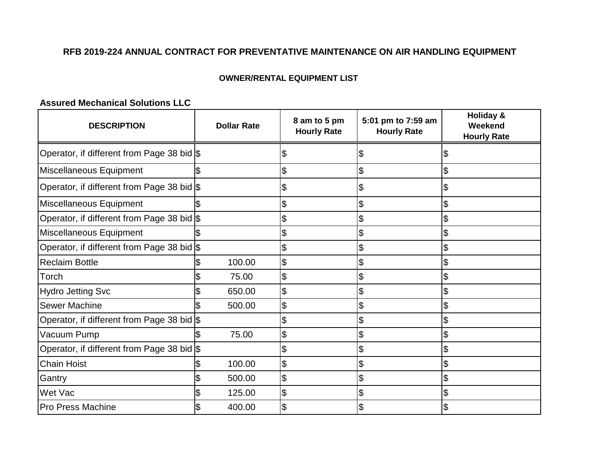## **OWNER/RENTAL EQUIPMENT LIST**

# **Assured Mechanical Solutions LLC**

| <b>DESCRIPTION</b>                         | <b>Dollar Rate</b> | 8 am to 5 pm<br><b>Hourly Rate</b> | 5:01 pm to 7:59 am<br><b>Hourly Rate</b> | <b>Holiday &amp;</b><br>Weekend<br><b>Hourly Rate</b> |
|--------------------------------------------|--------------------|------------------------------------|------------------------------------------|-------------------------------------------------------|
| Operator, if different from Page 38 bid \$ |                    | \$                                 | \$                                       | \$                                                    |
| Miscellaneous Equipment                    |                    | \$                                 | \$                                       | \$                                                    |
| Operator, if different from Page 38 bid \$ |                    |                                    | \$                                       | \$                                                    |
| Miscellaneous Equipment                    |                    | \$                                 | \$                                       | \$                                                    |
| Operator, if different from Page 38 bid \$ |                    | \$                                 | \$                                       | \$                                                    |
| Miscellaneous Equipment                    |                    | \$                                 | \$                                       | \$                                                    |
| Operator, if different from Page 38 bid \$ |                    | \$                                 | \$                                       | \$                                                    |
| <b>Reclaim Bottle</b>                      | 100.00             | \$                                 | \$                                       | \$                                                    |
| Torch                                      | 75.00              | \$                                 | \$                                       | \$                                                    |
| <b>Hydro Jetting Svc</b>                   | 650.00             | \$                                 | \$                                       | \$                                                    |
| <b>Sewer Machine</b>                       | 500.00             | \$                                 | \$                                       | \$                                                    |
| Operator, if different from Page 38 bid \$ |                    | \$                                 | \$                                       | \$                                                    |
| Vacuum Pump                                | 75.00              | \$                                 |                                          | \$                                                    |
| Operator, if different from Page 38 bid \$ |                    | \$                                 | \$                                       | \$                                                    |
| <b>Chain Hoist</b>                         | 100.00             | \$                                 | $\boldsymbol{\mathsf{S}}$                | \$                                                    |
| Gantry                                     | 500.00             | \$                                 | \$                                       | \$                                                    |
| Wet Vac                                    | 125.00             | \$                                 | \$                                       |                                                       |
| <b>Pro Press Machine</b>                   | 400.00             | \$                                 |                                          |                                                       |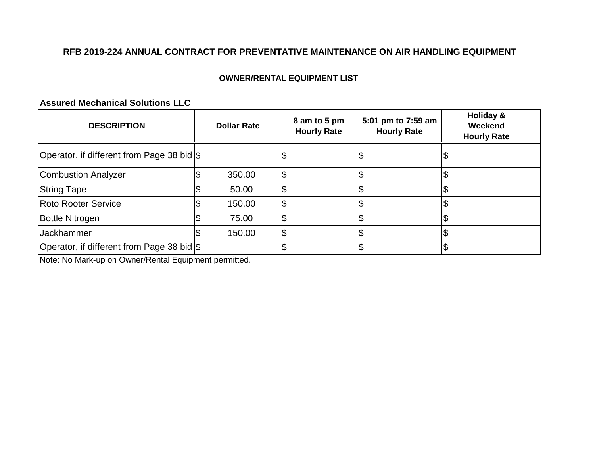## **OWNER/RENTAL EQUIPMENT LIST**

# **Assured Mechanical Solutions LLC**

| <b>DESCRIPTION</b>                         | <b>Dollar Rate</b> | 8 am to 5 pm<br><b>Hourly Rate</b> | 5:01 pm to 7:59 am<br><b>Hourly Rate</b> | Holiday &<br>Weekend<br><b>Hourly Rate</b> |
|--------------------------------------------|--------------------|------------------------------------|------------------------------------------|--------------------------------------------|
| Operator, if different from Page 38 bid \$ |                    |                                    |                                          |                                            |
| Combustion Analyzer                        | 350.00             |                                    |                                          |                                            |
| <b>String Tape</b>                         | 50.00              |                                    |                                          |                                            |
| <b>Roto Rooter Service</b>                 | 150.00             |                                    |                                          |                                            |
| <b>Bottle Nitrogen</b>                     | 75.00              |                                    |                                          |                                            |
| Jackhammer                                 | 150.00             |                                    |                                          |                                            |
| Operator, if different from Page 38 bid \$ |                    |                                    |                                          |                                            |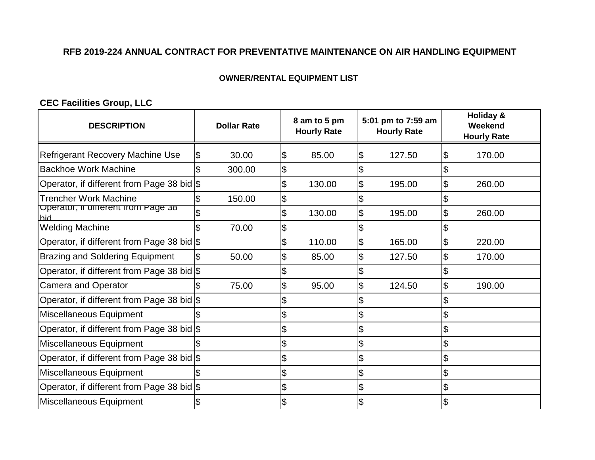## **OWNER/RENTAL EQUIPMENT LIST**

**CEC Facilities Group, LLC**

| <b>DESCRIPTION</b>                            | <b>Dollar Rate</b> |        |                     | 8 am to 5 pm<br><b>Hourly Rate</b> |                       | 5:01 pm to 7:59 am<br><b>Hourly Rate</b> |                          | <b>Holiday &amp;</b><br>Weekend<br><b>Hourly Rate</b> |
|-----------------------------------------------|--------------------|--------|---------------------|------------------------------------|-----------------------|------------------------------------------|--------------------------|-------------------------------------------------------|
| Refrigerant Recovery Machine Use              |                    | 30.00  | \$                  | 85.00                              | \$                    | 127.50                                   | 1\$                      | 170.00                                                |
| <b>Backhoe Work Machine</b>                   |                    | 300.00 | \$                  |                                    |                       |                                          |                          |                                                       |
| Operator, if different from Page 38 bid $\$\$ |                    |        | \$                  | 130.00                             | \$                    | 195.00                                   | $\overline{\theta}$      | 260.00                                                |
| <b>Trencher Work Machine</b>                  |                    | 150.00 | $\overline{\theta}$ |                                    | \$                    |                                          | \$                       |                                                       |
| Operator, if different from Page 38<br>hid    |                    |        | \$                  | 130.00                             | \$                    | 195.00                                   | $\overline{\theta}$      | 260.00                                                |
| <b>Welding Machine</b>                        |                    | 70.00  | \$                  |                                    | \$                    |                                          | ۱J                       |                                                       |
| Operator, if different from Page 38 bid \$    |                    |        | \$                  | 110.00                             | \$                    | 165.00                                   | l\$                      | 220.00                                                |
| <b>Brazing and Soldering Equipment</b>        |                    | 50.00  | \$                  | 85.00                              | \$                    | 127.50                                   | $\overline{\mathcal{S}}$ | 170.00                                                |
| Operator, if different from Page 38 bid \$    |                    |        |                     |                                    | \$                    |                                          | Ŝ.                       |                                                       |
| <b>Camera and Operator</b>                    |                    | 75.00  | \$                  | 95.00                              | \$                    | 124.50                                   | $\overline{\theta}$      | 190.00                                                |
| Operator, if different from Page 38 bid \$    |                    |        |                     |                                    | \$                    |                                          | ß.                       |                                                       |
| Miscellaneous Equipment                       |                    |        | \$                  |                                    | \$                    |                                          | l\$                      |                                                       |
| Operator, if different from Page 38 bid $\$\$ |                    |        | \$                  |                                    | \$                    |                                          | \$                       |                                                       |
| Miscellaneous Equipment                       |                    |        | \$                  |                                    | \$                    |                                          | $\mathfrak{S}$           |                                                       |
| Operator, if different from Page 38 bid \$    |                    |        | \$                  |                                    | \$                    |                                          | $\boldsymbol{\theta}$    |                                                       |
| Miscellaneous Equipment                       |                    |        | \$                  |                                    | $\boldsymbol{\theta}$ |                                          | 1\$                      |                                                       |
| Operator, if different from Page 38 bid \$    |                    |        | \$                  |                                    | \$                    |                                          | l\$                      |                                                       |
| Miscellaneous Equipment                       |                    |        |                     |                                    | \$                    |                                          |                          |                                                       |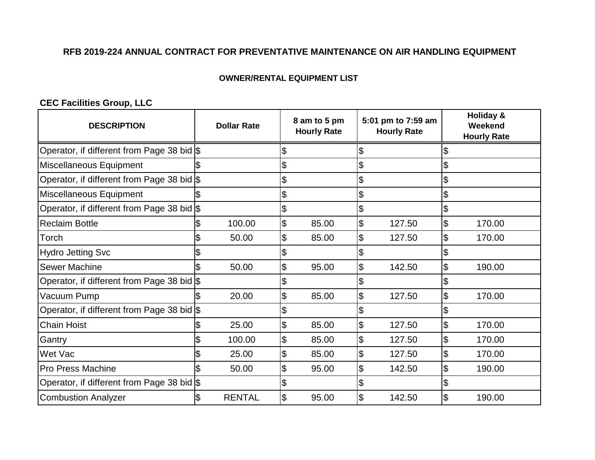## **OWNER/RENTAL EQUIPMENT LIST**

# **CEC Facilities Group, LLC**

| <b>DESCRIPTION</b>                         | <b>Dollar Rate</b> |    | 8 am to 5 pm<br><b>Hourly Rate</b> |                           | 5:01 pm to 7:59 am<br><b>Hourly Rate</b> |                           | <b>Holiday &amp;</b><br>Weekend<br><b>Hourly Rate</b> |  |
|--------------------------------------------|--------------------|----|------------------------------------|---------------------------|------------------------------------------|---------------------------|-------------------------------------------------------|--|
| Operator, if different from Page 38 bid \$ |                    | \$ |                                    | \$                        |                                          | S                         |                                                       |  |
| Miscellaneous Equipment                    |                    | \$ |                                    | \$                        |                                          |                           |                                                       |  |
| Operator, if different from Page 38 bid \$ |                    | \$ |                                    | \$                        |                                          | \$                        |                                                       |  |
| Miscellaneous Equipment                    |                    | \$ |                                    | \$                        |                                          | \$                        |                                                       |  |
| Operator, if different from Page 38 bid \$ |                    | \$ |                                    | \$                        |                                          | \$                        |                                                       |  |
| <b>Reclaim Bottle</b>                      | 100.00             | \$ | 85.00                              | $\frac{1}{2}$             | 127.50                                   | $\mathfrak{S}$            | 170.00                                                |  |
| Torch                                      | 50.00              | \$ | 85.00                              | $\frac{1}{2}$             | 127.50                                   | \$                        | 170.00                                                |  |
| <b>Hydro Jetting Svc</b>                   |                    | \$ |                                    | \$                        |                                          | \$                        |                                                       |  |
| <b>Sewer Machine</b>                       | 50.00              | \$ | 95.00                              | $\frac{1}{2}$             | 142.50                                   | \$                        | 190.00                                                |  |
| Operator, if different from Page 38 bid \$ |                    | \$ |                                    | \$                        |                                          |                           |                                                       |  |
| Vacuum Pump                                | 20.00              | \$ | 85.00                              | $\overline{\mathcal{E}}$  | 127.50                                   | $\mathfrak{S}$            | 170.00                                                |  |
| Operator, if different from Page 38 bid \$ |                    | \$ |                                    | \$                        |                                          | \$                        |                                                       |  |
| <b>Chain Hoist</b>                         | 25.00              | \$ | 85.00                              | $\boldsymbol{\theta}$     | 127.50                                   | $\boldsymbol{\mathsf{S}}$ | 170.00                                                |  |
| Gantry                                     | 100.00             | \$ | 85.00                              | $\overline{\theta}$       | 127.50                                   | $\overline{\theta}$       | 170.00                                                |  |
| Wet Vac                                    | 25.00              | \$ | 85.00                              | $\boldsymbol{\theta}$     | 127.50                                   | $\boldsymbol{\theta}$     | 170.00                                                |  |
| <b>Pro Press Machine</b>                   | 50.00              | \$ | 95.00                              | $\overline{\theta}$       | 142.50                                   | \$                        | 190.00                                                |  |
| Operator, if different from Page 38 bid \$ |                    | \$ |                                    | \$                        |                                          |                           |                                                       |  |
| <b>Combustion Analyzer</b>                 | <b>RENTAL</b>      | \$ | 95.00                              | $\boldsymbol{\mathsf{S}}$ | 142.50                                   | \$                        | 190.00                                                |  |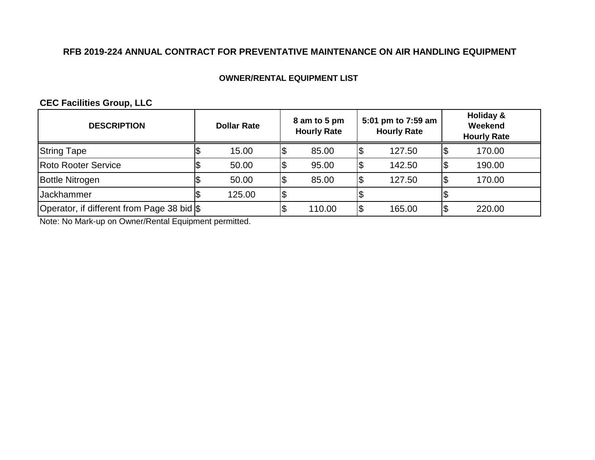## **OWNER/RENTAL EQUIPMENT LIST**

# **CEC Facilities Group, LLC**

| <b>DESCRIPTION</b>                         | <b>Dollar Rate</b> |     | 8 am to 5 pm<br><b>Hourly Rate</b> |    | 5:01 pm to 7:59 am<br><b>Hourly Rate</b> | Holiday &<br>Weekend<br><b>Hourly Rate</b> |
|--------------------------------------------|--------------------|-----|------------------------------------|----|------------------------------------------|--------------------------------------------|
| <b>String Tape</b>                         | 15.00              | Ι\$ | 85.00                              | Φ  | 127.50                                   | 170.00                                     |
| <b>Roto Rooter Service</b>                 | 50.00              | 1\$ | 95.00                              | \$ | 142.50                                   | 190.00                                     |
| <b>Bottle Nitrogen</b>                     | 50.00              | 1\$ | 85.00                              | ß. | 127.50                                   | 170.00                                     |
| <b>Jackhammer</b>                          | 125.00             | 1\$ |                                    |    |                                          |                                            |
| Operator, if different from Page 38 bid \$ |                    |     | 110.00                             | \$ | 165.00                                   | 220.00                                     |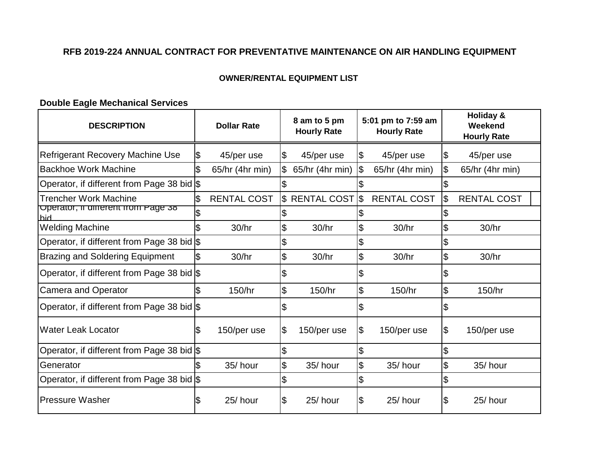## **OWNER/RENTAL EQUIPMENT LIST**

## **Double Eagle Mechanical Services**

| <b>DESCRIPTION</b>                         | <b>Dollar Rate</b> | 8 am to 5 pm<br><b>Hourly Rate</b> |               | 5:01 pm to 7:59 am<br><b>Hourly Rate</b> |                          | <b>Holiday &amp;</b><br>Weekend<br><b>Hourly Rate</b> |
|--------------------------------------------|--------------------|------------------------------------|---------------|------------------------------------------|--------------------------|-------------------------------------------------------|
| <b>Refrigerant Recovery Machine Use</b>    | \$<br>45/per use   | \$<br>45/per use                   | Ι\$           | 45/per use                               | l\$                      | 45/per use                                            |
| <b>Backhoe Work Machine</b>                | 65/hr (4hr min)    | \$<br>65/hr (4hr min)              | $\frac{1}{2}$ | 65/hr (4hr min)                          |                          | 65/hr (4hr min)                                       |
| Operator, if different from Page 38 bid \$ |                    | \$                                 |               |                                          |                          |                                                       |
| <b>Trencher Work Machine</b>               | <b>RENTAL COST</b> | \$ RENTAL COST                     | 1\$           | <b>RENTAL COST</b>                       | l\$                      | <b>RENTAL COST</b>                                    |
| Operator, if different from Page 38<br>hid |                    |                                    |               |                                          |                          |                                                       |
| <b>Welding Machine</b>                     | 30/hr              | \$<br>30/hr                        | \$            | 30/hr                                    | \$                       | 30/hr                                                 |
| Operator, if different from Page 38 bid \$ |                    | \$                                 | \$            |                                          |                          |                                                       |
| <b>Brazing and Soldering Equipment</b>     | 30/hr              | \$<br>30/hr                        | \$            | 30/hr                                    | \$                       | 30/hr                                                 |
| Operator, if different from Page 38 bid \$ |                    | \$                                 | \$            |                                          | \$                       |                                                       |
| <b>Camera and Operator</b>                 | 150/hr             | \$<br>150/hr                       | \$            | 150/hr                                   | $\overline{\mathcal{S}}$ | 150/hr                                                |
| Operator, if different from Page 38 bid \$ |                    | \$                                 | \$            |                                          | I\$                      |                                                       |
| <b>Water Leak Locator</b>                  | \$<br>150/per use  | \$<br>150/per use                  | Ι\$           | 150/per use                              | 1\$                      | 150/per use                                           |
| Operator, if different from Page 38 bid \$ |                    | \$                                 | \$            |                                          |                          |                                                       |
| Generator                                  | 35/hour            | \$<br>35/hour                      | \$            | 35/hour                                  | \$                       | 35/hour                                               |
| Operator, if different from Page 38 bid \$ |                    | \$                                 | \$            |                                          | \$                       |                                                       |
| <b>Pressure Washer</b>                     | 25/hour            | \$<br>25/hour                      | \$            | 25/hour                                  | \$                       | 25/hour                                               |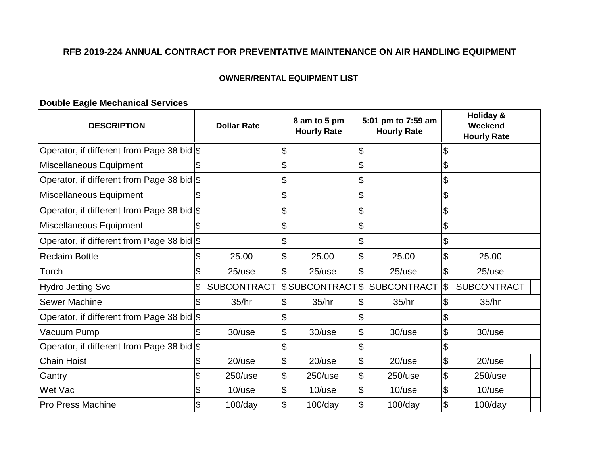## **OWNER/RENTAL EQUIPMENT LIST**

## **Double Eagle Mechanical Services**

| <b>DESCRIPTION</b>                         | <b>Dollar Rate</b> |    | 8 am to 5 pm<br><b>Hourly Rate</b> |    | 5:01 pm to 7:59 am<br><b>Hourly Rate</b> |                     | <b>Holiday &amp;</b><br>Weekend<br><b>Hourly Rate</b> |  |
|--------------------------------------------|--------------------|----|------------------------------------|----|------------------------------------------|---------------------|-------------------------------------------------------|--|
| Operator, if different from Page 38 bid \$ |                    | \$ |                                    | \$ |                                          |                     |                                                       |  |
| Miscellaneous Equipment                    |                    | \$ |                                    | \$ |                                          | \$                  |                                                       |  |
| Operator, if different from Page 38 bid \$ |                    | \$ |                                    | \$ |                                          |                     |                                                       |  |
| Miscellaneous Equipment                    |                    | \$ |                                    | \$ |                                          | \$                  |                                                       |  |
| Operator, if different from Page 38 bid \$ |                    | \$ |                                    | \$ |                                          | \$                  |                                                       |  |
| Miscellaneous Equipment                    |                    | \$ |                                    | \$ |                                          | \$                  |                                                       |  |
| Operator, if different from Page 38 bid \$ |                    | \$ |                                    | \$ |                                          |                     |                                                       |  |
| <b>Reclaim Bottle</b>                      | 25.00              | \$ | 25.00                              | \$ | 25.00                                    | $\overline{\theta}$ | 25.00                                                 |  |
| Torch                                      | $25$ /use          | \$ | $25$ /use                          | \$ | $25$ /use                                | \$                  | $25$ /use                                             |  |
| <b>Hydro Jetting Svc</b>                   | <b>SUBCONTRACT</b> |    | \$SUBCONTRACTS                     |    | <b>SUBCONTRACT</b>                       | \$                  | <b>SUBCONTRACT</b>                                    |  |
| <b>Sewer Machine</b>                       | 35/hr              | \$ | 35/hr                              | \$ | 35/hr                                    | \$                  | 35/hr                                                 |  |
| Operator, if different from Page 38 bid \$ |                    | \$ |                                    |    |                                          |                     |                                                       |  |
| Vacuum Pump                                | $30$ /use          | \$ | 30/use                             | \$ | $30$ /use                                | \$                  | 30/use                                                |  |
| Operator, if different from Page 38 bid \$ |                    | \$ |                                    | \$ |                                          |                     |                                                       |  |
| <b>Chain Hoist</b>                         | $20$ /use          | \$ | $20$ /use                          | \$ | $20$ /use                                | \$                  | $20$ /use                                             |  |
| Gantry                                     | $250$ /use         | \$ | $250$ /use                         | \$ | $250$ /use                               | \$                  | $250$ /use                                            |  |
| Wet Vac                                    | $10$ /use          | \$ | $10$ /use                          | \$ | $10$ /use                                | \$                  | $10$ /use                                             |  |
| <b>Pro Press Machine</b>                   | $100$ /day         | \$ | $100$ /day                         | \$ | $100$ /day                               | \$                  | $100$ /day                                            |  |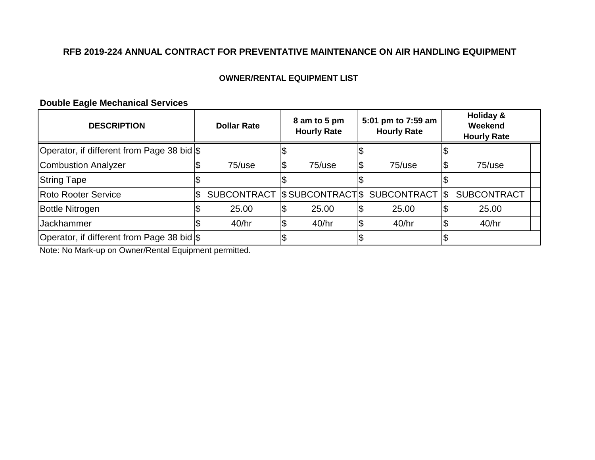## **OWNER/RENTAL EQUIPMENT LIST**

## **Double Eagle Mechanical Services**

| <b>DESCRIPTION</b>                         |     | <b>Dollar Rate</b> |     | 8 am to 5 pm<br><b>Hourly Rate</b> | 5:01 pm to 7:59 am<br><b>Hourly Rate</b> | Holiday &<br>Weekend<br><b>Hourly Rate</b> |
|--------------------------------------------|-----|--------------------|-----|------------------------------------|------------------------------------------|--------------------------------------------|
| Operator, if different from Page 38 bid \$ |     |                    |     |                                    |                                          |                                            |
| <b>Combustion Analyzer</b>                 |     | $75$ /use          | 1\$ | $75$ /use                          | \$<br>$75$ /use                          | 75/use                                     |
| <b>String Tape</b>                         |     |                    |     |                                    |                                          |                                            |
| <b>Roto Rooter Service</b>                 | 1\$ |                    |     |                                    | SUBCONTRACT SUBCONTRACTS SUBCONTRACT S   | <b>SUBCONTRACT</b>                         |
| <b>Bottle Nitrogen</b>                     |     | 25.00              | 1\$ | 25.00                              | 25.00                                    | 25.00                                      |
| <b>Jackhammer</b>                          |     | 40/hr              | 1\$ | 40/hr                              | 40/hr                                    | 40/hr                                      |
| Operator, if different from Page 38 bid \$ |     |                    |     |                                    |                                          |                                            |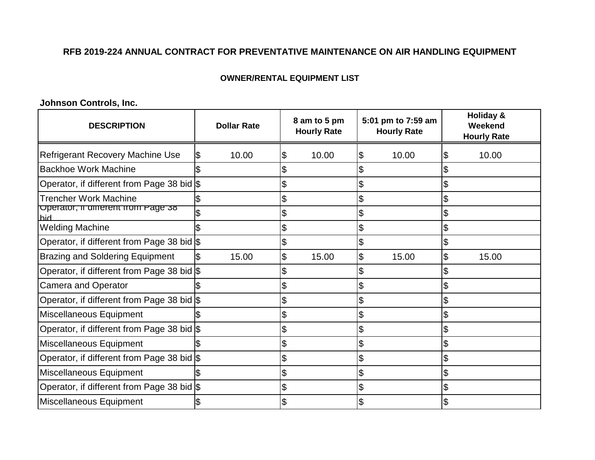### **OWNER/RENTAL EQUIPMENT LIST**

**Johnson Controls, Inc.**

| <b>DESCRIPTION</b>                         | <b>Dollar Rate</b> | 8 am to 5 pm<br><b>Hourly Rate</b> | 5:01 pm to 7:59 am<br><b>Hourly Rate</b> | <b>Holiday &amp;</b><br>Weekend<br><b>Hourly Rate</b> |
|--------------------------------------------|--------------------|------------------------------------|------------------------------------------|-------------------------------------------------------|
| Refrigerant Recovery Machine Use           | 10.00              | 10.00<br>\$                        | 10.00<br>\$                              | 10.00                                                 |
| <b>Backhoe Work Machine</b>                |                    |                                    |                                          |                                                       |
| Operator, if different from Page 38 bid \$ |                    | \$                                 | \$                                       |                                                       |
| <b>Trencher Work Machine</b>               |                    | \$                                 | \$                                       |                                                       |
| Operator, if different from Page 38<br>hid |                    | \$                                 | \$                                       | \$                                                    |
| <b>Welding Machine</b>                     |                    |                                    |                                          |                                                       |
| Operator, if different from Page 38 bid \$ |                    |                                    |                                          |                                                       |
| <b>Brazing and Soldering Equipment</b>     | 15.00              | \$<br>15.00                        | \$<br>15.00                              | \$<br>15.00                                           |
| Operator, if different from Page 38 bid \$ |                    |                                    |                                          |                                                       |
| <b>Camera and Operator</b>                 |                    |                                    |                                          |                                                       |
| Operator, if different from Page 38 bid \$ |                    | \$                                 | \$                                       | S                                                     |
| Miscellaneous Equipment                    |                    |                                    |                                          |                                                       |
| Operator, if different from Page 38 bid \$ |                    |                                    |                                          |                                                       |
| Miscellaneous Equipment                    |                    |                                    |                                          |                                                       |
| Operator, if different from Page 38 bid \$ |                    | \$                                 | \$                                       | \$                                                    |
| Miscellaneous Equipment                    |                    | \$                                 | \$                                       | \$                                                    |
| Operator, if different from Page 38 bid \$ |                    |                                    |                                          |                                                       |
| Miscellaneous Equipment                    |                    |                                    |                                          |                                                       |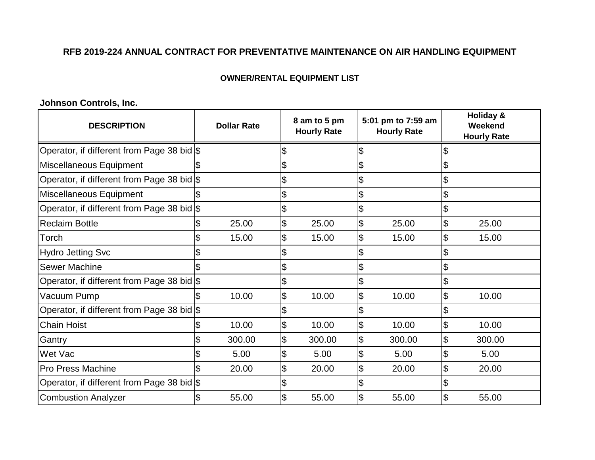## **OWNER/RENTAL EQUIPMENT LIST**

**Johnson Controls, Inc.**

| <b>DESCRIPTION</b>                         | <b>Dollar Rate</b> |        | 8 am to 5 pm<br><b>Hourly Rate</b> |    | 5:01 pm to 7:59 am<br><b>Hourly Rate</b> |                          | <b>Holiday &amp;</b><br>Weekend<br><b>Hourly Rate</b> |  |
|--------------------------------------------|--------------------|--------|------------------------------------|----|------------------------------------------|--------------------------|-------------------------------------------------------|--|
| Operator, if different from Page 38 bid \$ |                    |        | \$                                 | \$ |                                          |                          |                                                       |  |
| Miscellaneous Equipment                    |                    |        | \$                                 | \$ |                                          | \$                       |                                                       |  |
| Operator, if different from Page 38 bid \$ |                    |        | \$                                 | \$ |                                          | \$                       |                                                       |  |
| Miscellaneous Equipment                    |                    |        | \$                                 | \$ |                                          |                          |                                                       |  |
| Operator, if different from Page 38 bid \$ |                    |        | \$                                 | \$ |                                          | \$                       |                                                       |  |
| <b>Reclaim Bottle</b>                      |                    | 25.00  | \$<br>25.00                        | \$ | 25.00                                    | \$                       | 25.00                                                 |  |
| Torch                                      |                    | 15.00  | \$<br>15.00                        | \$ | 15.00                                    | \$                       | 15.00                                                 |  |
| <b>Hydro Jetting Svc</b>                   |                    |        | \$                                 |    |                                          |                          |                                                       |  |
| <b>Sewer Machine</b>                       |                    |        | \$                                 | \$ |                                          | \$                       |                                                       |  |
| Operator, if different from Page 38 bid \$ |                    |        | \$                                 | \$ |                                          | \$                       |                                                       |  |
| Vacuum Pump                                |                    | 10.00  | \$<br>10.00                        | \$ | 10.00                                    | \$                       | 10.00                                                 |  |
| Operator, if different from Page 38 bid \$ |                    |        | \$                                 | \$ |                                          |                          |                                                       |  |
| <b>Chain Hoist</b>                         |                    | 10.00  | \$<br>10.00                        | \$ | 10.00                                    | \$                       | 10.00                                                 |  |
| Gantry                                     |                    | 300.00 | \$<br>300.00                       | \$ | 300.00                                   | $\overline{\mathcal{S}}$ | 300.00                                                |  |
| Wet Vac                                    |                    | 5.00   | \$<br>5.00                         | \$ | 5.00                                     | \$                       | 5.00                                                  |  |
| <b>Pro Press Machine</b>                   |                    | 20.00  | \$<br>20.00                        | \$ | 20.00                                    | \$                       | 20.00                                                 |  |
| Operator, if different from Page 38 bid \$ |                    |        | \$                                 | \$ |                                          |                          |                                                       |  |
| <b>Combustion Analyzer</b>                 |                    | 55.00  | \$<br>55.00                        | \$ | 55.00                                    | \$                       | 55.00                                                 |  |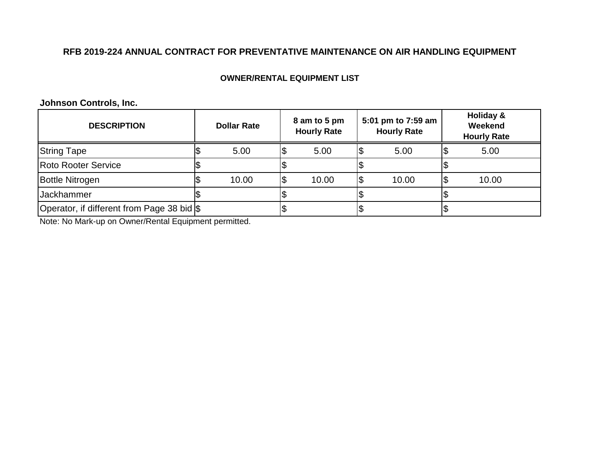## **OWNER/RENTAL EQUIPMENT LIST**

**Johnson Controls, Inc.**

| <b>DESCRIPTION</b>                         | <b>Dollar Rate</b> |     | 8 am to 5 pm<br><b>Hourly Rate</b> | 5:01 pm to 7:59 am<br><b>Hourly Rate</b> | Holiday &<br>Weekend<br><b>Hourly Rate</b> |
|--------------------------------------------|--------------------|-----|------------------------------------|------------------------------------------|--------------------------------------------|
| <b>String Tape</b>                         | 5.00               | ΙФ  | 5.00                               | 5.00                                     | 5.00                                       |
| <b>Roto Rooter Service</b>                 |                    |     |                                    |                                          |                                            |
| <b>Bottle Nitrogen</b>                     | 10.00              | '\$ | 10.00                              | 10.00                                    | 10.00                                      |
| <b>Jackhammer</b>                          |                    |     |                                    |                                          |                                            |
| Operator, if different from Page 38 bid \$ |                    |     |                                    |                                          |                                            |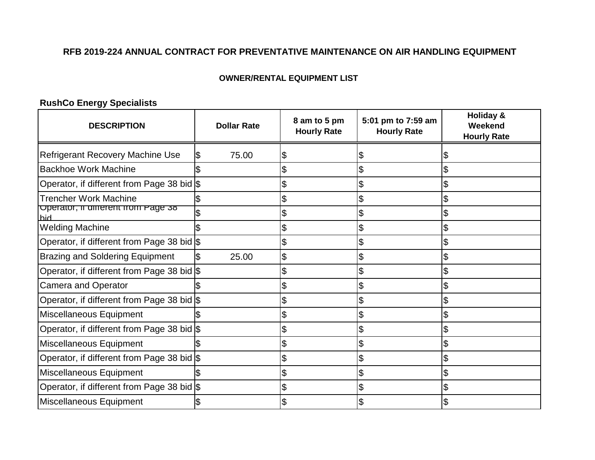## **OWNER/RENTAL EQUIPMENT LIST**

# **RushCo Energy Specialists**

| <b>DESCRIPTION</b>                         | <b>Dollar Rate</b> | 8 am to 5 pm<br><b>Hourly Rate</b> | 5:01 pm to 7:59 am<br><b>Hourly Rate</b> | <b>Holiday &amp;</b><br>Weekend<br><b>Hourly Rate</b> |
|--------------------------------------------|--------------------|------------------------------------|------------------------------------------|-------------------------------------------------------|
| <b>Refrigerant Recovery Machine Use</b>    | 75.00              | \$                                 |                                          |                                                       |
| <b>Backhoe Work Machine</b>                |                    |                                    | \$                                       |                                                       |
| Operator, if different from Page 38 bid \$ |                    |                                    |                                          |                                                       |
| <b>Trencher Work Machine</b>               |                    | \$                                 | \$                                       | \$                                                    |
| Operator, if different from Page 38<br>hid |                    | \$                                 | \$                                       | \$                                                    |
| <b>Welding Machine</b>                     |                    |                                    |                                          |                                                       |
| Operator, if different from Page 38 bid \$ |                    |                                    |                                          |                                                       |
| <b>Brazing and Soldering Equipment</b>     | 25.00              | \$                                 | \$                                       | \$                                                    |
| Operator, if different from Page 38 bid \$ |                    |                                    |                                          |                                                       |
| <b>Camera and Operator</b>                 |                    | \$                                 | \$                                       | \$                                                    |
| Operator, if different from Page 38 bid \$ |                    | \$                                 |                                          |                                                       |
| Miscellaneous Equipment                    |                    | \$                                 |                                          | \$                                                    |
| Operator, if different from Page 38 bid \$ |                    | \$                                 | \$                                       | \$                                                    |
| Miscellaneous Equipment                    |                    | \$                                 |                                          |                                                       |
| Operator, if different from Page 38 bid \$ |                    | \$                                 |                                          |                                                       |
| Miscellaneous Equipment                    |                    | \$                                 | \$                                       | \$                                                    |
| Operator, if different from Page 38 bid \$ |                    |                                    |                                          |                                                       |
| Miscellaneous Equipment                    |                    |                                    |                                          |                                                       |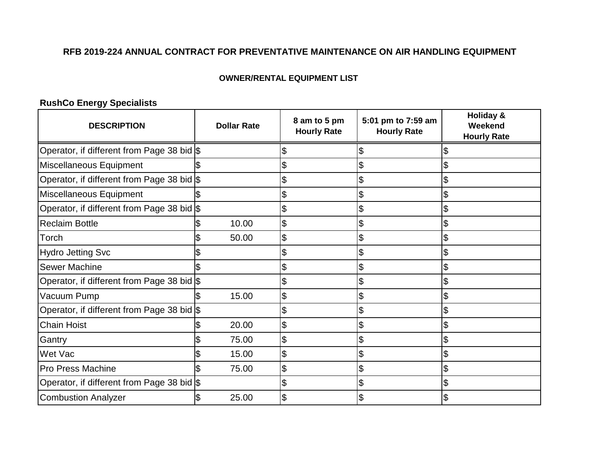## **OWNER/RENTAL EQUIPMENT LIST**

# **RushCo Energy Specialists**

| <b>DESCRIPTION</b>                         | <b>Dollar Rate</b> | 8 am to 5 pm<br><b>Hourly Rate</b> | 5:01 pm to 7:59 am<br><b>Hourly Rate</b> | <b>Holiday &amp;</b><br>Weekend<br><b>Hourly Rate</b> |
|--------------------------------------------|--------------------|------------------------------------|------------------------------------------|-------------------------------------------------------|
| Operator, if different from Page 38 bid \$ |                    | \$                                 |                                          |                                                       |
| Miscellaneous Equipment                    |                    | \$                                 |                                          | \$                                                    |
| Operator, if different from Page 38 bid \$ |                    | \$                                 | \$                                       | \$                                                    |
| Miscellaneous Equipment                    |                    | \$                                 | \$                                       |                                                       |
| Operator, if different from Page 38 bid \$ |                    | \$                                 | \$                                       | \$                                                    |
| <b>Reclaim Bottle</b>                      | 10.00              | \$                                 | \$                                       | \$                                                    |
| Torch                                      | 50.00              | \$                                 | \$                                       |                                                       |
| <b>Hydro Jetting Svc</b>                   |                    | \$                                 | \$                                       | \$                                                    |
| <b>Sewer Machine</b>                       |                    | \$                                 | \$                                       | \$                                                    |
| Operator, if different from Page 38 bid \$ |                    | \$                                 |                                          | \$                                                    |
| Vacuum Pump                                | 15.00              | \$                                 |                                          | \$                                                    |
| Operator, if different from Page 38 bid \$ |                    | \$                                 | \$                                       | \$                                                    |
| <b>Chain Hoist</b>                         | 20.00              | \$                                 | \$                                       | \$                                                    |
| Gantry                                     | 75.00              | \$                                 | \$                                       | \$                                                    |
| Wet Vac                                    | 15.00              | \$                                 | \$                                       | \$                                                    |
| <b>Pro Press Machine</b>                   | 75.00              | \$                                 | \$                                       | \$                                                    |
| Operator, if different from Page 38 bid \$ |                    | \$                                 | \$                                       | \$                                                    |
| <b>Combustion Analyzer</b>                 | 25.00              | \$                                 |                                          | \$                                                    |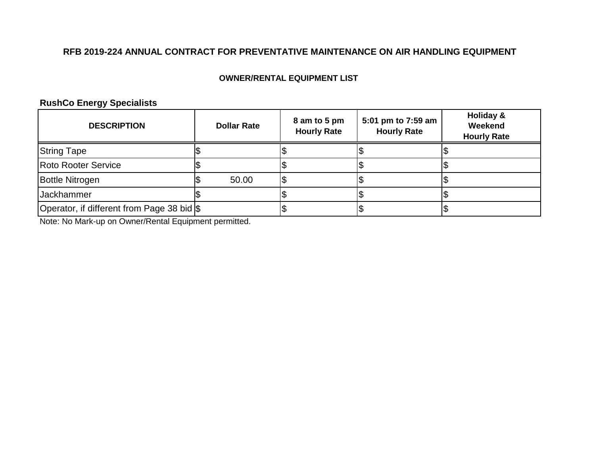## **OWNER/RENTAL EQUIPMENT LIST**

# **RushCo Energy Specialists**

| <b>DESCRIPTION</b>                         | <b>Dollar Rate</b> | 8 am to 5 pm<br><b>Hourly Rate</b> | 5:01 pm to 7:59 am<br><b>Hourly Rate</b> | Holiday &<br>Weekend<br><b>Hourly Rate</b> |
|--------------------------------------------|--------------------|------------------------------------|------------------------------------------|--------------------------------------------|
| <b>String Tape</b>                         |                    |                                    |                                          |                                            |
| Roto Rooter Service                        |                    |                                    |                                          |                                            |
| <b>Bottle Nitrogen</b>                     | 50.00              |                                    |                                          |                                            |
| <b>Jackhammer</b>                          |                    |                                    |                                          |                                            |
| Operator, if different from Page 38 bid \$ |                    |                                    |                                          |                                            |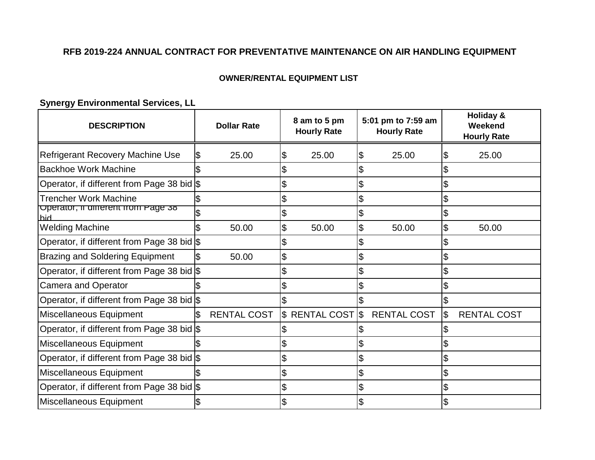## **OWNER/RENTAL EQUIPMENT LIST**

**Synergy Environmental Services, LL**

| <b>DESCRIPTION</b>                         | <b>Dollar Rate</b> | 8 am to 5 pm<br><b>Hourly Rate</b>      | 5:01 pm to 7:59 am<br><b>Hourly Rate</b> |     | Holiday &<br>Weekend<br><b>Hourly Rate</b> |
|--------------------------------------------|--------------------|-----------------------------------------|------------------------------------------|-----|--------------------------------------------|
| <b>Refrigerant Recovery Machine Use</b>    | 25.00              | \$<br>25.00                             | \$<br>25.00                              | 1\$ | 25.00                                      |
| <b>Backhoe Work Machine</b>                |                    |                                         |                                          |     |                                            |
| Operator, if different from Page 38 bid \$ |                    |                                         | \$                                       |     |                                            |
| <b>Trencher Work Machine</b>               |                    | \$                                      | \$                                       | l\$ |                                            |
| Operator, if different from Page 38<br>hid |                    | \$                                      | \$                                       | l\$ |                                            |
| <b>Welding Machine</b>                     | 50.00              | \$<br>50.00                             | \$<br>50.00                              | l\$ | 50.00                                      |
| Operator, if different from Page 38 bid \$ |                    |                                         |                                          |     |                                            |
| <b>Brazing and Soldering Equipment</b>     | 50.00              | \$                                      | \$                                       | Ŝ.  |                                            |
| Operator, if different from Page 38 bid \$ |                    | \$                                      | \$                                       | l\$ |                                            |
| <b>Camera and Operator</b>                 |                    | \$                                      | \$                                       | l\$ |                                            |
| Operator, if different from Page 38 bid \$ |                    |                                         |                                          |     |                                            |
| Miscellaneous Equipment                    | <b>RENTAL COST</b> | $\frac{1}{2}$ RENTAL COST $\frac{1}{2}$ | <b>RENTAL COST</b>                       |     | <b>RENTAL COST</b>                         |
| Operator, if different from Page 38 bid \$ |                    |                                         |                                          |     |                                            |
| Miscellaneous Equipment                    |                    |                                         |                                          | l\$ |                                            |
| Operator, if different from Page 38 bid \$ |                    | \$                                      | \$                                       | \$  |                                            |
| Miscellaneous Equipment                    |                    | \$                                      | \$                                       | 1\$ |                                            |
| Operator, if different from Page 38 bid \$ |                    |                                         |                                          |     |                                            |
| Miscellaneous Equipment                    |                    |                                         |                                          |     |                                            |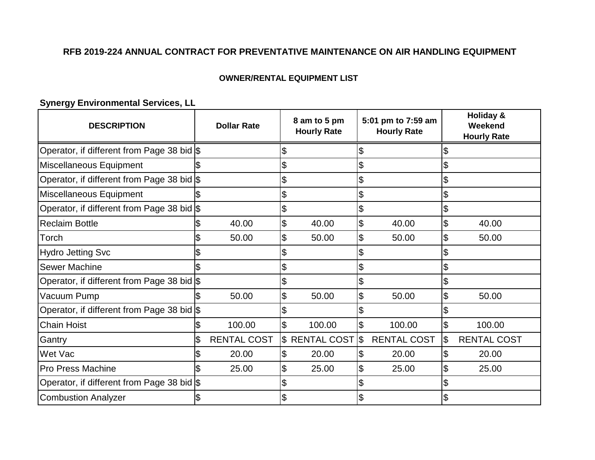## **OWNER/RENTAL EQUIPMENT LIST**

# **Synergy Environmental Services, LL**

| <b>DESCRIPTION</b>                         | <b>Dollar Rate</b> |    | 8 am to 5 pm<br><b>Hourly Rate</b> |                          | 5:01 pm to 7:59 am<br><b>Hourly Rate</b> |                | <b>Holiday &amp;</b><br>Weekend<br><b>Hourly Rate</b> |
|--------------------------------------------|--------------------|----|------------------------------------|--------------------------|------------------------------------------|----------------|-------------------------------------------------------|
| Operator, if different from Page 38 bid \$ |                    | \$ |                                    |                          |                                          |                |                                                       |
| Miscellaneous Equipment                    |                    | \$ |                                    | \$                       |                                          | \$             |                                                       |
| Operator, if different from Page 38 bid \$ |                    | \$ |                                    | $\boldsymbol{\theta}$    |                                          | \$             |                                                       |
| Miscellaneous Equipment                    |                    | \$ |                                    | \$                       |                                          | \$             |                                                       |
| Operator, if different from Page 38 bid \$ |                    | \$ |                                    | \$                       |                                          | \$             |                                                       |
| <b>Reclaim Bottle</b>                      | 40.00              | \$ | 40.00                              | $\frac{1}{2}$            | 40.00                                    | \$             | 40.00                                                 |
| Torch                                      | 50.00              | \$ | 50.00                              | $\overline{\theta}$      | 50.00                                    | $\mathfrak{S}$ | 50.00                                                 |
| <b>Hydro Jetting Svc</b>                   |                    | \$ |                                    | \$                       |                                          | \$             |                                                       |
| <b>Sewer Machine</b>                       |                    | \$ |                                    | \$                       |                                          | \$             |                                                       |
| Operator, if different from Page 38 bid \$ |                    | \$ |                                    | \$                       |                                          |                |                                                       |
| Vacuum Pump                                | 50.00              | \$ | 50.00                              | $\overline{\theta}$      | 50.00                                    | \$             | 50.00                                                 |
| Operator, if different from Page 38 bid \$ |                    | \$ |                                    | \$                       |                                          |                |                                                       |
| <b>Chain Hoist</b>                         | 100.00             | \$ | 100.00                             | $\overline{\mathcal{S}}$ | 100.00                                   | $\mathfrak{S}$ | 100.00                                                |
| Gantry                                     | <b>RENTAL COST</b> |    | \$ RENTAL COST                     | 1\$                      | <b>RENTAL COST</b>                       | \$             | <b>RENTAL COST</b>                                    |
| Wet Vac                                    | 20.00              | \$ | 20.00                              | $\frac{1}{2}$            | 20.00                                    | \$             | 20.00                                                 |
| <b>Pro Press Machine</b>                   | 25.00              | \$ | 25.00                              | \$                       | 25.00                                    | \$             | 25.00                                                 |
| Operator, if different from Page 38 bid \$ |                    |    |                                    |                          |                                          |                |                                                       |
| <b>Combustion Analyzer</b>                 |                    | \$ |                                    |                          |                                          |                |                                                       |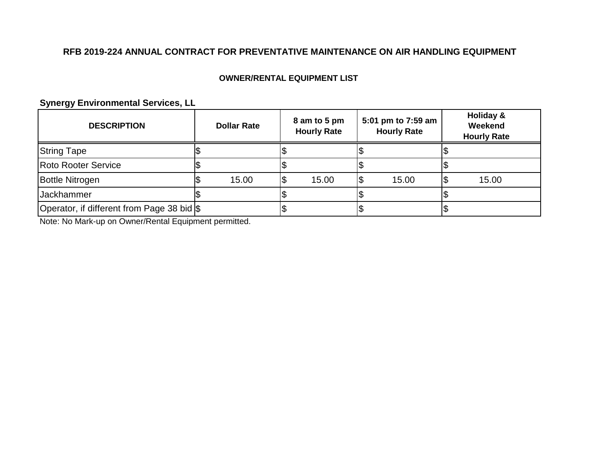## **OWNER/RENTAL EQUIPMENT LIST**

**Synergy Environmental Services, LL**

| <b>DESCRIPTION</b>                         | <b>Dollar Rate</b> |  | 8 am to 5 pm<br><b>Hourly Rate</b> | 5:01 pm to 7:59 am<br><b>Hourly Rate</b> |       | Holiday &<br>Weekend<br><b>Hourly Rate</b> |  |
|--------------------------------------------|--------------------|--|------------------------------------|------------------------------------------|-------|--------------------------------------------|--|
| <b>String Tape</b>                         |                    |  |                                    |                                          |       |                                            |  |
| <b>Roto Rooter Service</b>                 |                    |  |                                    |                                          |       |                                            |  |
| <b>Bottle Nitrogen</b>                     | 15.00              |  | 15.00                              |                                          | 15.00 | 15.00                                      |  |
| Jackhammer                                 |                    |  |                                    |                                          |       |                                            |  |
| Operator, if different from Page 38 bid \$ |                    |  |                                    |                                          |       |                                            |  |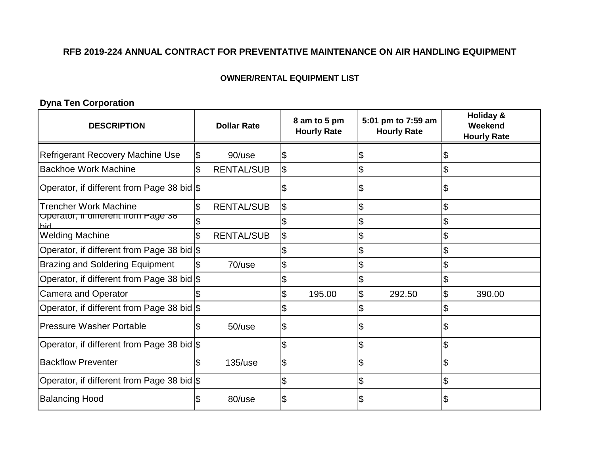### **OWNER/RENTAL EQUIPMENT LIST**

**Dyna Ten Corporation**

| <b>DESCRIPTION</b>                         | <b>Dollar Rate</b>      | 8 am to 5 pm<br><b>Hourly Rate</b> |        | 5:01 pm to 7:59 am<br><b>Hourly Rate</b> |        | <b>Holiday &amp;</b><br>Weekend<br><b>Hourly Rate</b> |
|--------------------------------------------|-------------------------|------------------------------------|--------|------------------------------------------|--------|-------------------------------------------------------|
| Refrigerant Recovery Machine Use           | 90/use                  | \$                                 |        |                                          |        |                                                       |
| <b>Backhoe Work Machine</b>                | <b>RENTAL/SUB</b>       | \$                                 |        | \$                                       |        |                                                       |
| Operator, if different from Page 38 bid \$ |                         | Ψ                                  |        | \$                                       |        | \$                                                    |
| <b>Trencher Work Machine</b>               | \$<br><b>RENTAL/SUB</b> | $\frac{1}{2}$                      |        | \$                                       |        | \$                                                    |
| Operator, if different from Page 38<br>hid |                         | \$                                 |        | \$                                       |        | \$                                                    |
| <b>Welding Machine</b>                     | <b>RENTAL/SUB</b>       | \$                                 |        | \$                                       |        |                                                       |
| Operator, if different from Page 38 bid \$ |                         | \$                                 |        | \$                                       |        |                                                       |
| <b>Brazing and Soldering Equipment</b>     | 70/use                  | \$                                 |        | \$                                       |        | \$                                                    |
| Operator, if different from Page 38 bid \$ |                         | \$                                 |        | \$                                       |        |                                                       |
| <b>Camera and Operator</b>                 |                         | \$                                 | 195.00 | \$                                       | 292.50 | \$<br>390.00                                          |
| Operator, if different from Page 38 bid \$ |                         |                                    |        |                                          |        |                                                       |
| <b>Pressure Washer Portable</b>            | $50$ /use               | \$                                 |        | \$                                       |        |                                                       |
| Operator, if different from Page 38 bid \$ |                         | \$                                 |        | \$                                       |        | \$                                                    |
| <b>Backflow Preventer</b>                  | $135/$ use              | \$                                 |        | \$                                       |        |                                                       |
| Operator, if different from Page 38 bid \$ |                         | \$                                 |        | \$                                       |        | \$                                                    |
| <b>Balancing Hood</b>                      | 80/use                  | \$                                 |        |                                          |        |                                                       |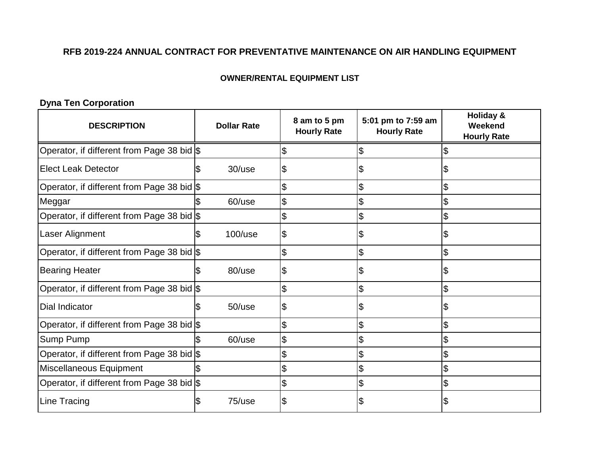### **OWNER/RENTAL EQUIPMENT LIST**

# **Dyna Ten Corporation**

| <b>DESCRIPTION</b>                         | <b>Dollar Rate</b> | 8 am to 5 pm<br><b>Hourly Rate</b> | 5:01 pm to 7:59 am<br><b>Hourly Rate</b> | <b>Holiday &amp;</b><br>Weekend<br><b>Hourly Rate</b> |
|--------------------------------------------|--------------------|------------------------------------|------------------------------------------|-------------------------------------------------------|
| Operator, if different from Page 38 bid \$ |                    | \$                                 | Ъ                                        |                                                       |
| <b>Elect Leak Detector</b>                 | $30$ /use          | \$                                 | S                                        | Ъ                                                     |
| Operator, if different from Page 38 bid \$ |                    | \$                                 | \$                                       | \$                                                    |
| Meggar                                     | 60/use             | \$                                 | \$                                       | \$                                                    |
| Operator, if different from Page 38 bid \$ |                    | \$                                 | $\boldsymbol{\mathsf{\$}}$               | \$                                                    |
| Laser Alignment                            | $100$ /use         | \$                                 | \$                                       | S                                                     |
| Operator, if different from Page 38 bid \$ |                    | \$                                 | $\boldsymbol{\mathsf{\$}}$               | \$                                                    |
| <b>Bearing Heater</b>                      | 80/use             | \$                                 | \$                                       | S.                                                    |
| Operator, if different from Page 38 bid \$ |                    | \$                                 | \$                                       | \$                                                    |
| Dial Indicator                             | $50$ /use          | \$                                 | S                                        | 8                                                     |
| Operator, if different from Page 38 bid \$ |                    | \$                                 | \$                                       | \$                                                    |
| Sump Pump                                  | 60/use             | \$                                 | \$                                       | \$                                                    |
| Operator, if different from Page 38 bid \$ |                    | \$                                 | $\boldsymbol{\mathsf{\$}}$               | $\mathfrak{S}$                                        |
| Miscellaneous Equipment                    |                    | \$                                 | \$                                       | \$                                                    |
| Operator, if different from Page 38 bid \$ |                    | \$                                 | $\boldsymbol{\mathsf{\$}}$               |                                                       |
| Line Tracing                               | 75/use             | \$                                 | \$                                       | Ŝ.                                                    |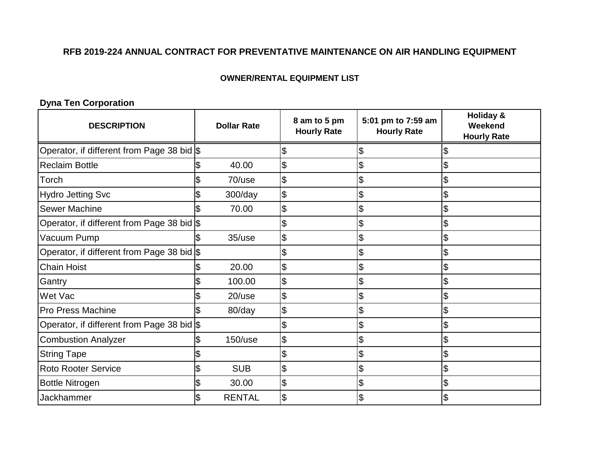### **OWNER/RENTAL EQUIPMENT LIST**

# **Dyna Ten Corporation**

| <b>DESCRIPTION</b>                         |   | <b>Dollar Rate</b> | 8 am to 5 pm<br><b>Hourly Rate</b> | 5:01 pm to 7:59 am<br><b>Hourly Rate</b> | <b>Holiday &amp;</b><br>Weekend<br><b>Hourly Rate</b> |
|--------------------------------------------|---|--------------------|------------------------------------|------------------------------------------|-------------------------------------------------------|
| Operator, if different from Page 38 bid \$ |   |                    | \$                                 |                                          |                                                       |
| <b>Reclaim Bottle</b>                      |   | 40.00              | \$                                 | \$                                       | \$                                                    |
| Torch                                      |   | 70/use             | \$                                 | \$                                       | \$                                                    |
| <b>Hydro Jetting Svc</b>                   |   | 300/day            | \$                                 | \$                                       | \$                                                    |
| <b>Sewer Machine</b>                       |   | 70.00              | \$                                 | \$                                       | \$                                                    |
| Operator, if different from Page 38 bid \$ |   |                    | \$                                 | \$                                       | \$                                                    |
| Vacuum Pump                                |   | $35/$ use          | \$                                 | \$                                       | \$                                                    |
| Operator, if different from Page 38 bid \$ |   |                    | \$                                 | \$                                       | $\boldsymbol{\mathsf{\$}}$                            |
| <b>Chain Hoist</b>                         |   | 20.00              | \$                                 | \$                                       | \$                                                    |
| Gantry                                     |   | 100.00             | \$                                 | \$                                       | \$                                                    |
| Wet Vac                                    |   | $20$ /use          | \$                                 | \$                                       | \$                                                    |
| <b>Pro Press Machine</b>                   |   | 80/day             | \$                                 | \$                                       | \$                                                    |
| Operator, if different from Page 38 bid \$ |   |                    | \$                                 | \$                                       | \$                                                    |
| <b>Combustion Analyzer</b>                 |   | $150$ /use         | \$                                 | \$                                       | \$                                                    |
| <b>String Tape</b>                         |   |                    | \$                                 | \$                                       | \$                                                    |
| <b>Roto Rooter Service</b>                 | S | <b>SUB</b>         | \$                                 | \$                                       | \$                                                    |
| <b>Bottle Nitrogen</b>                     |   | 30.00              | \$                                 | \$                                       | \$                                                    |
| Jackhammer                                 |   | <b>RENTAL</b>      | \$                                 |                                          |                                                       |